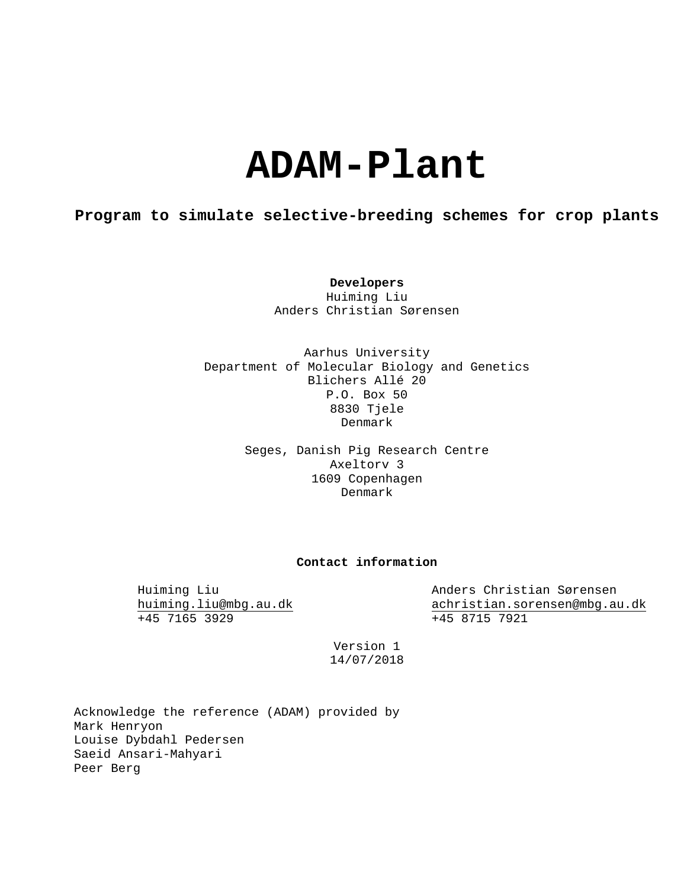# **ADAM-Plant**

# **Program to simulate selective-breeding schemes for crop plants**

**Developers** Huiming Liu Anders Christian Sørensen

Aarhus University Department of Molecular Biology and Genetics Blichers Allé 20 P.O. Box 50 8830 Tjele Denmark

> Seges, Danish Pig Research Centre Axeltorv 3 1609 Copenhagen Denmark

### **Contact information**

Huiming Liu Anders Christian Sørensen<br>huiming.liu@mbg.au.dk achristian.sorensen@mbg.au [huiming.liu@mbg.au.dk](mailto:huiming.liu@mbg.au.dk)<br>
+45 7165 3929<br>
+45 8715 7921  $+45$  8715 7921

> Version 1 14/07/2018

Acknowledge the reference (ADAM) provided by Mark Henryon Louise Dybdahl Pedersen Saeid Ansari-Mahyari Peer Berg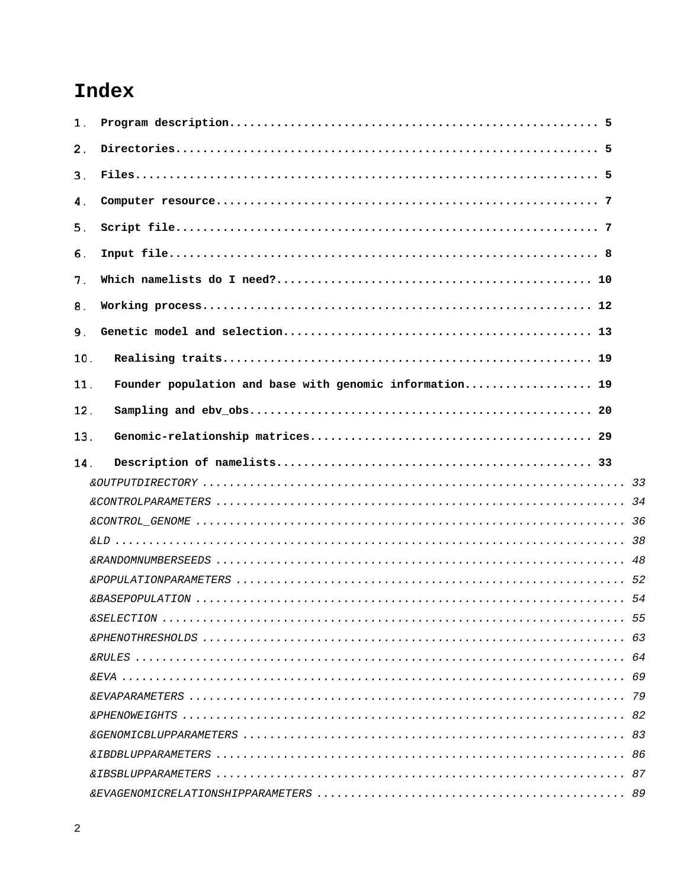# Index

| 1.  |                                                         |  |
|-----|---------------------------------------------------------|--|
| 2.  |                                                         |  |
| 3.  |                                                         |  |
| 4.  |                                                         |  |
| 5.  |                                                         |  |
| 6.  |                                                         |  |
| 7.  |                                                         |  |
| 8.  |                                                         |  |
| 9.  |                                                         |  |
| 10. |                                                         |  |
| 11. | Founder population and base with genomic information 19 |  |
| 12. |                                                         |  |
| 13. |                                                         |  |
| 14. |                                                         |  |
|     |                                                         |  |
|     |                                                         |  |
|     |                                                         |  |
|     |                                                         |  |
|     |                                                         |  |
|     |                                                         |  |
|     |                                                         |  |
|     |                                                         |  |
|     |                                                         |  |
|     |                                                         |  |
|     |                                                         |  |
|     |                                                         |  |
|     |                                                         |  |
|     |                                                         |  |
|     |                                                         |  |
|     |                                                         |  |
|     |                                                         |  |
|     |                                                         |  |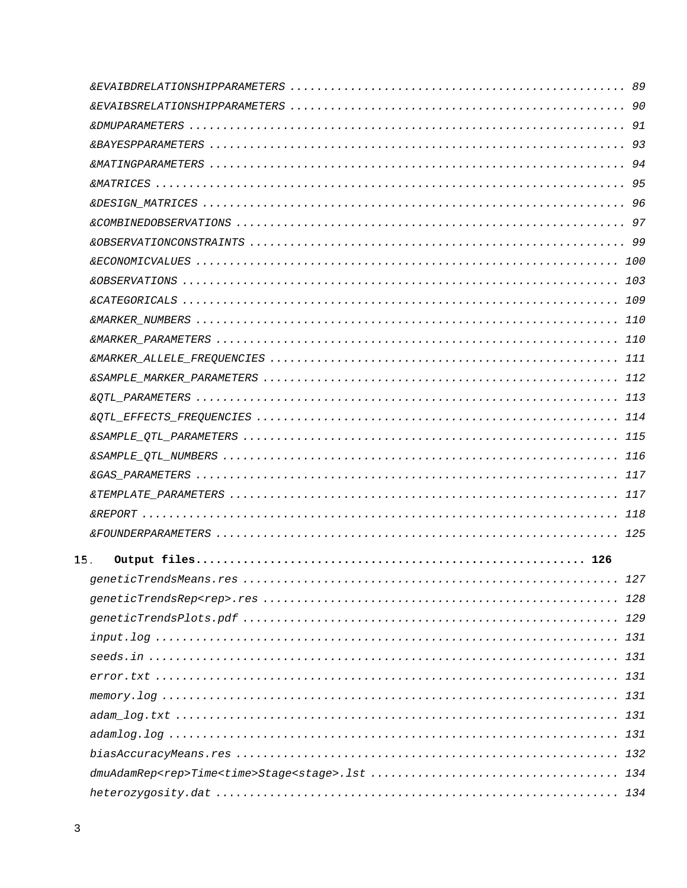| 15. |  |
|-----|--|
|     |  |
|     |  |
|     |  |
|     |  |
|     |  |
|     |  |
|     |  |
|     |  |
|     |  |
|     |  |
|     |  |
|     |  |
|     |  |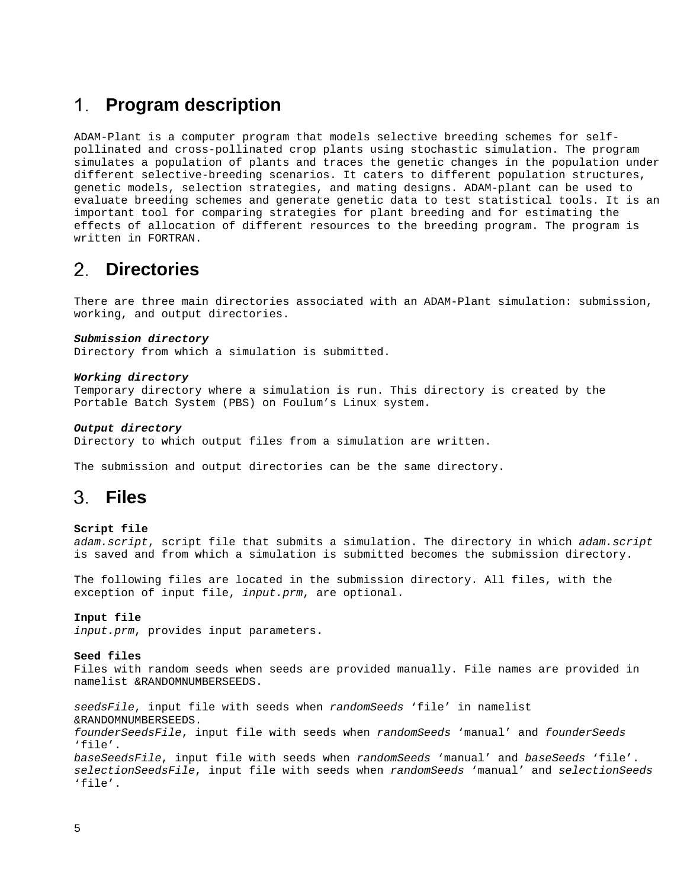# <span id="page-4-0"></span>**Program description**

ADAM-Plant is a computer program that models selective breeding schemes for selfpollinated and cross-pollinated crop plants using stochastic simulation. The program simulates a population of plants and traces the genetic changes in the population under different selective-breeding scenarios. It caters to different population structures, genetic models, selection strategies, and mating designs. ADAM-plant can be used to evaluate breeding schemes and generate genetic data to test statistical tools. It is an important tool for comparing strategies for plant breeding and for estimating the effects of allocation of different resources to the breeding program. The program is written in FORTRAN.

# <span id="page-4-1"></span>**Directories**

There are three main directories associated with an ADAM-Plant simulation: submission, working, and output directories.

#### *Submission directory*

Directory from which a simulation is submitted.

#### *Working directory*

Temporary directory where a simulation is run. This directory is created by the Portable Batch System (PBS) on Foulum's Linux system.

#### *Output directory*

Directory to which output files from a simulation are written.

<span id="page-4-2"></span>The submission and output directories can be the same directory.

# **Files**

#### **Script file**

*adam.script*, script file that submits a simulation. The directory in which *adam.script* is saved and from which a simulation is submitted becomes the submission directory.

The following files are located in the submission directory. All files, with the exception of input file, *input.prm*, are optional.

#### **Input file**

*input.prm*, provides input parameters.

#### **Seed files**

Files with random seeds when seeds are provided manually. File names are provided in namelist &RANDOMNUMBERSEEDS.

*seedsFile*, input file with seeds when *randomSeeds* 'file' in namelist &RANDOMNUMBERSEEDS. *founderSeedsFile*, input file with seeds when *randomSeeds* 'manual' and *founderSeeds* 'file'. *baseSeedsFile*, input file with seeds when *randomSeeds* 'manual' and *baseSeeds* 'file'. *selectionSeedsFile*, input file with seeds when *randomSeeds* 'manual' and *selectionSeeds* 'file'.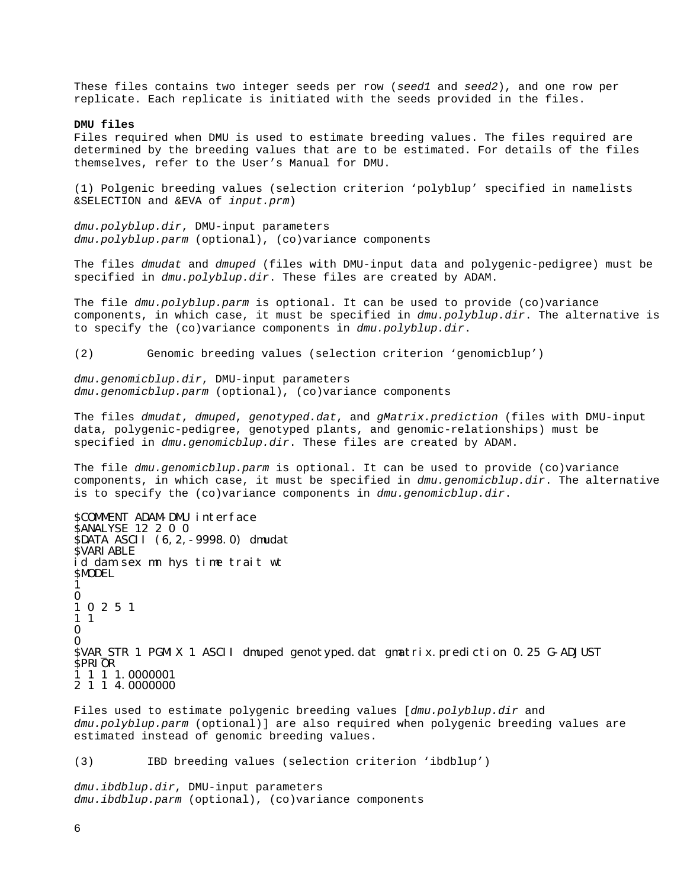These files contains two integer seeds per row (*seed1* and *seed2*), and one row per replicate. Each replicate is initiated with the seeds provided in the files.

#### **DMU files**

Files required when DMU is used to estimate breeding values. The files required are determined by the breeding values that are to be estimated. For details of the files themselves, refer to the User's Manual for DMU.

(1) Polgenic breeding values (selection criterion 'polyblup' specified in namelists &SELECTION and &EVA of *input.prm*)

*dmu.polyblup.dir*, DMU-input parameters *dmu.polyblup.parm* (optional), (co)variance components

The files *dmudat* and *dmuped* (files with DMU-input data and polygenic-pedigree) must be specified in *dmu.polyblup.dir*. These files are created by ADAM.

The file *dmu.polyblup.parm* is optional. It can be used to provide (co)variance components, in which case, it must be specified in *dmu.polyblup.dir*. The alternative is to specify the (co)variance components in *dmu.polyblup.dir*.

(2) Genomic breeding values (selection criterion 'genomicblup')

*dmu.genomicblup.dir*, DMU-input parameters *dmu.genomicblup.parm* (optional), (co)variance components

The files *dmudat*, *dmuped*, *genotyped.dat*, and *gMatrix.prediction* (files with DMU-input data, polygenic-pedigree, genotyped plants, and genomic-relationships) must be specified in *dmu.genomicblup.dir*. These files are created by ADAM.

The file *dmu.genomicblup.parm* is optional. It can be used to provide (co)variance components, in which case, it must be specified in *dmu.genomicblup.dir*. The alternative is to specify the (co)variance components in *dmu.genomicblup.dir*.

\$COMMENT ADAM-DMU interface \$ANALYSE 12 2 0 0 \$DATA ASCII (6,2,-9998.0) dmudat \$VARIABLE id dam sex mn hys time trait wt \$MODEL 1  $\Omega$ 1 0 2 5 1 1 1 0 0 \$VAR\_STR 1 PGMIX 1 ASCII dmuped genotyped.dat gmatrix.prediction 0.25 G-ADJUST \$PRIOR 1 1 1 1.0000001 2 1 1 4.0000000

Files used to estimate polygenic breeding values [*dmu.polyblup.dir* and *dmu.polyblup.parm* (optional)] are also required when polygenic breeding values are estimated instead of genomic breeding values.

(3) IBD breeding values (selection criterion 'ibdblup')

*dmu.ibdblup.dir*, DMU-input parameters *dmu.ibdblup.parm* (optional), (co)variance components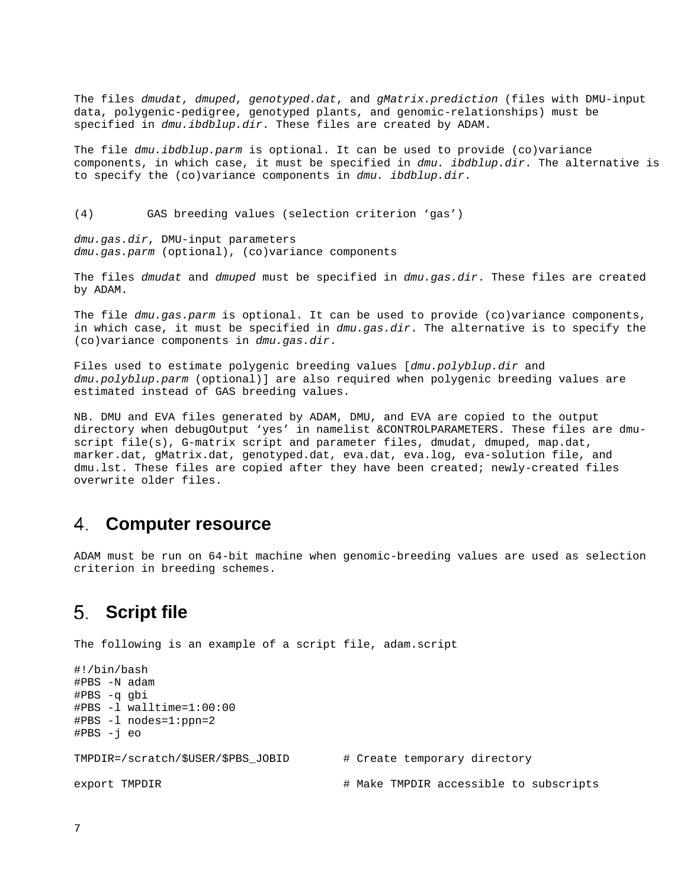The files *dmudat*, *dmuped*, *genotyped.dat*, and *gMatrix.prediction* (files with DMU-input data, polygenic-pedigree, genotyped plants, and genomic-relationships) must be specified in *dmu.ibdblup.dir*. These files are created by ADAM.

The file *dmu.ibdblup.parm* is optional. It can be used to provide (co)variance components, in which case, it must be specified in *dmu. ibdblup.dir*. The alternative is to specify the (co)variance components in *dmu. ibdblup.dir*.

(4) GAS breeding values (selection criterion 'gas')

*dmu.gas.dir*, DMU-input parameters *dmu.gas.parm* (optional), (co)variance components

The files *dmudat* and *dmuped* must be specified in *dmu.gas.dir*. These files are created by ADAM.

The file *dmu.gas.parm* is optional. It can be used to provide (co)variance components, in which case, it must be specified in *dmu.gas.dir*. The alternative is to specify the (co)variance components in *dmu.gas.dir*.

Files used to estimate polygenic breeding values [*dmu.polyblup.dir* and *dmu.polyblup.parm* (optional)] are also required when polygenic breeding values are estimated instead of GAS breeding values.

NB. DMU and EVA files generated by ADAM, DMU, and EVA are copied to the output directory when debugOutput 'yes' in namelist &CONTROLPARAMETERS. These files are dmuscript file(s), G-matrix script and parameter files, dmudat, dmuped, map.dat, marker.dat, gMatrix.dat, genotyped.dat, eva.dat, eva.log, eva-solution file, and dmu.lst. These files are copied after they have been created; newly-created files overwrite older files.

# <span id="page-6-0"></span>**Computer resource**

ADAM must be run on 64-bit machine when genomic-breeding values are used as selection criterion in breeding schemes.

# <span id="page-6-1"></span>**Script file**

The following is an example of a script file, adam.script

```
#!/bin/bash
#PBS -N adam
#PBS -q gbi
#PBS -l walltime=1:00:00
#PBS -l nodes=1:ppn=2
#PBS -j eo
TMPDIR=/scratch/$USER/$PBS_JOBID # Create temporary directory
export TMPDIR \qquad \qquad Make TMPDIR accessible to subscripts
```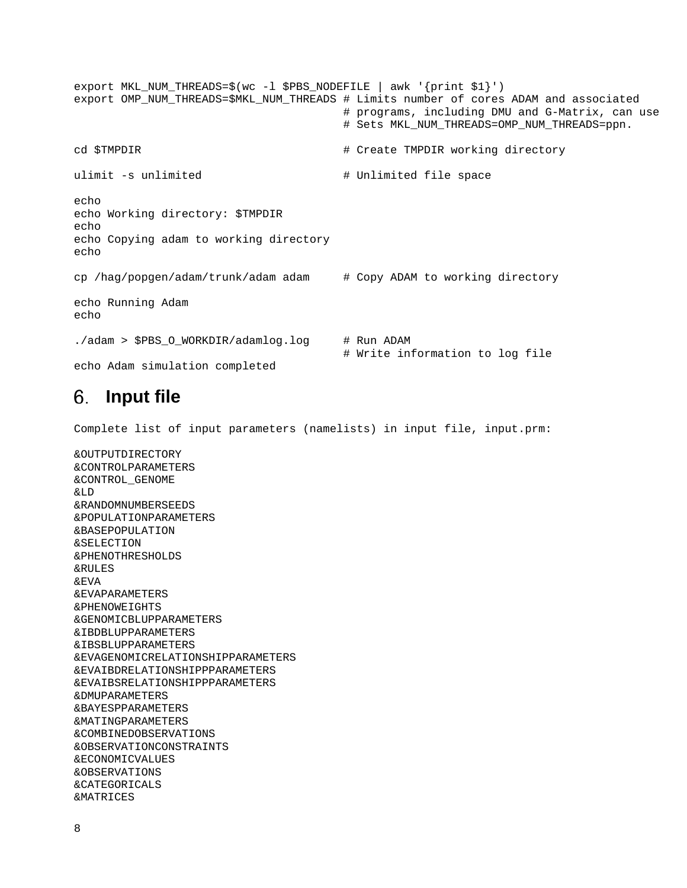export MKL\_NUM\_THREADS=\$(wc -l \$PBS\_NODEFILE | awk '{print \$1}') export OMP\_NUM\_THREADS=\$MKL\_NUM\_THREADS # Limits number of cores ADAM and associated # programs, including DMU and G-Matrix, can use # Sets MKL\_NUM\_THREADS=OMP\_NUM\_THREADS=ppn. cd \$TMPDIR  $\qquad$   $\qquad$   $\qquad$   $\qquad$   $\qquad$   $\qquad$   $\qquad$   $\qquad$   $\qquad$   $\qquad$   $\qquad$   $\qquad$   $\qquad$   $\qquad$   $\qquad$   $\qquad$   $\qquad$   $\qquad$   $\qquad$   $\qquad$   $\qquad$   $\qquad$   $\qquad$   $\qquad$   $\qquad$   $\qquad$   $\qquad$   $\qquad$   $\qquad$   $\qquad$   $\qquad$   $\qquad$   $\qquad$   $\qquad$   $\qquad$  ulimit -s unlimited  $\qquad$  # Unlimited file space echo echo Working directory: \$TMPDIR echo echo Copying adam to working directory echo cp /hag/popgen/adam/trunk/adam adam # Copy ADAM to working directory echo Running Adam echo ./adam > \$PBS\_O\_WORKDIR/adamlog.log # Run ADAM # Write information to log file echo Adam simulation completed

#### <span id="page-7-0"></span>**Input file** 6.

Complete list of input parameters (namelists) in input file, input.prm:

&OUTPUTDIRECTORY &CONTROLPARAMETERS &CONTROL\_GENOME &LD &RANDOMNUMBERSEEDS &POPULATIONPARAMETERS &BASEPOPULATION &SELECTION &PHENOTHRESHOLDS &RULES &EVA &EVAPARAMETERS &PHENOWEIGHTS &GENOMICBLUPPARAMETERS &IBDBLUPPARAMETERS &IBSBLUPPARAMETERS &EVAGENOMICRELATIONSHIPPARAMETERS &EVAIBDRELATIONSHIPPPARAMETERS &EVAIBSRELATIONSHIPPPARAMETERS &DMUPARAMETERS &BAYESPPARAMETERS &MATINGPARAMETERS &COMBINEDOBSERVATIONS &OBSERVATIONCONSTRAINTS &ECONOMICVALUES &OBSERVATIONS &CATEGORICALS &MATRICES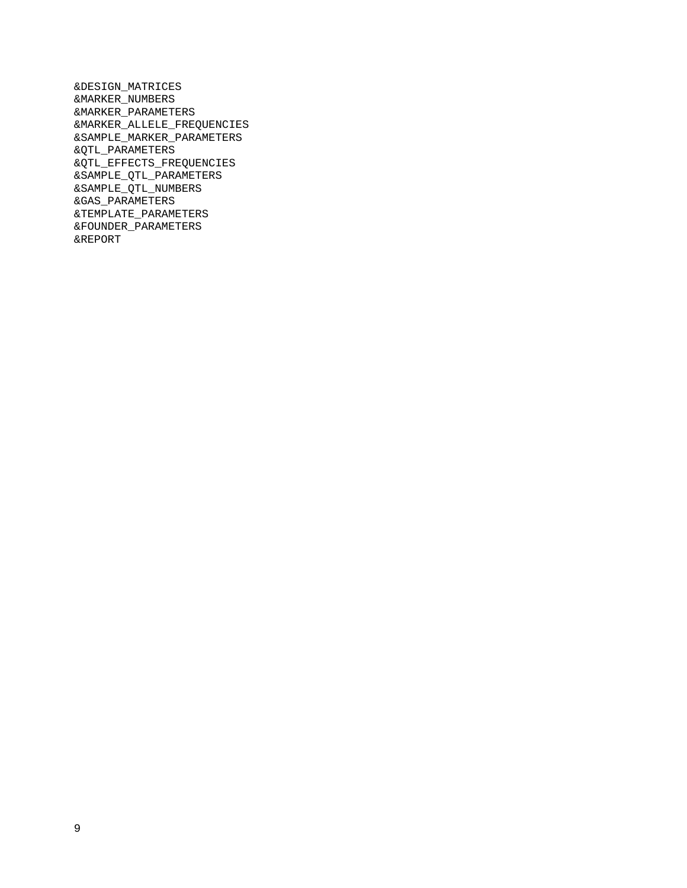&DESIGN\_MATRICES &MARKER\_NUMBERS &MARKER\_PARAMETERS &MARKER\_ALLELE\_FREQUENCIES &SAMPLE\_MARKER\_PARAMETERS &QTL\_PARAMETERS &QTL\_EFFECTS\_FREQUENCIES &SAMPLE\_QTL\_PARAMETERS &SAMPLE\_QTL\_NUMBERS &GAS\_PARAMETERS &TEMPLATE\_PARAMETERS &FOUNDER\_PARAMETERS &REPORT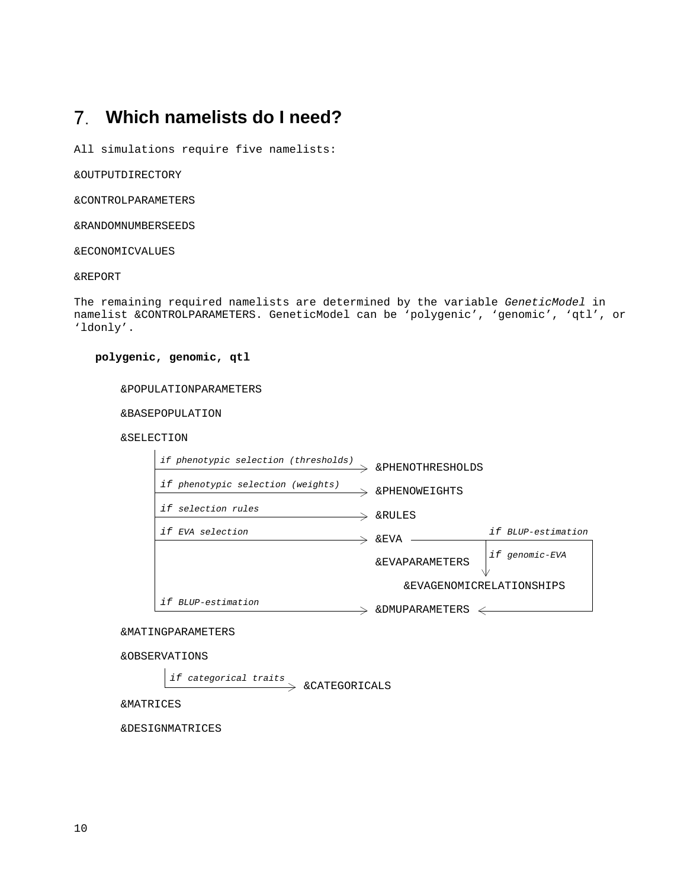# <span id="page-9-0"></span>**Which namelists do I need?**

All simulations require five namelists:

&OUTPUTDIRECTORY

&CONTROLPARAMETERS

&RANDOMNUMBERSEEDS

&ECONOMICVALUES

&REPORT

The remaining required namelists are determined by the variable *GeneticModel* in namelist &CONTROLPARAMETERS. GeneticModel can be 'polygenic', 'genomic', 'qtl', or 'ldonly'.

**polygenic, genomic, qtl**

&POPULATIONPARAMETERS

&BASEPOPULATION

&SELECTION



&MATINGPARAMETERS

&OBSERVATIONS

*if categorical traits*

&CATEGORICALS

&MATRICES

&DESIGNMATRICES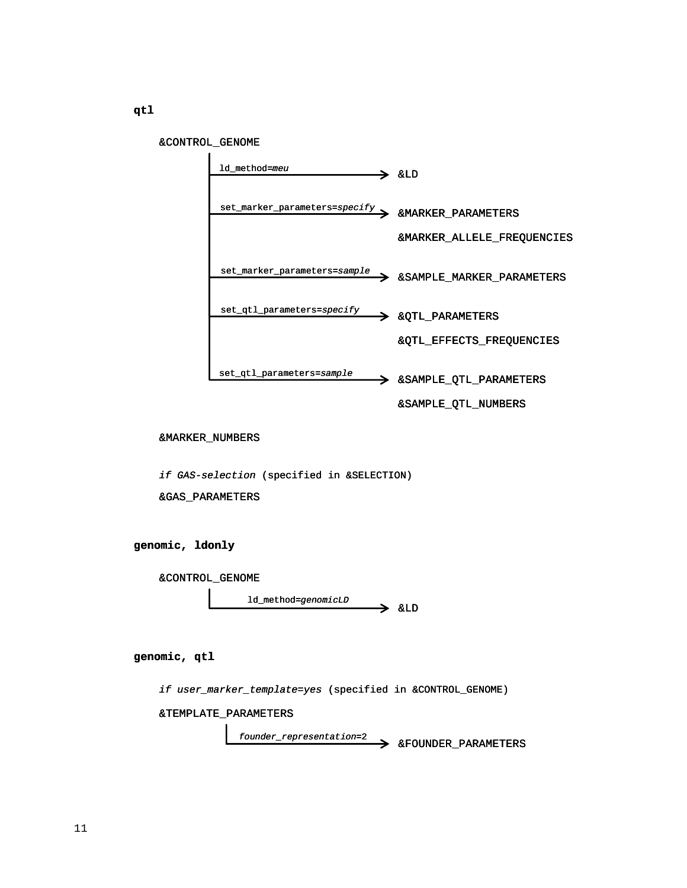&CONTROL\_GENOME



&MARKER\_NUMBERS

*if GAS-selection* (specified in &SELECTION)

&GAS\_PARAMETERS

**genomic, ldonly**

&CONTROL\_GENOME

 $\rightarrow$  &LD ld\_method=*genomicLD*

**genomic, qtl**

*if user\_marker\_template=yes* (specified in &CONTROL\_GENOME)

&TEMPLATE\_PARAMETERS

&FOUNDER\_PARAMETERS *founder\_representation*=2

**qtl**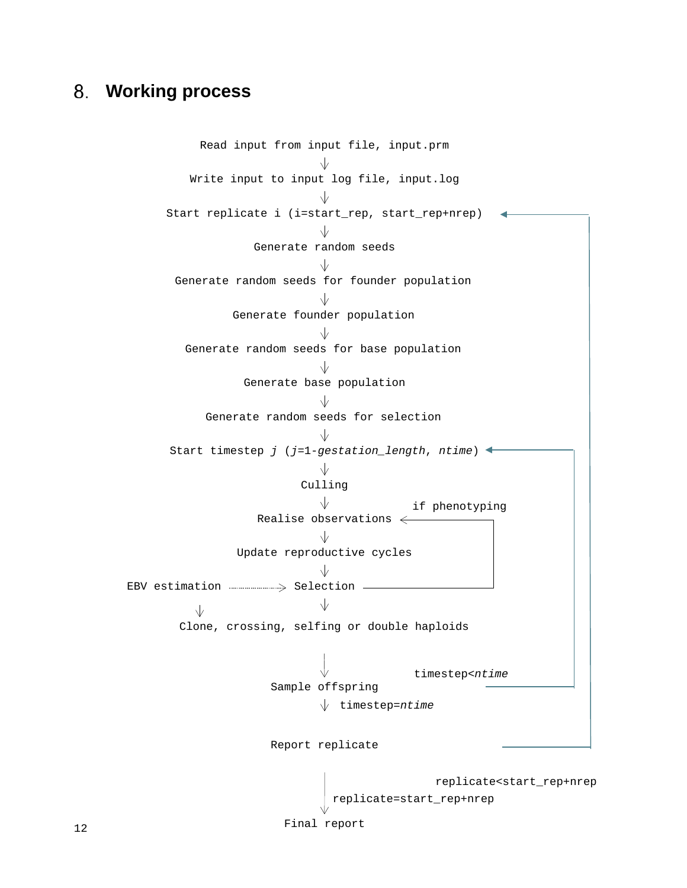# <span id="page-11-0"></span>**Working process**

Read input from input file, input.prm  $\sqrt{2}$ Write input to input log file, input.log Start replicate i (i=start\_rep, start\_rep+nrep) Generate random seeds Generate random seeds for founder population Generate founder population Generate random seeds for base population Generate base population  $\sqrt{ }$ Generate random seeds for selection $\sqrt{2}$ Start timestep *j* (*j*=1-*gestation\_length*, *ntime*)  $\sqrt{}$ Culling V∴ if phenotyping Realise observations  $\leftarrow$ Update reproductive cycles EBV estimation **Manual** Selection  $\longrightarrow$  $\sqrt{2}$  $\sqrt{}$ Clone, crossing, selfing or double haploids timestep<*ntime* Sample offspring timestep=*ntime* Report replicate replicate<start\_rep+nrep replicate=start\_rep+nrep Final report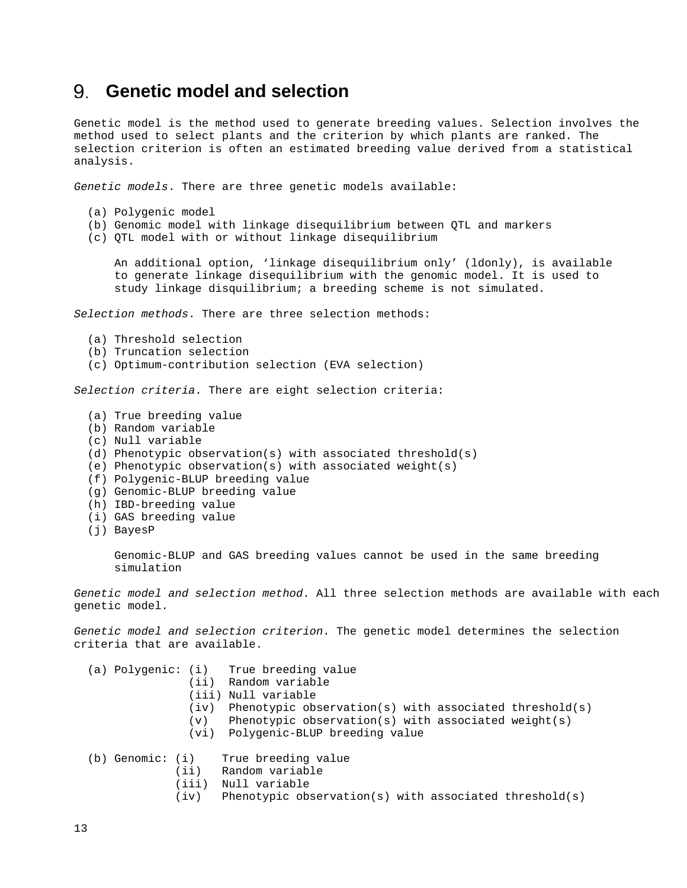# <span id="page-12-0"></span>**Genetic model and selection**

Genetic model is the method used to generate breeding values. Selection involves the method used to select plants and the criterion by which plants are ranked. The selection criterion is often an estimated breeding value derived from a statistical analysis.

*Genetic models*. There are three genetic models available:

- (a) Polygenic model
- (b) Genomic model with linkage disequilibrium between QTL and markers
- (c) QTL model with or without linkage disequilibrium

 An additional option, 'linkage disequilibrium only' (ldonly), is available to generate linkage disequilibrium with the genomic model. It is used to study linkage disquilibrium; a breeding scheme is not simulated.

*Selection methods*. There are three selection methods:

- (a) Threshold selection
- (b) Truncation selection
- (c) Optimum-contribution selection (EVA selection)

*Selection criteria*. There are eight selection criteria:

- (a) True breeding value
- (b) Random variable
- (c) Null variable
- (d) Phenotypic observation(s) with associated threshold(s)
- (e) Phenotypic observation(s) with associated weight(s)
- (f) Polygenic-BLUP breeding value
- (g) Genomic-BLUP breeding value
- (h) IBD-breeding value
- (i) GAS breeding value
- (j) BayesP

 Genomic-BLUP and GAS breeding values cannot be used in the same breeding simulation

*Genetic model and selection method*. All three selection methods are available with each genetic model.

*Genetic model and selection criterion*. The genetic model determines the selection criteria that are available.

|  |  |  | (a) Polygenic: (i) |  |  | True breeding value |  |  |  |  |
|--|--|--|--------------------|--|--|---------------------|--|--|--|--|
|--|--|--|--------------------|--|--|---------------------|--|--|--|--|

- (ii) Random variable
- (iii) Null variable
- (iv) Phenotypic observation(s) with associated threshold(s)
- (v) Phenotypic observation(s) with associated weight(s)
- (vi) Polygenic-BLUP breeding value

(b) Genomic: (i) True breeding value<br>(ii) Random variable

- Random variable
- (iii) Null variable<br>(iv) Phenotypic ob
- Phenotypic observation(s) with associated threshold(s)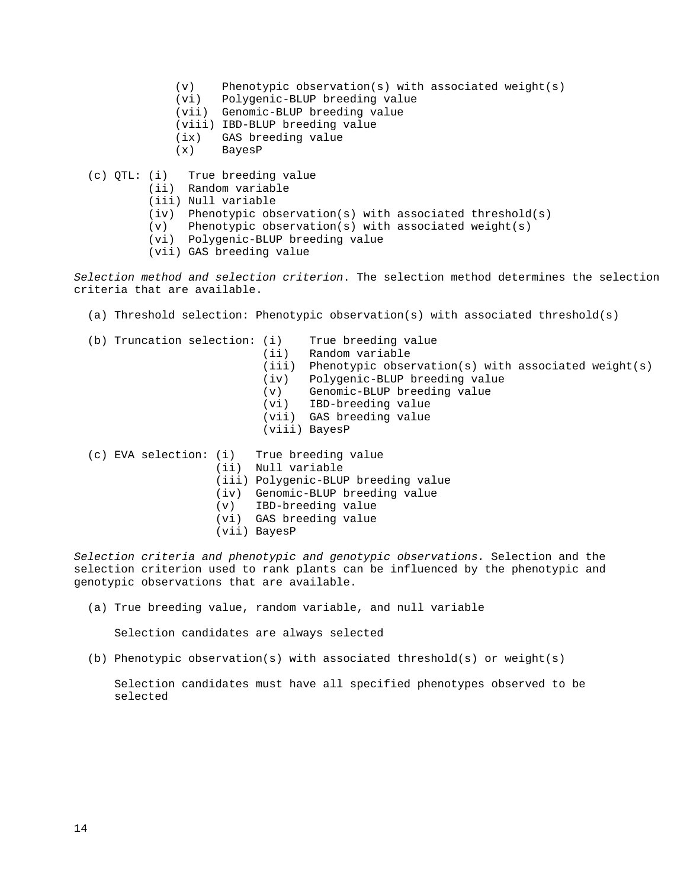- (v) Phenotypic observation(s) with associated weight(s)  $(vi)$  Polygenic-BLUP breeding value
- Polygenic-BLUP breeding value
- (vii) Genomic-BLUP breeding value
- (viii) IBD-BLUP breeding value
- (ix) GAS breeding value<br>(x) BayesP
- BayesP
- (c) QTL: (i) True breeding value
	- (ii) Random variable
	- (iii) Null variable
	- (iv) Phenotypic observation(s) with associated threshold(s)
	- (v) Phenotypic observation(s) with associated weight(s)
	- (vi) Polygenic-BLUP breeding value
	- (vii) GAS breeding value

*Selection method and selection criterion*. The selection method determines the selection criteria that are available.

- (a) Threshold selection: Phenotypic observation(s) with associated threshold(s)
- (b) Truncation selection: (i) True breeding value<br>(ii) Random variable
	- Random variable
	- (iii) Phenotypic observation(s) with associated weight(s)<br>(iv) Polygenic-BLUP breeding value
	-
	- (iv) Polygenic-BLUP breeding value
	- (v) Genomic-BLUP breeding value<br>(vi) IBD-breeding value IBD-breeding value
	- (vii) GAS breeding value
	- (viii) BayesP

(c) EVA selection: (i) True breeding value

- (ii) Null variable
- (iii) Polygenic-BLUP breeding value
- (iv) Genomic-BLUP breeding value
- (v) IBD-breeding value
- (vi) GAS breeding value
- (vii) BayesP

*Selection criteria and phenotypic and genotypic observations.* Selection and the selection criterion used to rank plants can be influenced by the phenotypic and genotypic observations that are available.

(a) True breeding value, random variable, and null variable

Selection candidates are always selected

(b) Phenotypic observation(s) with associated threshold(s) or weight(s)

 Selection candidates must have all specified phenotypes observed to be selected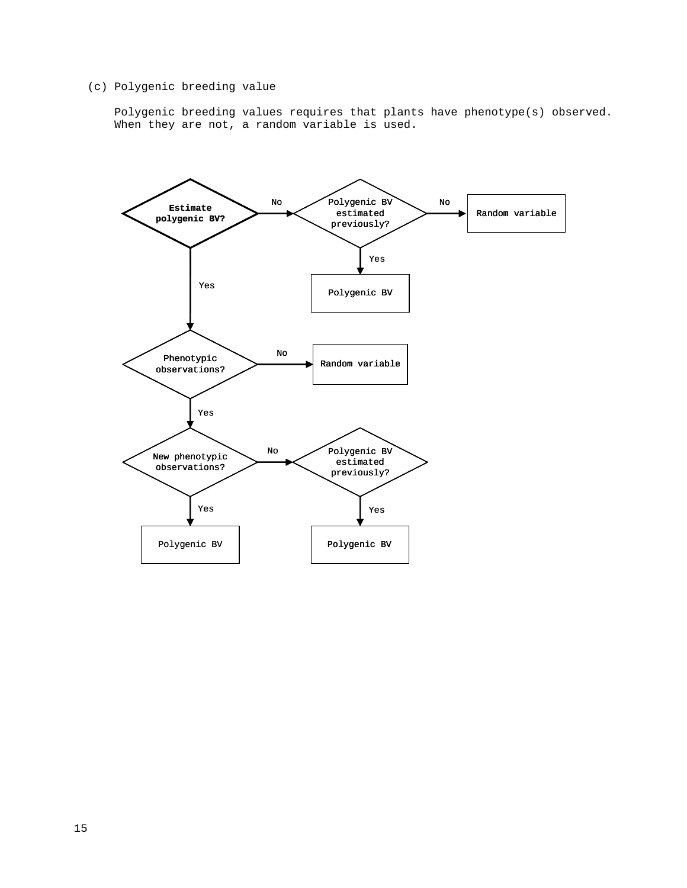# (c) Polygenic breeding value

 Polygenic breeding values requires that plants have phenotype(s) observed. When they are not, a random variable is used.

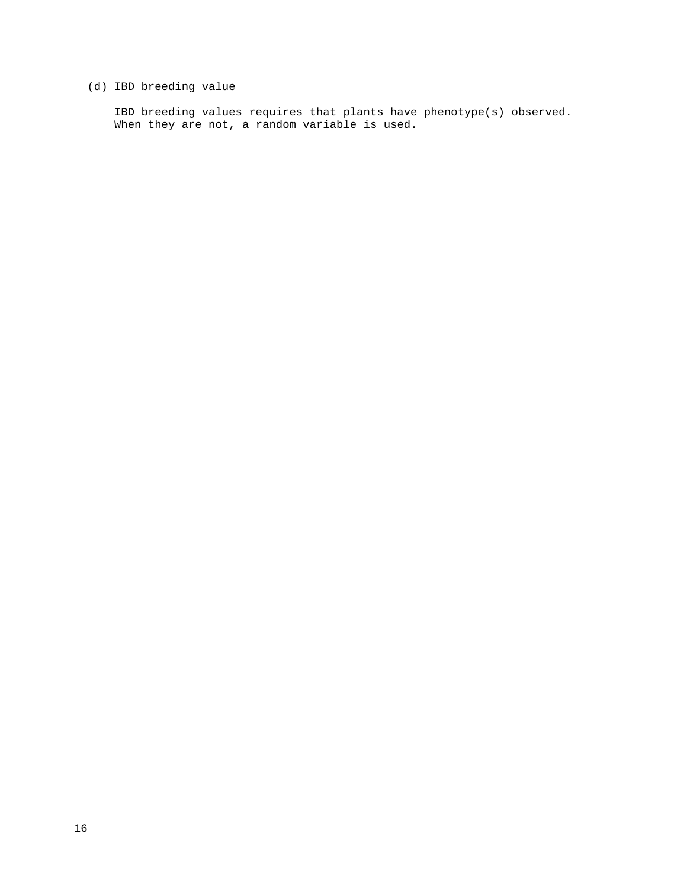# (d) IBD breeding value

 IBD breeding values requires that plants have phenotype(s) observed. When they are not, a random variable is used.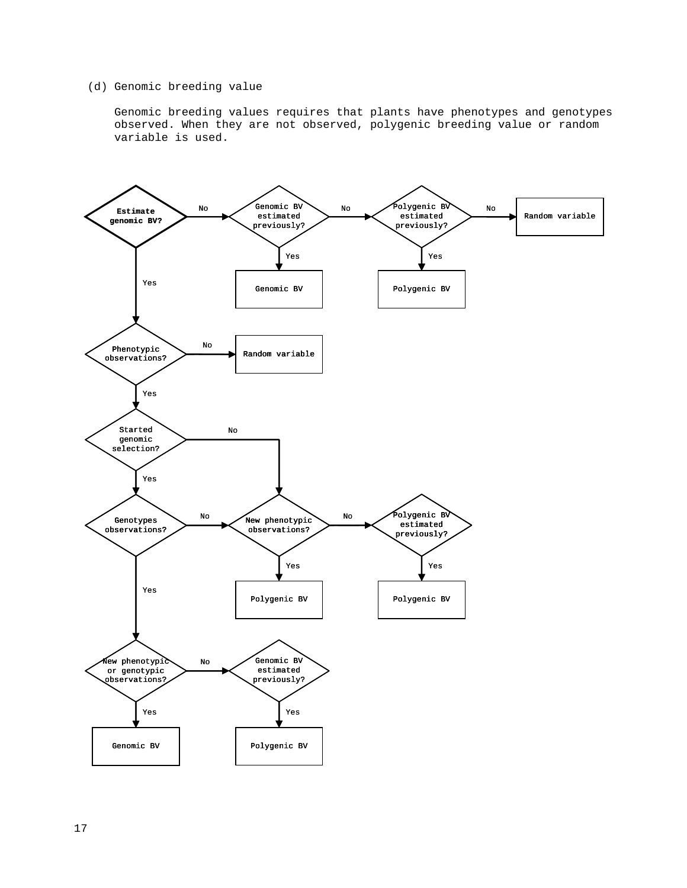### (d) Genomic breeding value

 Genomic breeding values requires that plants have phenotypes and genotypes observed. When they are not observed, polygenic breeding value or random variable is used.

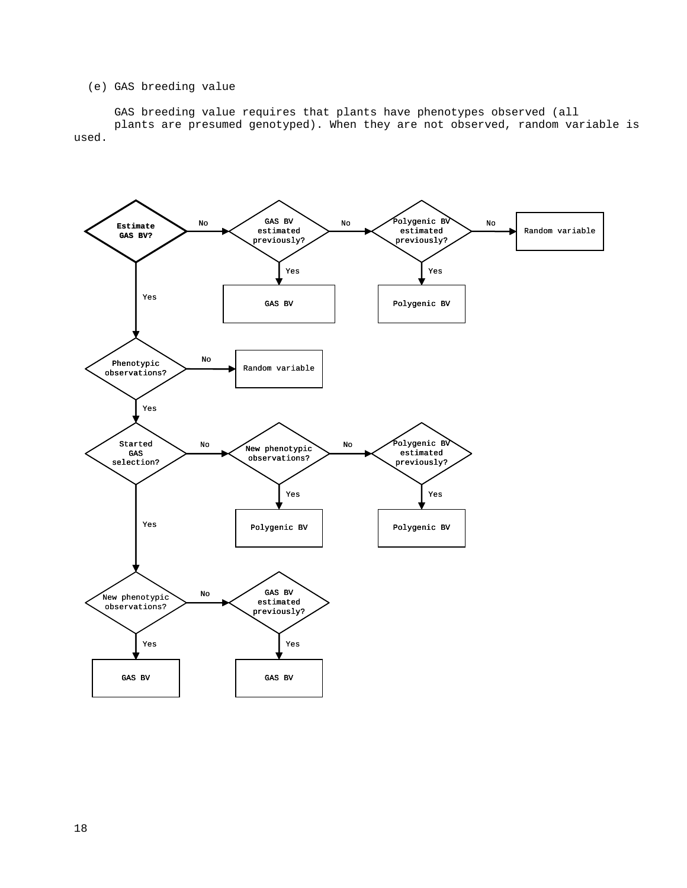### (e) GAS breeding value

 GAS breeding value requires that plants have phenotypes observed (all plants are presumed genotyped). When they are not observed, random variable is used.

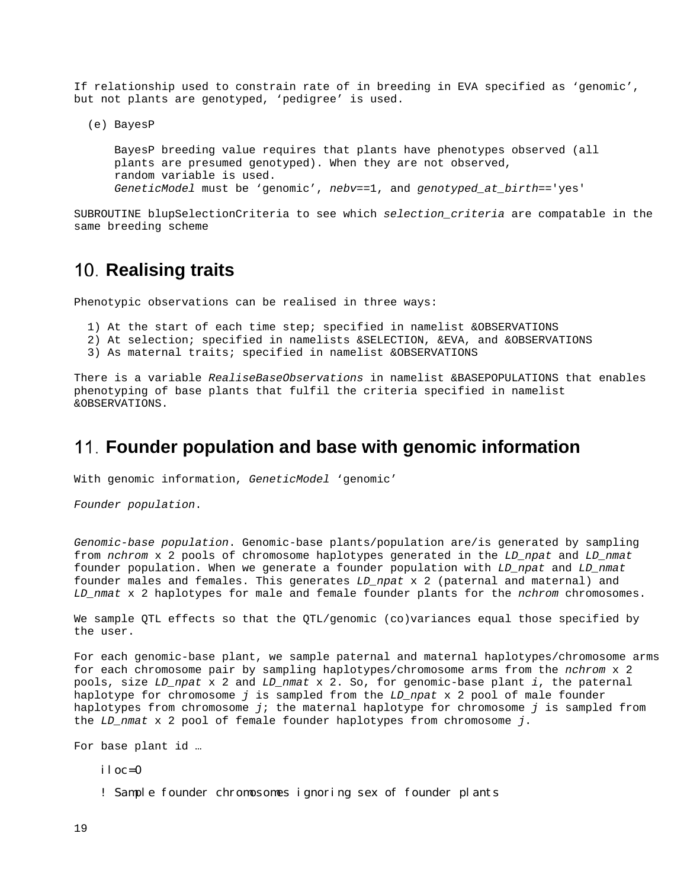If relationship used to constrain rate of in breeding in EVA specified as 'genomic', but not plants are genotyped, 'pedigree' is used.

(e) BayesP

 BayesP breeding value requires that plants have phenotypes observed (all plants are presumed genotyped). When they are not observed, random variable is used. *GeneticModel* must be 'genomic', *nebv*==1, and *genotyped\_at\_birth*=='yes'

SUBROUTINE blupSelectionCriteria to see which *selection\_criteria* are compatable in the same breeding scheme

# <span id="page-18-0"></span>10. **Realising traits**

Phenotypic observations can be realised in three ways:

- 1) At the start of each time step; specified in namelist &OBSERVATIONS
- 2) At selection; specified in namelists &SELECTION, &EVA, and &OBSERVATIONS
- 3) As maternal traits; specified in namelist &OBSERVATIONS

There is a variable *RealiseBaseObservations* in namelist &BASEPOPULATIONS that enables phenotyping of base plants that fulfil the criteria specified in namelist &OBSERVATIONS.

# <span id="page-18-1"></span>**Founder population and base with genomic information**

With genomic information, *GeneticModel* 'genomic'

*Founder population*.

*Genomic-base population*. Genomic-base plants/population are/is generated by sampling from *nchrom* x 2 pools of chromosome haplotypes generated in the *LD\_npat* and *LD\_nmat* founder population. When we generate a founder population with *LD\_npat* and *LD\_nmat* founder males and females. This generates *LD\_npat* x 2 (paternal and maternal) and *LD\_nmat* x 2 haplotypes for male and female founder plants for the *nchrom* chromosomes.

We sample QTL effects so that the QTL/genomic (co)variances equal those specified by the user.

For each genomic-base plant, we sample paternal and maternal haplotypes/chromosome arms for each chromosome pair by sampling haplotypes/chromosome arms from the *nchrom* x 2 pools, size *LD\_npat* x 2 and *LD\_nmat* x 2. So, for genomic-base plant *i*, the paternal haplotype for chromosome *j* is sampled from the *LD\_npat* x 2 pool of male founder haplotypes from chromosome *j*; the maternal haplotype for chromosome *j* is sampled from the *LD\_nmat* x 2 pool of female founder haplotypes from chromosome *j*.

For base plant id …

iloc=0

! Sample founder chromosomes ignoring sex of founder plants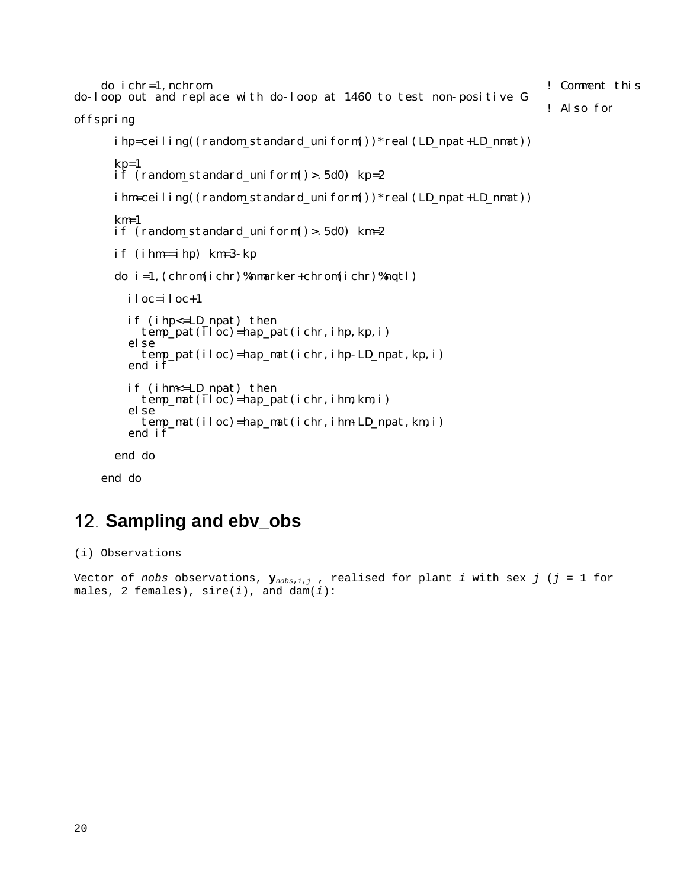```
 do ichr=1,nchrom ! Comment this 
do-loop out and replace with do-loop at 1460 to test non-positive G ! Also for 
offspring
      ihp=ceiling((random_standard_uniform())*real(LD_npat+LD_nmat))
      kp=1<br>if (random_standard_uniform()>.5d0) kp=2
       ihm=ceiling((random_standard_uniform())*real(LD_npat+LD_nmat))
      km=1 if (random_standard_uniform()>.5d0) km=2 
       if (ihm==ihp) km=3-kp
       do i=1,(chrom(ichr)%nmarker+chrom(ichr)%nqtl)
         iloc=iloc+1
         if (ihp<=LD_npat) then temp_pat(iloc)=hap_pat(ichr,ihp,kp,i) else
           temp_pat(iloc)=hap_mat(ichr,ihp-LD_npat,kp,i)
         end if
         if (ihm<=LD_npat) then temp_mat(iloc)=hap_pat(ichr,ihm,km,i) else
           temp_mat(iloc)=hap_mat(ichr,ihm-LD_npat,km,i)
         end if
```
end do

end do

# <span id="page-19-0"></span>**Sampling and ebv\_obs**

(i) Observations

```
Vector of nobs observations, \mathbf{y}_{nobs,i,j}, realised for plant i with sex j (j = 1 for
males, 2 females), sire(i), and dam(i):
```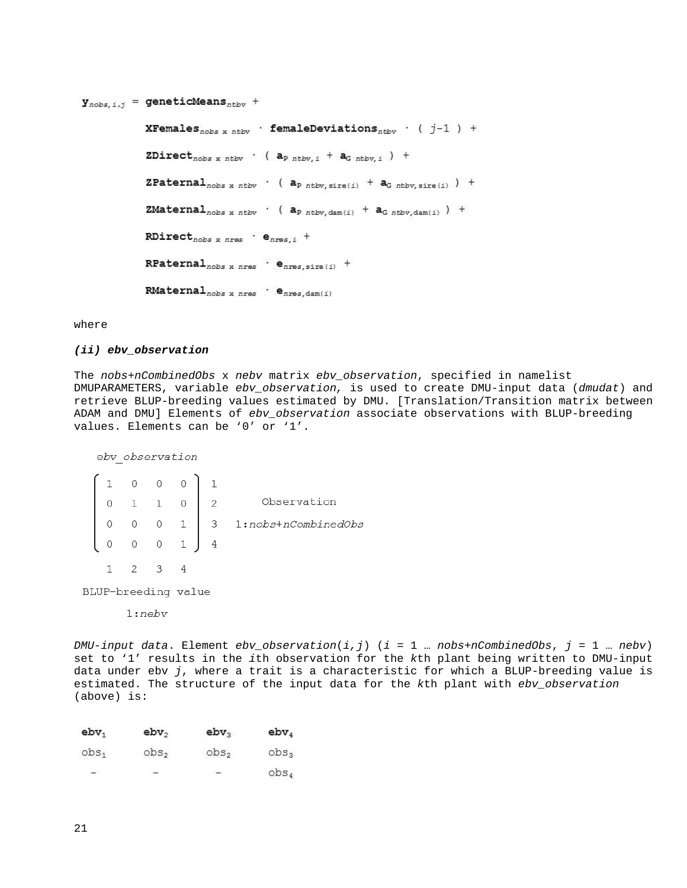**XFemales**<sub>nobs x ntbv</sub> · femaleDeviations<sub>ntbv</sub> · ( $j-1$ ) + ZDirect<sub>nobs x</sub> nthv  $\cdot$  ( $a_{p \text{ ntbv}, i} + a_{G \text{ ntbv}, i}$ ) + **ZPaternal**<sub>nobs x ntbv</sub>  $\cdot$  (  $a_{p \ntbb{b}v,sire(i)} + a_{G \ntbb{b}v,sire(i)}$  ) +  $\texttt{ZMaterial}_{\textit{nobs x ntbv}}$  (  $a_{p \textit{ntbv}, \text{dam(i)}} + a_{G \textit{ntbv}, \text{dam(i)}}$  ) +  $\texttt{RDirect}_{\textit{nobs x nres}} \;\cdot\; \texttt{e}_{\textit{nres},i} \;\; +$  $RPaternal_{nobs x nres}$   $\cdot$   $e_{nres, size(i)}$  +  $\texttt{RMateral}_{\textit{nobs x nres}} \ \cdot \ \texttt{e}_{\textit{nres}, \textit{dam}(i)}$ 

where

#### *(ii) ebv\_observation*

The *nobs*+*nCombinedObs* x *nebv* matrix *ebv\_observation*, specified in namelist DMUPARAMETERS, variable *ebv\_observation,* is used to create DMU-input data (*dmudat*) and retrieve BLUP-breeding values estimated by DMU. [Translation/Transition matrix between ADAM and DMU] Elements of *ebv\_observation* associate observations with BLUP-breeding values. Elements can be '0' or '1'.

ebv observation

|                |                | $0 \t 0 \t 1$      |                |                       |
|----------------|----------------|--------------------|----------------|-----------------------|
|                |                | $0 \t1 \t1 \t0$    | $\overline{c}$ | Observation           |
| $\overline{0}$ | $\overline{O}$ | $0\quad1$          |                | 3 1:nobs+nCombinedObs |
|                |                | $0 \t 0 \t 0 \t 1$ | $\overline{4}$ |                       |
|                |                |                    |                |                       |

BLUP-breeding value

 $1:nebv$ 

*DMU-input data*. Element *ebv\_observation*(*i,j*) (*i* = 1 … *nobs*+*nCombinedObs*, *j* = 1 … *nebv*) set to '1' results in the *i*th observation for the *k*th plant being written to DMU-input data under ebv *j*, where a trait is a characteristic for which a BLUP-breeding value is estimated. The structure of the input data for the *k*th plant with *ebv\_observation* (above) is:

| $e$ <sub>b<math>v_1</math></sub> | $e$ b $v_2$      | $e$ <sub>b<math>v_3</math></sub> | $e$ <sub>b<math>v_4</math></sub> |
|----------------------------------|------------------|----------------------------------|----------------------------------|
| obs <sub>1</sub>                 | obs <sub>2</sub> | obs <sub>2</sub>                 | obs <sub>3</sub>                 |
| $-$                              | $\sim$           | $\sim$                           | obs <sub>4</sub>                 |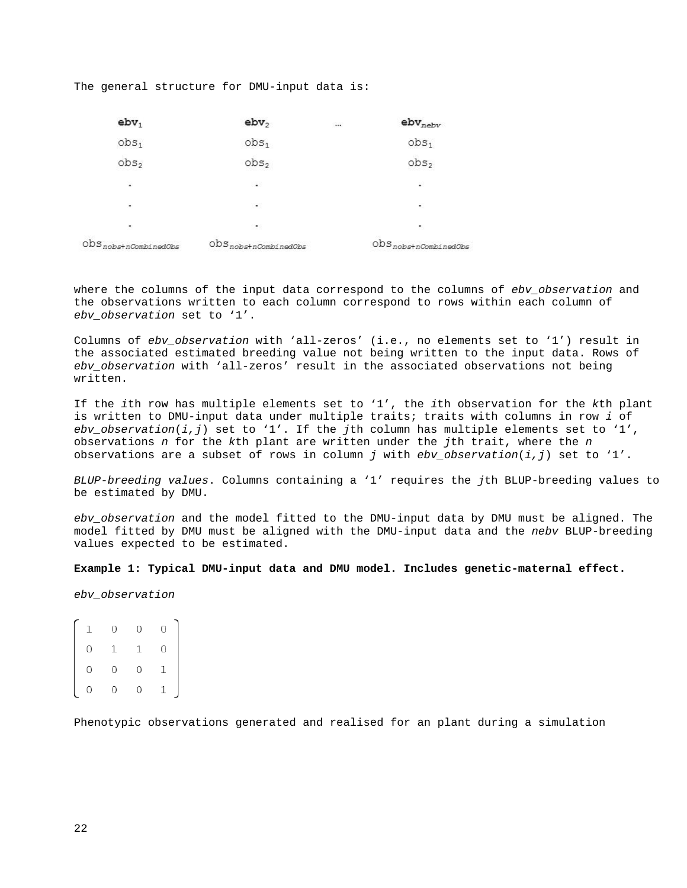The general structure for DMU-input data is:

| ebv <sub>1</sub>                                     | ebv <sub>2</sub>                                     | $\cdots$ | $\mathsf{ebv}_{\mathsf{nebv}}$                       |
|------------------------------------------------------|------------------------------------------------------|----------|------------------------------------------------------|
| obs <sub>1</sub>                                     | obs <sub>1</sub>                                     |          | obs <sub>1</sub>                                     |
| obs <sub>2</sub>                                     | obs <sub>2</sub>                                     |          | obs <sub>2</sub>                                     |
| ÷                                                    | $\sim$                                               |          | 韶                                                    |
| ٠                                                    | $\bullet$                                            |          | $\mathcal{C}$                                        |
| ٠                                                    |                                                      |          | ۰                                                    |
| $\mathrm{obs}_{\textit{nobs}+\textit{nCombinedObs}}$ | $\mathrm{obs}_{\textit{nobs}+\textit{nCombinedObs}}$ |          | $\mathrm{obs}_{\textit{nobs}+\textit{nCombinedObs}}$ |

where the columns of the input data correspond to the columns of *ebv\_observation* and the observations written to each column correspond to rows within each column of *ebv\_observation* set to '1'.

Columns of *ebv\_observation* with 'all-zeros' (i.e., no elements set to '1') result in the associated estimated breeding value not being written to the input data. Rows of *ebv\_observation* with 'all-zeros' result in the associated observations not being written.

If the *i*th row has multiple elements set to '1', the *i*th observation for the *k*th plant is written to DMU-input data under multiple traits; traits with columns in row *i* of *ebv\_observation*(*i,j*) set to '1'. If the *j*th column has multiple elements set to '1', observations *n* for the *k*th plant are written under the *j*th trait, where the *n* observations are a subset of rows in column *j* with *ebv\_observation*(*i,j*) set to '1'.

*BLUP-breeding values*. Columns containing a '1' requires the *j*th BLUP-breeding values to be estimated by DMU.

*ebv\_observation* and the model fitted to the DMU-input data by DMU must be aligned. The model fitted by DMU must be aligned with the DMU-input data and the *nebv* BLUP-breeding values expected to be estimated.

#### **Example 1: Typical DMU-input data and DMU model. Includes genetic-maternal effect.**

*ebv\_observation*

 $\begin{array}{ccccccc} 1 & 0 & 0 & 0 & 0 \\ 0 & 1 & 1 & 0 & 0 \\ 0 & 0 & 0 & 1 & 0 \\ \end{array}$ 

Phenotypic observations generated and realised for an plant during a simulation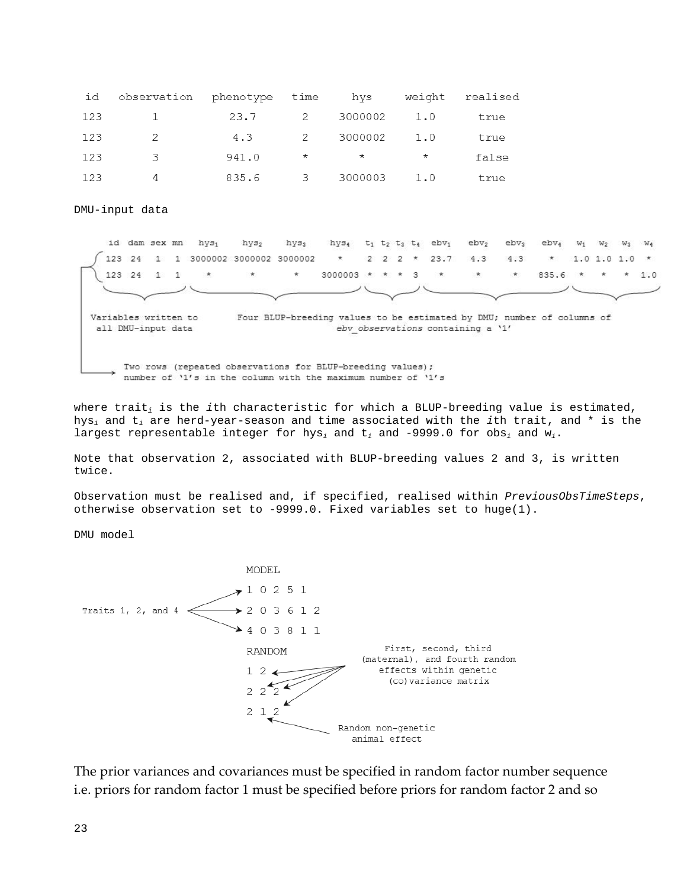| id  | observation phenotype time hys |       |                          |         |         | weight realised |
|-----|--------------------------------|-------|--------------------------|---------|---------|-----------------|
| 123 | $\overline{1}$                 | 23.7  | $\overline{2}$           | 3000002 | 1.0     | true            |
| 123 | 2                              | 4.3   | $\overline{2}$           | 3000002 | 1.0     | true            |
| 123 | -3.                            | 941.0 | $\star$                  | $\star$ | $\star$ | false           |
| 123 | 4                              | 835.6 | $\overline{\phantom{a}}$ | 3000003 | 1.0     | true            |

DMU-input data



where trait*<sup>i</sup>* is the *i*th characteristic for which a BLUP-breeding value is estimated, hys*<sup>i</sup>* and t*<sup>i</sup>* are herd-year-season and time associated with the *i*th trait, and \* is the largest representable integer for  $hys_i$  and  $t_i$  and -9999.0 for  $obs_i$  and  $w_i$ .

Note that observation 2, associated with BLUP-breeding values 2 and 3, is written twice.

Observation must be realised and, if specified, realised within *PreviousObsTimeSteps*, otherwise observation set to -9999.0. Fixed variables set to huge(1).

DMU model



The prior variances and covariances must be specified in random factor number sequence i.e. priors for random factor 1 must be specified before priors for random factor 2 and so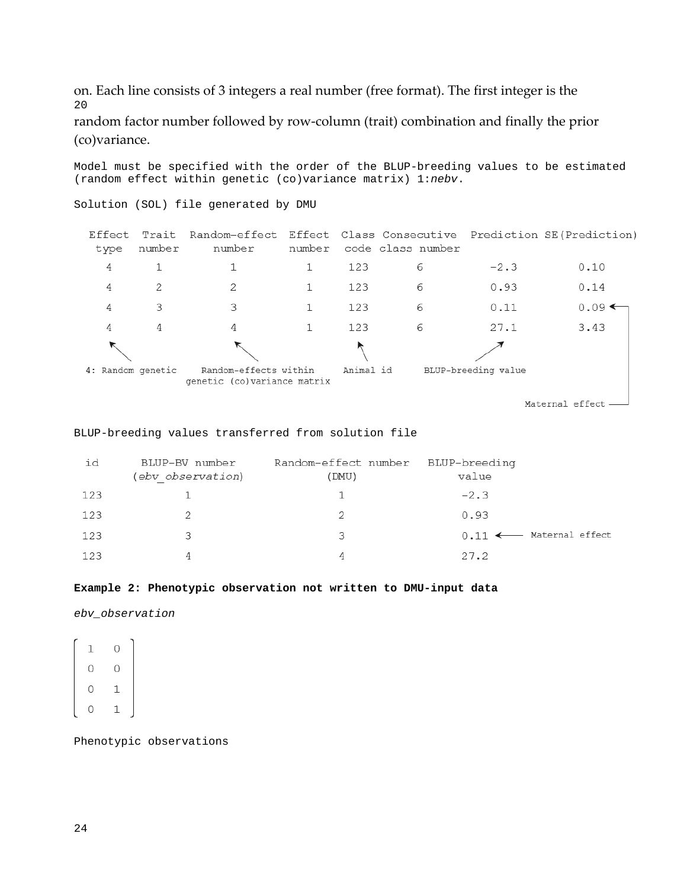on. Each line consists of 3 integers a real number (free format). The first integer is the 20

(random effect within genetic (co)variance matrix) 1:*nebv*.

random factor number followed by row-column (trait) combination and finally the prior (co)variance.

Model must be specified with the order of the BLUP-breeding values to be estimated

Solution (SOL) file generated by DMU Effect Trait Random-effect Effect Class Consecutive Prediction SE(Prediction) number code class number type number number  $\sqrt{4}$  $\mathbbm{1}$  $1\,$  $1\,$ 123 6  $-2.3$  $0.10$ 2 2  $\mathbf 1$ 123 0.93 4 6  $0.14$  $\sqrt{4}$ 3 3  $\mathbf 1$ 123 6  $0.11$  $0.09 \leftarrow$  $\overline{4}$ 4  $\mathbf{1}$ 123 6  $27.1$ 3.43 4 4: Random genetic Random-effects within Animal id BLUP-breeding value genetic (co) variance matrix

Maternal effect -

BLUP-breeding values transferred from solution file

| id  | BLUP-BV number<br>(ebv observation) | Random-effect number<br>(DMU) | BLUP-breeding<br>value |                                     |
|-----|-------------------------------------|-------------------------------|------------------------|-------------------------------------|
| 123 |                                     |                               | $-2.3$                 |                                     |
| 123 |                                     |                               | 0.93                   |                                     |
| 123 |                                     | 3                             |                        | $0.11$ $\leftarrow$ Maternal effect |
| 123 |                                     | 4                             | 27.2                   |                                     |

#### **Example 2: Phenotypic observation not written to DMU-input data**

*ebv\_observation*

 $\overline{0}$  $\mathbf{1}$  $\overline{0}$  $\circ$  $\overline{O}$  $\mathbf 1$  $\Omega$  $\mathbf{1}$ 

Phenotypic observations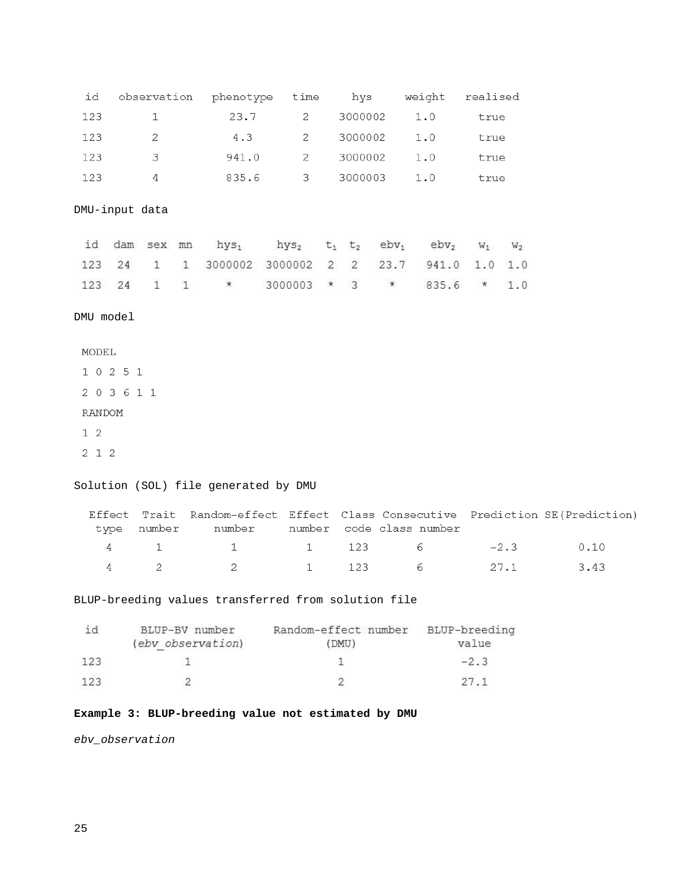| id  | observation phenotype time hys weight realised |       |                          |               |      |
|-----|------------------------------------------------|-------|--------------------------|---------------|------|
| 123 | 1                                              | 23.7  |                          | 2 3000002 1.0 | true |
| 123 | $\overline{2}$                                 | 4.3   |                          | 2 3000002 1.0 | true |
| 123 | $-3$                                           | 941.0 | $\overline{2}$           | 3000002 1.0   | true |
| 123 | 4                                              | 835.6 | $\overline{\phantom{a}}$ | 3000003 1.0   | true |

DMU-input data

|  |  | id dam sex mn $hys_1$ $hys_2$ $t_1$ $t_2$ $ebv_1$ $ebv_2$ $w_1$ $w_2$                                                 |  |  |  |  |
|--|--|-----------------------------------------------------------------------------------------------------------------------|--|--|--|--|
|  |  | $123 \quad 24 \quad 1 \quad 1 \quad 3000002 \quad 3000002 \quad 2 \quad 2 \quad 23.7 \quad 941.0 \quad 1.0 \quad 1.0$ |  |  |  |  |
|  |  | 123 24 1 1 * 3000003 * 3 * 835.6 * 1.0                                                                                |  |  |  |  |

DMU model

Solution (SOL) file generated by DMU

|  | Effect Trait Random-effect Effect Class Consecutive Prediction SE(Prediction) |  |  |  |
|--|-------------------------------------------------------------------------------|--|--|--|
|  | type number – number – number code-class-number                               |  |  |  |
|  | 4 1 1 1 123 6 -2.3 0.10                                                       |  |  |  |
|  | 4 2 2 1 123 6 27.1 3.43                                                       |  |  |  |

BLUP-breeding values transferred from solution file

| 1 O | BLUP-BV number    | Random-effect number BLUP-breeding |        |
|-----|-------------------|------------------------------------|--------|
|     | (ebv observation) | (DMU)                              | value  |
| 123 |                   |                                    | $-2.3$ |
| 123 |                   |                                    |        |

# **Example 3: BLUP-breeding value not estimated by DMU**

*ebv\_observation*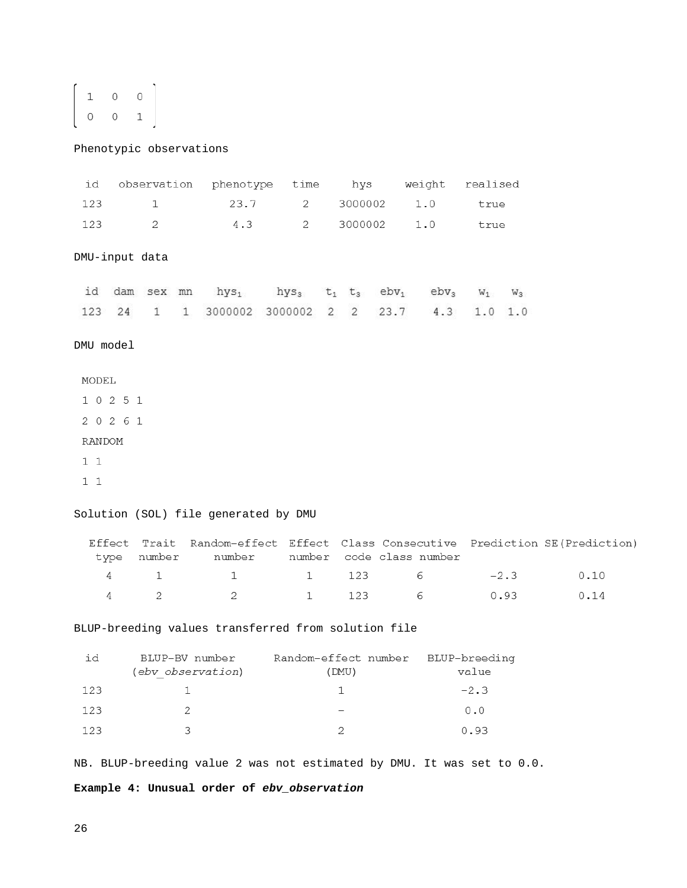$$
\left[\begin{array}{cccc}1&0&0\\0&0&1\end{array}\right]
$$

Phenotypic observations

| id        |   |                | observation phenotype time                                                                                                     |                    |         | hys weight               | realised |        |      |  |
|-----------|---|----------------|--------------------------------------------------------------------------------------------------------------------------------|--------------------|---------|--------------------------|----------|--------|------|--|
| 123       |   | $\mathbf{1}$   |                                                                                                                                | 23.7<br>$2^{\sim}$ | 3000002 | 1.0                      | true     |        |      |  |
| 123       |   | 2              | 4.3                                                                                                                            | $2^{\sim}$         | 3000002 | 1.0                      | true     |        |      |  |
|           |   |                |                                                                                                                                |                    |         |                          |          |        |      |  |
|           |   | DMU-input data |                                                                                                                                |                    |         |                          |          |        |      |  |
|           |   |                | id dam sex mn hys <sub>1</sub> hys <sub>3</sub> t <sub>1</sub> t <sub>3</sub> ebv <sub>1</sub> ebv <sub>3</sub> w <sub>1</sub> |                    |         |                          |          | $W_3$  |      |  |
|           |   |                | 123  24  1  1  3000002  3000002  2  2  23.7  4.3                                                                               |                    |         |                          | 1.0 1.0  |        |      |  |
|           |   |                |                                                                                                                                |                    |         |                          |          |        |      |  |
| DMU model |   |                |                                                                                                                                |                    |         |                          |          |        |      |  |
| MODEL     |   |                |                                                                                                                                |                    |         |                          |          |        |      |  |
| 1 0 2 5 1 |   |                |                                                                                                                                |                    |         |                          |          |        |      |  |
| 2 0 2 6 1 |   |                |                                                                                                                                |                    |         |                          |          |        |      |  |
| RANDOM    |   |                |                                                                                                                                |                    |         |                          |          |        |      |  |
| 11        |   |                |                                                                                                                                |                    |         |                          |          |        |      |  |
| $1\,1$    |   |                |                                                                                                                                |                    |         |                          |          |        |      |  |
|           |   |                |                                                                                                                                |                    |         |                          |          |        |      |  |
|           |   |                | Solution (SOL) file generated by DMU                                                                                           |                    |         |                          |          |        |      |  |
|           |   | type number    | Effect Trait Random-effect Effect Class Consecutive Prediction SE(Prediction)<br>number                                        |                    |         | number code class number |          |        |      |  |
|           | 4 | 1              | 1                                                                                                                              | 1                  | 123     | 6                        |          | $-2.3$ | 0.10 |  |
| 4         |   | 2              | 2                                                                                                                              | $\mathbf 1$        | 123     | 6                        |          | 0.93   | 0.14 |  |
|           |   |                |                                                                                                                                |                    |         |                          |          |        |      |  |

BLUP-breeding values transferred from solution file

| id  | BLUP-BV number<br>(ebv observation) | Random-effect number BLUP-breeding<br>(DMU) | value  |
|-----|-------------------------------------|---------------------------------------------|--------|
| 123 |                                     |                                             | $-2.3$ |
| 123 |                                     |                                             | 0.0    |
| 123 |                                     |                                             | 0.93   |

NB. BLUP-breeding value 2 was not estimated by DMU. It was set to 0.0.

**Example 4: Unusual order of** *ebv\_observation*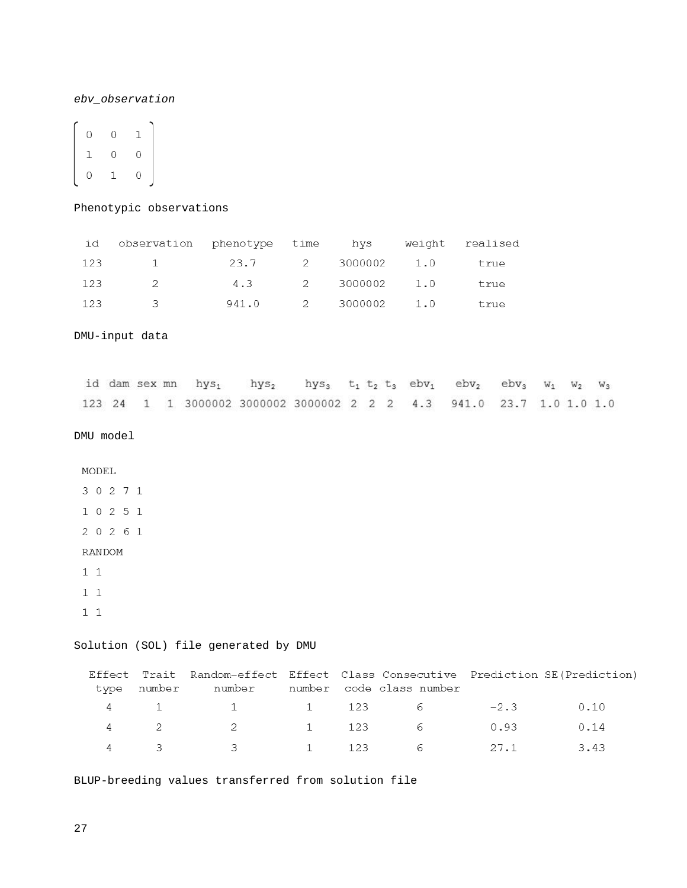### *ebv\_observation*

| 0 | Ō | 1 |
|---|---|---|
| 1 | 0 | 0 |
| O | 1 | Ω |

### Phenotypic observations

| id  | observation phenotype time hys weight realised |                   |                          |      |
|-----|------------------------------------------------|-------------------|--------------------------|------|
|     | 123 1 23.7 2 3000002 1.0 true                  |                   |                          |      |
| 123 | $\overline{2}$                                 | 4.3 2 3000002 1.0 |                          | true |
| 123 | $\mathcal{B}$                                  |                   | 941.0 2 3000002 1.0 true |      |

DMU-input data

|  |  | id dam sex mn hys <sub>1</sub> hys <sub>2</sub> hys <sub>3</sub> t <sub>1</sub> t <sub>2</sub> t <sub>3</sub> ebv <sub>1</sub> ebv <sub>2</sub> ebv <sub>3</sub> W <sub>1</sub> W <sub>2</sub> W <sub>3</sub> |  |  |  |  |  |
|--|--|---------------------------------------------------------------------------------------------------------------------------------------------------------------------------------------------------------------|--|--|--|--|--|
|  |  | 123 24 1 1 3000002 3000002 3000002 2 2 2 4.3 941.0 23.7 1.0 1.0 1.0                                                                                                                                           |  |  |  |  |  |

DMU model

MODEL

 $1\,1$ 

 $11$ 

# Solution (SOL) file generated by DMU

|  | Effect Trait Random-effect Effect Class Consecutive Prediction SE(Prediction)<br>type number – number – number code-class-number |  |  |  |
|--|----------------------------------------------------------------------------------------------------------------------------------|--|--|--|
|  | 4 1 1 1 123 6 -2.3 0.10                                                                                                          |  |  |  |
|  | 4 2 2 1 123 6 0.93 0.14                                                                                                          |  |  |  |
|  | 4 3 3 1 123 6 27.1 3.43                                                                                                          |  |  |  |

BLUP-breeding values transferred from solution file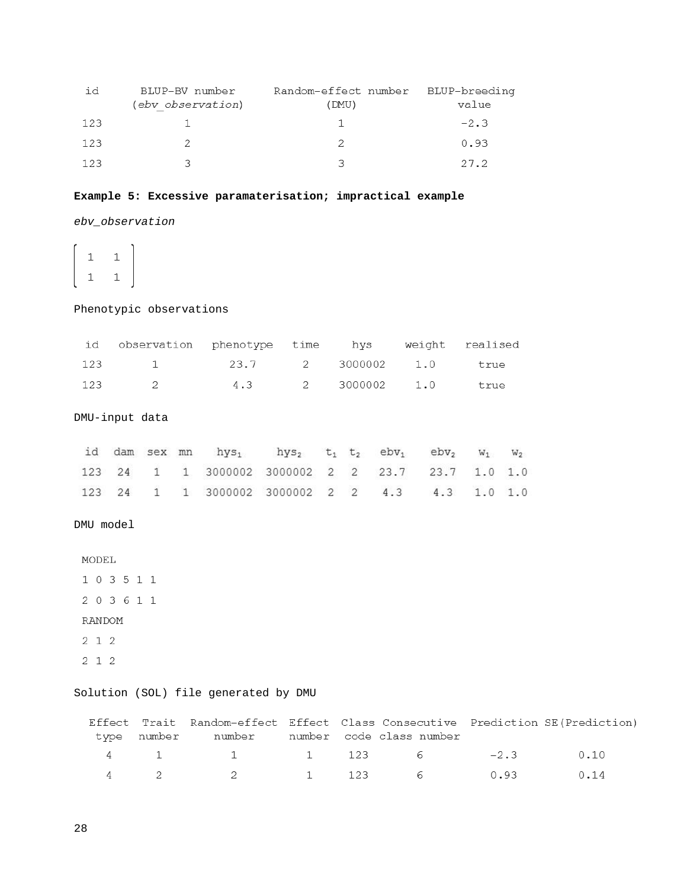| id  | BLUP-BV number<br>(ebv observation) | Random-effect number BLUP-breeding<br>(DMU) | value  |
|-----|-------------------------------------|---------------------------------------------|--------|
| 123 |                                     |                                             | $-2.3$ |
| 123 |                                     |                                             | 0.93   |
| 123 |                                     |                                             | 27.2   |

# **Example 5: Excessive paramaterisation; impractical example**

*ebv\_observation*

 $\overline{1}$  $1$  $\mathbf{1}$  $\mathbf{1}$ 

# Phenotypic observations

| id observation phenotype time hys weight realised |  |  |  |
|---------------------------------------------------|--|--|--|
| 123 1 23.7 2 3000002 1.0 true                     |  |  |  |
| 123 2 4.3 2 3000002 1.0 true                      |  |  |  |

DMU-input data

|  |  | id dam sex mn hys <sub>1</sub> hys <sub>2</sub> t <sub>1</sub> t <sub>2</sub> ebv <sub>1</sub> ebv <sub>2</sub> w <sub>1</sub> w <sub>2</sub> |  |  |  |  |
|--|--|-----------------------------------------------------------------------------------------------------------------------------------------------|--|--|--|--|
|  |  | 123  24  1  1  3000002  3000002  2  2  23.7  23.7  1.0  1.0                                                                                   |  |  |  |  |
|  |  | 123 24 1 1 3000002 3000002 2 2 4.3 4.3 1.0 1.0                                                                                                |  |  |  |  |

# DMU model

 $2 \quad 1 \quad 2$ 

# Solution (SOL) file generated by DMU

|  | Effect Trait Random-effect Effect Class Consecutive Prediction SE(Prediction) |  |  |  |
|--|-------------------------------------------------------------------------------|--|--|--|
|  | type number – number – number code-class-number                               |  |  |  |
|  | 4 1 1 1 123 6 -2.3 0.10                                                       |  |  |  |
|  | 4 2 2 1 123 6 0.93 0.14                                                       |  |  |  |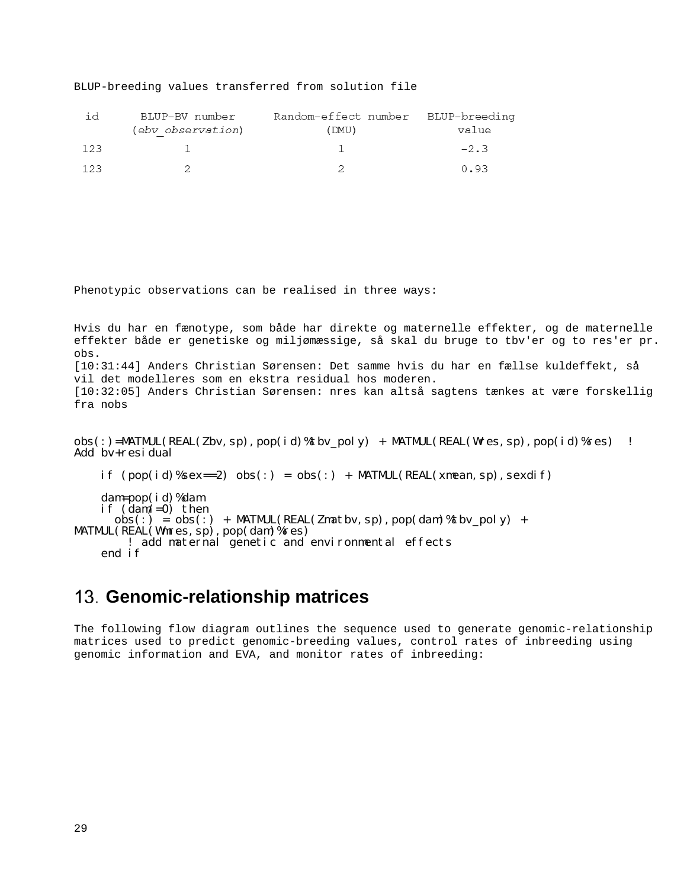BLUP-breeding values transferred from solution file

| 1 d | BLUP-BV number    | Random-effect number BLUP-breeding |        |
|-----|-------------------|------------------------------------|--------|
|     | (ebv observation) | (DMU)                              | value  |
| 123 |                   |                                    | $-2.3$ |
|     |                   |                                    | 0.93   |

Phenotypic observations can be realised in three ways:

Hvis du har en fænotype, som både har direkte og maternelle effekter, og de maternelle effekter både er genetiske og miljømæssige, så skal du bruge to tbv'er og to res'er pr. obs. [10:31:44] Anders Christian Sørensen: Det samme hvis du har en fællse kuldeffekt, så vil det modelleres som en ekstra residual hos moderen. [10:32:05] Anders Christian Sørensen: nres kan altså sagtens tænkes at være forskellig fra nobs

 $obs(:) = \text{MATMUL}(REAL(Zbv, sp), pop(id)$ %tbv\_poly) + MATMUL(REAL(Wres, sp), pop(id)%res) ! Add bv+residual

if  $(pop(id)$ %sex==2)  $obs(:) = obs(:) + MATMUL(REAL(xmean, sp), sexdi f)$ 

 dam=pop(id)%dam if (dam/=0) then  $obs(:) = obs(:) + \text{MATML}(\text{REAL}(\text{Zmatbv}, \text{sp}), \text{pop}(\text{dam})\text{%tbv\_poly}) + \text{MATML}(\text{REAL}(\text{Wmres}, \text{sp}), \text{pop}(\text{dam})\text{%res})$ ! add maternal genetic and environmental effects end if

# <span id="page-28-0"></span>**Genomic-relationship matrices**

The following flow diagram outlines the sequence used to generate genomic-relationship matrices used to predict genomic-breeding values, control rates of inbreeding using genomic information and EVA, and monitor rates of inbreeding: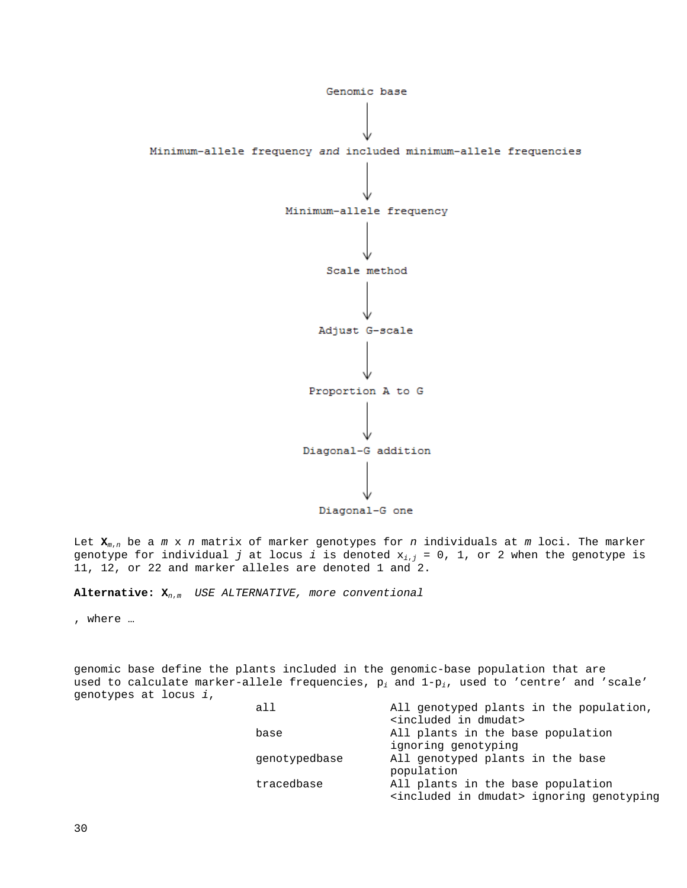

Let **X***<sup>m</sup>*,*<sup>n</sup>* be a *m* x *n* matrix of marker genotypes for *n* individuals at *m* loci. The marker genotype for individual *j* at locus *i* is denoted x*<sup>i</sup>*,*<sup>j</sup>* = 0, 1, or 2 when the genotype is 11, 12, or 22 and marker alleles are denoted 1 and 2.

**Alternative: X***<sup>n</sup>*,*m USE ALTERNATIVE, more conventional*

, where …

genomic base define the plants included in the genomic-base population that are used to calculate marker-allele frequencies, p*<sup>i</sup>* and 1-p*i*, used to 'centre' and 'scale' genotypes at locus *i*,

| all           | All genotyped plants in the population,                   |
|---------------|-----------------------------------------------------------|
|               | <included dmudat="" in=""></included>                     |
| base          | All plants in the base population                         |
|               | ignoring genotyping                                       |
| qenotypedbase | All genotyped plants in the base                          |
|               | population                                                |
| tracedbase    | All plants in the base population                         |
|               | <included dmudat="" in=""> ignoring genotyping</included> |
|               |                                                           |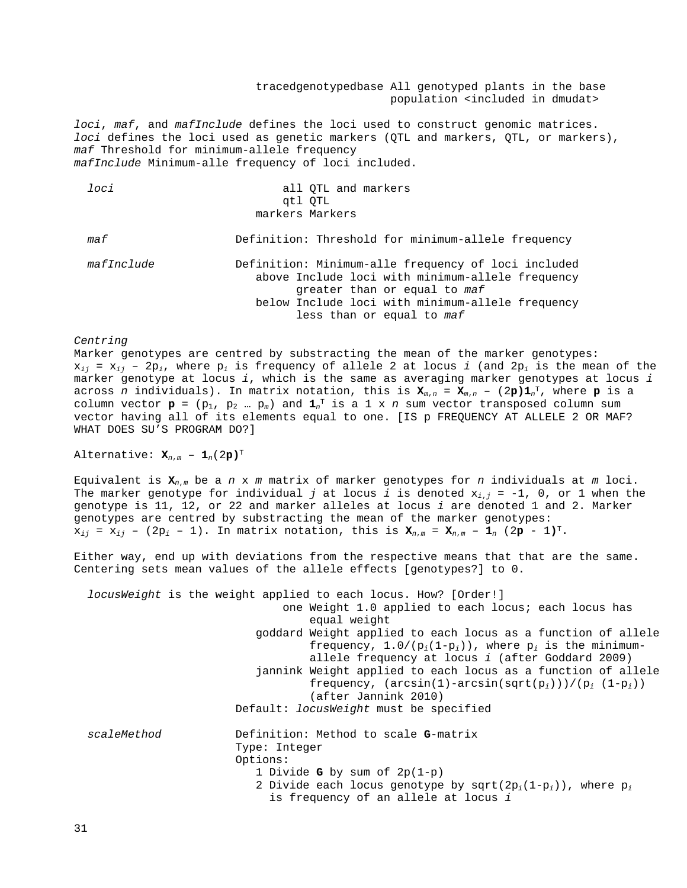tracedgenotypedbase All genotyped plants in the base population <included in dmudat>

*loci*, *maf*, and *mafInclude* defines the loci used to construct genomic matrices. *loci* defines the loci used as genetic markers (QTL and markers, QTL, or markers), *maf* Threshold for minimum-allele frequency *mafInclude* Minimum-alle frequency of loci included.

| loci       | all QTL and markers<br>gtl QTL<br>markers Markers                                                                                                                                                                        |
|------------|--------------------------------------------------------------------------------------------------------------------------------------------------------------------------------------------------------------------------|
| maf        | Definition: Threshold for minimum-allele frequency                                                                                                                                                                       |
| mafInclude | Definition: Minimum-alle frequency of loci included<br>above Include loci with minimum-allele frequency<br>greater than or equal to maf<br>below Include loci with minimum-allele frequency<br>less than or equal to maf |

*Centring*

Marker genotypes are centred by substracting the mean of the marker genotypes:  $x_{ij}$  =  $x_{ij}$  - 2 $p_i$ , where  $p_i$  is frequency of allele 2 at locus *i* (and 2 $p_i$  is the mean of the marker genotype at locus *i*, which is the same as averaging marker genotypes at locus *i* across *n* individuals). In matrix notation, this is **X***<sup>m</sup>*,*<sup>n</sup>* = **X***<sup>m</sup>*,*<sup>n</sup>* – (2**p)1***<sup>n</sup>* T, where **p** is a column vector  $\mathbf{p} = (p_1, p_2 ... p_m)$  and  $\mathbf{1}_n^T$  is a 1 x *n* sum vector transposed column sum vector having all of its elements equal to one. [IS p FREQUENCY AT ALLELE 2 OR MAF? WHAT DOES SU'S PROGRAM DO?]

Alternative:  $\mathbf{X}_{n,m}$  -  $\mathbf{1}_n(2\mathbf{p})^T$ 

Equivalent is **X***<sup>n</sup>*,*<sup>m</sup>* be a *n* x *m* matrix of marker genotypes for *n* individuals at *m* loci. The marker genotype for individual *j* at locus *i* is denoted  $x_{i,j} = -1$ , 0, or 1 when the genotype is 11, 12, or 22 and marker alleles at locus *i* are denoted 1 and 2. Marker genotypes are centred by substracting the mean of the marker genotypes:  $x_{ij} = x_{ij} - (2p_i - 1)$ . In matrix notation, this is  $x_{n,m} = x_{n,m} - 1$  (2p - 1)<sup>T</sup>.

Either way, end up with deviations from the respective means that that are the same. Centering sets mean values of the allele effects [genotypes?] to 0.

|             | <i>locusWeight</i> is the weight applied to each locus. How? [Order!] |
|-------------|-----------------------------------------------------------------------|
|             | one Weight 1.0 applied to each locus; each locus has                  |
|             | equal weight                                                          |
|             | goddard Weight applied to each locus as a function of allele          |
|             | frequency, $1.0/(p_i(1-p_i))$ , where $p_i$ is the minimum-           |
|             | allele frequency at locus <i>i</i> (after Goddard 2009)               |
|             | jannink Weight applied to each locus as a function of allele          |
|             | frequency, $(\arcsin(1) - \arcsin(\sqrt{opt}(p_i))))(p_i (1-p_i))$    |
|             | (after Jannink 2010)                                                  |
|             | Default: <i>locusWeight</i> must be specified                         |
| scaleMethod | Definition: Method to scale G-matrix                                  |
|             | Type: Integer                                                         |
|             | Options:                                                              |
|             | 1 Divide G by sum of $2p(1-p)$                                        |
|             | 2 Divide each locus genotype by sqrt( $2p_i(1-p_i)$ ), where $p_i$    |
|             | is frequency of an allele at locus i                                  |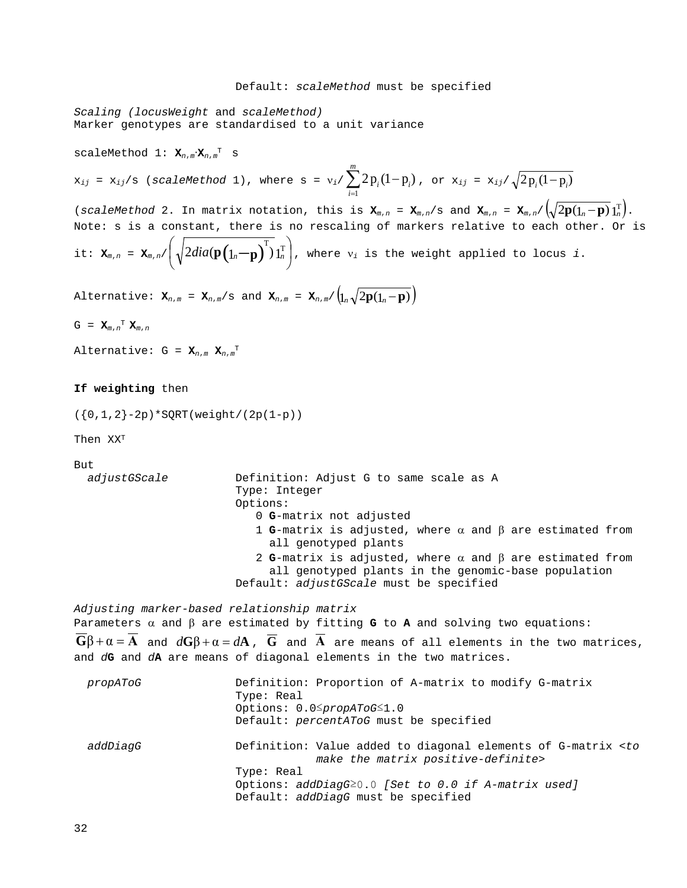#### Default: *scaleMethod* must be specified

*Scaling (locusWeight* and *scaleMethod)* Marker genotypes are standardised to a unit variance

scaleMethod 1: **X***<sup>n</sup>*,*<sup>m</sup>*∙**X***<sup>n</sup>*,*<sup>m</sup>* <sup>T</sup> s

 $\mathbf{x}_{ij}$  =  $\mathbf{x}_{ij}/s$  (*scaleMethod* 1), where s =  $\mathbf{v}_i / \sum_{i=1}^{n} 2\mathbf{p}_i (1$ *m i*  $i^{1}$   $P_i$  $\sum_{i=1}^{1} 2p_i(1-p_i)$ , or  $x_{ij} = x_{ij}/\sqrt{2p_i(1-p_i)}$ 

(*scaleMethod* 2. In matrix notation, this is  $\mathbf{x}_{m,n} = \mathbf{x}_{m,n}/s$  and  $\mathbf{x}_{m,n} = \mathbf{x}_{m,n}/\left(\sqrt{2\mathbf{p}(\mathbf{1}_n-\mathbf{p})}\mathbf{1}_n^{\mathrm{T}}\right)$ . Note: s is a constant, there is no rescaling of markers relative to each other. Or is it:  $\mathbf{x}_{m,n} = \mathbf{x}_{m,n} / \frac{1}{2} \cdot \frac{2 \cdot \text{diag}(\mathbf{p}(\mathbf{1}_n - \mathbf{p})) \cdot \mathbf{1}_n^{\text{T}}}{}$ J  $\left(\sqrt{2dia(\mathbf{p}(\mathbf{1}_n-\mathbf{p})^T)}\mathbf{1}_n^T\right)$  $\setminus$  $\left(\sqrt{2dia(\mathbf{p}\left(\mathbf{1}_{n}-\mathbf{p}\right)^{T})}\mathbf{1}_{n}^{\mathrm{T}}\right)$ , where  $\mathsf{v}_{i}$  is the weight applied to locus  $i$ .

Alternative:  $\mathbf{x}_{n,m} = \mathbf{x}_{n,m}/s$  and  $\mathbf{x}_{n,m} = \mathbf{x}_{n,m}/\left(\mathbf{1}_n\sqrt{2\mathbf{p}(\mathbf{1}_n-\mathbf{p})}\right)$ 

 $G = \mathbf{X}_{m,n}^T \mathbf{X}_{m,n}$ 

Alternative: G = **X***<sup>n</sup>*,*<sup>m</sup>* **X***<sup>n</sup>*,*<sup>m</sup>* T

#### **If weighting** then

 $({0,1,2}-2p)$ \*SQRT(weight/(2p(1-p))

Then XXT

But

```
 adjustGScale Definition: Adjust G to same scale as A
                       Type: Integer
                      Options:
                          0 G-matrix not adjusted
                          1 G-matrix is adjusted, where α and β are estimated from 
                            all genotyped plants
                          2 G-matrix is adjusted, where α and β are estimated from 
                            all genotyped plants in the genomic-base population
                       Default: adjustGScale must be specified
```
*Adjusting marker-based relationship matrix*

Parameters α and β are estimated by fitting **G** to **A** and solving two equations:  $G\beta + \alpha = A$  and  $dG\beta + \alpha = dA$ ,  $\overline{G}$  and  $\overline{A}$  are means of all elements in the two matrices, and *d***G** and *d***A** are means of diagonal elements in the two matrices.

| propAToG | Definition: Proportion of A-matrix to modify G-matrix<br>Type: Real<br>Options: $0.05$ propAToG $\leq 1.0$<br>Default: percentAToG must be specified                                                                         |
|----------|------------------------------------------------------------------------------------------------------------------------------------------------------------------------------------------------------------------------------|
| addDiaqG | Definition: Value added to diagonal elements of G-matrix <to<br>make the matrix positive-definite&gt;<br/>Type: Real<br/>Options: addDiagG20.0 [Set to 0.0 if A-matrix used]<br/>Default: addDiagG must be specified</to<br> |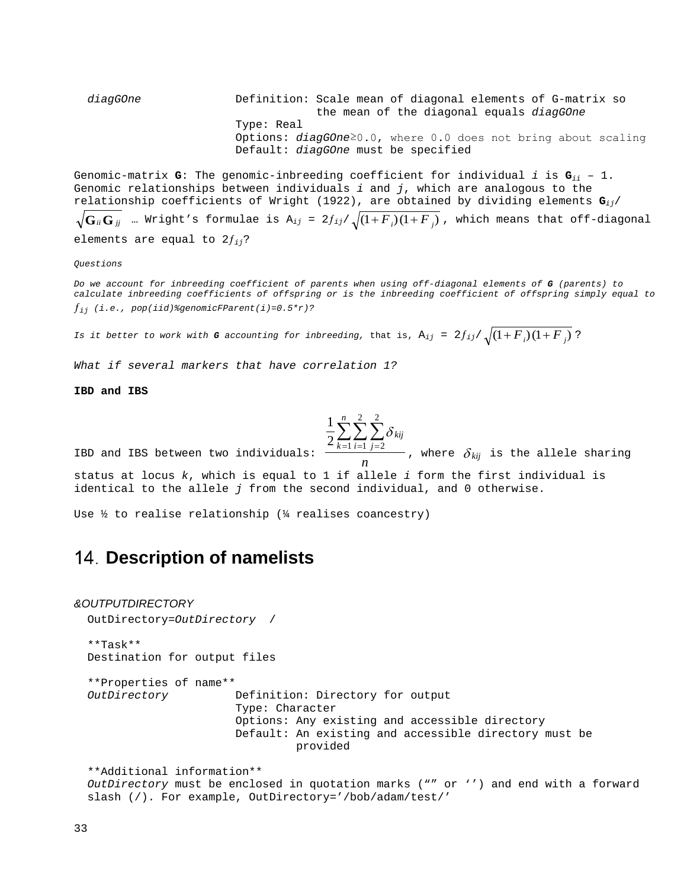*diagGOne* Definition: Scale mean of diagonal elements of G-matrix so the mean of the diagonal equals *diagGOne* Type: Real Options: *diagGOne*≥0.0, where 0.0 does not bring about scaling Default: *diagGOne* must be specified

Genomic-matrix **G**: The genomic-inbreeding coefficient for individual *i* is **G***ii* – 1. Genomic relationships between individuals *i* and *j*, which are analogous to the relationship coefficients of Wright (1922), are obtained by dividing elements **G***ij*/

 $\sqrt{G_{ii}G_{jj}}$  … Wright's formulae is A<sub>ij</sub> = 2 $f_{ij}/\sqrt{(1+F_{i})(1+F_{j})}$  , which means that off-diagonal elements are equal to 2ƒ*ij*?

*Questions*

*Do we account for inbreeding coefficient of parents when using off-diagonal elements of G (parents) to calculate inbreeding coefficients of offspring or is the inbreeding coefficient of offspring simply equal to*  ƒ*ij (i.e., pop(iid)%genomicFParent(i)=0.5\*r)?*

*Is it better to work with <i>G* accounting for inbreeding, that is,  $A_{ij} = 2f_{ij}/\sqrt{(1 + F_i)(1 + F_j)}$ ?

*What if several markers that have correlation 1?*

**IBD and IBS**

$$
\frac{1}{2}\sum_{i=1}^{n}\sum_{j=1}^{2}\sum_{j=1}^{2}\delta_{kij}
$$

IBD and IBS between two individuals: *n*  $k=1$  *i*=1 *j*  $\sum_{k=1}^{n}\sum_{i=1}^{n}\sum_{j=2}^{n} \delta_i$ , where  $\delta_{k i j}$  is the allele sharing status at locus *k*, which is equal to 1 if allele *i* form the first individual is identical to the allele *j* from the second individual, and 0 otherwise.

Use  $\frac{1}{2}$  to realise relationship ( $\frac{1}{4}$  realises coancestry)

# <span id="page-32-0"></span>**Description of namelists**

#### <span id="page-32-1"></span>*&OUTPUTDIRECTORY*

```
 OutDirectory=OutDirectory /
```
 \*\*Task\*\* Destination for output files

 \*\*Properties of name\*\* Definition: Directory for output Type: Character Options: Any existing and accessible directory Default: An existing and accessible directory must be provided

 \*\*Additional information\*\* *OutDirectory* must be enclosed in quotation marks ("" or '') and end with a forward slash (/). For example, OutDirectory='/bob/adam/test/'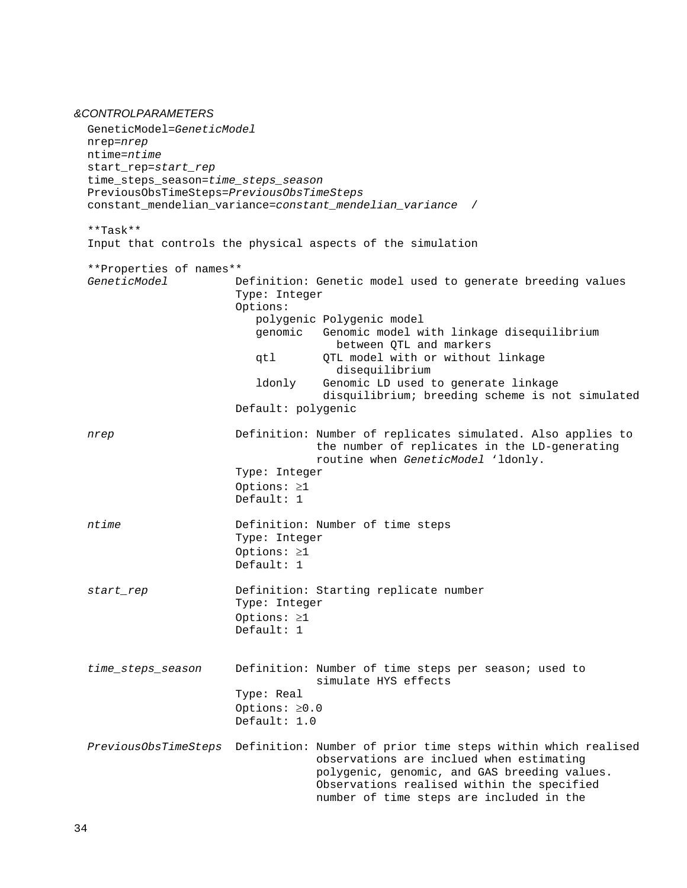### <span id="page-33-0"></span>*&CONTROLPARAMETERS*

```
 GeneticModel=GeneticModel
 nrep=nrep
 ntime=ntime
 start_rep=start_rep
 time_steps_season=time_steps_season
 PreviousObsTimeSteps=PreviousObsTimeSteps
 constant_mendelian_variance=constant_mendelian_variance /
 **Task**
 Input that controls the physical aspects of the simulation
 **Properties of names**
                      Definition: Genetic model used to generate breeding values
                       Type: Integer
                      Options:
                          polygenic Polygenic model
                          genomic Genomic model with linkage disequilibrium 
                                      between QTL and markers
                          qtl QTL model with or without linkage 
                         disequilibrium<br>donly Genomic LD used t
                                   Genomic LD used to generate linkage
                                    disquilibrium; breeding scheme is not simulated
                       Default: polygenic
 nrep Definition: Number of replicates simulated. Also applies to 
                                   the number of replicates in the LD-generating 
                                  routine when GeneticModel 'ldonly.
                       Type: Integer
                      Options: ≥1
                       Default: 1
 ntime Definition: Number of time steps
                       Type: Integer
                      Options: ≥1
                      Default: 1
 start_rep Definition: Starting replicate number
                       Type: Integer
                      Options: ≥1
                      Default: 1
 time_steps_season Definition: Number of time steps per season; used to
                                   simulate HYS effects
                       Type: Real
                      Options: ≥0.0
                       Default: 1.0
 PreviousObsTimeSteps Definition: Number of prior time steps within which realised 
                                   observations are inclued when estimating 
                                  polygenic, genomic, and GAS breeding values. 
                                  Observations realised within the specified 
                                  number of time steps are included in the
```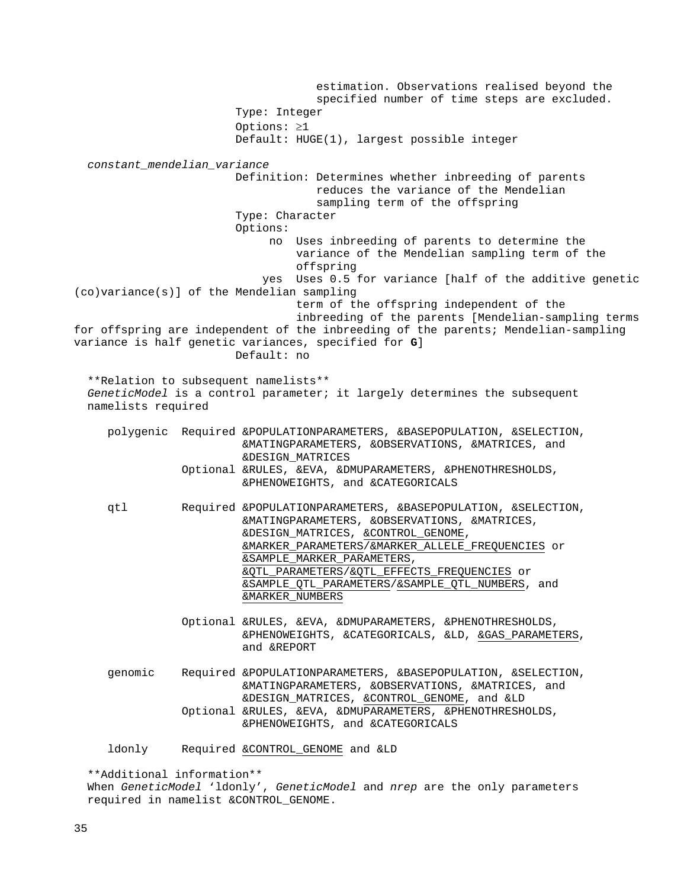estimation. Observations realised beyond the specified number of time steps are excluded. Type: Integer Options: ≥1 Default: HUGE(1), largest possible integer *constant\_mendelian\_variance* Definition: Determines whether inbreeding of parents reduces the variance of the Mendelian sampling term of the offspring Type: Character Options: no Uses inbreeding of parents to determine the variance of the Mendelian sampling term of the offspring yes Uses 0.5 for variance [half of the additive genetic (co)variance(s)] of the Mendelian sampling term of the offspring independent of the inbreeding of the parents [Mendelian-sampling terms for offspring are independent of the inbreeding of the parents; Mendelian-sampling variance is half genetic variances, specified for **G**] Default: no \*\*Relation to subsequent namelists\*\* *GeneticModel* is a control parameter; it largely determines the subsequent namelists required polygenic Required &POPULATIONPARAMETERS, &BASEPOPULATION, &SELECTION, &MATINGPARAMETERS, &OBSERVATIONS, &MATRICES, and &DESIGN\_MATRICES Optional &RULES, &EVA, &DMUPARAMETERS, &PHENOTHRESHOLDS, &PHENOWEIGHTS, and &CATEGORICALS qtl Required &POPULATIONPARAMETERS, &BASEPOPULATION, &SELECTION, &MATINGPARAMETERS, &OBSERVATIONS, &MATRICES, &DESIGN\_MATRICES, [&CONTROL\\_GENOME,](http://adam.agrsci.dk/manual_website.htm#CONTROL_GENOME) [&MARKER\\_PARAMETERS](http://adam.agrsci.dk/manual_website.htm#MARKER_PARAMETERS)[/&MARKER\\_ALLELE\\_FREQUENCIES](http://adam.agrsci.dk/manual_website.htm#MARKER_ALLELE_FREQUENCIES) or [&SAMPLE\\_MARKER\\_PARAMETERS,](http://adam.agrsci.dk/manual_website.htm#SAMPLE_MARKER_PARAMETERS) [&QTL\\_PARAMETERS](http://adam.agrsci.dk/manual_website.htm#QTL_PARAMETERS)[/&QTL\\_EFFECTS\\_FREQUENCIES](http://adam.agrsci.dk/manual_website.htm#QTL_EFFECTS_FREQUENCIES) or [&SAMPLE\\_QTL\\_PARAMETERS](http://adam.agrsci.dk/manual_website.htm#SAMPLE_QTL_PARAMETERS)[/&SAMPLE\\_QTL\\_NUMBERS,](http://adam.agrsci.dk/manual_website.htm#SAMPLE_QTL_NUMBERS) and [&MARKER\\_NUMBERS](http://adam.agrsci.dk/manual_website.htm#MARKER_NUMBERS) Optional &RULES, &EVA, &DMUPARAMETERS, &PHENOTHRESHOLDS, &PHENOWEIGHTS, &CATEGORICALS, &LD, [&GAS\\_PARAMETERS,](http://adam.agrsci.dk/manual_website.htm#GAS_PARAMETERS) and &REPORT genomic Required &POPULATIONPARAMETERS, &BASEPOPULATION, &SELECTION, &MATINGPARAMETERS, &OBSERVATIONS, &MATRICES, and &DESIGN\_MATRICES, [&CONTROL\\_GENOME,](http://adam.agrsci.dk/manual_website.htm#CONTROL_GENOME) and &LD Optional &RULES, &EVA, &DMUPARAMETERS, &PHENOTHRESHOLDS, &PHENOWEIGHTS, and &CATEGORICALS ldonly Required [&CONTROL\\_GENOME](http://adam.agrsci.dk/manual_website.htm#CONTROL_GENOME) and &LD \*\*Additional information\*\*

 When *GeneticModel* 'ldonly', *GeneticModel* and *nrep* are the only parameters required in namelist &CONTROL\_GENOME.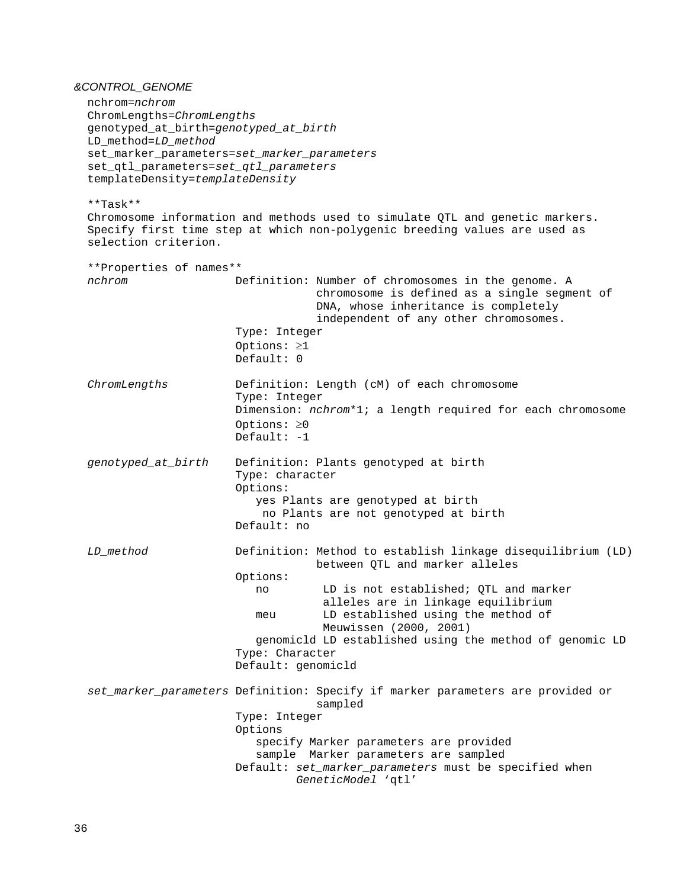### <span id="page-35-0"></span>*&CONTROL\_GENOME*

 nchrom=*nchrom* ChromLengths=*ChromLengths* genotyped\_at\_birth=*genotyped\_at\_birth* LD\_method=*LD\_method* set\_marker\_parameters=*set\_marker\_parameters* set\_qtl\_parameters=*set\_qtl\_parameters* templateDensity=*templateDensity* \*\*Task\*\* Chromosome information and methods used to simulate QTL and genetic markers. Specify first time step at which non-polygenic breeding values are used as selection criterion. \*\*Properties of names\*\* *nchrom* Definition: Number of chromosomes in the genome. A chromosome is defined as a single segment of DNA, whose inheritance is completely independent of any other chromosomes. Type: Integer Options: ≥1 Default: 0 *ChromLengths* Definition: Length (cM) of each chromosome Type: Integer Dimension: *nchrom*\*1; a length required for each chromosome Options: ≥0 Default: -1 *genotyped\_at\_birth* Definition: Plants genotyped at birth Type: character Options: yes Plants are genotyped at birth no Plants are not genotyped at birth Default: no *LD\_method* Definition: Method to establish linkage disequilibrium (LD) between QTL and marker alleles Options: LD is not established; QTL and marker alleles are in linkage equilibrium meu LD established using the method of Meuwissen (2000, 2001) genomicld LD established using the method of genomic LD Type: Character Default: genomicld *set\_marker\_parameters* Definition: Specify if marker parameters are provided or sampled Type: Integer Options specify Marker parameters are provided sample Marker parameters are sampled Default: *set\_marker\_parameters* must be specified when *GeneticModel* 'qtl'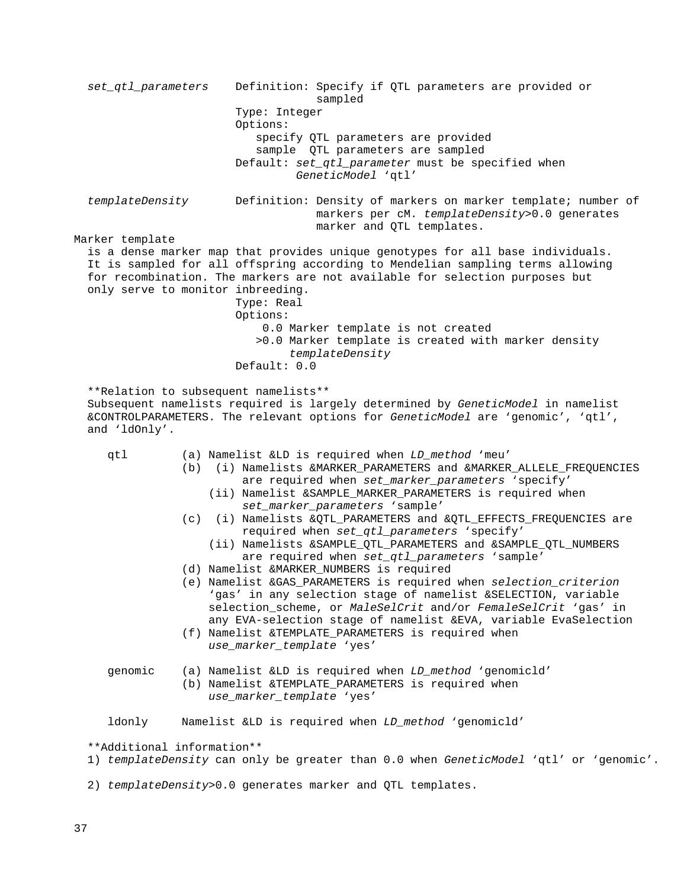*set\_qtl\_parameters* Definition: Specify if QTL parameters are provided or sampled Type: Integer Options: specify QTL parameters are provided sample QTL parameters are sampled Default: *set\_qtl\_parameter* must be specified when *GeneticModel* 'qtl' *templateDensity* Definition: Density of markers on marker template; number of markers per cM. *templateDensity*>0.0 generates marker and QTL templates. Marker template is a dense marker map that provides unique genotypes for all base individuals. It is sampled for all offspring according to Mendelian sampling terms allowing for recombination. The markers are not available for selection purposes but only serve to monitor inbreeding. Type: Real Options: 0.0 Marker template is not created >0.0 Marker template is created with marker density *templateDensity* Default: 0.0 \*\*Relation to subsequent namelists\*\* Subsequent namelists required is largely determined by *GeneticModel* in namelist &CONTROLPARAMETERS. The relevant options for *GeneticModel* are 'genomic', 'qtl', and 'ldOnly'. qtl (a) Namelist &LD is required when *LD\_method* 'meu' (b) (i) Namelists &MARKER\_PARAMETERS and &MARKER\_ALLELE\_FREQUENCIES are required when *set\_marker\_parameters* 'specify' (ii) Namelist &SAMPLE\_MARKER\_PARAMETERS is required when *set\_marker\_parameters* 'sample' (c) (i) Namelists &QTL\_PARAMETERS and &QTL\_EFFECTS\_FREQUENCIES are required when *set\_qtl\_parameters* 'specify' (ii) Namelists &SAMPLE\_QTL\_PARAMETERS and &SAMPLE\_QTL\_NUMBERS are required when *set\_qtl\_parameters* 'sample' (d) Namelist &MARKER\_NUMBERS is required (e) Namelist &GAS\_PARAMETERS is required when *selection\_criterion* 'gas' in any selection stage of namelist &SELECTION, variable selection\_scheme, or *MaleSelCrit* and/or *FemaleSelCrit* 'gas' in any EVA-selection stage of namelist &EVA, variable EvaSelection (f) Namelist &TEMPLATE\_PARAMETERS is required when *use\_marker\_template* 'yes' genomic (a) Namelist &LD is required when *LD\_method* 'genomicld' (b) Namelist &TEMPLATE\_PARAMETERS is required when *use\_marker\_template* 'yes' ldonly Namelist &LD is required when *LD\_method* 'genomicld' \*\*Additional information\*\* 1) *templateDensity* can only be greater than 0.0 when *GeneticModel* 'qtl' or 'genomic'.

2) *templateDensity*>0.0 generates marker and QTL templates.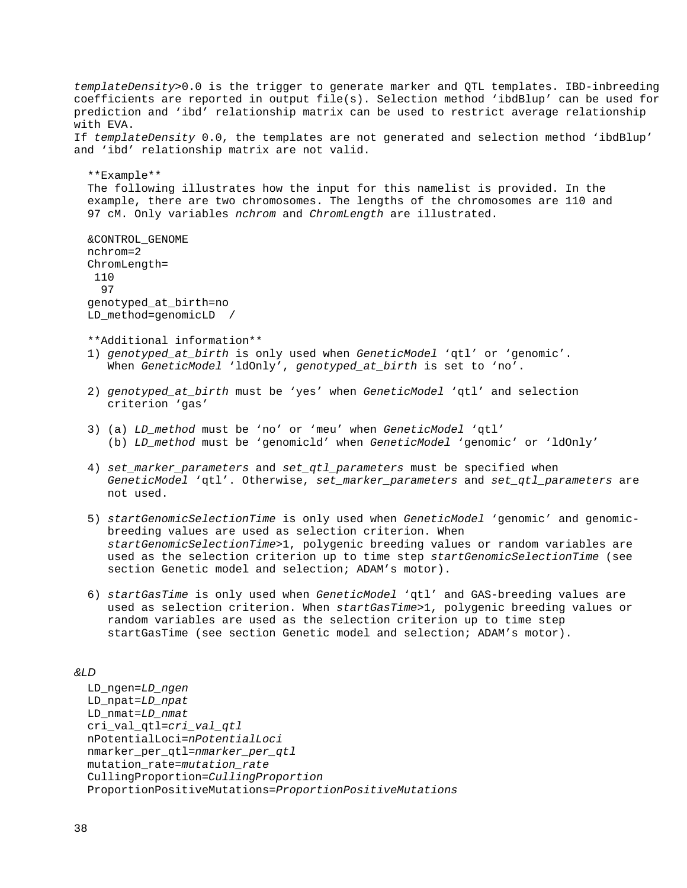*templateDensity*>0.0 is the trigger to generate marker and QTL templates. IBD-inbreeding coefficients are reported in output file(s). Selection method 'ibdBlup' can be used for prediction and 'ibd' relationship matrix can be used to restrict average relationship with EVA. If *templateDensity* 0.0, the templates are not generated and selection method 'ibdBlup' and 'ibd' relationship matrix are not valid. \*\*Example\*\* The following illustrates how the input for this namelist is provided. In the example, there are two chromosomes. The lengths of the chromosomes are 110 and 97 cM. Only variables *nchrom* and *ChromLength* are illustrated. &CONTROL\_GENOME nchrom=2 ChromLength= 110 97 genotyped\_at\_birth=no LD\_method=genomicLD / \*\*Additional information\*\* 1) *genotyped\_at\_birth* is only used when *GeneticModel* 'qtl' or 'genomic'. When *GeneticModel* 'ldOnly', *genotyped\_at\_birth* is set to 'no'. 2) *genotyped\_at\_birth* must be 'yes' when *GeneticModel* 'qtl' and selection criterion 'gas' 3) (a) *LD\_method* must be 'no' or 'meu' when *GeneticModel* 'qtl' (b) *LD\_method* must be 'genomicld' when *GeneticModel* 'genomic' or 'ldOnly' 4) *set\_marker\_parameters* and *set\_qtl\_parameters* must be specified when *GeneticModel* 'qtl'. Otherwise, *set\_marker\_parameters* and *set\_qtl\_parameters* are not used. 5) *startGenomicSelectionTime* is only used when *GeneticModel* 'genomic' and genomic breeding values are used as selection criterion. When *startGenomicSelectionTime*>1, polygenic breeding values or random variables are used as the selection criterion up to time step *startGenomicSelectionTime* (see section Genetic model and selection; ADAM's motor). 6) *startGasTime* is only used when *GeneticModel* 'qtl' and GAS-breeding values are used as selection criterion. When *startGasTime*>1, polygenic breeding values or random variables are used as the selection criterion up to time step

# *&LD*

```
 LD_ngen=LD_ngen
 LD_npat=LD_npat
 LD_nmat=LD_nmat
 cri_val_qtl=cri_val_qtl
 nPotentialLoci=nPotentialLoci
 nmarker_per_qtl=nmarker_per_qtl
 mutation_rate=mutation_rate
 CullingProportion=CullingProportion
 ProportionPositiveMutations=ProportionPositiveMutations
```
startGasTime (see section Genetic model and selection; ADAM's motor).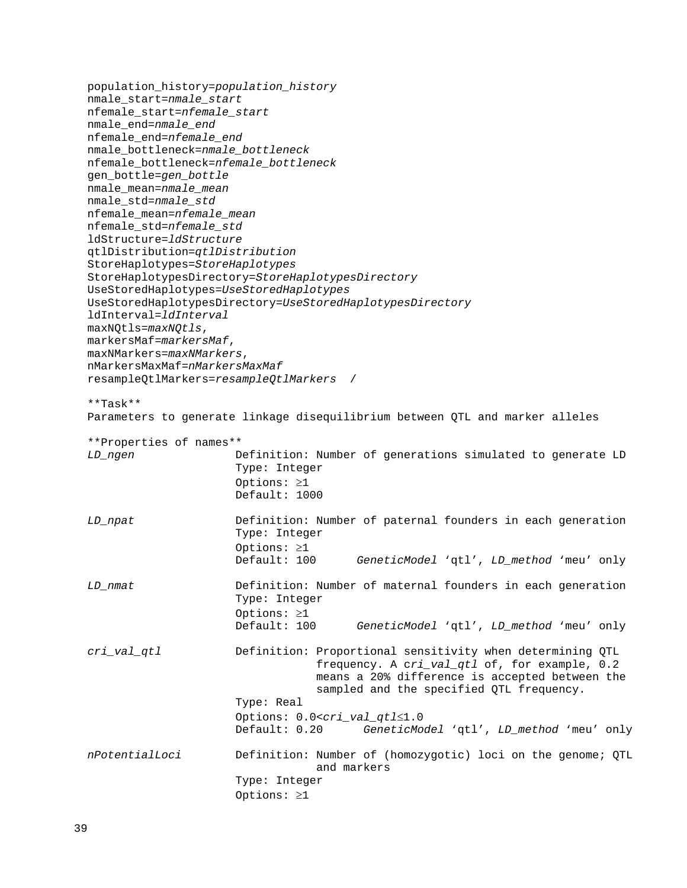population\_history=*population\_history* nmale\_start=*nmale\_start* nfemale\_start=*nfemale\_start* nmale\_end=*nmale\_end* nfemale\_end=*nfemale\_end* nmale\_bottleneck=*nmale\_bottleneck* nfemale\_bottleneck=*nfemale\_bottleneck* gen\_bottle=*gen\_bottle* nmale\_mean=*nmale\_mean* nmale\_std=*nmale\_std* nfemale\_mean=*nfemale\_mean* nfemale\_std=*nfemale\_std* ldStructure=*ldStructure* qtlDistribution=*qtlDistribution* StoreHaplotypes=*StoreHaplotypes* StoreHaplotypesDirectory=*StoreHaplotypesDirectory* UseStoredHaplotypes=*UseStoredHaplotypes* UseStoredHaplotypesDirectory=*UseStoredHaplotypesDirectory* ldInterval=*ldInterval* maxNQtls=*maxNQtls*, markersMaf=*markersMaf*, maxNMarkers=*maxNMarkers*, nMarkersMaxMaf=*nMarkersMaxMaf* resampleQtlMarkers=*resampleQtlMarkers* / \*\*Task\*\* Parameters to generate linkage disequilibrium between QTL and marker alleles \*\*Properties of names\*\* *LD\_ngen* Definition: Number of generations simulated to generate LD Type: Integer Options: ≥1 Default: 1000 *LD\_npat* Definition: Number of paternal founders in each generation Type: Integer Options: ≥1<br>Default: 100 GeneticModel 'qtl', LD\_method 'meu' only *LD\_nmat* Definition: Number of maternal founders in each generation Type: Integer Options: ≥1<br>Default: 100 GeneticModel 'qtl', LD\_method 'meu' only *cri\_val\_qtl* Definition: Proportional sensitivity when determining QTL frequency. A c*ri\_val\_qtl* of, for example, 0.2 means a 20% difference is accepted between the sampled and the specified QTL frequency. Type: Real Options: 0.0<*cri\_val\_qtl*≤1.0 GeneticModel 'qtl', LD\_method 'meu' only *nPotentialLoci* Definition: Number of (homozygotic) loci on the genome; QTL and markers Type: Integer Options: ≥1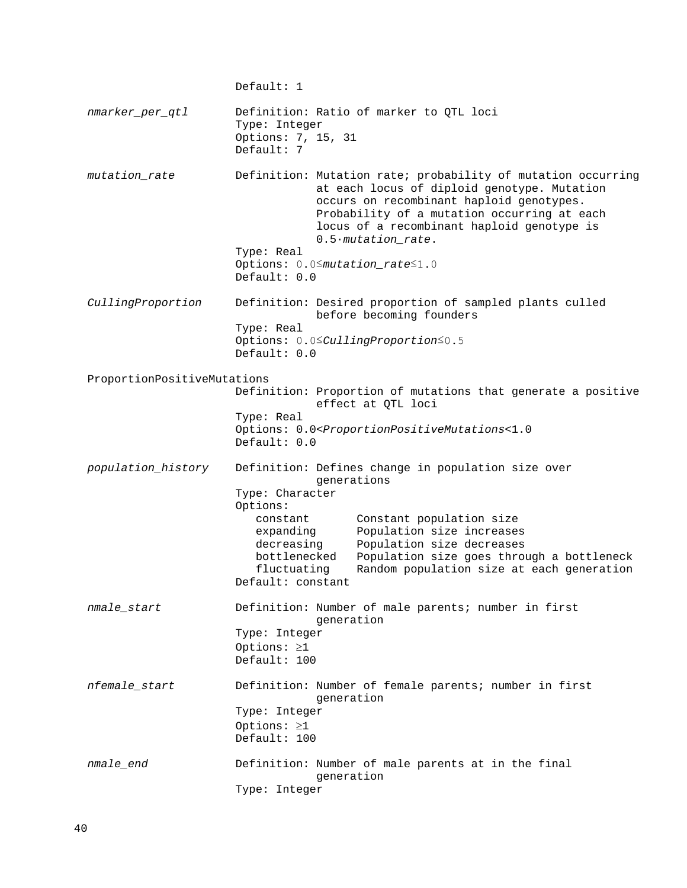Default: 1 *nmarker\_per\_qtl* Definition: Ratio of marker to QTL loci Type: Integer Options: 7, 15, 31 Default: 7 *mutation\_rate* Definition: Mutation rate; probability of mutation occurring at each locus of diploid genotype. Mutation occurs on recombinant haploid genotypes. Probability of a mutation occurring at each locus of a recombinant haploid genotype is 0.5·*mutation\_rate*. Type: Real Options: 0.0≤*mutation\_rate*≤1.0 Default: 0.0 *CullingProportion* Definition: Desired proportion of sampled plants culled before becoming founders Type: Real Options: 0.0≤*CullingProportion*≤0.5 Default: 0.0 ProportionPositiveMutations Definition: Proportion of mutations that generate a positive effect at QTL loci Type: Real Options: 0.0<*ProportionPositiveMutations*<1.0 Default: 0.0 *population\_history* Definition: Defines change in population size over generations Type: Character Options: constant constant population size<br>expanding Population size increases expanding Population size increases<br>decreasing Population size decreases decreasing Population size decreases<br>bottlenecked Population size goes throw bottlenecked Population size goes through a bottleneck Random population size at each generation Default: constant *nmale\_start* Definition: Number of male parents; number in first generation Type: Integer Options: ≥1 Default: 100 *nfemale\_start* Definition: Number of female parents; number in first generation Type: Integer Options: ≥1 Default: 100 *nmale\_end* Definition: Number of male parents at in the final generation Type: Integer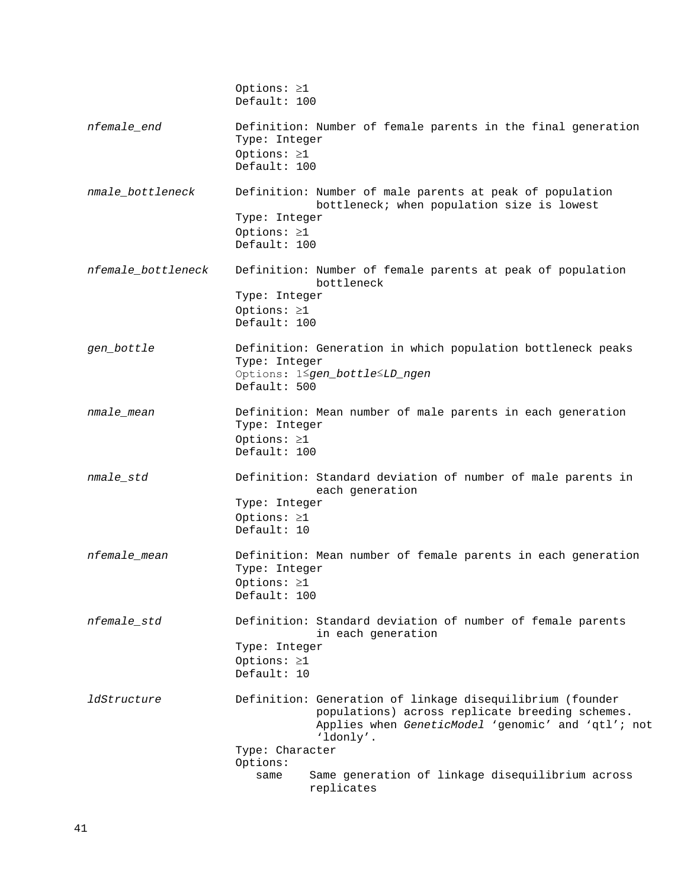|                    | Options: $\geq 1$<br>Default: 100                                                                                                                                                                  |
|--------------------|----------------------------------------------------------------------------------------------------------------------------------------------------------------------------------------------------|
| nfemale_end        | Definition: Number of female parents in the final generation<br>Type: Integer<br>Options: ≥1                                                                                                       |
|                    | Default: 100                                                                                                                                                                                       |
| nmale_bottleneck   | Definition: Number of male parents at peak of population<br>bottleneck; when population size is lowest<br>Type: Integer<br>Options: $\geq 1$<br>Default: 100                                       |
| nfemale bottleneck | Definition: Number of female parents at peak of population<br>bottleneck<br>Type: Integer<br>Options: $\geq 1$<br>Default: 100                                                                     |
| gen_bottle         | Definition: Generation in which population bottleneck peaks<br>Type: Integer<br>Options: 1Sgen_bottleSLD_ngen<br>Default: 500                                                                      |
| nmale mean         | Definition: Mean number of male parents in each generation<br>Type: Integer<br>Options: $\geq 1$<br>Default: 100                                                                                   |
| nmale_std          | Definition: Standard deviation of number of male parents in<br>each generation<br>Type: Integer<br>Options: $\geq 1$<br>Default: 10                                                                |
| nfemale_mean       | Definition: Mean number of female parents in each generation<br>Type: Integer<br>Options: ≥1<br>Default: 100                                                                                       |
| nfemale_std        | Definition: Standard deviation of number of female parents<br>in each generation<br>Type: Integer<br>Options: $\geq 1$<br>Default: 10                                                              |
| <i>ldStructure</i> | Definition: Generation of linkage disequilibrium (founder<br>populations) across replicate breeding schemes.<br>Applies when GeneticModel 'genomic' and 'qtl'; not<br>'ldonly'.<br>Type: Character |
|                    | Options:<br>Same generation of linkage disequilibrium across<br>same                                                                                                                               |
|                    | replicates                                                                                                                                                                                         |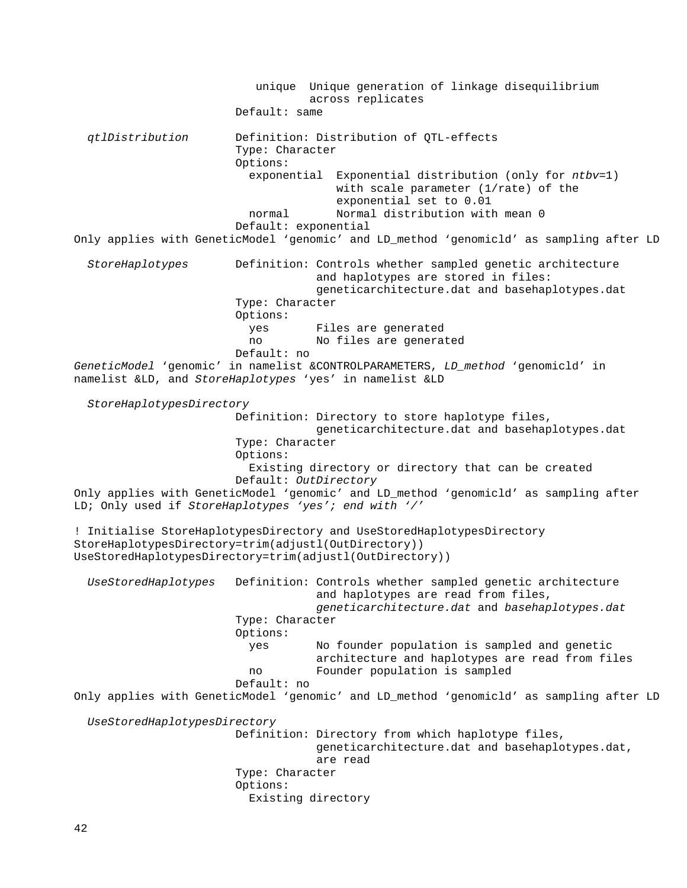unique Unique generation of linkage disequilibrium across replicates Default: same *qtlDistribution* Definition: Distribution of QTL-effects Type: Character Options: exponential Exponential distribution (only for *ntbv*=1) with scale parameter (1/rate) of the exponential set to 0.01 normal Normal distribution with mean 0 Default: exponential Only applies with GeneticModel 'genomic' and LD\_method 'genomicld' as sampling after LD *StoreHaplotypes* Definition: Controls whether sampled genetic architecture and haplotypes are stored in files: geneticarchitecture.dat and basehaplotypes.dat Type: Character Options: yes Files are generated no No files are generated Default: no *GeneticModel* 'genomic' in namelist &CONTROLPARAMETERS, *LD\_method* 'genomicld' in namelist &LD, and *StoreHaplotypes* 'yes' in namelist &LD *StoreHaplotypesDirectory* Definition: Directory to store haplotype files, geneticarchitecture.dat and basehaplotypes.dat Type: Character Options: Existing directory or directory that can be created Default: *OutDirectory* Only applies with GeneticModel 'genomic' and LD\_method 'genomicld' as sampling after LD; Only used if *StoreHaplotypes 'yes'; end with '/'* ! Initialise StoreHaplotypesDirectory and UseStoredHaplotypesDirectory StoreHaplotypesDirectory=trim(adjustl(OutDirectory)) UseStoredHaplotypesDirectory=trim(adjustl(OutDirectory)) *UseStoredHaplotypes* Definition: Controls whether sampled genetic architecture and haplotypes are read from files, *geneticarchitecture.dat* and *basehaplotypes.dat* Type: Character Options: No founder population is sampled and genetic architecture and haplotypes are read from files<br>no sempled founder population is sampled Founder population is sampled Default: no Only applies with GeneticModel 'genomic' and LD\_method 'genomicld' as sampling after LD *UseStoredHaplotypesDirectory* Definition: Directory from which haplotype files, geneticarchitecture.dat and basehaplotypes.dat, are read Type: Character Options: Existing directory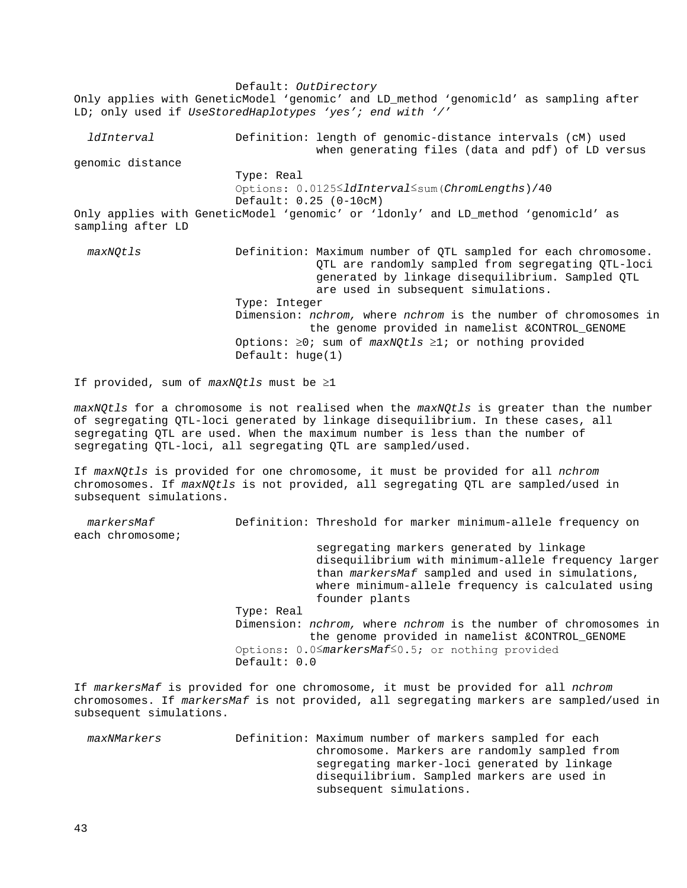Default: *OutDirectory* Only applies with GeneticModel 'genomic' and LD\_method 'genomicld' as sampling after LD; only used if *UseStoredHaplotypes 'yes'; end with '/' ldInterval* **Definition:** length of genomic-distance intervals (cM) used when generating files (data and pdf) of LD versus genomic distance Type: Real Options: 0.0125≤*ldInterval*≤sum(*ChromLengths*)/40 Default: 0.25 (0-10cM) Only applies with GeneticModel 'genomic' or 'ldonly' and LD\_method 'genomicld' as sampling after LD *maxNQtls* Definition: Maximum number of QTL sampled for each chromosome. QTL are randomly sampled from segregating QTL-loci generated by linkage disequilibrium. Sampled QTL are used in subsequent simulations. Type: Integer Dimension: *nchrom,* where *nchrom* is the number of chromosomes in the genome provided in namelist &CONTROL\_GENOME Options: ≥0; sum of *maxNQtls* ≥1; or nothing provided Default: huge(1)

If provided, sum of *maxNQtls* must be ≥1

*maxNQtls* for a chromosome is not realised when the *maxNQtls* is greater than the number of segregating QTL-loci generated by linkage disequilibrium. In these cases, all segregating QTL are used. When the maximum number is less than the number of segregating QTL-loci, all segregating QTL are sampled/used.

If *maxNQtls* is provided for one chromosome, it must be provided for all *nchrom*  chromosomes. If *maxNQtls* is not provided, all segregating QTL are sampled/used in subsequent simulations.

| markersMaf       | Definition: Threshold for marker minimum-allele frequency on                                                    |
|------------------|-----------------------------------------------------------------------------------------------------------------|
| each chromosome; |                                                                                                                 |
|                  | segregating markers generated by linkage                                                                        |
|                  | disequilibrium with minimum-allele frequency larger                                                             |
|                  | than markersMaf sampled and used in simulations,                                                                |
|                  | where minimum-allele frequency is calculated using                                                              |
|                  | founder plants                                                                                                  |
|                  | Type: Real                                                                                                      |
|                  | Dimension: nchrom, where nchrom is the number of chromosomes in                                                 |
|                  | the genome provided in namelist & CONTROL GENOME                                                                |
|                  | Options: $0.05$ markersMaf <sup><math>\leq</math></sup> 0.5; or nothing provided                                |
|                  | Default: 0.0                                                                                                    |
|                  |                                                                                                                 |
|                  | the contract of the contract of the contract of the contract of the contract of the contract of the contract of |

If *markersMaf* is provided for one chromosome, it must be provided for all *nchrom*  chromosomes. If *markersMaf* is not provided, all segregating markers are sampled/used in subsequent simulations.

 *maxNMarkers* Definition: Maximum number of markers sampled for each chromosome. Markers are randomly sampled from segregating marker-loci generated by linkage disequilibrium. Sampled markers are used in subsequent simulations.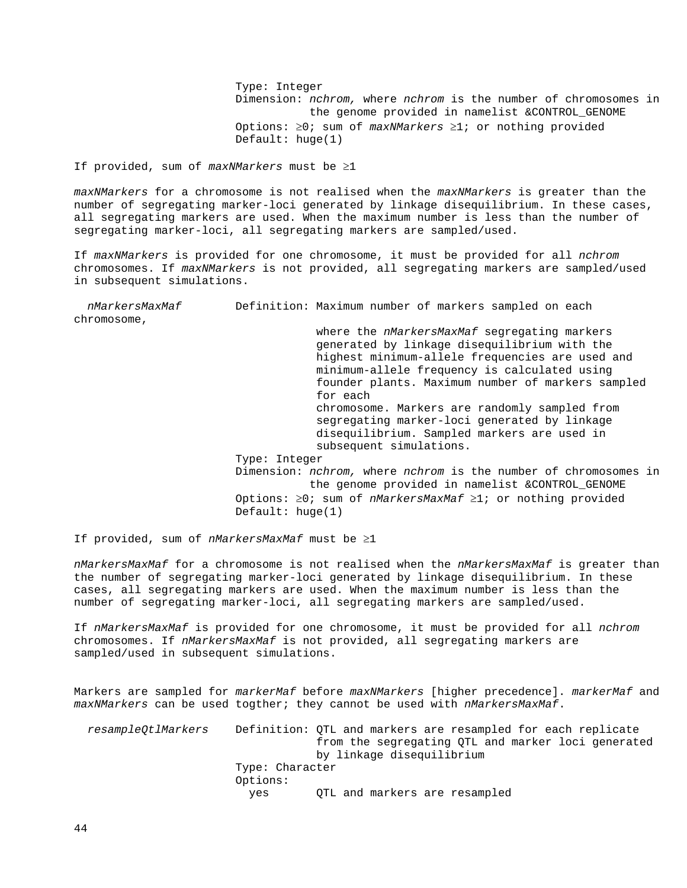Type: Integer Dimension: *nchrom,* where *nchrom* is the number of chromosomes in the genome provided in namelist &CONTROL\_GENOME Options: ≥0; sum of *maxNMarkers* ≥1; or nothing provided Default: huge(1)

If provided, sum of *maxNMarkers* must be ≥1

*maxNMarkers* for a chromosome is not realised when the *maxNMarkers* is greater than the number of segregating marker-loci generated by linkage disequilibrium. In these cases, all segregating markers are used. When the maximum number is less than the number of segregating marker-loci, all segregating markers are sampled/used.

If *maxNMarkers* is provided for one chromosome, it must be provided for all *nchrom*  chromosomes. If *maxNMarkers* is not provided, all segregating markers are sampled/used in subsequent simulations.

 *nMarkersMaxMaf* Definition: Maximum number of markers sampled on each chromosome, where the *nMarkersMaxMaf* segregating markers generated by linkage disequilibrium with the highest minimum-allele frequencies are used and minimum-allele frequency is calculated using founder plants. Maximum number of markers sampled for each chromosome. Markers are randomly sampled from segregating marker-loci generated by linkage disequilibrium. Sampled markers are used in subsequent simulations. Type: Integer Dimension: *nchrom,* where *nchrom* is the number of chromosomes in the genome provided in namelist &CONTROL\_GENOME Options: ≥0; sum of *nMarkersMaxMaf* ≥1; or nothing provided Default: huge(1)

If provided, sum of *nMarkersMaxMaf* must be ≥1

*nMarkersMaxMaf* for a chromosome is not realised when the *nMarkersMaxMaf* is greater than the number of segregating marker-loci generated by linkage disequilibrium. In these cases, all segregating markers are used. When the maximum number is less than the number of segregating marker-loci, all segregating markers are sampled/used.

If *nMarkersMaxMaf* is provided for one chromosome, it must be provided for all *nchrom*  chromosomes. If *nMarkersMaxMaf* is not provided, all segregating markers are sampled/used in subsequent simulations.

Markers are sampled for *markerMaf* before *maxNMarkers* [higher precedence]. *markerMaf* and *maxNMarkers* can be used togther; they cannot be used with *nMarkersMaxMaf*.

 *resampleQtlMarkers* Definition: QTL and markers are resampled for each replicate from the segregating QTL and marker loci generated by linkage disequilibrium Type: Character Options: OTL and markers are resampled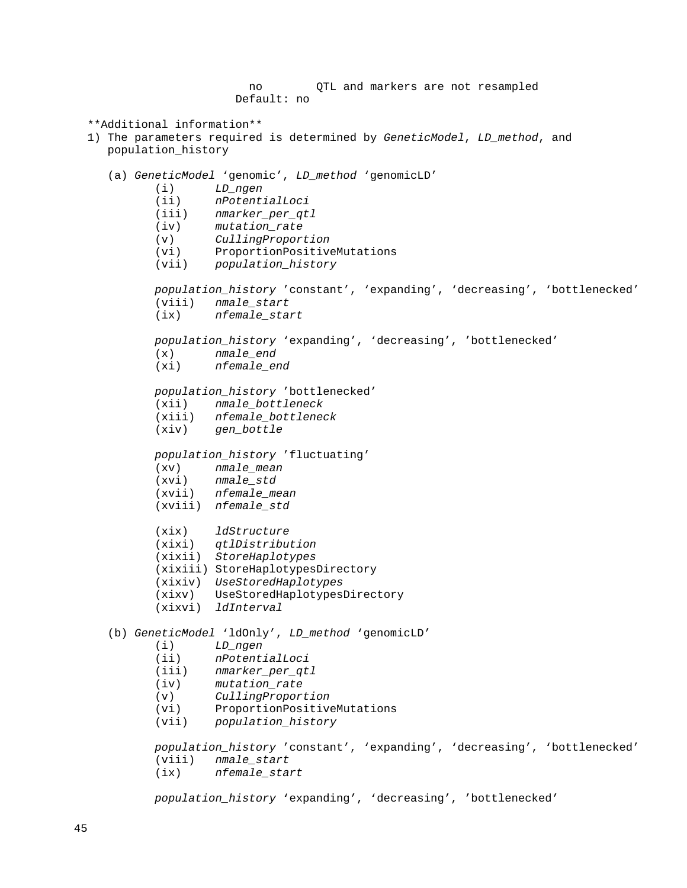```
 no QTL and markers are not resampled
                         Default: no
  **Additional information**
  1) The parameters required is determined by GeneticModel, LD_method, and 
     population_history
     (a) GeneticModel 'genomic', LD_method 'genomicLD'
             (i) LD_ngen
            (ii) nPotentialLoci
                     (iii) nmarker_per_qtl
            (iv) mutation_rate
            (v) CullingProportion
           (vi) ProportionPositiveMutations<br>(vii) population_history
                    (vii) population_history
            population_history 'constant', 'expanding', 'decreasing', 'bottlenecked'
            (viii) nmale_start
                     (ix) nfemale_start
            population_history 'expanding', 'decreasing', 'bottlenecked'
             (x) nmale_end
             (xi) nfemale_end
            population_history 'bottlenecked'
                   (xii) nmale_bottleneck
            (xiii) nfemale_bottleneck
                    (xiv) gen_bottle
            population_history 'fluctuating'
            (xv) nmale_mean
                    (xvi) nmale_std
            (xvii) nfemale_mean
            (xviii) nfemale_std
            (xix) ldStructure
 (xixi) qtlDistribution
 (xixii) StoreHaplotypes
            (xixiii) StoreHaplotypesDirectory
            (xixiv) UseStoredHaplotypes
            (xixv) UseStoredHaplotypesDirectory
            (xixvi) ldInterval
     (b) GeneticModel 'ldOnly', LD_method 'genomicLD'
            (i) LD_ngen
            (ii) nPotentialLoci
            (iii) nmarker_per_qtl
                     (iv) mutation_rate
             (v) CullingProportion
             (vi) ProportionPositiveMutations
            (vii) population_history
            population_history 'constant', 'expanding', 'decreasing', 'bottlenecked'
            (viii) nmale_start
                     (ix) nfemale_start
            population_history 'expanding', 'decreasing', 'bottlenecked'
```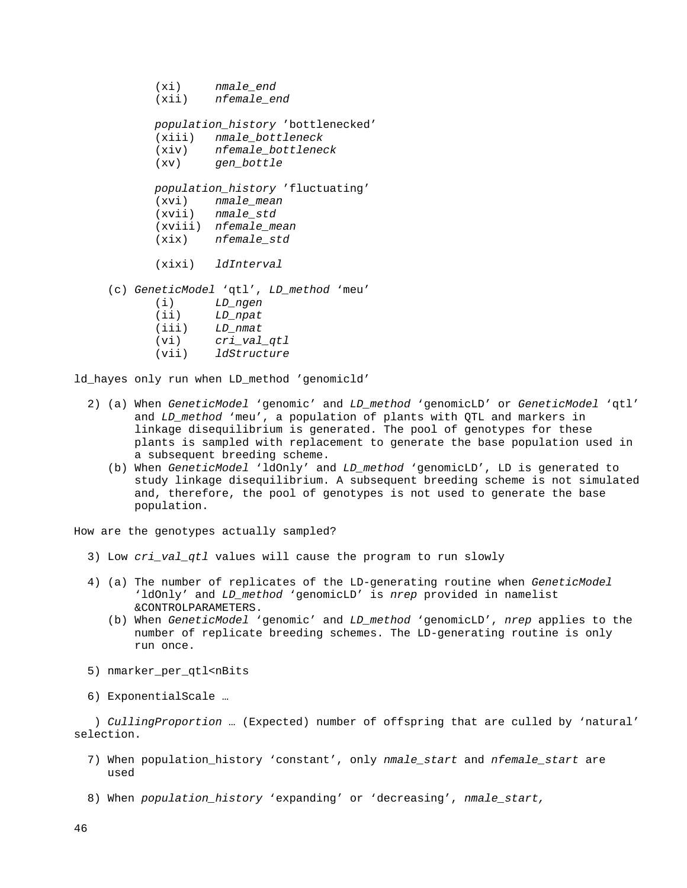- (xi) *nmale\_end*
- (xii) *nfemale\_end*

*population\_history* 'bottlenecked'

- (xiii) *nmale\_bottleneck*
- (xiv) *nfemale\_bottleneck*
- (xv) *gen\_bottle*

 *population\_history* 'fluctuating' (xvi) *nmale\_mean* (xvii) *nmale\_std* (xviii) *nfemale\_mean* (xix) *nfemale\_std*

(xixi) *ldInterval*

(c) *GeneticModel* 'qtl', *LD\_method* 'meu'

 (i) *LD\_ngen* (ii) *LD\_npat* (iii) *LD\_nmat* (vi) *cri\_val\_qtl* (vii) *ldStructure*

ld\_hayes only run when LD\_method 'genomicld'

- 2) (a) When *GeneticModel* 'genomic' and *LD\_method* 'genomicLD' or *GeneticModel* 'qtl' and *LD* method 'meu', a population of plants with QTL and markers in linkage disequilibrium is generated. The pool of genotypes for these plants is sampled with replacement to generate the base population used in a subsequent breeding scheme.
	- (b) When *GeneticModel* 'ldOnly' and *LD\_method* 'genomicLD', LD is generated to study linkage disequilibrium. A subsequent breeding scheme is not simulated and, therefore, the pool of genotypes is not used to generate the base population.

How are the genotypes actually sampled?

- 3) Low *cri\_val\_qtl* values will cause the program to run slowly
- 4) (a) The number of replicates of the LD-generating routine when *GeneticModel* 'ldOnly' and *LD\_method* 'genomicLD' is *nrep* provided in namelist &CONTROLPARAMETERS.
	- (b) When *GeneticModel* 'genomic' and *LD\_method* 'genomicLD', *nrep* applies to the number of replicate breeding schemes. The LD-generating routine is only run once.
- 5) nmarker\_per\_qtl<nBits
- 6) ExponentialScale …

 ) *CullingProportion* … (Expected) number of offspring that are culled by 'natural' selection.

- 7) When population\_history 'constant', only *nmale\_start* and *nfemale\_start* are used
- 8) When *population\_history* 'expanding' or 'decreasing', *nmale\_start,*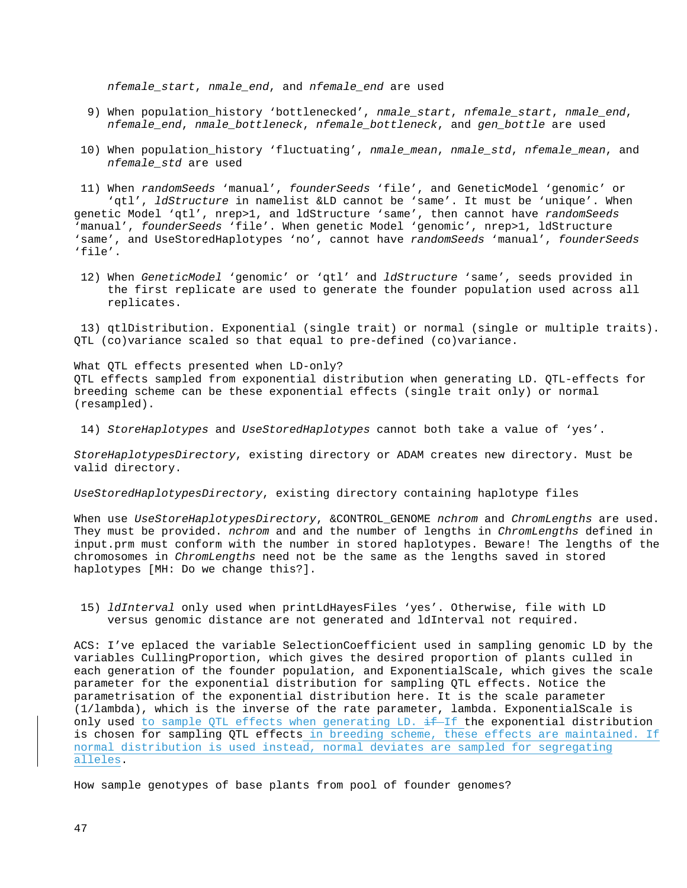*nfemale\_start*, *nmale\_end*, and *nfemale\_end* are used

- 9) When population\_history 'bottlenecked', *nmale\_start*, *nfemale\_start*, *nmale\_end*, *nfemale\_end*, *nmale\_bottleneck*, *nfemale\_bottleneck*, and *gen\_bottle* are used
- 10) When population\_history 'fluctuating', *nmale\_mean*, *nmale\_std*, *nfemale\_mean*, and *nfemale\_std* are used

11) When *randomSeeds* 'manual', *founderSeeds* 'file', and GeneticModel 'genomic' or 'qtl', *ldStructure* in namelist &LD cannot be 'same'. It must be 'unique'. When genetic Model 'qtl', nrep>1, and ldStructure 'same', then cannot have *randomSeeds* 'manual', *founderSeeds* 'file'. When genetic Model 'genomic', nrep>1, ldStructure 'same', and UseStoredHaplotypes 'no', cannot have *randomSeeds* 'manual', *founderSeeds* 'file'.

12) When *GeneticModel* 'genomic' or 'qtl' and *ldStructure* 'same', seeds provided in the first replicate are used to generate the founder population used across all replicates.

13) qtlDistribution. Exponential (single trait) or normal (single or multiple traits). QTL (co)variance scaled so that equal to pre-defined (co)variance.

What QTL effects presented when LD-only? QTL effects sampled from exponential distribution when generating LD. QTL-effects for breeding scheme can be these exponential effects (single trait only) or normal (resampled).

14) *StoreHaplotypes* and *UseStoredHaplotypes* cannot both take a value of 'yes'.

*StoreHaplotypesDirectory*, existing directory or ADAM creates new directory. Must be valid directory.

*UseStoredHaplotypesDirectory*, existing directory containing haplotype files

When use *UseStoreHaplotypesDirectory*, &CONTROL\_GENOME *nchrom* and *ChromLengths* are used. They must be provided. *nchrom* and and the number of lengths in *ChromLengths* defined in input.prm must conform with the number in stored haplotypes. Beware! The lengths of the chromosomes in *ChromLengths* need not be the same as the lengths saved in stored haplotypes [MH: Do we change this?].

15) *ldInterval* only used when printLdHayesFiles 'yes'. Otherwise, file with LD versus genomic distance are not generated and ldInterval not required.

ACS: I've eplaced the variable SelectionCoefficient used in sampling genomic LD by the variables CullingProportion, which gives the desired proportion of plants culled in each generation of the founder population, and ExponentialScale, which gives the scale parameter for the exponential distribution for sampling QTL effects. Notice the parametrisation of the exponential distribution here. It is the scale parameter (1/lambda), which is the inverse of the rate parameter, lambda. ExponentialScale is only used to sample QTL effects when generating LD.  $\pm f$  the exponential distribution is chosen for sampling QTL effects in breeding scheme, these effects are maintained. If normal distribution is used instead, normal deviates are sampled for segregating alleles.

How sample genotypes of base plants from pool of founder genomes?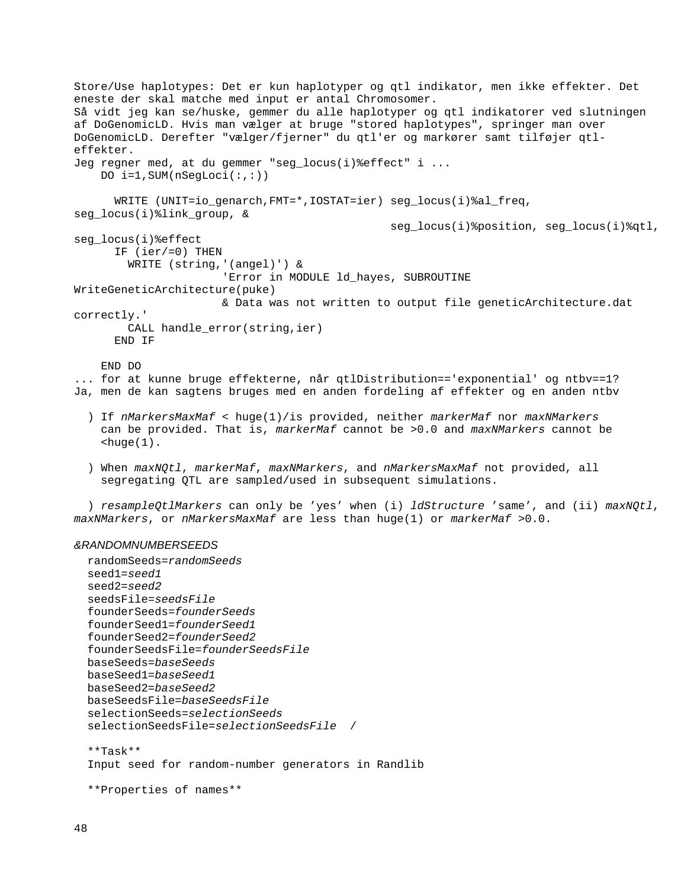Store/Use haplotypes: Det er kun haplotyper og qtl indikator, men ikke effekter. Det eneste der skal matche med input er antal Chromosomer. Så vidt jeg kan se/huske, gemmer du alle haplotyper og qtl indikatorer ved slutningen af DoGenomicLD. Hvis man vælger at bruge "stored haplotypes", springer man over DoGenomicLD. Derefter "vælger/fjerner" du qtl'er og markører samt tilføjer qtleffekter. Jeg regner med, at du gemmer "seg\_locus(i)%effect" i ... DO i=1,SUM(nSegLoci(:,:)) WRITE (UNIT=io qenarch,FMT=\*,IOSTAT=ier) seg locus(i)%al freq, seg\_locus(i)%link\_group, & seg\_locus(i)%position, seg\_locus(i)%qtl, seg\_locus(i)%effect IF (ier/=0) THEN WRITE (string,'(angel)') & 'Error in MODULE ld\_hayes, SUBROUTINE WriteGeneticArchitecture(puke) & Data was not written to output file geneticArchitecture.dat correctly.' CALL handle\_error(string,ier) END IF END DO ... for at kunne bruge effekterne, når qtlDistribution=='exponential' og ntbv==1? Ja, men de kan sagtens bruges med en anden fordeling af effekter og en anden ntbv ) If *nMarkersMaxMaf* < huge(1)/is provided, neither *markerMaf* nor *maxNMarkers* can be provided. That is, *markerMaf* cannot be >0.0 and *maxNMarkers* cannot be  $shape(1)$ .

 ) When *maxNQtl*, *markerMaf*, *maxNMarkers*, and *nMarkersMaxMaf* not provided, all segregating QTL are sampled/used in subsequent simulations.

 ) *resampleQtlMarkers* can only be 'yes' when (i) *ldStructure* 'same', and (ii) *maxNQtl*, *maxNMarkers*, or *nMarkersMaxMaf* are less than huge(1) or *markerMaf* >0.0.

#### *&RANDOMNUMBERSEEDS*

```
 randomSeeds=randomSeeds
 seed1=seed1
 seed2=seed2
 seedsFile=seedsFile
 founderSeeds=founderSeeds
 founderSeed1=founderSeed1
 founderSeed2=founderSeed2
 founderSeedsFile=founderSeedsFile
 baseSeeds=baseSeeds
 baseSeed1=baseSeed1
 baseSeed2=baseSeed2
 baseSeedsFile=baseSeedsFile
 selectionSeeds=selectionSeeds
 selectionSeedsFile=selectionSeedsFile /
 **Task**
 Input seed for random-number generators in Randlib
 **Properties of names**
```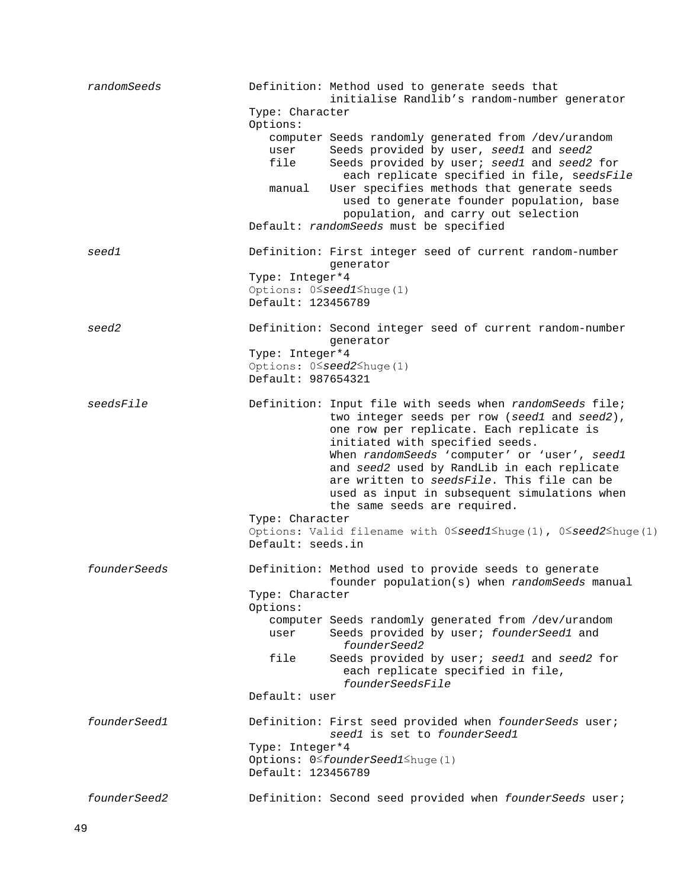| randomSeeds  | Definition: Method used to generate seeds that<br>initialise Randlib's random-number generator<br>Type: Character                                                                                                         |
|--------------|---------------------------------------------------------------------------------------------------------------------------------------------------------------------------------------------------------------------------|
|              | Options:<br>computer Seeds randomly generated from /dev/urandom<br>Seeds provided by user, seed1 and seed2<br>user<br>file<br>Seeds provided by user; seed1 and seed2 for<br>each replicate specified in file, seedsFile  |
|              | User specifies methods that generate seeds<br>manual<br>used to generate founder population, base<br>population, and carry out selection                                                                                  |
|              | Default: randomSeeds must be specified                                                                                                                                                                                    |
| seed1        | Definition: First integer seed of current random-number<br>qenerator                                                                                                                                                      |
|              | Type: Integer*4                                                                                                                                                                                                           |
|              | Options: $0 \leq$ seed1 $\leq$ huge(1)<br>Default: 123456789                                                                                                                                                              |
| seed2        | Definition: Second integer seed of current random-number<br>generator                                                                                                                                                     |
|              | Type: Integer*4                                                                                                                                                                                                           |
|              | Options: 0 <sup>S</sup> seed2 <sup>Shuge(1)</sup>                                                                                                                                                                         |
|              | Default: 987654321                                                                                                                                                                                                        |
| seedsFile    | Definition: Input file with seeds when randomSeeds file;<br>two integer seeds per row (seed1 and seed2),<br>one row per replicate. Each replicate is<br>initiated with specified seeds.                                   |
|              | When randomSeeds 'computer' or 'user', seed1<br>and seed2 used by RandLib in each replicate<br>are written to seedsFile. This file can be<br>used as input in subsequent simulations when<br>the same seeds are required. |
|              | Type: Character                                                                                                                                                                                                           |
|              | Options: Valid filename with $0 \le$ seed1 huge(1), $0 \le$ seed2 huge(1)<br>Default: seeds.in                                                                                                                            |
| founderSeeds | Definition: Method used to provide seeds to generate<br>founder population(s) when randomSeeds manual                                                                                                                     |
|              | Type: Character<br>Options:                                                                                                                                                                                               |
|              | computer Seeds randomly generated from /dev/urandom                                                                                                                                                                       |
|              | Seeds provided by user; founderSeed1 and<br>user<br>founderSeed2                                                                                                                                                          |
|              | file<br>Seeds provided by user; seed1 and seed2 for<br>each replicate specified in file,<br>founderSeedsFile                                                                                                              |
|              | Default: user                                                                                                                                                                                                             |
| founderSeed1 | Definition: First seed provided when founderSeeds user;<br>seed1 is set to founderSeed1                                                                                                                                   |
|              | Type: Integer*4                                                                                                                                                                                                           |
|              | Options: 0 <sup>≤founderSeed1≤huge(1)</sup><br>Default: 123456789                                                                                                                                                         |
| founderSeed2 | Definition: Second seed provided when founderSeeds user;                                                                                                                                                                  |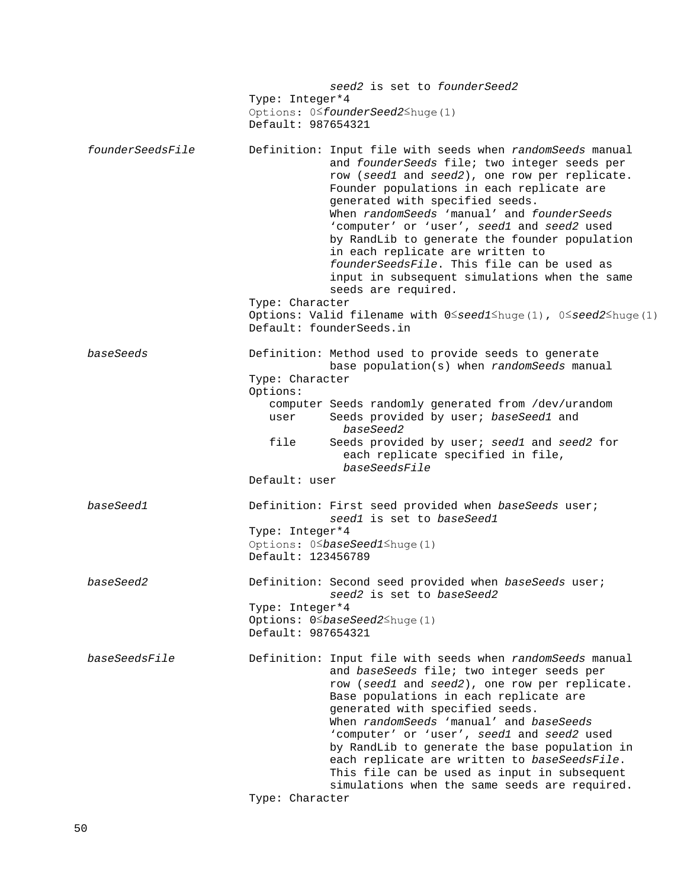|                  | seed2 is set to founderSeed2<br>Type: Integer*4<br>Options: 0 <sup>≤founderSeed2≤huge(1)</sup><br>Default: 987654321                                                                                                                                                                                                                                                                                                                                                                                                                               |
|------------------|----------------------------------------------------------------------------------------------------------------------------------------------------------------------------------------------------------------------------------------------------------------------------------------------------------------------------------------------------------------------------------------------------------------------------------------------------------------------------------------------------------------------------------------------------|
| founderSeedsFile | Definition: Input file with seeds when randomSeeds manual<br>and founderSeeds file; two integer seeds per<br>row (seed1 and seed2), one row per replicate.<br>Founder populations in each replicate are<br>generated with specified seeds.<br>When randomSeeds 'manual' and founderSeeds<br>'computer' or 'user', seed1 and seed2 used<br>by RandLib to generate the founder population<br>in each replicate are written to<br>founderSeedsFile. This file can be used as<br>input in subsequent simulations when the same<br>seeds are required.  |
|                  | Type: Character<br>Options: Valid filename with $0 \le$ seed1 $\le$ huge(1), $0 \le$ seed2 $\le$ huge(1)<br>Default: founderSeeds.in                                                                                                                                                                                                                                                                                                                                                                                                               |
| baseSeeds        | Definition: Method used to provide seeds to generate<br>base population(s) when randomSeeds manual<br>Type: Character<br>Options:<br>computer Seeds randomly generated from /dev/urandom<br>Seeds provided by user; baseSeed1 and<br>user<br>baseSeed2<br>file<br>Seeds provided by user; seed1 and seed2 for<br>each replicate specified in file,<br>baseSeedsFile                                                                                                                                                                                |
|                  | Default: user                                                                                                                                                                                                                                                                                                                                                                                                                                                                                                                                      |
| baseSeed1        | Definition: First seed provided when baseSeeds user;<br>seed1 is set to baseSeed1<br>Type: Integer*4<br>Options: 0 <sup>S</sup> baseSeed1 <sup>Shuge(1)</sup><br>Default: 123456789                                                                                                                                                                                                                                                                                                                                                                |
| baseSeed2        | Definition: Second seed provided when baseSeeds user;<br>seed2 is set to baseSeed2<br>Type: Integer*4<br>Options: 0 <sup>S</sup> baseSeed2 <sup>Shuge(1)</sup><br>Default: 987654321                                                                                                                                                                                                                                                                                                                                                               |
| baseSeedsFile    | Definition: Input file with seeds when randomSeeds manual<br>and baseSeeds file; two integer seeds per<br>row (seed1 and seed2), one row per replicate.<br>Base populations in each replicate are<br>generated with specified seeds.<br>When randomSeeds 'manual' and baseSeeds<br>'computer' or 'user', seed1 and seed2 used<br>by RandLib to generate the base population in<br>each replicate are written to baseSeedsFile.<br>This file can be used as input in subsequent<br>simulations when the same seeds are required.<br>Type: Character |
|                  |                                                                                                                                                                                                                                                                                                                                                                                                                                                                                                                                                    |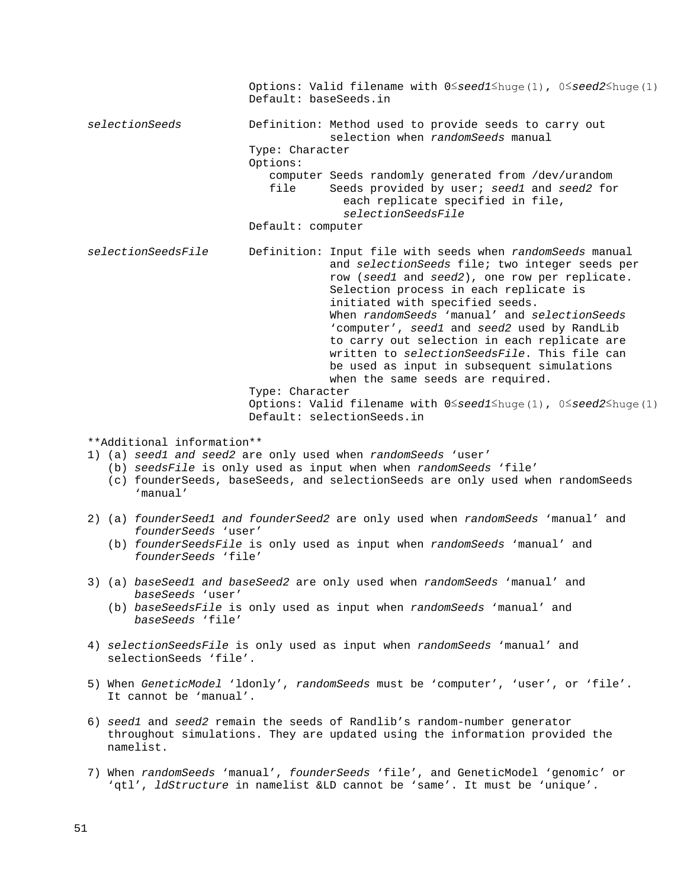Options: Valid filename with 0≤*seed1*≤huge(1), 0≤*seed2*≤huge(1) Default: baseSeeds.in *selectionSeeds* Definition: Method used to provide seeds to carry out selection when *randomSeeds* manual Type: Character Options: computer Seeds randomly generated from /dev/urandom<br>file Seeds provided by user; seed1 and seed2 for Seeds provided by user; *seed1* and *seed2* for each replicate specified in file, *selectionSeedsFile* Default: computer *selectionSeedsFile* Definition: Input file with seeds when *randomSeeds* manual and *selectionSeeds* file; two integer seeds per row (*seed1* and *seed2*), one row per replicate. Selection process in each replicate is initiated with specified seeds. When *randomSeeds* 'manual' and *selectionSeeds* 'computer', *seed1* and *seed2* used by RandLib to carry out selection in each replicate are written to *selectionSeedsFile*. This file can be used as input in subsequent simulations when the same seeds are required. Type: Character Options: Valid filename with 0≤*seed1*≤huge(1), 0≤*seed2*≤huge(1) Default: selectionSeeds.in \*\*Additional information\*\* 1) (a) *seed1 and seed2* are only used when *randomSeeds* 'user' (b) *seedsFile* is only used as input when when *randomSeeds* 'file' (c) founderSeeds, baseSeeds, and selectionSeeds are only used when randomSeeds 'manual' 2) (a) *founderSeed1 and founderSeed2* are only used when *randomSeeds* 'manual' and *founderSeeds* 'user'

- (b) *founderSeedsFile* is only used as input when *randomSeeds* 'manual' and *founderSeeds* 'file'
- 3) (a) *baseSeed1 and baseSeed2* are only used when *randomSeeds* 'manual' and *baseSeeds* 'user'
	- (b) *baseSeedsFile* is only used as input when *randomSeeds* 'manual' and *baseSeeds* 'file'
- 4) *selectionSeedsFile* is only used as input when *randomSeeds* 'manual' and selectionSeeds 'file'.
- 5) When *GeneticModel* 'ldonly', *randomSeeds* must be 'computer', 'user', or 'file'. It cannot be 'manual'.
- 6) *seed1* and *seed2* remain the seeds of Randlib's random-number generator throughout simulations. They are updated using the information provided the namelist.
- 7) When *randomSeeds* 'manual', *founderSeeds* 'file', and GeneticModel 'genomic' or 'qtl', *ldStructure* in namelist &LD cannot be 'same'. It must be 'unique'.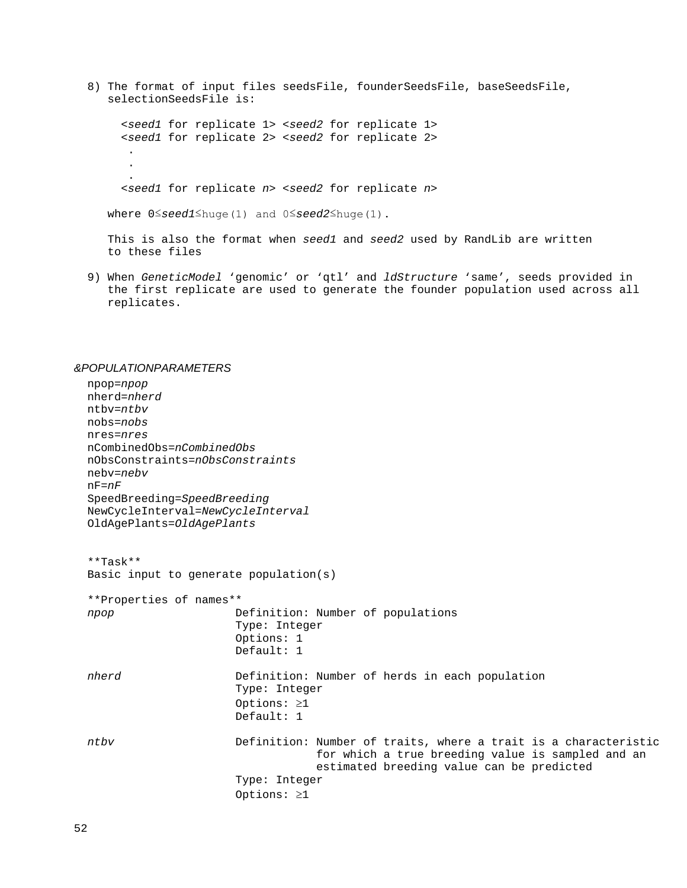8) The format of input files seedsFile, founderSeedsFile, baseSeedsFile, selectionSeedsFile is:

 <*seed1* for replicate 1> <*seed2* for replicate 1> <*seed1* for replicate 2> <*seed2* for replicate 2> . . . <*seed1* for replicate *n*> <*seed2* for replicate *n*>

where 0≤*seed1*≤huge(1) and 0≤*seed2*≤huge(1).

 This is also the format when *seed1* and *seed2* used by RandLib are written to these files

 9) When *GeneticModel* 'genomic' or 'qtl' and *ldStructure* 'same', seeds provided in the first replicate are used to generate the founder population used across all replicates.

#### *&POPULATIONPARAMETERS*

```
 npop=npop
 nherd=nherd
 ntbv=ntbv
 nobs=nobs
 nres=nres
 nCombinedObs=nCombinedObs
 nObsConstraints=nObsConstraints
 nebv=nebv
 nF=nF
 SpeedBreeding=SpeedBreeding
 NewCycleInterval=NewCycleInterval
OldAgePlants=OldAgePlants
 **Task**
 Basic input to generate population(s)
 **Properties of names**
 npop Definition: Number of populations
                      Type: Integer
                     Options: 1
                     Default: 1
nherd Definition: Number of herds in each population
                      Type: Integer
                     Options: ≥1
                     Default: 1
 ntbv Definition: Number of traits, where a trait is a characteristic 
                                  for which a true breeding value is sampled and an 
                                  estimated breeding value can be predicted
                      Type: Integer
                     Options: ≥1
```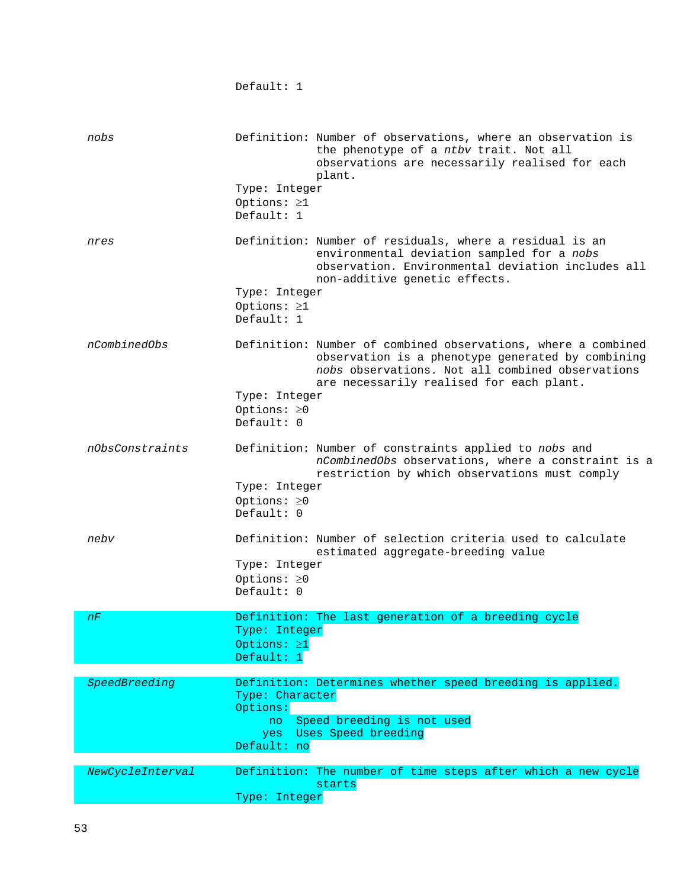Default: 1

| nobs             | Definition: Number of observations, where an observation is<br>the phenotype of a ntbv trait. Not all<br>observations are necessarily realised for each<br>plant.<br>Type: Integer<br>Options: ≥1<br>Default: 1                                                  |
|------------------|------------------------------------------------------------------------------------------------------------------------------------------------------------------------------------------------------------------------------------------------------------------|
| nres             | Definition: Number of residuals, where a residual is an<br>environmental deviation sampled for a nobs<br>observation. Environmental deviation includes all<br>non-additive genetic effects.<br>Type: Integer<br>Options: $\geq 1$<br>Default: 1                  |
| nCombinedObs     | Definition: Number of combined observations, where a combined<br>observation is a phenotype generated by combining<br>nobs observations. Not all combined observations<br>are necessarily realised for each plant.<br>Type: Integer<br>Options: ≥0<br>Default: 0 |
| nObsConstraints  | Definition: Number of constraints applied to nobs and<br>nCombinedObs observations, where a constraint is a<br>restriction by which observations must comply<br>Type: Integer<br>Options: $\geq 0$<br>Default: 0                                                 |
| nebv             | Definition: Number of selection criteria used to calculate<br>estimated aggregate-breeding value<br>Type: Integer<br>Options: ≥0<br>Default: 0                                                                                                                   |
| nF               | Definition: The last generation of a breeding cycle<br>Type: Integer<br>Options: ≥1<br>Default: $1$                                                                                                                                                              |
| SpeedBreeding    | Definition: Determines whether speed breeding is applied.<br>Type: Character<br>Options:<br>Speed breeding is not used<br>no<br>Uses Speed breeding<br>yes<br>Default: no                                                                                        |
| NewCycleInterval | Definition: The number of time steps after which a new cycle<br>starts<br>Type: Integer                                                                                                                                                                          |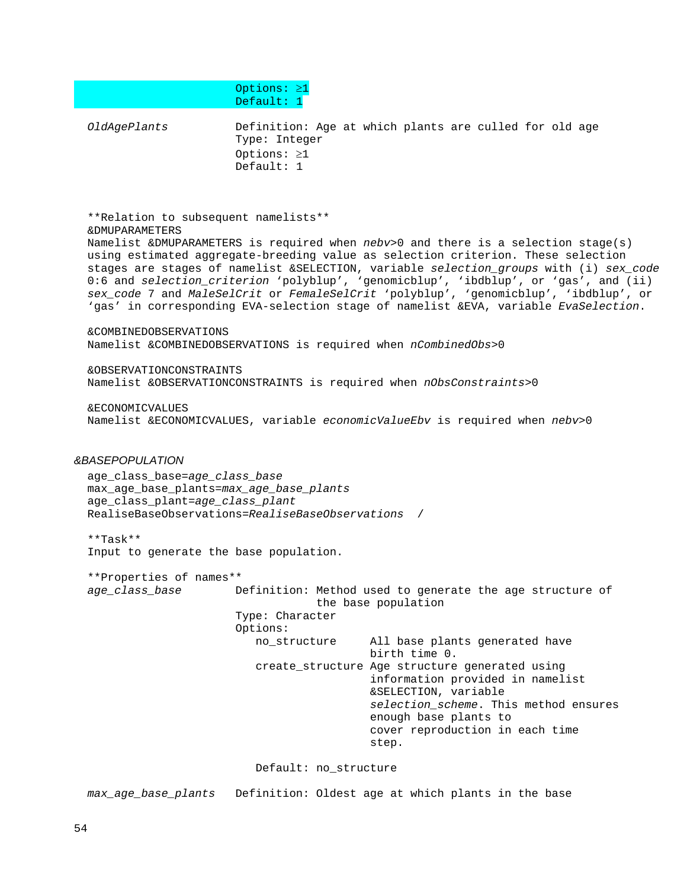Options: ≥1 Default: 1 *OldAgePlants* Definition: Age at which plants are culled for old age Type: Integer Options: ≥1 Default: 1 \*\*Relation to subsequent namelists\*\* &DMUPARAMETERS Namelist &DMUPARAMETERS is required when *nebv*>0 and there is a selection stage(s) using estimated aggregate-breeding value as selection criterion. These selection stages are stages of namelist &SELECTION, variable *selection\_groups* with (i) *sex\_code* 0:6 and *selection\_criterion* 'polyblup', 'genomicblup', 'ibdblup', or 'gas', and (ii) *sex\_code* 7 and *MaleSelCrit* or *FemaleSelCrit* 'polyblup', 'genomicblup', 'ibdblup', or 'gas' in corresponding EVA-selection stage of namelist &EVA, variable *EvaSelection*. &COMBINEDOBSERVATIONS Namelist &COMBINEDOBSERVATIONS is required when *nCombinedObs*>0 &OBSERVATIONCONSTRAINTS Namelist &OBSERVATIONCONSTRAINTS is required when *nObsConstraints*>0 &ECONOMICVALUES Namelist &ECONOMICVALUES, variable *economicValueEbv* is required when *nebv*>0 *&BASEPOPULATION* age\_class\_base=*age\_class\_base* max\_age\_base\_plants=*max\_age\_base\_plants* age\_class\_plant=*age\_class\_plant* RealiseBaseObservations=*RealiseBaseObservations* / \*\*Task\*\* Input to generate the base population. \*\*Properties of names\*\* Definition: Method used to generate the age structure of the base population Type: Character Options: no\_structure All base plants generated have birth time 0. create\_structure Age structure generated using information provided in namelist &SELECTION, variable *selection\_scheme*. This method ensures enough base plants to cover reproduction in each time step. Default: no\_structure *max\_age\_base\_plants* Definition: Oldest age at which plants in the base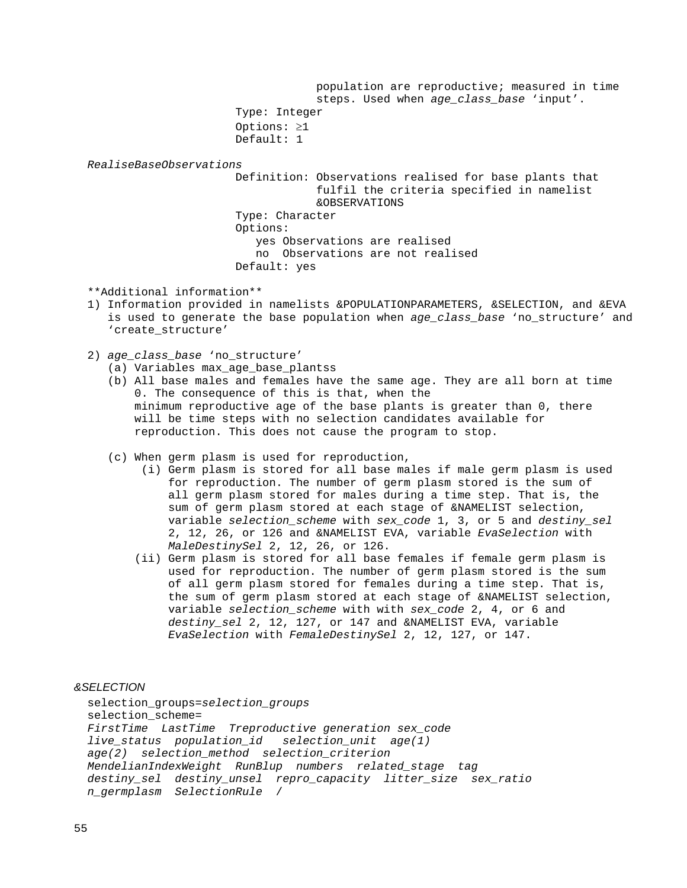population are reproductive; measured in time steps. Used when *age\_class\_base* 'input'. Type: Integer Options: ≥1 Default: 1 *RealiseBaseObservations* Definition: Observations realised for base plants that fulfil the criteria specified in namelist &OBSERVATIONS Type: Character Options: yes Observations are realised no Observations are not realised Default: yes

\*\*Additional information\*\*

- 1) Information provided in namelists &POPULATIONPARAMETERS, &SELECTION, and &EVA is used to generate the base population when *age\_class\_base* 'no\_structure' and 'create\_structure'
- 2) *age\_class\_base* 'no\_structure'
	- (a) Variables max\_age\_base\_plantss
	- (b) All base males and females have the same age. They are all born at time 0. The consequence of this is that, when the minimum reproductive age of the base plants is greater than 0, there will be time steps with no selection candidates available for reproduction. This does not cause the program to stop.
	- (c) When germ plasm is used for reproduction,
		- (i) Germ plasm is stored for all base males if male germ plasm is used for reproduction. The number of germ plasm stored is the sum of all germ plasm stored for males during a time step. That is, the sum of germ plasm stored at each stage of &NAMELIST selection, variable *selection\_scheme* with *sex\_code* 1, 3, or 5 and *destiny\_sel* 2, 12, 26, or 126 and &NAMELIST EVA, variable *EvaSelection* with *MaleDestinySel* 2, 12, 26, or 126.
		- (ii) Germ plasm is stored for all base females if female germ plasm is used for reproduction. The number of germ plasm stored is the sum of all germ plasm stored for females during a time step. That is, the sum of germ plasm stored at each stage of &NAMELIST selection, variable *selection\_scheme* with with *sex\_code* 2, 4, or 6 and *destiny\_sel* 2, 12, 127, or 147 and &NAMELIST EVA, variable *EvaSelection* with *FemaleDestinySel* 2, 12, 127, or 147.

# *&SELECTION*

 selection\_groups=*selection\_groups* selection scheme=  *FirstTime LastTime Treproductive generation sex\_code live\_status population\_id selection\_unit age(1) age(2) selection\_method selection\_criterion MendelianIndexWeight RunBlup numbers related\_stage tag destiny\_sel destiny\_unsel repro\_capacity litter\_size sex\_ratio n\_germplasm SelectionRule* /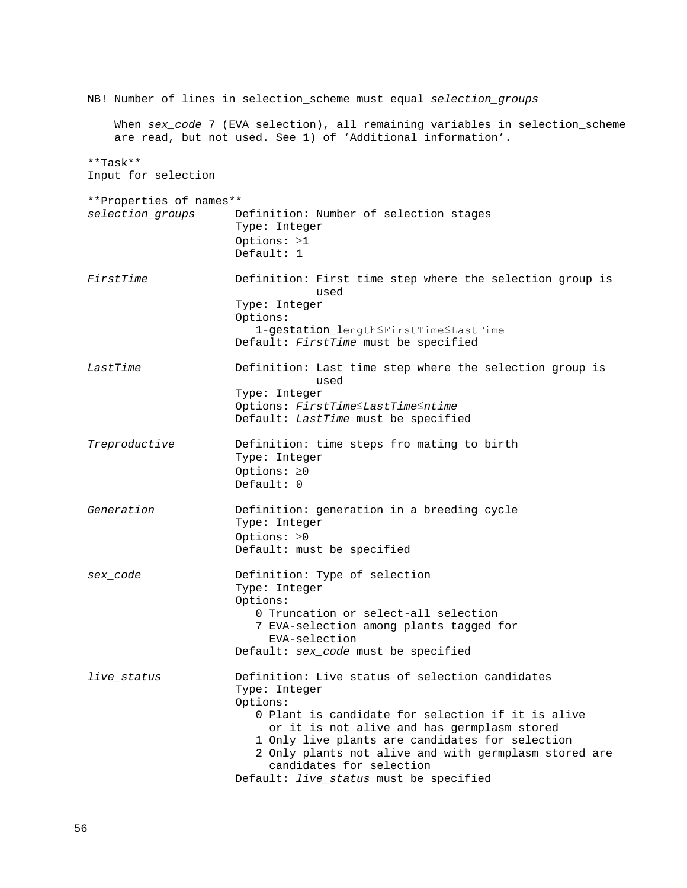NB! Number of lines in selection\_scheme must equal *selection\_groups* When *sex\_code* 7 (EVA selection), all remaining variables in selection\_scheme are read, but not used. See 1) of 'Additional information'. \*\*Task\*\* Input for selection \*\*Properties of names\*\* *selection\_groups* Definition: Number of selection stages Type: Integer Options: ≥1 Default: 1 FirstTime **Definition:** First time step where the selection group is used used by the contract of the contract of the contract of the contract of the contract of the contract of the co Type: Integer Options: 1-gestation\_length≤FirstTime≤LastTime Default: *FirstTime* must be specified LastTime **Definition:** Last time step where the selection group is used used by the contract of the contract of the contract of the contract of the contract of the contract of the co Type: Integer Options: *FirstTime*≤*LastTime*≤*ntime* Default: *LastTime* must be specified *Treproductive* **Definition:** time steps fro mating to birth Type: Integer Options: ≥0 Default: 0  *Generation* Definition: generation in a breeding cycle Type: Integer Options: ≥0 Default: must be specified *sex\_code* Definition: Type of selection Type: Integer Options: 0 Truncation or select-all selection 7 EVA-selection among plants tagged for EVA-selection Default: *sex\_code* must be specified *live\_status* Definition: Live status of selection candidates Type: Integer Options: 0 Plant is candidate for selection if it is alive or it is not alive and has germplasm stored 1 Only live plants are candidates for selection 2 Only plants not alive and with germplasm stored are candidates for selection Default: *live\_status* must be specified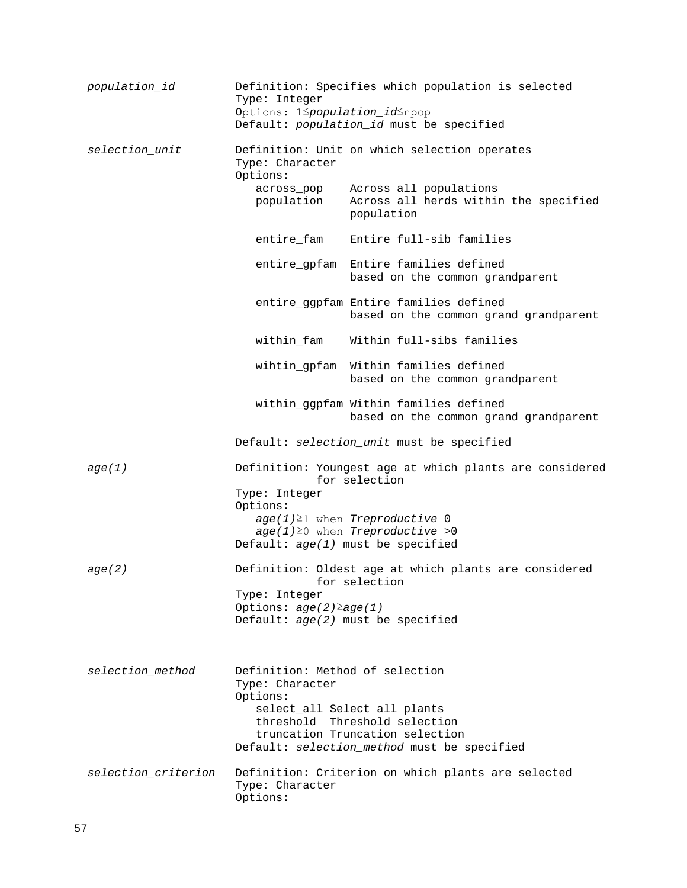| population_id       | Definition: Specifies which population is selected<br>Type: Integer<br>Options: 1 Spopulation_id Snpop<br>Default: population_id must be specified |                                                                                                                 |  |  |
|---------------------|----------------------------------------------------------------------------------------------------------------------------------------------------|-----------------------------------------------------------------------------------------------------------------|--|--|
| selection_unit      | Type: Character<br>Options:                                                                                                                        | Definition: Unit on which selection operates                                                                    |  |  |
|                     | across_pop<br>population                                                                                                                           | Across all populations<br>Across all herds within the specified<br>population                                   |  |  |
|                     | entire_fam                                                                                                                                         | Entire full-sib families                                                                                        |  |  |
|                     |                                                                                                                                                    | entire_gpfam Entire families defined<br>based on the common grandparent                                         |  |  |
|                     |                                                                                                                                                    | entire_ggpfam Entire families defined<br>based on the common grand grandparent                                  |  |  |
|                     | within_fam                                                                                                                                         | Within full-sibs families                                                                                       |  |  |
|                     |                                                                                                                                                    | wihtin_gpfam Within families defined<br>based on the common grandparent                                         |  |  |
|                     |                                                                                                                                                    | within_ggpfam Within families defined<br>based on the common grand grandparent                                  |  |  |
|                     |                                                                                                                                                    | Default: selection_unit must be specified                                                                       |  |  |
| age(1)              | Type: Integer                                                                                                                                      | Definition: Youngest age at which plants are considered<br>for selection                                        |  |  |
|                     | Options:                                                                                                                                           | $age(1) \ge 1$ when Treproductive 0                                                                             |  |  |
|                     |                                                                                                                                                    | $age(1) \ge 0$ when Treproductive >0<br>Default: $age(1)$ must be specified                                     |  |  |
| age(2)              |                                                                                                                                                    | Definition: Oldest age at which plants are considered<br>for selection                                          |  |  |
|                     | Type: Integer<br>Options: $age(2) \ge age(1)$                                                                                                      |                                                                                                                 |  |  |
|                     |                                                                                                                                                    | Default: $age(2)$ must be specified                                                                             |  |  |
| selection_method    | Definition: Method of selection<br>Type: Character                                                                                                 |                                                                                                                 |  |  |
|                     | Options:<br>select_all Select all plants                                                                                                           |                                                                                                                 |  |  |
|                     |                                                                                                                                                    | threshold Threshold selection<br>truncation Truncation selection<br>Default: selection_method must be specified |  |  |
| selection_criterion | Type: Character<br>Options:                                                                                                                        | Definition: Criterion on which plants are selected                                                              |  |  |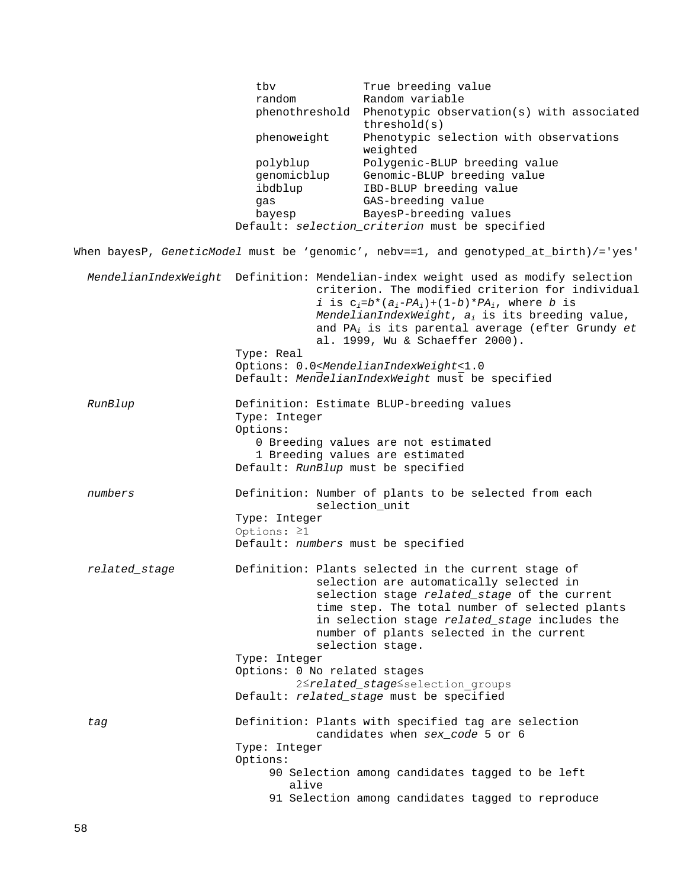tbv True breeding value<br>
random Random variable random Random variable phenothreshold Phenotypic observation(s) with associated threshold(s) phenoweight Phenotypic selection with observations weighted polyblup Polygenic-BLUP breeding value<br>
genomicblup Genomic-BLUP breeding value genomicblup Genomic-BLUP breeding value<br>ibdblup IBD-BLUP breeding value ibdblup IBD-BLUP breeding value<br>
GAS-breeding value gas GAS-breeding value bayesp BayesP-breeding values Default: *selection\_criterion* must be specified When bayesP, *GeneticModel* must be 'genomic', nebv==1, and genotyped\_at\_birth)/='yes' *MendelianIndexWeight* Definition: Mendelian-index weight used as modify selection criterion. The modified criterion for individual *i* is  $c_i = b^*(a_i - PA_i) + (1-b)^*PA_i$ , where *b* is *MendelianIndexWeight*, *ai* is its breeding value, and PA*<sup>i</sup>* is its parental average (efter Grundy *et*  al. 1999, Wu & Schaeffer 2000). Type: Real Options: 0.0<*MendelianIndexWeight*<1.0 Default: *MendelianIndexWeight* must be specified *RunBlup* Definition: Estimate BLUP-breeding values Type: Integer Options: 0 Breeding values are not estimated 1 Breeding values are estimated Default: *RunBlup* must be specified *numbers* Definition: Number of plants to be selected from each selection\_unit Type: Integer Options: ≥1 Default: *numbers* must be specified *related\_stage* Definition: Plants selected in the current stage of selection are automatically selected in selection stage *related\_stage* of the current time step. The total number of selected plants in selection stage *related\_stage* includes the number of plants selected in the current selection stage. Type: Integer Options: 0 No related stages 2≤*related* stage≤selection groups Default: *related\_stage* must be specified *tag* Definition: Plants with specified tag are selection candidates when *sex\_code* 5 or 6 Type: Integer Options: 90 Selection among candidates tagged to be left alive 91 Selection among candidates tagged to reproduce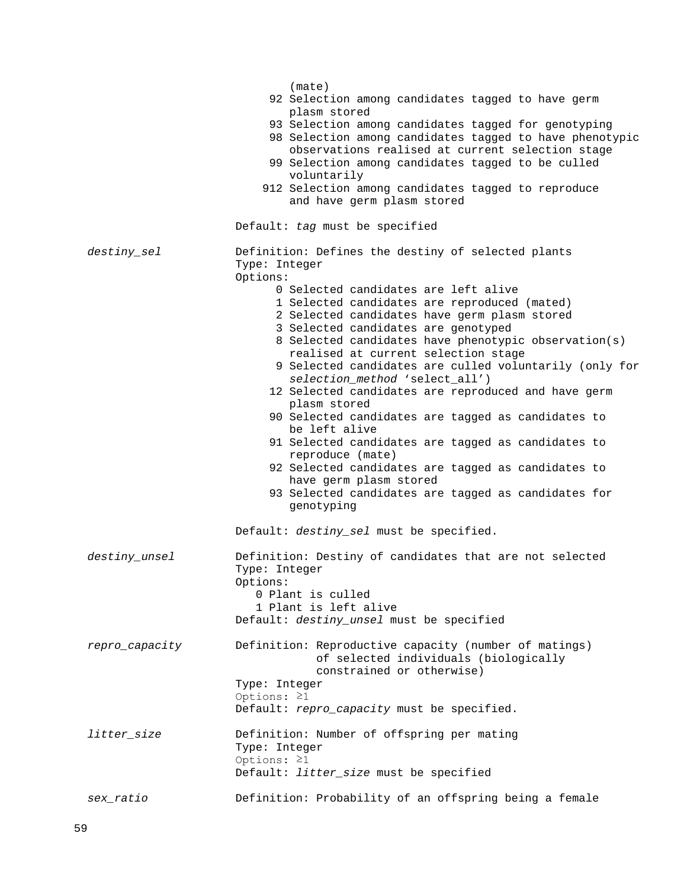|                | (mate)                                                              |  |  |
|----------------|---------------------------------------------------------------------|--|--|
|                | 92 Selection among candidates tagged to have germ<br>plasm stored   |  |  |
|                | 93 Selection among candidates tagged for genotyping                 |  |  |
|                | 98 Selection among candidates tagged to have phenotypic             |  |  |
|                | observations realised at current selection stage                    |  |  |
|                | 99 Selection among candidates tagged to be culled                   |  |  |
|                | voluntarily                                                         |  |  |
|                | 912 Selection among candidates tagged to reproduce                  |  |  |
|                | and have germ plasm stored                                          |  |  |
|                |                                                                     |  |  |
|                | Default: tag must be specified                                      |  |  |
| destiny_sel    | Definition: Defines the destiny of selected plants                  |  |  |
|                | Type: Integer                                                       |  |  |
|                | Options:                                                            |  |  |
|                | 0 Selected candidates are left alive                                |  |  |
|                | 1 Selected candidates are reproduced (mated)                        |  |  |
|                | 2 Selected candidates have germ plasm stored                        |  |  |
|                | 3 Selected candidates are genotyped                                 |  |  |
|                | 8 Selected candidates have phenotypic observation(s)                |  |  |
|                | realised at current selection stage                                 |  |  |
|                | 9 Selected candidates are culled voluntarily (only for              |  |  |
|                | selection_method 'select_all')                                      |  |  |
|                | 12 Selected candidates are reproduced and have germ<br>plasm stored |  |  |
|                | 90 Selected candidates are tagged as candidates to                  |  |  |
|                | be left alive                                                       |  |  |
|                | 91 Selected candidates are tagged as candidates to                  |  |  |
|                | reproduce (mate)                                                    |  |  |
|                | 92 Selected candidates are tagged as candidates to                  |  |  |
|                | have germ plasm stored                                              |  |  |
|                | 93 Selected candidates are tagged as candidates for                 |  |  |
|                | genotyping                                                          |  |  |
|                | Default: destiny_sel must be specified.                             |  |  |
|                |                                                                     |  |  |
| destiny_unsel  | Definition: Destiny of candidates that are not selected             |  |  |
|                | Type: Integer                                                       |  |  |
|                | Options:                                                            |  |  |
|                | 0 Plant is culled                                                   |  |  |
|                | 1 Plant is left alive                                               |  |  |
|                | Default: destiny_unsel must be specified                            |  |  |
| repro_capacity | Definition: Reproductive capacity (number of matings)               |  |  |
|                | of selected individuals (biologically                               |  |  |
|                | constrained or otherwise)                                           |  |  |
|                | Type: Integer                                                       |  |  |
|                | Options: $\geq 1$                                                   |  |  |
|                | Default: repro_capacity must be specified.                          |  |  |
| litter_size    | Definition: Number of offspring per mating                          |  |  |
|                | Type: Integer                                                       |  |  |
|                | Options: $\geq 1$                                                   |  |  |
|                | Default: <i>litter_size</i> must be specified                       |  |  |
|                |                                                                     |  |  |
| sex_ratio      | Definition: Probability of an offspring being a female              |  |  |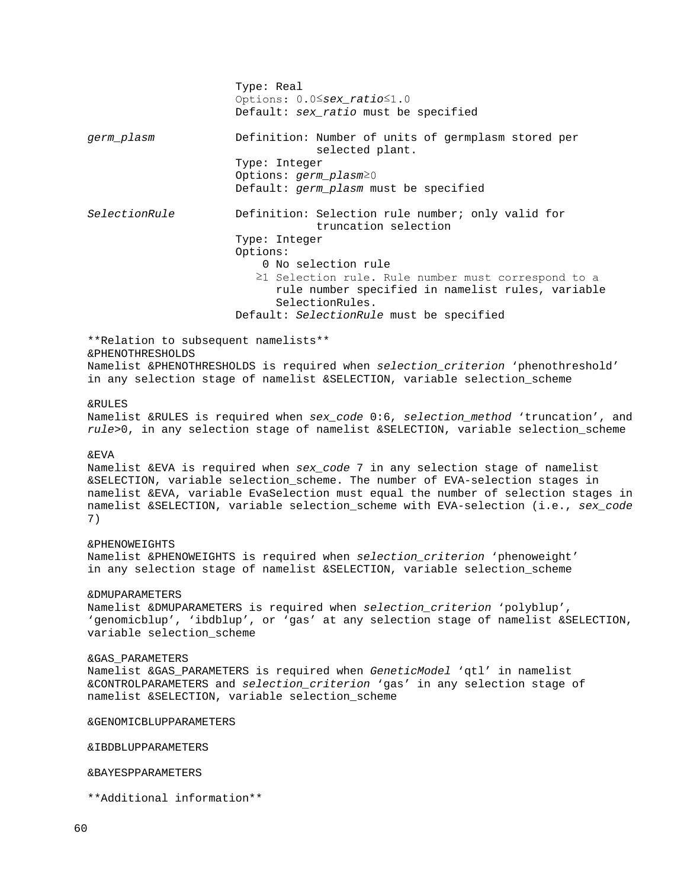Type: Real Options: 0.0≤*sex\_ratio*≤1.0 Default: *sex\_ratio* must be specified *germ\_plasm* Definition: Number of units of germplasm stored per selected plant. Type: Integer Options: *germ\_plasm*≥0 Default: *germ\_plasm* must be specified *SelectionRule* Definition: Selection rule number; only valid for truncation selection Type: Integer Options: 0 No selection rule ≥1 Selection rule. Rule number must correspond to a rule number specified in namelist rules, variable SelectionRules. Default: *SelectionRule* must be specified \*\*Relation to subsequent namelists\*\* &PHENOTHRESHOLDS Namelist &PHENOTHRESHOLDS is required when *selection\_criterion* 'phenothreshold' in any selection stage of namelist &SELECTION, variable selection\_scheme &RULES Namelist &RULES is required when *sex\_code* 0:6, *selection\_method* 'truncation', and *rule*>0, in any selection stage of namelist &SELECTION, variable selection\_scheme &EVA Namelist &EVA is required when *sex\_code* 7 in any selection stage of namelist &SELECTION, variable selection\_scheme. The number of EVA-selection stages in namelist &EVA, variable EvaSelection must equal the number of selection stages in namelist &SELECTION, variable selection\_scheme with EVA-selection (i.e., *sex\_code* 7) &PHENOWEIGHTS Namelist &PHENOWEIGHTS is required when *selection\_criterion* 'phenoweight' in any selection stage of namelist &SELECTION, variable selection\_scheme &DMUPARAMETERS Namelist &DMUPARAMETERS is required when *selection\_criterion* 'polyblup', 'genomicblup', 'ibdblup', or 'gas' at any selection stage of namelist &SELECTION, variable selection\_scheme &GAS\_PARAMETERS Namelist &GAS\_PARAMETERS is required when *GeneticModel* 'qtl' in namelist &CONTROLPARAMETERS and *selection\_criterion* 'gas' in any selection stage of namelist &SELECTION, variable selection\_scheme &GENOMICBLUPPARAMETERS &IBDBLUPPARAMETERS &BAYESPPARAMETERS \*\*Additional information\*\*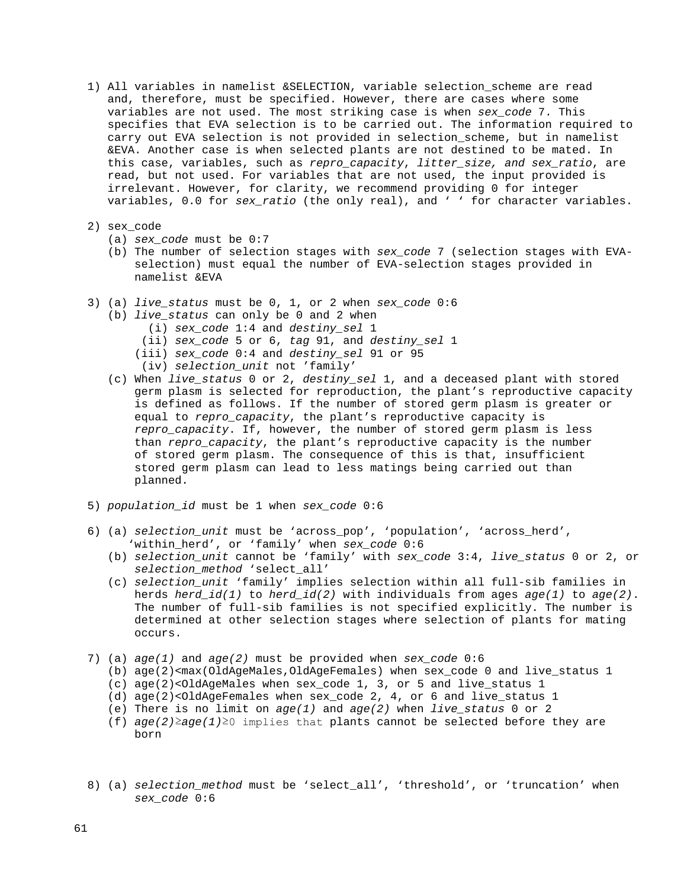- 1) All variables in namelist &SELECTION, variable selection\_scheme are read and, therefore, must be specified. However, there are cases where some variables are not used. The most striking case is when *sex\_code* 7. This specifies that EVA selection is to be carried out. The information required to carry out EVA selection is not provided in selection\_scheme, but in namelist &EVA. Another case is when selected plants are not destined to be mated. In this case, variables, such as *repro\_capacity*, *litter\_size, and sex\_ratio*, are read, but not used. For variables that are not used, the input provided is irrelevant. However, for clarity, we recommend providing 0 for integer variables, 0.0 for *sex\_ratio* (the only real), and ' ' for character variables.
- 2) sex\_code
	- (a) *sex\_code* must be 0:7
	- (b) The number of selection stages with *sex\_code* 7 (selection stages with EVA selection) must equal the number of EVA-selection stages provided in namelist &EVA
- 3) (a) *live\_status* must be 0, 1, or 2 when *sex\_code* 0:6
	- (b) *live\_status* can only be 0 and 2 when
		- (i) *sex\_code* 1:4 and *destiny\_sel* 1
		- (ii) *sex\_code* 5 or 6, *tag* 91, and *destiny\_sel* 1
		- (iii) *sex\_code* 0:4 and *destiny\_sel* 91 or 95
		- (iv) *selection\_unit* not 'family'
	- (c) When *live\_status* 0 or 2, *destiny\_sel* 1, and a deceased plant with stored germ plasm is selected for reproduction, the plant's reproductive capacity is defined as follows. If the number of stored germ plasm is greater or equal to *repro\_capacity*, the plant's reproductive capacity is *repro\_capacity*. If, however, the number of stored germ plasm is less than *repro\_capacity*, the plant's reproductive capacity is the number of stored germ plasm. The consequence of this is that, insufficient stored germ plasm can lead to less matings being carried out than planned.
- 5) *population\_id* must be 1 when *sex\_code* 0:6
- 6) (a) *selection\_unit* must be 'across\_pop', 'population', 'across\_herd', 'within\_herd', or 'family' when *sex\_code* 0:6
	- (b) *selection\_unit* cannot be 'family' with *sex\_code* 3:4, *live\_status* 0 or 2, or *selection\_method* 'select\_all'
	- (c) *selection\_unit* 'family' implies selection within all full-sib families in herds *herd\_id(1)* to *herd\_id(2)* with individuals from ages *age(1)* to *age(2)*. The number of full-sib families is not specified explicitly. The number is determined at other selection stages where selection of plants for mating occurs.
- 7) (a) *age(1)* and *age(2)* must be provided when *sex\_code* 0:6
	- (b) age(2)<max(OldAgeMales,OldAgeFemales) when sex\_code 0 and live\_status 1
	- (c) age(2)<OldAgeMales when sex\_code 1, 3, or 5 and live\_status 1
	- (d) age(2)<OldAgeFemales when sex\_code 2, 4, or 6 and live\_status 1
	- (e) There is no limit on *age(1)* and *age(2)* when *live\_status* 0 or 2
	- (f) *age(2)*≥*age(1)*≥0 implies that plants cannot be selected before they are born
- 8) (a) *selection\_method* must be 'select\_all', 'threshold', or 'truncation' when *sex\_code* 0:6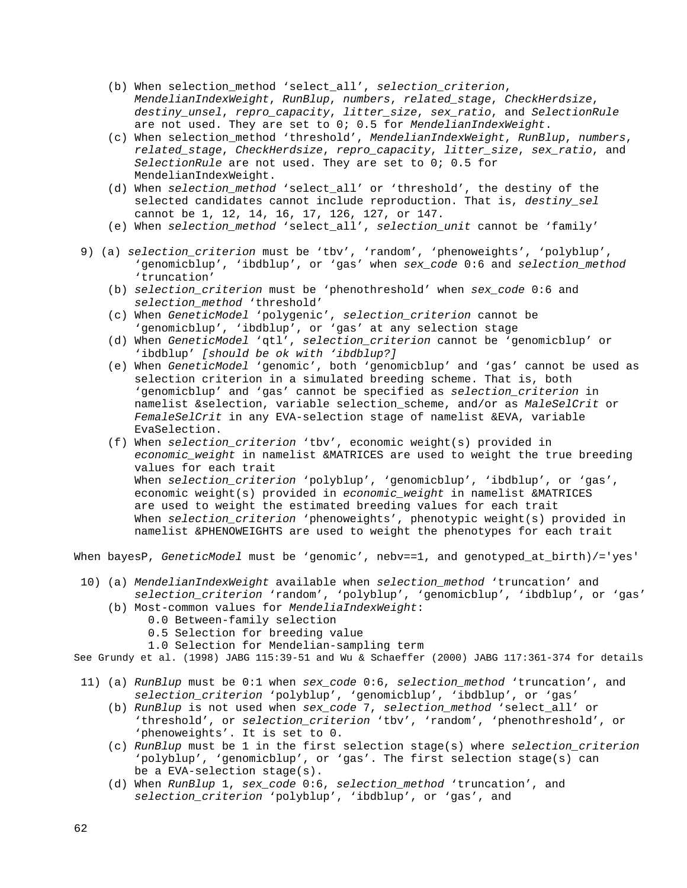- (b) When selection\_method 'select\_all', *selection\_criterion*, *MendelianIndexWeight*, *RunBlup*, *numbers*, *related\_stage*, *CheckHerdsize*, *destiny\_unsel*, *repro\_capacity*, *litter\_size*, *sex\_ratio*, and *SelectionRule* are not used. They are set to 0; 0.5 for *MendelianIndexWeight*.
- (c) When selection\_method 'threshold', *MendelianIndexWeight*, *RunBlup*, *numbers*, *related\_stage*, *CheckHerdsize*, *repro\_capacity*, *litter\_size*, *sex\_ratio*, and *SelectionRule* are not used. They are set to 0; 0.5 for MendelianIndexWeight.
- (d) When *selection\_method* 'select\_all' or 'threshold', the destiny of the selected candidates cannot include reproduction. That is, *destiny\_sel* cannot be 1, 12, 14, 16, 17, 126, 127, or 147.
- (e) When *selection\_method* 'select\_all', *selection\_unit* cannot be 'family'
- 9) (a) *selection\_criterion* must be 'tbv', 'random', 'phenoweights', 'polyblup', 'genomicblup', 'ibdblup', or 'gas' when *sex\_code* 0:6 and *selection\_method* 'truncation'
	- (b) *selection\_criterion* must be 'phenothreshold' when *sex\_code* 0:6 and *selection\_method* 'threshold'
	- (c) When *GeneticModel* 'polygenic', *selection\_criterion* cannot be 'genomicblup', 'ibdblup', or 'gas' at any selection stage
	- (d) When *GeneticModel* 'qtl', *selection\_criterion* cannot be 'genomicblup' or 'ibdblup' *[should be ok with 'ibdblup?]*
	- (e) When *GeneticModel* 'genomic', both 'genomicblup' and 'gas' cannot be used as selection criterion in a simulated breeding scheme. That is, both 'genomicblup' and 'gas' cannot be specified as *selection\_criterion* in namelist &selection, variable selection\_scheme, and/or as *MaleSelCrit* or *FemaleSelCrit* in any EVA-selection stage of namelist &EVA, variable EvaSelection.
	- (f) When *selection\_criterion* 'tbv', economic weight(s) provided in *economic\_weight* in namelist &MATRICES are used to weight the true breeding values for each trait When *selection\_criterion* 'polyblup', 'genomicblup', 'ibdblup', or 'gas', economic weight(s) provided in *economic\_weight* in namelist &MATRICES are used to weight the estimated breeding values for each trait When *selection\_criterion* 'phenoweights', phenotypic weight(s) provided in namelist &PHENOWEIGHTS are used to weight the phenotypes for each trait

When bayesP, *GeneticModel* must be 'genomic', nebv==1, and genotyped\_at\_birth)/='yes'

- 10) (a) *MendelianIndexWeight* available when *selection\_method* 'truncation' and *selection\_criterion* 'random', 'polyblup', 'genomicblup', 'ibdblup', or 'gas'
	- (b) Most-common values for *MendeliaIndexWeight*:
		- 0.0 Between-family selection
		- 0.5 Selection for breeding value
		- 1.0 Selection for Mendelian-sampling term

See Grundy et al. (1998) JABG 115:39-51 and Wu & Schaeffer (2000) JABG 117:361-374 for details

- 11) (a) *RunBlup* must be 0:1 when *sex\_code* 0:6, *selection\_method* 'truncation', and *selection\_criterion* 'polyblup', 'genomicblup', 'ibdblup', or 'gas'
	- (b) *RunBlup* is not used when *sex\_code* 7, *selection\_method* 'select\_all' or 'threshold', or *selection\_criterion* 'tbv', 'random', 'phenothreshold', or 'phenoweights'. It is set to 0.
	- (c) *RunBlup* must be 1 in the first selection stage(s) where *selection\_criterion* 'polyblup', 'genomicblup', or 'gas'. The first selection stage(s) can be a EVA-selection stage(s).
	- (d) When *RunBlup* 1, *sex\_code* 0:6, *selection\_method* 'truncation', and *selection\_criterion* 'polyblup', 'ibdblup', or 'gas', and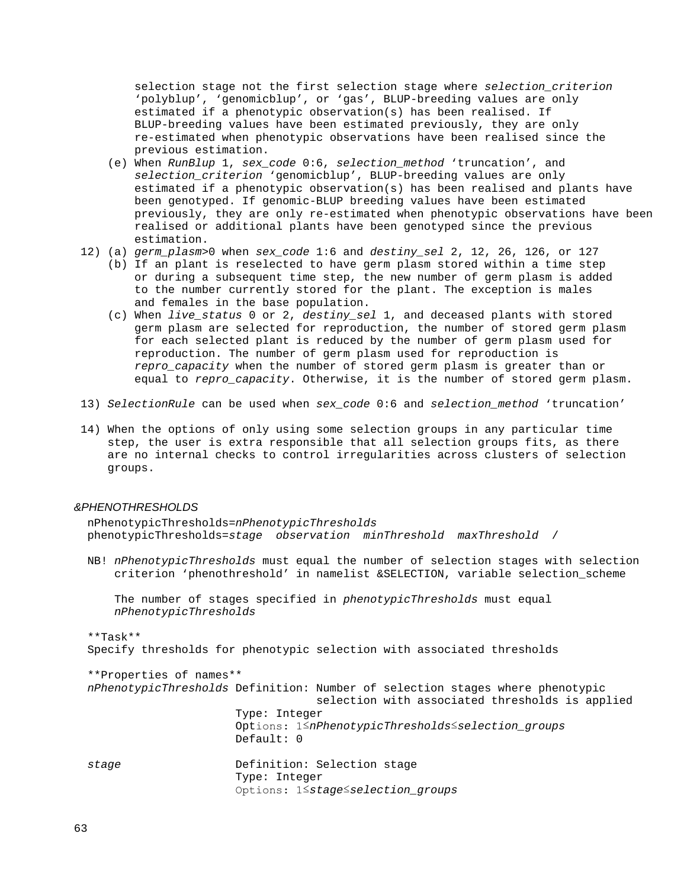selection stage not the first selection stage where *selection\_criterion* 'polyblup', 'genomicblup', or 'gas', BLUP-breeding values are only estimated if a phenotypic observation(s) has been realised. If BLUP-breeding values have been estimated previously, they are only re-estimated when phenotypic observations have been realised since the previous estimation.

- (e) When *RunBlup* 1, *sex\_code* 0:6, *selection\_method* 'truncation', and *selection\_criterion* 'genomicblup', BLUP-breeding values are only estimated if a phenotypic observation(s) has been realised and plants have been genotyped. If genomic-BLUP breeding values have been estimated previously, they are only re-estimated when phenotypic observations have been realised or additional plants have been genotyped since the previous estimation.
- 12) (a) *germ\_plasm*>0 when *sex\_code* 1:6 and *destiny\_sel* 2, 12, 26, 126, or 127
	- (b) If an plant is reselected to have germ plasm stored within a time step or during a subsequent time step, the new number of germ plasm is added to the number currently stored for the plant. The exception is males and females in the base population.
	- (c) When *live\_status* 0 or 2, *destiny\_sel* 1, and deceased plants with stored germ plasm are selected for reproduction, the number of stored germ plasm for each selected plant is reduced by the number of germ plasm used for reproduction. The number of germ plasm used for reproduction is *repro\_capacity* when the number of stored germ plasm is greater than or equal to *repro\_capacity*. Otherwise, it is the number of stored germ plasm.
- 13) *SelectionRule* can be used when *sex\_code* 0:6 and *selection\_method* 'truncation'
- 14) When the options of only using some selection groups in any particular time step, the user is extra responsible that all selection groups fits, as there are no internal checks to control irregularities across clusters of selection groups.

### *&PHENOTHRESHOLDS*

 nPhenotypicThresholds=*nPhenotypicThresholds* phenotypicThresholds=*stage observation minThreshold maxThreshold* /

 NB! *nPhenotypicThresholds* must equal the number of selection stages with selection criterion 'phenothreshold' in namelist &SELECTION, variable selection\_scheme

 The number of stages specified in *phenotypicThresholds* must equal *nPhenotypicThresholds*

 \*\*Task\*\* Specify thresholds for phenotypic selection with associated thresholds

| **Properties of names** |                                                                                                                                  |  |
|-------------------------|----------------------------------------------------------------------------------------------------------------------------------|--|
|                         | nPhenotypicThresholds Definition: Number of selection stages where phenotypic<br>selection with associated thresholds is applied |  |
|                         | Type: Integer                                                                                                                    |  |
|                         | Options: 1 SnPhenotypicThresholds Sselection groups<br>Default: 0                                                                |  |
| stage                   | Definition: Selection stage<br>Type: Integer<br>Options: 1 Stage Selection groups                                                |  |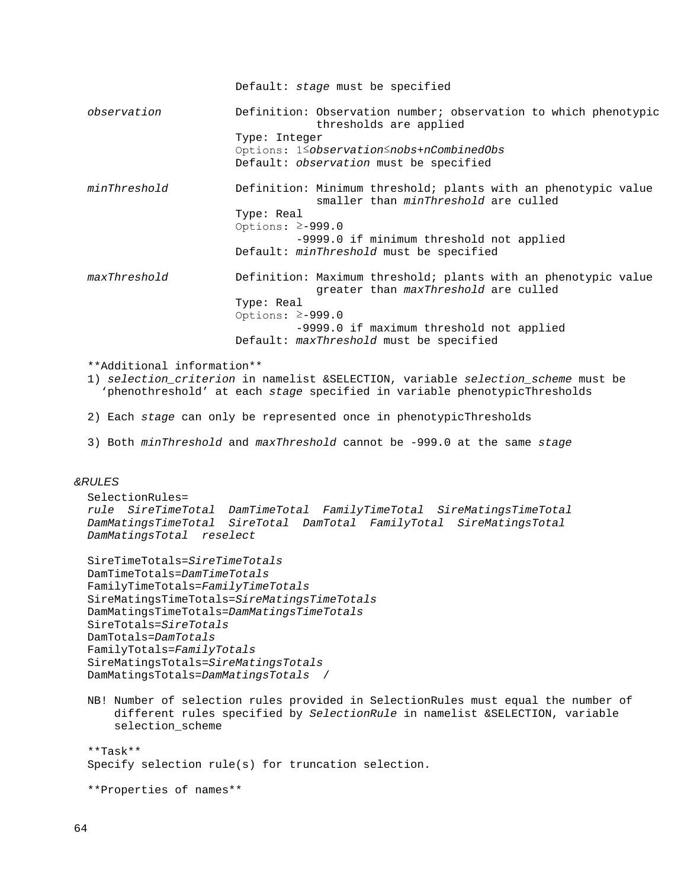Default: *stage* must be specified

 *observation* Definition: Observation number; observation to which phenotypic thresholds are applied Type: Integer Options: 1≤*observation*≤*nobs*+*nCombinedObs* Default: *observation* must be specified *minThreshold* Definition: Minimum threshold; plants with an phenotypic value smaller than *minThreshold* are culled Type: Real Options: ≥-999.0 -9999.0 if minimum threshold not applied Default: *minThreshold* must be specified *maxThreshold* Definition: Maximum threshold; plants with an phenotypic value greater than *maxThreshold* are culled Type: Real Options: ≥-999.0 -9999.0 if maximum threshold not applied Default: *maxThreshold* must be specified

\*\*Additional information\*\*

- 1) *selection\_criterion* in namelist &SELECTION, variable *selection\_scheme* must be 'phenothreshold' at each *stage* specified in variable phenotypicThresholds
- 2) Each *stage* can only be represented once in phenotypicThresholds
- 3) Both *minThreshold* and *maxThreshold* cannot be -999.0 at the same *stage*

# *&RULES*

```
 SelectionRules=
 rule SireTimeTotal DamTimeTotal FamilyTimeTotal SireMatingsTimeTotal 
 DamMatingsTimeTotal SireTotal DamTotal FamilyTotal SireMatingsTotal 
 DamMatingsTotal reselect
 SireTimeTotals=SireTimeTotals
```

```
 DamTimeTotals=DamTimeTotals
 FamilyTimeTotals=FamilyTimeTotals
 SireMatingsTimeTotals=SireMatingsTimeTotals
 DamMatingsTimeTotals=DamMatingsTimeTotals
 SireTotals=SireTotals
 DamTotals=DamTotals
 FamilyTotals=FamilyTotals
 SireMatingsTotals=SireMatingsTotals
 DamMatingsTotals=DamMatingsTotals /
```
 NB! Number of selection rules provided in SelectionRules must equal the number of different rules specified by *SelectionRule* in namelist &SELECTION, variable selection\_scheme

```
 **Task**
 Specify selection rule(s) for truncation selection.
```
\*\*Properties of names\*\*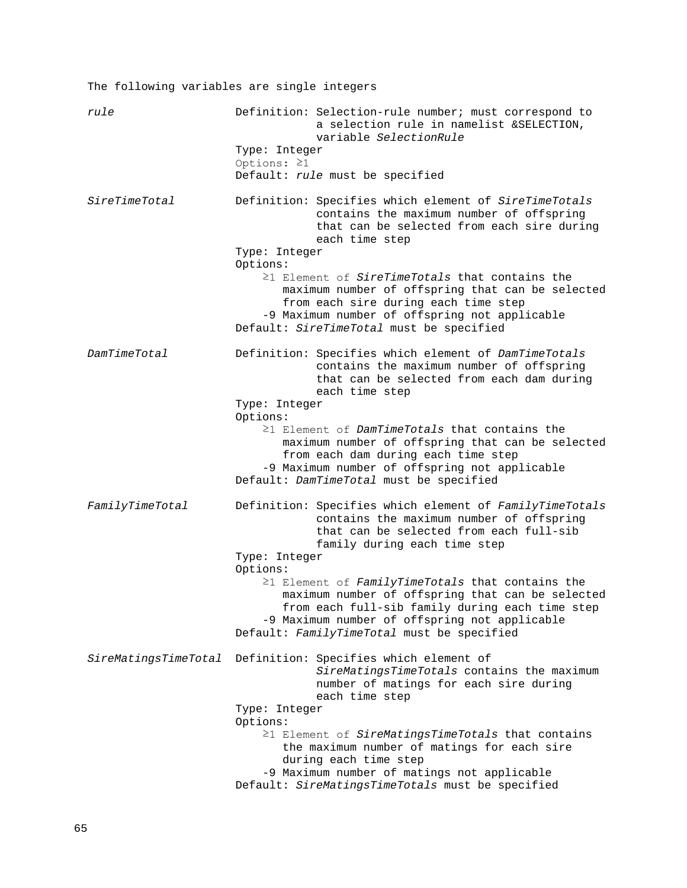The following variables are single integers *rule* **Definition:** Selection-rule number; must correspond to a selection rule in namelist &SELECTION, variable *SelectionRule* Type: Integer Options: ≥1 Default: *rule* must be specified *SireTimeTotal* Definition: Specifies which element of *SireTimeTotals* contains the maximum number of offspring that can be selected from each sire during each time step Type: Integer Options: ≥1 Element of *SireTimeTotals* that contains the maximum number of offspring that can be selected from each sire during each time step -9 Maximum number of offspring not applicable Default: *SireTimeTotal* must be specified *DamTimeTotal* Definition: Specifies which element of *DamTimeTotals* contains the maximum number of offspring that can be selected from each dam during each time step Type: Integer Options: ≥1 Element of *DamTimeTotals* that contains the maximum number of offspring that can be selected from each dam during each time step -9 Maximum number of offspring not applicable Default: *DamTimeTotal* must be specified *FamilyTimeTotal* Definition: Specifies which element of *FamilyTimeTotals* contains the maximum number of offspring that can be selected from each full-sib family during each time step Type: Integer Options: ≥1 Element of *FamilyTimeTotals* that contains the maximum number of offspring that can be selected from each full-sib family during each time step -9 Maximum number of offspring not applicable Default: *FamilyTimeTotal* must be specified *SireMatingsTimeTotal* Definition: Specifies which element of *SireMatingsTimeTotals* contains the maximum number of matings for each sire during each time step Type: Integer Options: ≥1 Element of *SireMatingsTimeTotals* that contains the maximum number of matings for each sire during each time step -9 Maximum number of matings not applicable Default: *SireMatingsTimeTotals* must be specified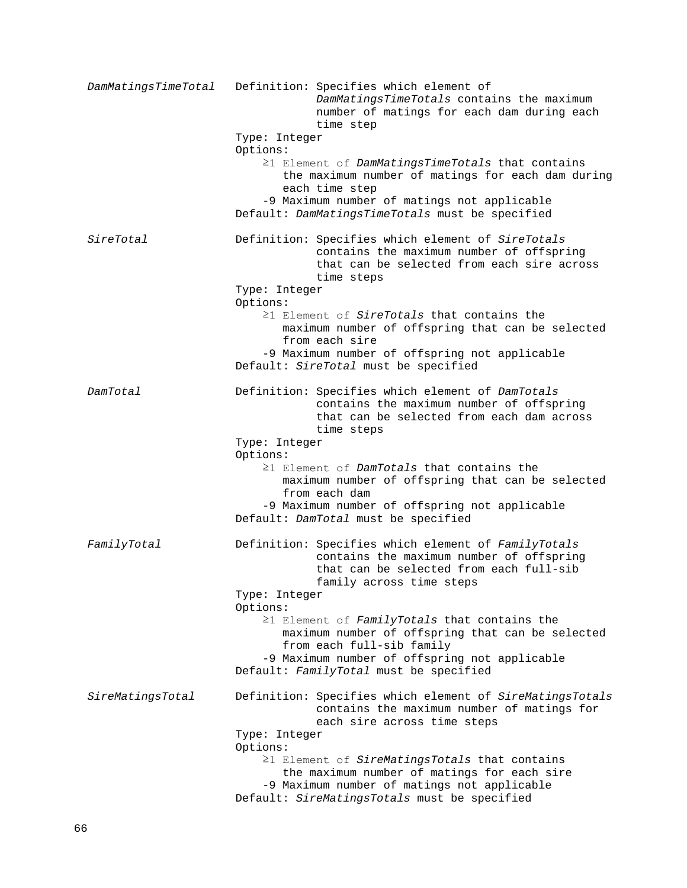*DamMatingsTimeTotal* Definition: Specifies which element of *DamMatingsTimeTotals* contains the maximum number of matings for each dam during each time step Type: Integer Options: ≥1 Element of *DamMatingsTimeTotals* that contains the maximum number of matings for each dam during each time step -9 Maximum number of matings not applicable Default: *DamMatingsTimeTotals* must be specified *SireTotal* Definition: Specifies which element of *SireTotals* contains the maximum number of offspring that can be selected from each sire across time steps Type: Integer Options: ≥1 Element of *SireTotals* that contains the maximum number of offspring that can be selected from each sire -9 Maximum number of offspring not applicable Default: *SireTotal* must be specified *DamTotal* Definition: Specifies which element of *DamTotals* contains the maximum number of offspring that can be selected from each dam across time steps Type: Integer Options: ≥1 Element of *DamTotals* that contains the maximum number of offspring that can be selected from each dam -9 Maximum number of offspring not applicable Default: *DamTotal* must be specified *FamilyTotal* Definition: Specifies which element of *FamilyTotals* contains the maximum number of offspring that can be selected from each full-sib family across time steps Type: Integer Options: ≥1 Element of *FamilyTotals* that contains the maximum number of offspring that can be selected from each full-sib family -9 Maximum number of offspring not applicable Default: *FamilyTotal* must be specified *SireMatingsTotal* Definition: Specifies which element of *SireMatingsTotals* contains the maximum number of matings for each sire across time steps Type: Integer Options: ≥1 Element of *SireMatingsTotals* that contains the maximum number of matings for each sire -9 Maximum number of matings not applicable Default: *SireMatingsTotals* must be specified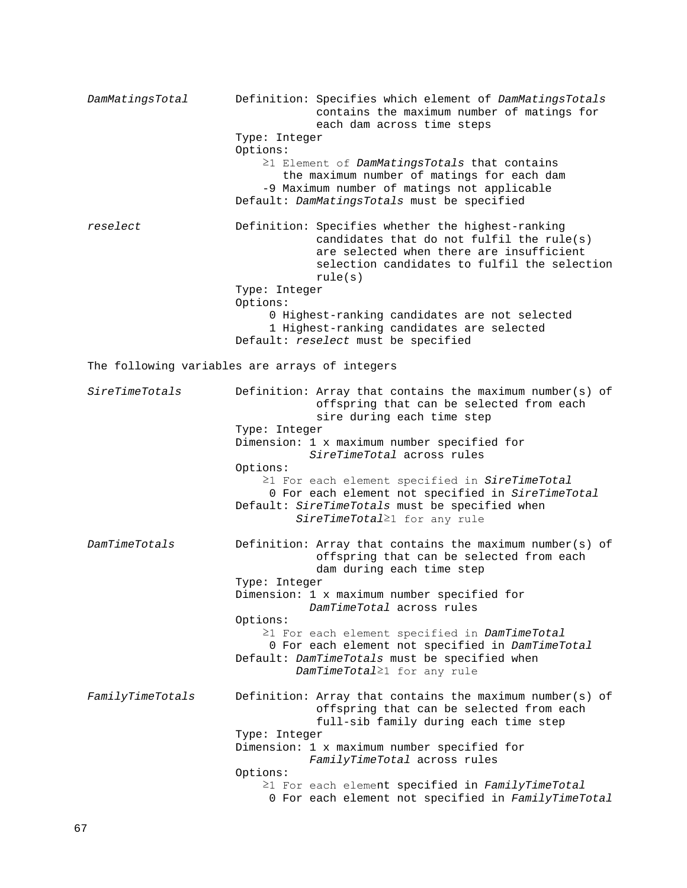*DamMatingsTotal* Definition: Specifies which element of *DamMatingsTotals* contains the maximum number of matings for each dam across time steps Type: Integer Options: ≥1 Element of *DamMatingsTotals* that contains the maximum number of matings for each dam -9 Maximum number of matings not applicable Default: *DamMatingsTotals* must be specified *reselect* Definition: Specifies whether the highest-ranking candidates that do not fulfil the rule(s) are selected when there are insufficient selection candidates to fulfil the selection rule(s) Type: Integer Options: 0 Highest-ranking candidates are not selected 1 Highest-ranking candidates are selected Default: *reselect* must be specified The following variables are arrays of integers *SireTimeTotals* Definition: Array that contains the maximum number(s) of offspring that can be selected from each sire during each time step Type: Integer Dimension: 1 x maximum number specified for *SireTimeTotal* across rules Options: ≥1 For each element specified in *SireTimeTotal* 0 For each element not specified in *SireTimeTotal* Default: *SireTimeTotals* must be specified when *SireTimeTotal*≥1 for any rule *DamTimeTotals* Definition: Array that contains the maximum number(s) of offspring that can be selected from each dam during each time step Type: Integer Dimension: 1 x maximum number specified for *DamTimeTotal* across rules Options: ≥1 For each element specified in *DamTimeTotal* 0 For each element not specified in *DamTimeTotal* Default: *DamTimeTotals* must be specified when *DamTimeTotal*≥1 for any rule *FamilyTimeTotals* Definition: Array that contains the maximum number(s) of offspring that can be selected from each full-sib family during each time step Type: Integer Dimension: 1 x maximum number specified for *FamilyTimeTotal* across rules Options: ≥1 For each element specified in *FamilyTimeTotal* 0 For each element not specified in *FamilyTimeTotal*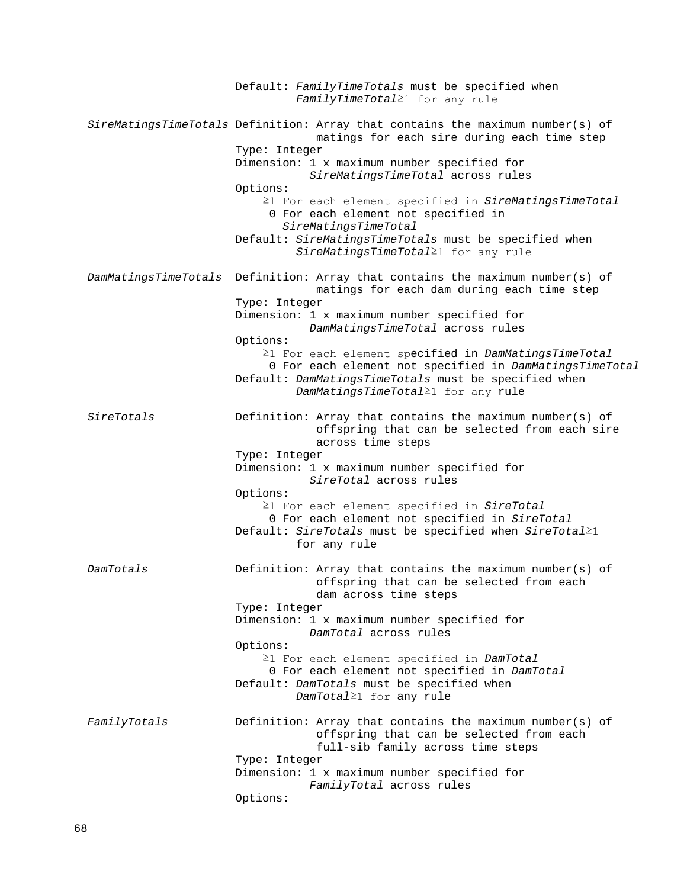Default: *FamilyTimeTotals* must be specified when *FamilyTimeTotal*≥1 for any rule *SireMatingsTimeTotals* Definition: Array that contains the maximum number(s) of matings for each sire during each time step Type: Integer Dimension: 1 x maximum number specified for *SireMatingsTimeTotal* across rules Options: ≥1 For each element specified in *SireMatingsTimeTotal* 0 For each element not specified in *SireMatingsTimeTotal* Default: *SireMatingsTimeTotals* must be specified when *SireMatingsTimeTotal*≥1 for any rule *DamMatingsTimeTotals* Definition: Array that contains the maximum number(s) of matings for each dam during each time step Type: Integer Dimension: 1 x maximum number specified for *DamMatingsTimeTotal* across rules Options: ≥1 For each element specified in *DamMatingsTimeTotal* 0 For each element not specified in *DamMatingsTimeTotal* Default: *DamMatingsTimeTotals* must be specified when *DamMatingsTimeTotal*≥1 for any rule *SireTotals* Definition: Array that contains the maximum number(s) of offspring that can be selected from each sire across time steps Type: Integer Dimension: 1 x maximum number specified for *SireTotal* across rules Options: ≥1 For each element specified in *SireTotal* 0 For each element not specified in *SireTotal* Default: *SireTotals* must be specified when *SireTotal*≥1 for any rule *DamTotals* Definition: Array that contains the maximum number(s) of offspring that can be selected from each dam across time steps Type: Integer Dimension: 1 x maximum number specified for *DamTotal* across rules Options: ≥1 For each element specified in *DamTotal* 0 For each element not specified in *DamTotal* Default: *DamTotals* must be specified when *DamTotal*≥1 for any rule *FamilyTotals* Definition: Array that contains the maximum number(s) of offspring that can be selected from each full-sib family across time steps Type: Integer Dimension: 1 x maximum number specified for *FamilyTotal* across rules Options: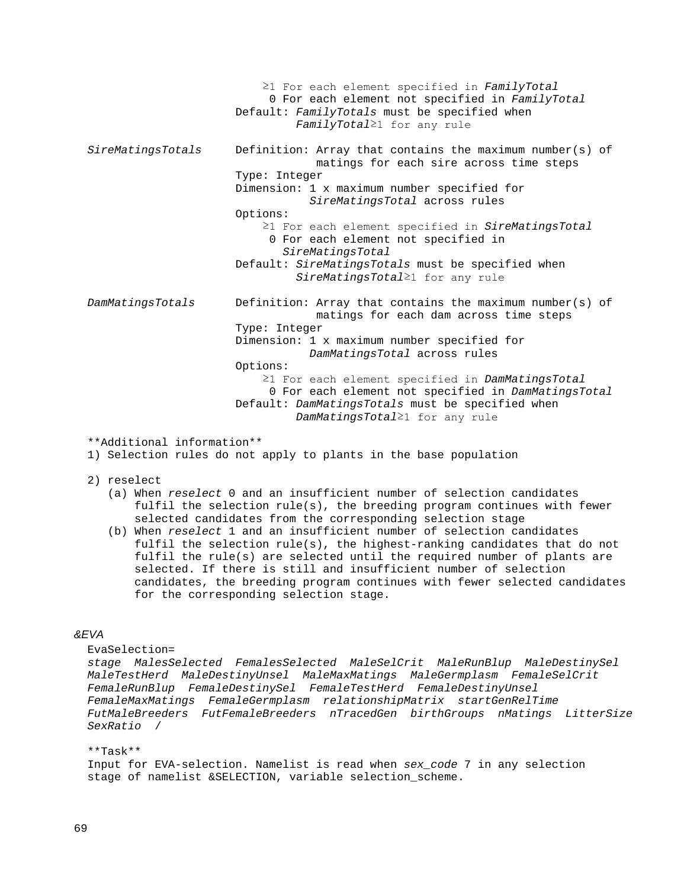≥1 For each element specified in *FamilyTotal* 0 For each element not specified in *FamilyTotal* Default: *FamilyTotals* must be specified when *FamilyTotal*≥1 for any rule *SireMatingsTotals* Definition: Array that contains the maximum number(s) of matings for each sire across time steps Type: Integer Dimension: 1 x maximum number specified for *SireMatingsTotal* across rules Options: ≥1 For each element specified in *SireMatingsTotal* 0 For each element not specified in *SireMatingsTotal* Default: *SireMatingsTotals* must be specified when *SireMatingsTotal*≥1 for any rule *DamMatingsTotals* Definition: Array that contains the maximum number(s) of matings for each dam across time steps Type: Integer Dimension: 1 x maximum number specified for *DamMatingsTotal* across rules Options: ≥1 For each element specified in *DamMatingsTotal* 0 For each element not specified in *DamMatingsTotal* Default: *DamMatingsTotals* must be specified when *DamMatingsTotal*≥1 for any rule

\*\*Additional information\*\*

1) Selection rules do not apply to plants in the base population

- 2) reselect
	- (a) When *reselect* 0 and an insufficient number of selection candidates fulfil the selection rule(s), the breeding program continues with fewer selected candidates from the corresponding selection stage
	- (b) When *reselect* 1 and an insufficient number of selection candidates fulfil the selection rule(s), the highest-ranking candidates that do not fulfil the rule(s) are selected until the required number of plants are selected. If there is still and insufficient number of selection candidates, the breeding program continues with fewer selected candidates for the corresponding selection stage.

### *&EVA*

```
 EvaSelection=
```
 *stage MalesSelected FemalesSelected MaleSelCrit MaleRunBlup MaleDestinySel MaleTestHerd MaleDestinyUnsel MaleMaxMatings MaleGermplasm FemaleSelCrit FemaleRunBlup FemaleDestinySel FemaleTestHerd FemaleDestinyUnsel FemaleMaxMatings FemaleGermplasm relationshipMatrix startGenRelTime FutMaleBreeders FutFemaleBreeders nTracedGen birthGroups nMatings LitterSize SexRatio* /

 \*\*Task\*\* Input for EVA-selection. Namelist is read when *sex\_code* 7 in any selection stage of namelist &SELECTION, variable selection\_scheme.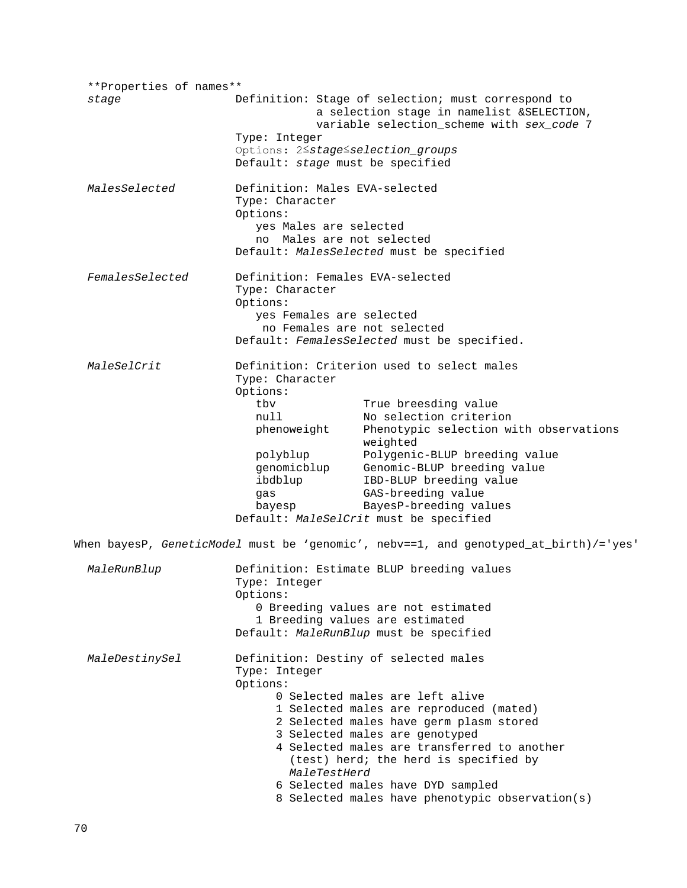\*\*Properties of names\*\* Definition: Stage of selection; must correspond to a selection stage in namelist &SELECTION, variable selection\_scheme with *sex\_code* 7 Type: Integer Options: 2≤*stage*≤*selection\_groups* Default: *stage* must be specified *MalesSelected* Definition: Males EVA-selected Type: Character Options: yes Males are selected no Males are not selected Default: *MalesSelected* must be specified *FemalesSelected* Definition: Females EVA-selected Type: Character Options: yes Females are selected no Females are not selected Default: *FemalesSelected* must be specified. *MaleSelCrit* Definition: Criterion used to select males Type: Character Options:<br>tby tbv True breesding value<br>
null No selection criteri null No selection criterion<br>phenoweight Phenotypic selection w Phenotypic selection with observations weighted<br>polyblup Polygenio polyblup Polygenic-BLUP breeding value<br>genomicblup Genomic-BLUP breeding value genomicblup Genomic-BLUP breeding value<br>ibdblup IBD-BLUP breeding value ibdblup IBD-BLUP breeding value<br>gas GAS-breeding value gas GAS-breeding value bayesp BayesP-breeding values Default: *MaleSelCrit* must be specified When bayesP, *GeneticModel* must be 'genomic', nebv==1, and genotyped\_at\_birth)/='yes' *MaleRunBlup* Definition: Estimate BLUP breeding values Type: Integer Options: 0 Breeding values are not estimated 1 Breeding values are estimated Default: *MaleRunBlup* must be specified *MaleDestinySel* Definition: Destiny of selected males Type: Integer Options: 0 Selected males are left alive 1 Selected males are reproduced (mated) 2 Selected males have germ plasm stored 3 Selected males are genotyped 4 Selected males are transferred to another (test) herd; the herd is specified by *MaleTestHerd* 6 Selected males have DYD sampled 8 Selected males have phenotypic observation(s)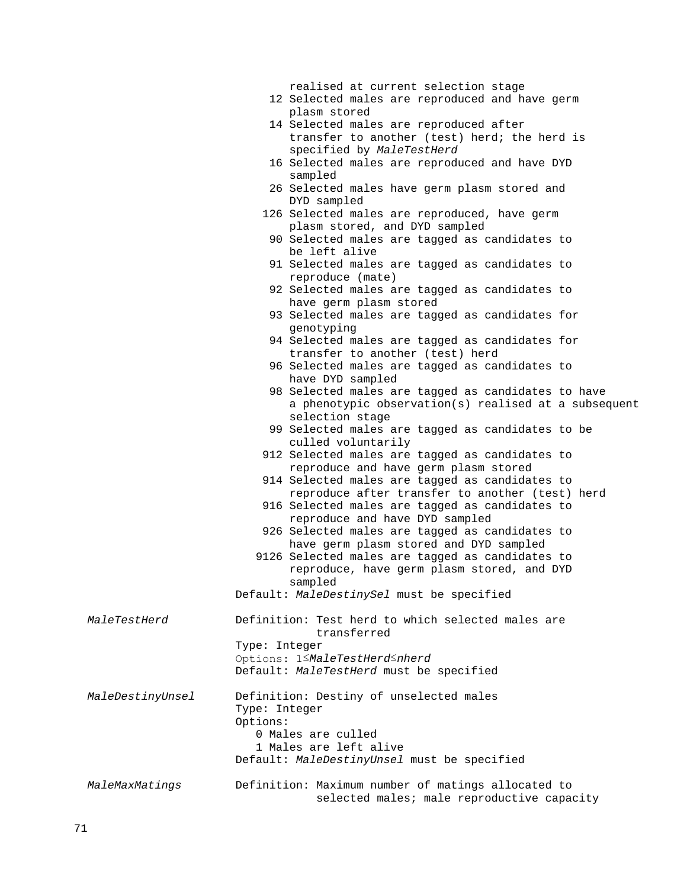|                  |               | realised at current selection stage                                               |
|------------------|---------------|-----------------------------------------------------------------------------------|
|                  |               | 12 Selected males are reproduced and have germ                                    |
|                  |               | plasm stored                                                                      |
|                  |               | 14 Selected males are reproduced after                                            |
|                  |               | transfer to another (test) herd; the herd is                                      |
|                  |               | specified by MaleTestHerd                                                         |
|                  |               | 16 Selected males are reproduced and have DYD                                     |
|                  |               | sampled                                                                           |
|                  |               | 26 Selected males have germ plasm stored and                                      |
|                  |               | DYD sampled                                                                       |
|                  |               | 126 Selected males are reproduced, have germ                                      |
|                  |               | plasm stored, and DYD sampled                                                     |
|                  |               | 90 Selected males are tagged as candidates to                                     |
|                  |               | be left alive                                                                     |
|                  |               | 91 Selected males are tagged as candidates to<br>reproduce (mate)                 |
|                  |               | 92 Selected males are tagged as candidates to<br>have germ plasm stored           |
|                  |               | 93 Selected males are tagged as candidates for<br>genotyping                      |
|                  |               | 94 Selected males are tagged as candidates for<br>transfer to another (test) herd |
|                  |               | 96 Selected males are tagged as candidates to                                     |
|                  |               | have DYD sampled                                                                  |
|                  |               | 98 Selected males are tagged as candidates to have                                |
|                  |               | a phenotypic observation(s) realised at a subsequent                              |
|                  |               | selection stage                                                                   |
|                  |               | 99 Selected males are tagged as candidates to be                                  |
|                  |               | culled voluntarily                                                                |
|                  |               | 912 Selected males are tagged as candidates to                                    |
|                  |               | reproduce and have germ plasm stored                                              |
|                  |               | 914 Selected males are tagged as candidates to                                    |
|                  |               | reproduce after transfer to another (test) herd                                   |
|                  |               | 916 Selected males are tagged as candidates to                                    |
|                  |               | reproduce and have DYD sampled                                                    |
|                  |               | 926 Selected males are tagged as candidates to                                    |
|                  |               | have germ plasm stored and DYD sampled                                            |
|                  |               | 9126 Selected males are tagged as candidates to                                   |
|                  |               | reproduce, have germ plasm stored, and DYD                                        |
|                  |               | sampled                                                                           |
|                  |               | Default: MaleDestinySel must be specified                                         |
| MaleTestHerd     |               | Definition: Test herd to which selected males are<br>transferred                  |
|                  | Type: Integer |                                                                                   |
|                  |               | Options: 1 <maletestherd<nherd< th=""></maletestherd<nherd<>                      |
|                  |               | Default: MaleTestHerd must be specified                                           |
|                  |               |                                                                                   |
| MaleDestinyUnsel |               | Definition: Destiny of unselected males                                           |
|                  | Type: Integer |                                                                                   |
|                  | Options:      |                                                                                   |
|                  |               | 0 Males are culled                                                                |
|                  |               | 1 Males are left alive                                                            |
|                  |               | Default: MaleDestinyUnsel must be specified                                       |
|                  |               |                                                                                   |
| MaleMaxMatings   |               | Definition: Maximum number of matings allocated to                                |
|                  |               | selected males; male reproductive capacity                                        |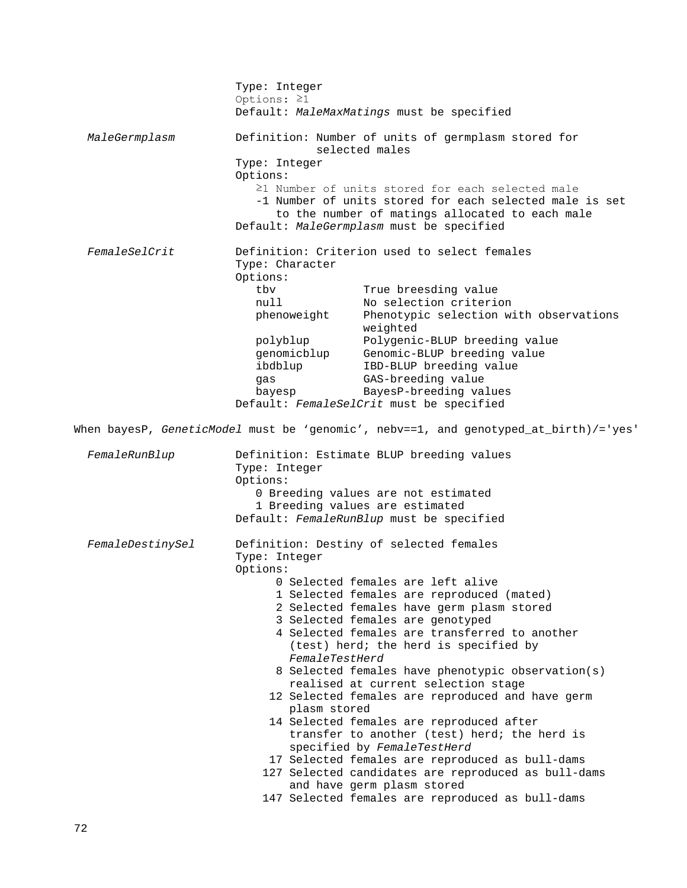Type: Integer Options: ≥1 Default: *MaleMaxMatings* must be specified *MaleGermplasm* Definition: Number of units of germplasm stored for selected males Type: Integer Options: ≥1 Number of units stored for each selected male -1 Number of units stored for each selected male is set to the number of matings allocated to each male Default: *MaleGermplasm* must be specified *FemaleSelCrit* Definition: Criterion used to select females Type: Character Options:<br>tbv tbv True breesding value<br>
null No selection criteri null No selection criterion<br>phenoweight Phenotypic selection w Phenotypic selection with observations weighted<br>polyblup Polygenio Polygenic-BLUP breeding value genomicblup Genomic-BLUP breeding value ibdblup IBD-BLUP breeding value<br>gas GAS-breeding value gas GAS-breeding value bayesp BayesP-breeding values Default: *FemaleSelCrit* must be specified When bayesP, *GeneticModel* must be 'genomic', nebv==1, and genotyped\_at\_birth)/='yes' *FemaleRunBlup* Definition: Estimate BLUP breeding values Type: Integer Options: 0 Breeding values are not estimated 1 Breeding values are estimated Default: *FemaleRunBlup* must be specified *FemaleDestinySel* Definition: Destiny of selected females Type: Integer Options: 0 Selected females are left alive 1 Selected females are reproduced (mated) 2 Selected females have germ plasm stored 3 Selected females are genotyped 4 Selected females are transferred to another (test) herd; the herd is specified by *FemaleTestHerd* 8 Selected females have phenotypic observation(s) realised at current selection stage 12 Selected females are reproduced and have germ plasm stored 14 Selected females are reproduced after transfer to another (test) herd; the herd is specified by *FemaleTestHerd* 17 Selected females are reproduced as bull-dams 127 Selected candidates are reproduced as bull-dams and have germ plasm stored 147 Selected females are reproduced as bull-dams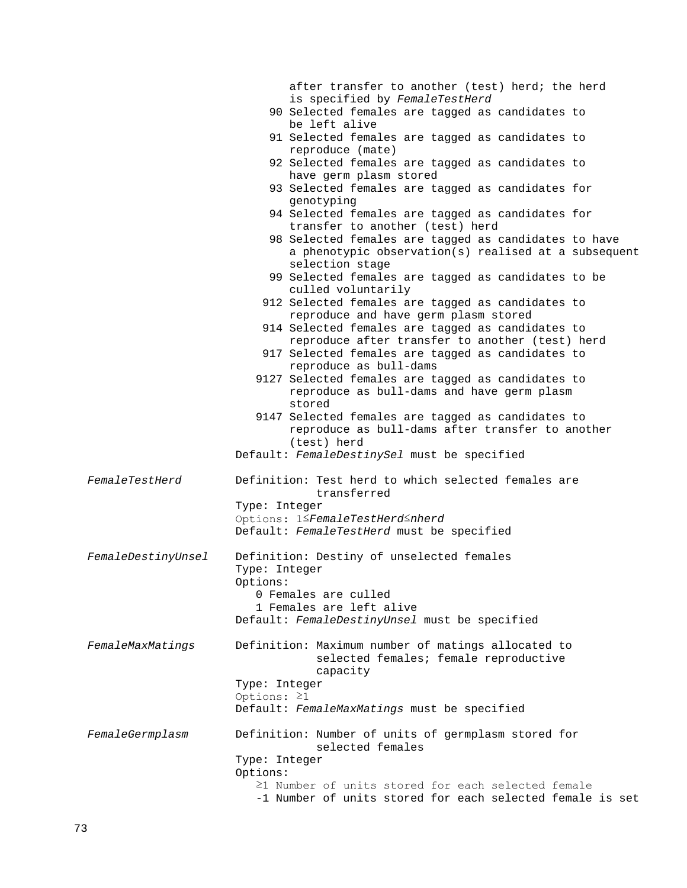|                    | after transfer to another (test) herd; the herd                          |
|--------------------|--------------------------------------------------------------------------|
|                    | is specified by FemaleTestHerd                                           |
|                    | 90 Selected females are tagged as candidates to                          |
|                    | be left alive                                                            |
|                    | 91 Selected females are tagged as candidates to                          |
|                    | reproduce (mate)                                                         |
|                    | 92 Selected females are tagged as candidates to                          |
|                    | have germ plasm stored                                                   |
|                    | 93 Selected females are tagged as candidates for                         |
|                    | genotyping                                                               |
|                    | 94 Selected females are tagged as candidates for                         |
|                    | transfer to another (test) herd                                          |
|                    | 98 Selected females are tagged as candidates to have                     |
|                    | a phenotypic observation(s) realised at a subsequent                     |
|                    | selection stage                                                          |
|                    | 99 Selected females are tagged as candidates to be<br>culled voluntarily |
|                    | 912 Selected females are tagged as candidates to                         |
|                    | reproduce and have germ plasm stored                                     |
|                    | 914 Selected females are tagged as candidates to                         |
|                    | reproduce after transfer to another (test) herd                          |
|                    | 917 Selected females are tagged as candidates to                         |
|                    | reproduce as bull-dams                                                   |
|                    | 9127 Selected females are tagged as candidates to                        |
|                    | reproduce as bull-dams and have germ plasm                               |
|                    | stored                                                                   |
|                    | 9147 Selected females are tagged as candidates to                        |
|                    | reproduce as bull-dams after transfer to another                         |
|                    | (test) herd                                                              |
|                    | Default: FemaleDestinySel must be specified                              |
| FemaleTestHerd     | Definition: Test herd to which selected females are                      |
|                    | transferred                                                              |
|                    | Type: Integer                                                            |
|                    | Options: 1 <sup>S</sup> FemaleTestHerd <sup>S</sup> nherd                |
|                    | Default: FemaleTestHerd must be specified                                |
|                    |                                                                          |
| FemaleDestinyUnsel | Definition: Destiny of unselected females                                |
|                    | Type: Integer                                                            |
|                    | Options:                                                                 |
|                    | 0 Females are culled                                                     |
|                    | 1 Females are left alive                                                 |
|                    | Default: FemaleDestinyUnsel must be specified                            |
|                    |                                                                          |
| FemaleMaxMatings   | Definition: Maximum number of matings allocated to                       |
|                    | selected females; female reproductive                                    |
|                    | capacity                                                                 |
|                    | Type: Integer                                                            |
|                    | Options: $\geq 1$                                                        |
|                    | Default: FemaleMaxMatings must be specified                              |
| FemaleGermplasm    | Definition: Number of units of germplasm stored for                      |
|                    | selected females                                                         |
|                    | Type: Integer                                                            |
|                    | Options:                                                                 |
|                    | $\geq$ 1 Number of units stored for each selected female                 |
|                    | -1 Number of units stored for each selected female is set                |
|                    |                                                                          |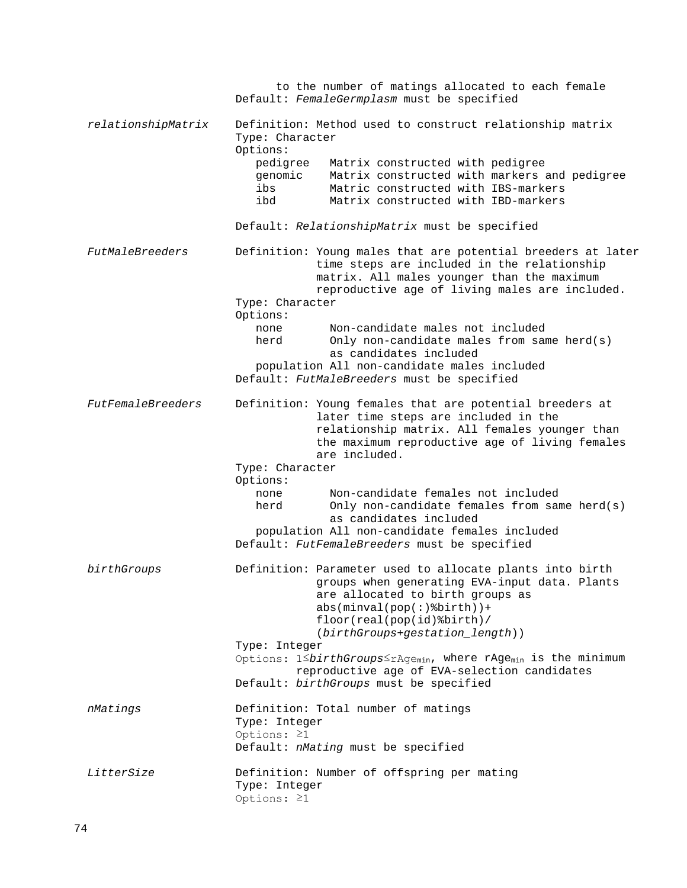to the number of matings allocated to each female Default: *FemaleGermplasm* must be specified *relationshipMatrix* Definition: Method used to construct relationship matrix Type: Character Options:<br>pedigree pedigree Matrix constructed with pedigree genomic Matrix constructed with markers and pedigree ibs Matric constructed with IBS-markers<br>ibd Matrix constructed with IBD-markers Matrix constructed with IBD-markers Default: *RelationshipMatrix* must be specified *FutMaleBreeders* Definition: Young males that are potential breeders at later time steps are included in the relationship matrix. All males younger than the maximum reproductive age of living males are included. Type: Character Options: none Mon-candidate males not included<br>herd Only non-candidate males from sam Only non-candidate males from same  $herd(s)$  as candidates included population All non-candidate males included Default: *FutMaleBreeders* must be specified *FutFemaleBreeders* Definition: Young females that are potential breeders at later time steps are included in the relationship matrix. All females younger than the maximum reproductive age of living females are included. Type: Character Options: none Mon-candidate females not included<br>herd Only non-candidate females from sam Only non-candidate females from same  $herd(s)$  as candidates included population All non-candidate females included Default: *FutFemaleBreeders* must be specified *birthGroups* Definition: Parameter used to allocate plants into birth groups when generating EVA-input data. Plants are allocated to birth groups as abs(minval(pop(:)%birth))+ floor(real(pop(id)%birth)/ (*birthGroups*+*gestation\_length*)) Type: Integer Options: 1≤*birthGroups*≤rAge<sub>min</sub>, where rAge<sub>min</sub> is the minimum reproductive age of EVA-selection candidates Default: *birthGroups* must be specified *nMatings* Definition: Total number of matings Type: Integer Options: ≥1 Default: *nMating* must be specified *LitterSize* Definition: Number of offspring per mating Type: Integer Options: ≥1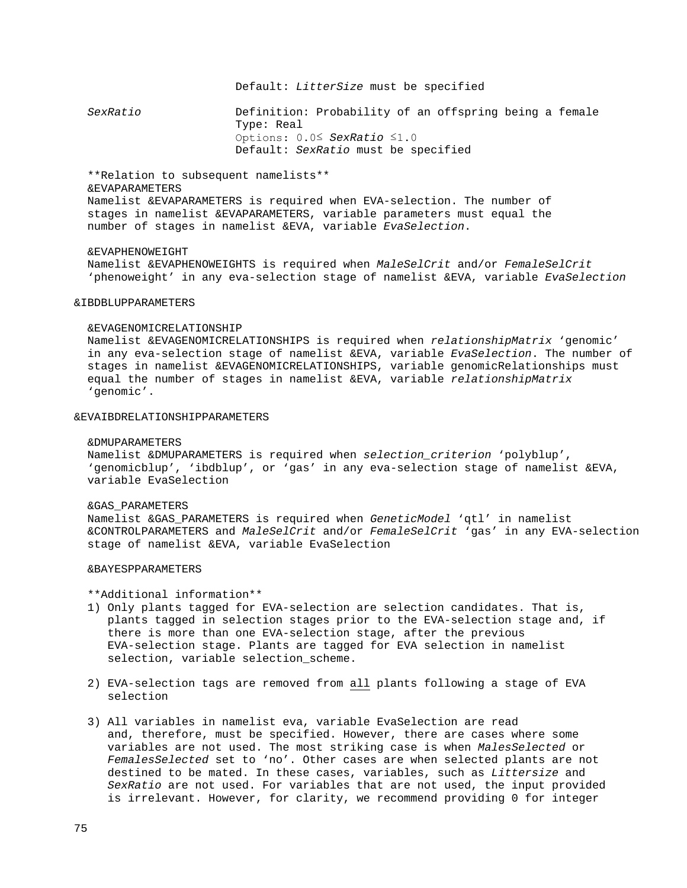### Default: *LitterSize* must be specified

 *SexRatio* Definition: Probability of an offspring being a female Type: Real Options: 0.0≤ *SexRatio* ≤1.0 Default: *SexRatio* must be specified

 \*\*Relation to subsequent namelists\*\* &EVAPARAMETERS Namelist &EVAPARAMETERS is required when EVA-selection. The number of stages in namelist &EVAPARAMETERS, variable parameters must equal the number of stages in namelist &EVA, variable *EvaSelection*.

#### &EVAPHENOWEIGHT

 Namelist &EVAPHENOWEIGHTS is required when *MaleSelCrit* and/or *FemaleSelCrit* 'phenoweight' in any eva-selection stage of namelist &EVA, variable *EvaSelection*

## &IBDBLUPPARAMETERS

#### &EVAGENOMICRELATIONSHIP

 Namelist &EVAGENOMICRELATIONSHIPS is required when *relationshipMatrix* 'genomic' in any eva-selection stage of namelist &EVA, variable *EvaSelection*. The number of stages in namelist &EVAGENOMICRELATIONSHIPS, variable genomicRelationships must equal the number of stages in namelist &EVA, variable *relationshipMatrix* 'genomic'.

#### &EVAIBDRELATIONSHIPPARAMETERS

### &DMUPARAMETERS

 Namelist &DMUPARAMETERS is required when *selection\_criterion* 'polyblup', 'genomicblup', 'ibdblup', or 'gas' in any eva-selection stage of namelist &EVA, variable EvaSelection

#### &GAS\_PARAMETERS

 Namelist &GAS\_PARAMETERS is required when *GeneticModel* 'qtl' in namelist &CONTROLPARAMETERS and *MaleSelCrit* and/or *FemaleSelCrit* 'gas' in any EVA-selection stage of namelist &EVA, variable EvaSelection

### &BAYESPPARAMETERS

\*\*Additional information\*\*

- 1) Only plants tagged for EVA-selection are selection candidates. That is, plants tagged in selection stages prior to the EVA-selection stage and, if there is more than one EVA-selection stage, after the previous EVA-selection stage. Plants are tagged for EVA selection in namelist selection, variable selection\_scheme.
- 2) EVA-selection tags are removed from all plants following a stage of EVA selection
- 3) All variables in namelist eva, variable EvaSelection are read and, therefore, must be specified. However, there are cases where some variables are not used. The most striking case is when *MalesSelected* or *FemalesSelected* set to 'no'. Other cases are when selected plants are not destined to be mated. In these cases, variables, such as *Littersize* and  *SexRatio* are not used. For variables that are not used, the input provided is irrelevant. However, for clarity, we recommend providing 0 for integer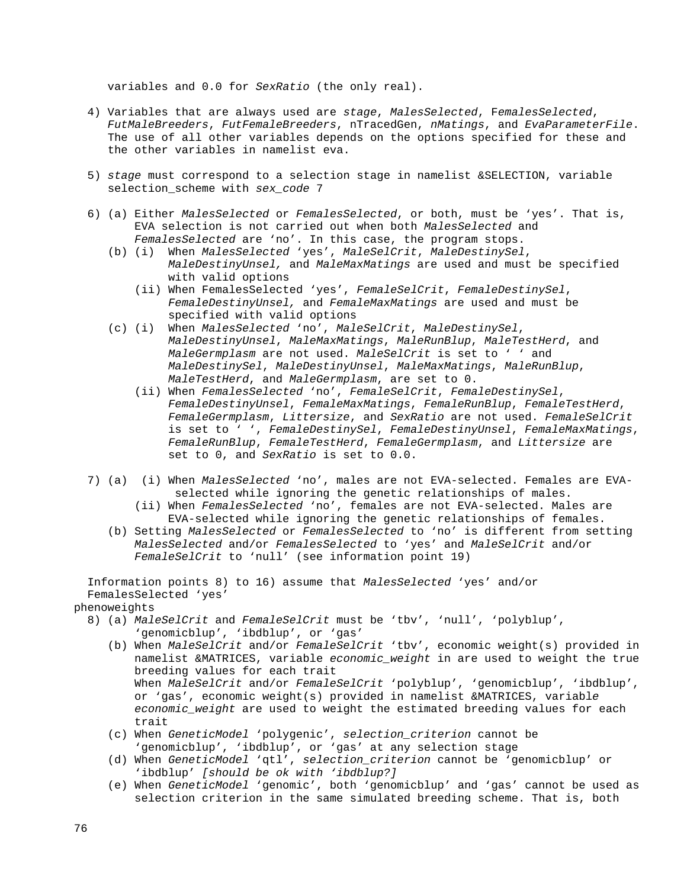variables and 0.0 for *SexRatio* (the only real).

- 4) Variables that are always used are *stage*, *MalesSelected*, F*emalesSelected*, *FutMaleBreeders*, *FutFemaleBreeders*, nTracedGen, *nMatings*, and *EvaParameterFile*. The use of all other variables depends on the options specified for these and the other variables in namelist eva.
- 5) *stage* must correspond to a selection stage in namelist &SELECTION, variable selection\_scheme with *sex\_code* 7
- 6) (a) Either *MalesSelected* or *FemalesSelected*, or both, must be 'yes'. That is, EVA selection is not carried out when both *MalesSelected* and *FemalesSelected* are 'no'. In this case, the program stops.
	- (b) (i) When *MalesSelected* 'yes', *MaleSelCrit*, *MaleDestinySel*, *MaleDestinyUnsel,* and *MaleMaxMatings* are used and must be specified with valid options
		- (ii) When FemalesSelected 'yes', *FemaleSelCrit*, *FemaleDestinySel*, *FemaleDestinyUnsel,* and *FemaleMaxMatings* are used and must be specified with valid options
	- (c) (i) When *MalesSelected* 'no', *MaleSelCrit*, *MaleDestinySel*, *MaleDestinyUnsel*, *MaleMaxMatings*, *MaleRunBlup*, *MaleTestHerd*, and *MaleGermplasm* are not used. *MaleSelCrit* is set to ' ' and *MaleDestinySel*, *MaleDestinyUnsel*, *MaleMaxMatings*, *MaleRunBlup*, *MaleTestHerd*, and *MaleGermplasm*, are set to 0.
		- (ii) When *FemalesSelected* 'no', *FemaleSelCrit*, *FemaleDestinySel*, *FemaleDestinyUnsel*, *FemaleMaxMatings*, *FemaleRunBlup*, *FemaleTestHerd*, *FemaleGermplasm*, *Littersize*, and *SexRatio* are not used. *FemaleSelCrit* is set to ' ', *FemaleDestinySel*, *FemaleDestinyUnsel*, *FemaleMaxMatings*, *FemaleRunBlup*, *FemaleTestHerd*, *FemaleGermplasm*, and *Littersize* are set to 0, and *SexRatio* is set to 0.0.
- 7) (a) (i) When *MalesSelected* 'no', males are not EVA-selected. Females are EVA selected while ignoring the genetic relationships of males.
	- (ii) When *FemalesSelected* 'no', females are not EVA-selected. Males are EVA-selected while ignoring the genetic relationships of females.
	- (b) Setting *MalesSelected* or *FemalesSelected* to 'no' is different from setting *MalesSelected* and/or *FemalesSelected* to 'yes' and *MaleSelCrit* and/or *FemaleSelCrit* to 'null' (see information point 19)

 Information points 8) to 16) assume that *MalesSelected* 'yes' and/or FemalesSelected 'yes'

phenoweights

- 8) (a) *MaleSelCrit* and *FemaleSelCrit* must be 'tbv', 'null', 'polyblup', 'genomicblup', 'ibdblup', or 'gas'
	- (b) When *MaleSelCrit* and/or *FemaleSelCrit* 'tbv', economic weight(s) provided in namelist &MATRICES, variable *economic\_weight* in are used to weight the true breeding values for each trait When *MaleSelCrit* and/or *FemaleSelCrit* 'polyblup', 'genomicblup', 'ibdblup', or 'gas', economic weight(s) provided in namelist &MATRICES, variabl*e economic\_weight* are used to weight the estimated breeding values for each trait
	- (c) When *GeneticModel* 'polygenic', *selection\_criterion* cannot be 'genomicblup', 'ibdblup', or 'gas' at any selection stage
	- (d) When *GeneticModel* 'qtl', *selection\_criterion* cannot be 'genomicblup' or 'ibdblup' *[should be ok with 'ibdblup?]*
	- (e) When *GeneticModel* 'genomic', both 'genomicblup' and 'gas' cannot be used as selection criterion in the same simulated breeding scheme. That is, both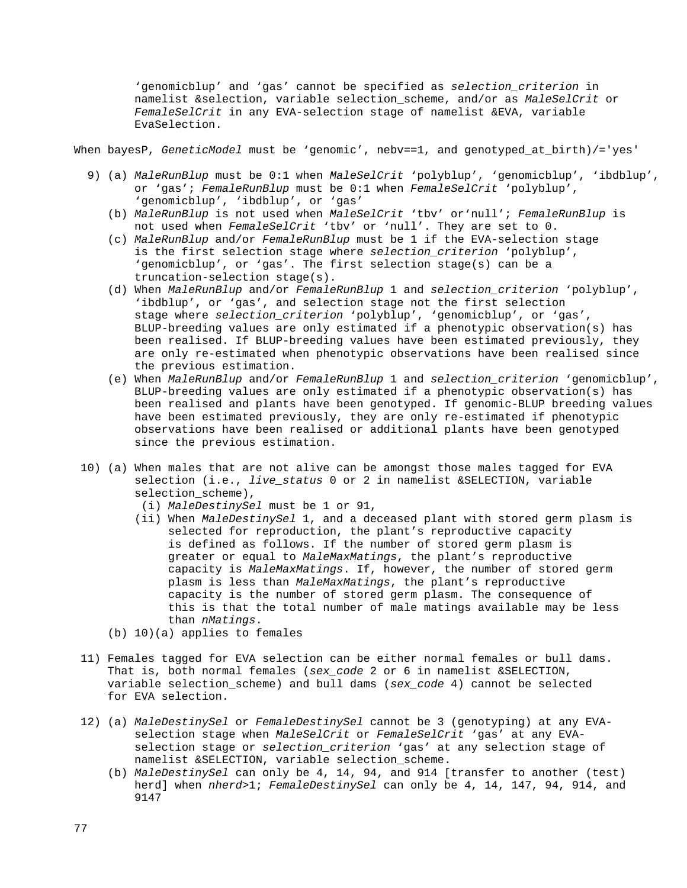'genomicblup' and 'gas' cannot be specified as *selection\_criterion* in namelist &selection, variable selection\_scheme, and/or as *MaleSelCrit* or *FemaleSelCrit* in any EVA-selection stage of namelist &EVA, variable EvaSelection.

When bayesP, *GeneticModel* must be 'qenomic', nebv==1, and qenotyped at birth)/='yes'

- 9) (a) *MaleRunBlup* must be 0:1 when *MaleSelCrit* 'polyblup', 'genomicblup', 'ibdblup', or 'gas'; *FemaleRunBlup* must be 0:1 when *FemaleSelCrit* 'polyblup', 'genomicblup', 'ibdblup', or 'gas'
	- (b) *MaleRunBlup* is not used when *MaleSelCrit* 'tbv' or'null'; *FemaleRunBlup* is not used when *FemaleSelCrit* 'tbv' or 'null'. They are set to 0.
	- (c) *MaleRunBlup* and/or *FemaleRunBlup* must be 1 if the EVA-selection stage is the first selection stage where *selection\_criterion* 'polyblup', 'genomicblup', or 'gas'. The first selection stage(s) can be a truncation-selection stage(s).
	- (d) When *MaleRunBlup* and/or *FemaleRunBlup* 1 and *selection\_criterion* 'polyblup', 'ibdblup', or 'gas', and selection stage not the first selection stage where *selection\_criterion* 'polyblup', 'genomicblup', or 'gas', BLUP-breeding values are only estimated if a phenotypic observation(s) has been realised. If BLUP-breeding values have been estimated previously, they are only re-estimated when phenotypic observations have been realised since the previous estimation.
	- (e) When *MaleRunBlup* and/or *FemaleRunBlup* 1 and *selection\_criterion* 'genomicblup', BLUP-breeding values are only estimated if a phenotypic observation(s) has been realised and plants have been genotyped. If genomic-BLUP breeding values have been estimated previously, they are only re-estimated if phenotypic observations have been realised or additional plants have been genotyped since the previous estimation.
- 10) (a) When males that are not alive can be amongst those males tagged for EVA selection (i.e., *live\_status* 0 or 2 in namelist &SELECTION, variable selection\_scheme),
	- (i) *MaleDestinySel* must be 1 or 91,
	- (ii) When *MaleDestinySel* 1, and a deceased plant with stored germ plasm is selected for reproduction, the plant's reproductive capacity is defined as follows. If the number of stored germ plasm is greater or equal to *MaleMaxMatings*, the plant's reproductive capacity is *MaleMaxMatings*. If, however, the number of stored germ plasm is less than *MaleMaxMatings*, the plant's reproductive capacity is the number of stored germ plasm. The consequence of this is that the total number of male matings available may be less than *nMatings*.
	- (b) 10)(a) applies to females
- 11) Females tagged for EVA selection can be either normal females or bull dams. That is, both normal females (*sex\_code* 2 or 6 in namelist &SELECTION, variable selection\_scheme) and bull dams (*sex\_code* 4) cannot be selected for EVA selection.
- 12) (a) *MaleDestinySel* or *FemaleDestinySel* cannot be 3 (genotyping) at any EVA selection stage when *MaleSelCrit* or *FemaleSelCrit* 'gas' at any EVA selection stage or *selection\_criterion* 'gas' at any selection stage of namelist &SELECTION, variable selection\_scheme.
	- (b) *MaleDestinySel* can only be 4, 14, 94, and 914 [transfer to another (test) herd] when *nherd*>1; *FemaleDestinySel* can only be 4, 14, 147, 94, 914, and 9147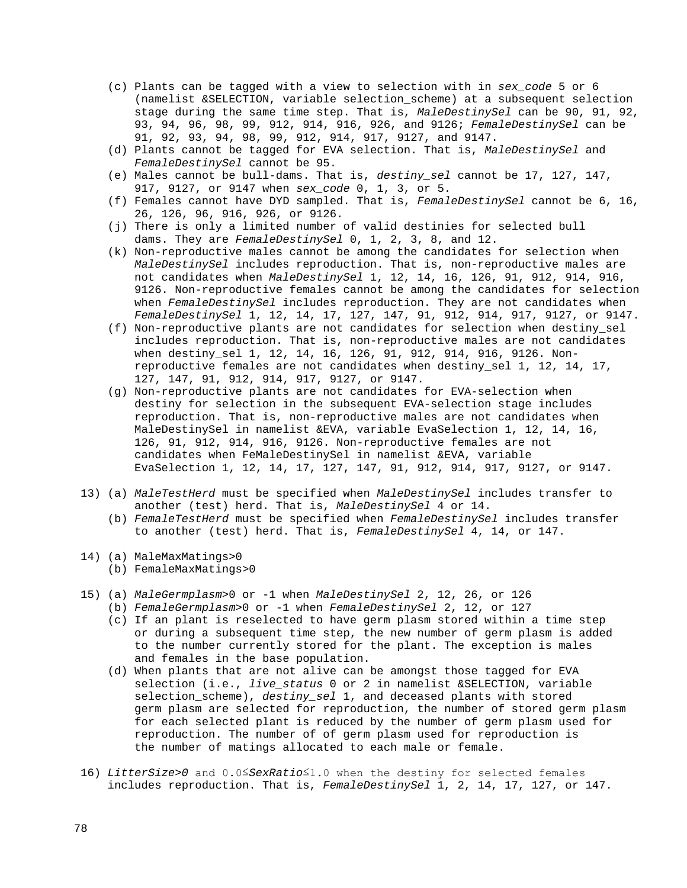- (c) Plants can be tagged with a view to selection with in *sex\_code* 5 or 6 (namelist &SELECTION, variable selection\_scheme) at a subsequent selection stage during the same time step. That is, *MaleDestinySel* can be 90, 91, 92, 93, 94, 96, 98, 99, 912, 914, 916, 926, and 9126; *FemaleDestinySel* can be 91, 92, 93, 94, 98, 99, 912, 914, 917, 9127, and 9147.
- (d) Plants cannot be tagged for EVA selection. That is, *MaleDestinySel* and *FemaleDestinySel* cannot be 95.
- (e) Males cannot be bull-dams. That is, *destiny\_sel* cannot be 17, 127, 147, 917, 9127, or 9147 when *sex\_code* 0, 1, 3, or 5.
- (f) Females cannot have DYD sampled. That is, *FemaleDestinySel* cannot be 6, 16, 26, 126, 96, 916, 926, or 9126.
- (j) There is only a limited number of valid destinies for selected bull dams. They are *FemaleDestinySel* 0, 1, 2, 3, 8, and 12.
- (k) Non-reproductive males cannot be among the candidates for selection when *MaleDestinySel* includes reproduction. That is, non-reproductive males are not candidates when *MaleDestinySel* 1, 12, 14, 16, 126, 91, 912, 914, 916, 9126. Non-reproductive females cannot be among the candidates for selection when *FemaleDestinySel* includes reproduction. They are not candidates when *FemaleDestinySel* 1, 12, 14, 17, 127, 147, 91, 912, 914, 917, 9127, or 9147.
- (f) Non-reproductive plants are not candidates for selection when destiny\_sel includes reproduction. That is, non-reproductive males are not candidates when destiny\_sel 1, 12, 14, 16, 126, 91, 912, 914, 916, 9126. Non reproductive females are not candidates when destiny\_sel 1, 12, 14, 17, 127, 147, 91, 912, 914, 917, 9127, or 9147.
- (g) Non-reproductive plants are not candidates for EVA-selection when destiny for selection in the subsequent EVA-selection stage includes reproduction. That is, non-reproductive males are not candidates when MaleDestinySel in namelist &EVA, variable EvaSelection 1, 12, 14, 16, 126, 91, 912, 914, 916, 9126. Non-reproductive females are not candidates when FeMaleDestinySel in namelist &EVA, variable EvaSelection 1, 12, 14, 17, 127, 147, 91, 912, 914, 917, 9127, or 9147.
- 13) (a) *MaleTestHerd* must be specified when *MaleDestinySel* includes transfer to another (test) herd. That is, *MaleDestinySel* 4 or 14.
	- (b) *FemaleTestHerd* must be specified when *FemaleDestinySel* includes transfer to another (test) herd. That is, *FemaleDestinySel* 4, 14, or 147.
- 14) (a) MaleMaxMatings>0
	- (b) FemaleMaxMatings>0
- 15) (a) *MaleGermplasm*>0 or -1 when *MaleDestinySel* 2, 12, 26, or 126
	- (b) *FemaleGermplasm*>0 or -1 when *FemaleDestinySel* 2, 12, or 127
		- (c) If an plant is reselected to have germ plasm stored within a time step or during a subsequent time step, the new number of germ plasm is added to the number currently stored for the plant. The exception is males and females in the base population.
		- (d) When plants that are not alive can be amongst those tagged for EVA selection (i.e., *live\_status* 0 or 2 in namelist &SELECTION, variable selection\_scheme), *destiny\_sel* 1, and deceased plants with stored germ plasm are selected for reproduction, the number of stored germ plasm for each selected plant is reduced by the number of germ plasm used for reproduction. The number of of germ plasm used for reproduction is the number of matings allocated to each male or female.
- 16) *LitterSize>0* and 0.0≤*SexRatio*≤1.0 when the destiny for selected females includes reproduction. That is, *FemaleDestinySel* 1, 2, 14, 17, 127, or 147.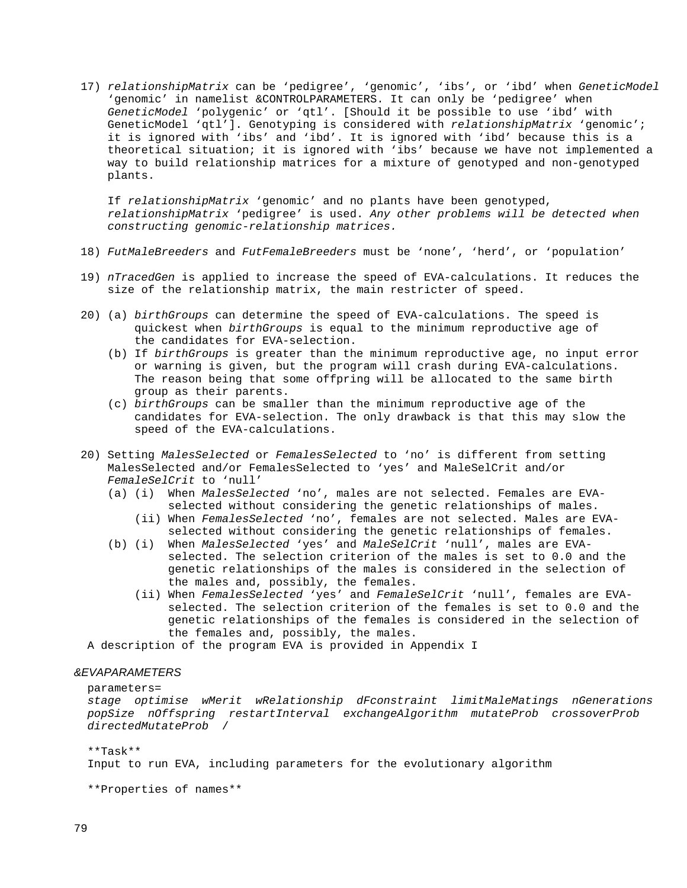17) *relationshipMatrix* can be 'pedigree', 'genomic', 'ibs', or 'ibd' when *GeneticModel* 'genomic' in namelist &CONTROLPARAMETERS. It can only be 'pedigree' when *GeneticModel* 'polygenic' or 'qtl'. [Should it be possible to use 'ibd' with GeneticModel 'qtl']. Genotyping is considered with *relationshipMatrix* 'genomic'; it is ignored with 'ibs' and 'ibd'. It is ignored with 'ibd' because this is a theoretical situation; it is ignored with 'ibs' because we have not implemented a way to build relationship matrices for a mixture of genotyped and non-genotyped plants.

 If *relationshipMatrix* 'genomic' and no plants have been genotyped, *relationshipMatrix* 'pedigree' is used. *Any other problems will be detected when constructing genomic-relationship matrices.*

- 18) *FutMaleBreeders* and *FutFemaleBreeders* must be 'none', 'herd', or 'population'
- 19) *nTracedGen* is applied to increase the speed of EVA-calculations. It reduces the size of the relationship matrix, the main restricter of speed.
- 20) (a) *birthGroups* can determine the speed of EVA-calculations. The speed is quickest when *birthGroups* is equal to the minimum reproductive age of the candidates for EVA-selection.
	- (b) If *birthGroups* is greater than the minimum reproductive age, no input error or warning is given, but the program will crash during EVA-calculations. The reason being that some offpring will be allocated to the same birth group as their parents.
	- (c) *birthGroups* can be smaller than the minimum reproductive age of the candidates for EVA-selection. The only drawback is that this may slow the speed of the EVA-calculations.
- 20) Setting *MalesSelected* or *FemalesSelected* to 'no' is different from setting MalesSelected and/or FemalesSelected to 'yes' and MaleSelCrit and/or *FemaleSelCrit* to 'null'
	- (a) (i) When *MalesSelected* 'no', males are not selected. Females are EVA selected without considering the genetic relationships of males.
		- (ii) When *FemalesSelected* 'no', females are not selected. Males are EVA selected without considering the genetic relationships of females.
	- (b) (i) When *MalesSelected* 'yes' and *MaleSelCrit* 'null', males are EVA selected. The selection criterion of the males is set to 0.0 and the genetic relationships of the males is considered in the selection of the males and, possibly, the females.
		- (ii) When *FemalesSelected* 'yes' and *FemaleSelCrit* 'null', females are EVA selected. The selection criterion of the females is set to 0.0 and the genetic relationships of the females is considered in the selection of the females and, possibly, the males.
- A description of the program EVA is provided in Appendix I

# *&EVAPARAMETERS*

#### parameters=

 *stage optimise wMerit wRelationship dFconstraint limitMaleMatings nGenerations popSize nOffspring restartInterval exchangeAlgorithm mutateProb crossoverProb directedMutateProb* /

 \*\*Task\*\* Input to run EVA, including parameters for the evolutionary algorithm

\*\*Properties of names\*\*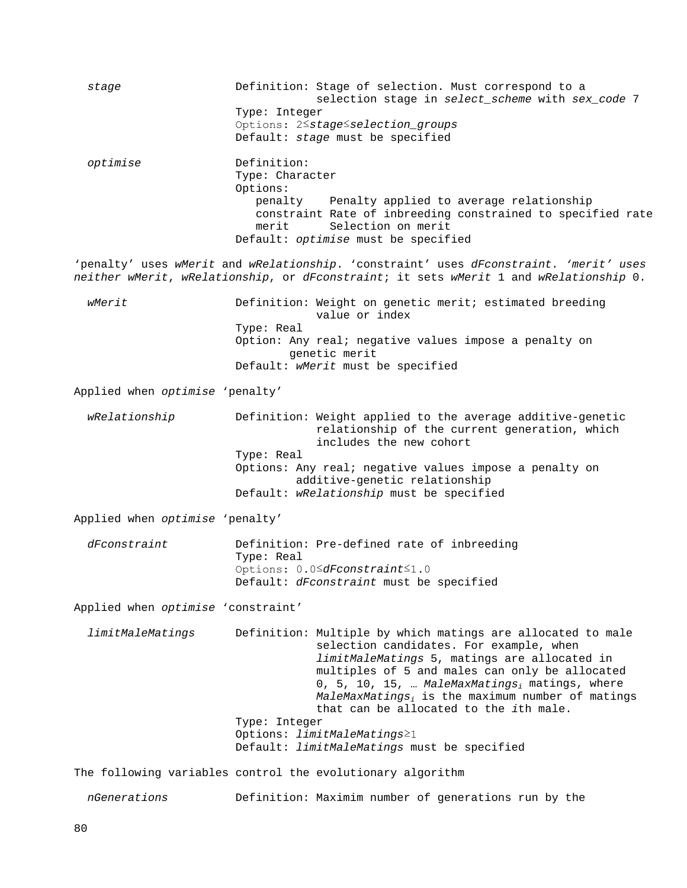*stage* Definition: Stage of selection. Must correspond to a selection stage in *select\_scheme* with *sex\_code* 7 Type: Integer Options: 2≤*stage*≤*selection\_groups* Default: *stage* must be specified *optimise* Definition: Type: Character Options:<br>penalty Penalty applied to average relationship constraint Rate of inbreeding constrained to specified rate merit Selection on merit Default: *optimise* must be specified 'penalty' uses *wMerit* and *wRelationship*. 'constraint' uses *dFconstraint. 'merit' uses neither wMerit*, *wRelationship*, or *dFconstraint*; it sets *wMerit* 1 and *wRelationship* 0. *wMerit* **Definition:** Weight on genetic merit; estimated breeding value or index Type: Real Option: Any real; negative values impose a penalty on genetic merit Default: *wMerit* must be specified Applied when *optimise* 'penalty' *wRelationship* Definition: Weight applied to the average additive-genetic relationship of the current generation, which includes the new cohort Type: Real Options: Any real; negative values impose a penalty on additive-genetic relationship Default: *wRelationship* must be specified Applied when *optimise* 'penalty' *dFconstraint* Definition: Pre-defined rate of inbreeding Type: Real Options: 0.0≤*dFconstraint*≤1.0 Default: *dFconstraint* must be specified Applied when *optimise* 'constraint' *limitMaleMatings* Definition: Multiple by which matings are allocated to male selection candidates. For example, when *limitMaleMatings* 5, matings are allocated in multiples of 5 and males can only be allocated 0, 5, 10, 15, … *MaleMaxMatingsi* matings, where *MaleMaxMatingsi* is the maximum number of matings that can be allocated to the *i*th male. Type: Integer Options: *limitMaleMatings*≥1 Default: *limitMaleMatings* must be specified The following variables control the evolutionary algorithm *nGenerations* Definition: Maximim number of generations run by the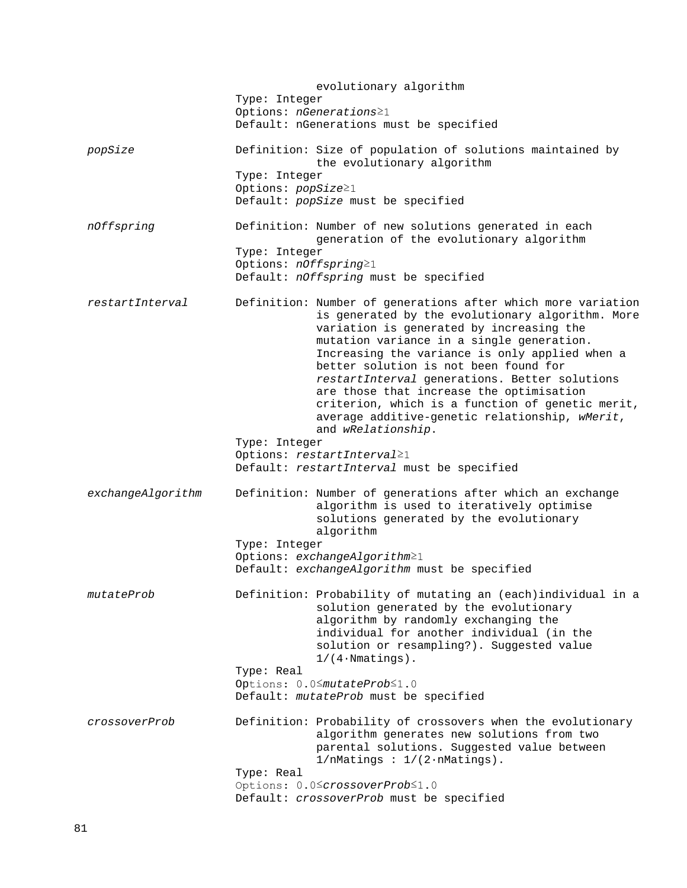evolutionary algorithm Type: Integer Options: *nGenerations*≥1 Default: nGenerations must be specified *popSize* Definition: Size of population of solutions maintained by the evolutionary algorithm Type: Integer Options: *popSize*≥1 Default: *popSize* must be specified *nOffspring* Definition: Number of new solutions generated in each generation of the evolutionary algorithm Type: Integer Options: *nOffspring*≥1 Default: *nOffspring* must be specified *restartInterval* Definition: Number of generations after which more variation is generated by the evolutionary algorithm. More variation is generated by increasing the mutation variance in a single generation. Increasing the variance is only applied when a better solution is not been found for *restartInterval* generations. Better solutions are those that increase the optimisation criterion, which is a function of genetic merit, average additive-genetic relationship, *wMerit*, and *wRelationship*. Type: Integer Options: *restartInterval*≥1 Default: *restartInterval* must be specified *exchangeAlgorithm* Definition: Number of generations after which an exchange algorithm is used to iteratively optimise solutions generated by the evolutionary algorithm Type: Integer Options: *exchangeAlgorithm*≥1 Default: *exchangeAlgorithm* must be specified *mutateProb* Definition: Probability of mutating an (each)individual in a solution generated by the evolutionary algorithm by randomly exchanging the individual for another individual (in the solution or resampling?). Suggested value  $1/(4 \cdot N$ matings). Type: Real Options: 0.0≤*mutateProb*≤1.0 Default: *mutateProb* must be specified *crossoverProb* Definition: Probability of crossovers when the evolutionary algorithm generates new solutions from two parental solutions. Suggested value between  $1/n$ Matings :  $1/(2 \cdot n)$ Matings). Type: Real Options: 0.0≤*crossoverProb*≤1.0 Default: *crossoverProb* must be specified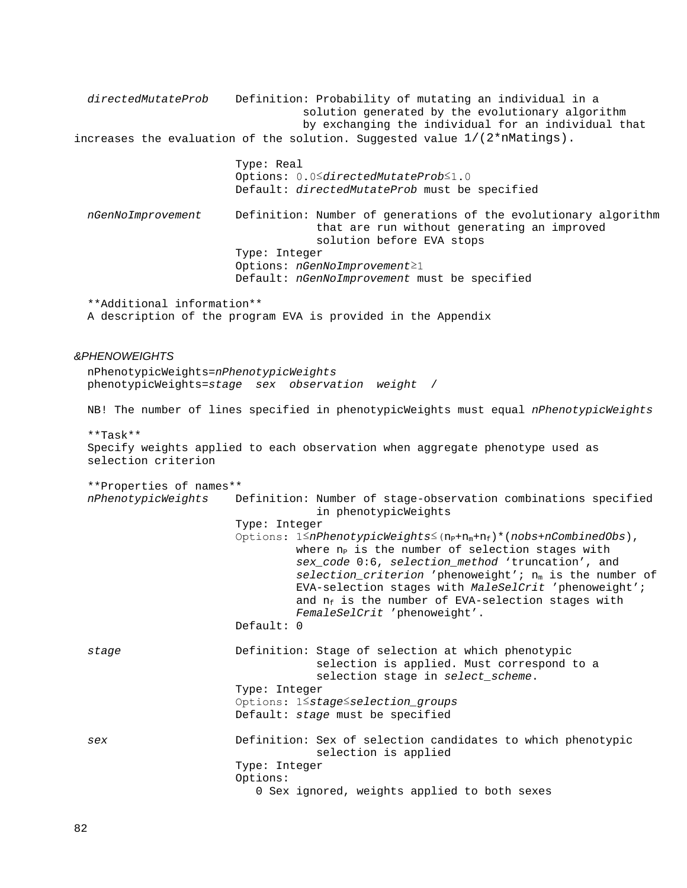*directedMutateProb* Definition: Probability of mutating an individual in a solution generated by the evolutionary algorithm by exchanging the individual for an individual that increases the evaluation of the solution. Suggested value  $1/(2<sup>*</sup> nMatrix)$ . Type: Real Options: 0.0≤*directedMutateProb*≤1.0 Default: *directedMutateProb* must be specified *nGenNoImprovement* Definition: Number of generations of the evolutionary algorithm that are run without generating an improved solution before EVA stops Type: Integer Options: *nGenNoImprovement*≥1 Default: *nGenNoImprovement* must be specified \*\*Additional information\*\* A description of the program EVA is provided in the Appendix *&PHENOWEIGHTS* nPhenotypicWeights=*nPhenotypicWeights* phenotypicWeights=*stage sex observation weight* / NB! The number of lines specified in phenotypicWeights must equal *nPhenotypicWeights* \*\*Task\*\* Specify weights applied to each observation when aggregate phenotype used as selection criterion \*\*Properties of names\*\* *nPhenotypicWeights* Definition: Number of stage-observation combinations specified in phenotypicWeights Type: Integer Options: 1≤*nPhenotypicWeights*≤(nP+nm+nf)\*(*nobs*+*nCombinedObs*), where  $n_P$  is the number of selection stages with *sex\_code* 0:6, *selection\_method* 'truncation', and selection\_criterion 'phenoweight'; n<sub>m</sub> is the number of EVA-selection stages with *MaleSelCrit* 'phenoweight'; and  $n_f$  is the number of EVA-selection stages with *FemaleSelCrit* 'phenoweight'. Default: 0 *stage* Definition: Stage of selection at which phenotypic selection is applied. Must correspond to a selection stage in *select\_scheme*. Type: Integer Options: 1≤*stage*≤*selection\_groups* Default: *stage* must be specified *sex* Definition: Sex of selection candidates to which phenotypic selection is applied Type: Integer Options: 0 Sex ignored, weights applied to both sexes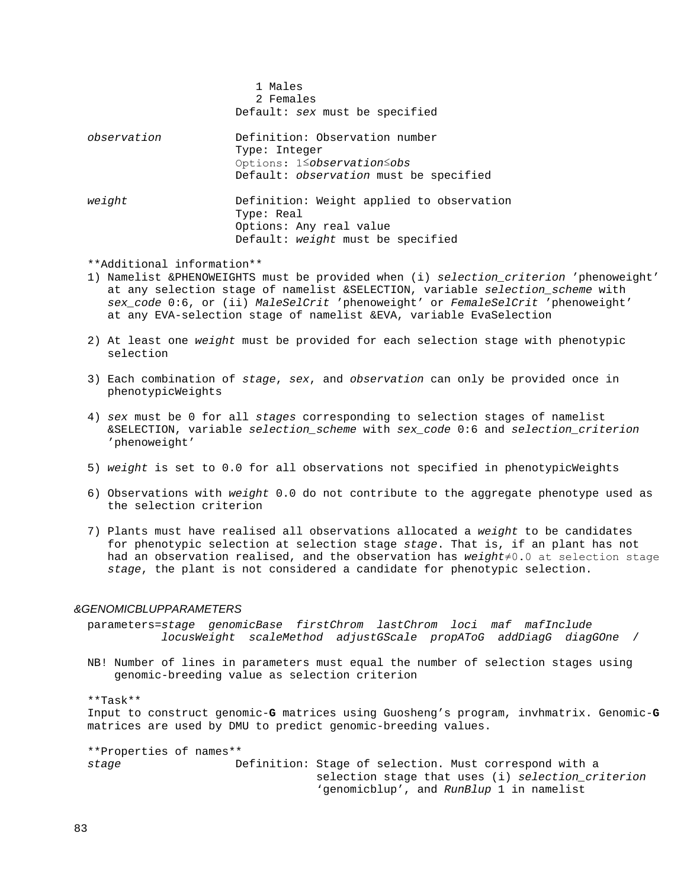|             | 1 Males<br>2 Females<br>Default: sex must be specified                                                                    |
|-------------|---------------------------------------------------------------------------------------------------------------------------|
| observation | Definition: Observation number<br>Type: Integer<br>Options: 1 Sobservation Sobs<br>Default: observation must be specified |
| weight      | Definition: Weight applied to observation<br>Type: Real<br>Options: Any real value<br>Default: weight must be specified   |

\*\*Additional information\*\*

- 1) Namelist &PHENOWEIGHTS must be provided when (i) *selection\_criterion* 'phenoweight' at any selection stage of namelist &SELECTION, variable *selection\_scheme* with *sex\_code* 0:6, or (ii) *MaleSelCrit* 'phenoweight' or *FemaleSelCrit* 'phenoweight' at any EVA-selection stage of namelist &EVA, variable EvaSelection
- 2) At least one *weight* must be provided for each selection stage with phenotypic selection
- 3) Each combination of *stage*, *sex*, and *observation* can only be provided once in phenotypicWeights
- 4) *sex* must be 0 for all *stages* corresponding to selection stages of namelist &SELECTION, variable *selection\_scheme* with *sex\_code* 0:6 and *selection\_criterion* 'phenoweight'
- 5) *weight* is set to 0.0 for all observations not specified in phenotypicWeights
- 6) Observations with *weight* 0.0 do not contribute to the aggregate phenotype used as the selection criterion
- 7) Plants must have realised all observations allocated a *weight* to be candidates for phenotypic selection at selection stage *stage*. That is, if an plant has not had an observation realised, and the observation has *weight*≠0.0 at selection stage *stage*, the plant is not considered a candidate for phenotypic selection.

### *&GENOMICBLUPPARAMETERS*

 parameters=*stage genomicBase firstChrom lastChrom loci maf mafInclude locusWeight scaleMethod adjustGScale propAToG addDiagG diagGOne* /

 NB! Number of lines in parameters must equal the number of selection stages using genomic-breeding value as selection criterion

#### \*\*Task\*\*

 Input to construct genomic-**G** matrices using Guosheng's program, invhmatrix. Genomic-**G** matrices are used by DMU to predict genomic-breeding values.

 \*\*Properties of names\*\* *stage* Definition: Stage of selection. Must correspond with a selection stage that uses (i) *selection\_criterion* 'genomicblup', and *RunBlup* 1 in namelist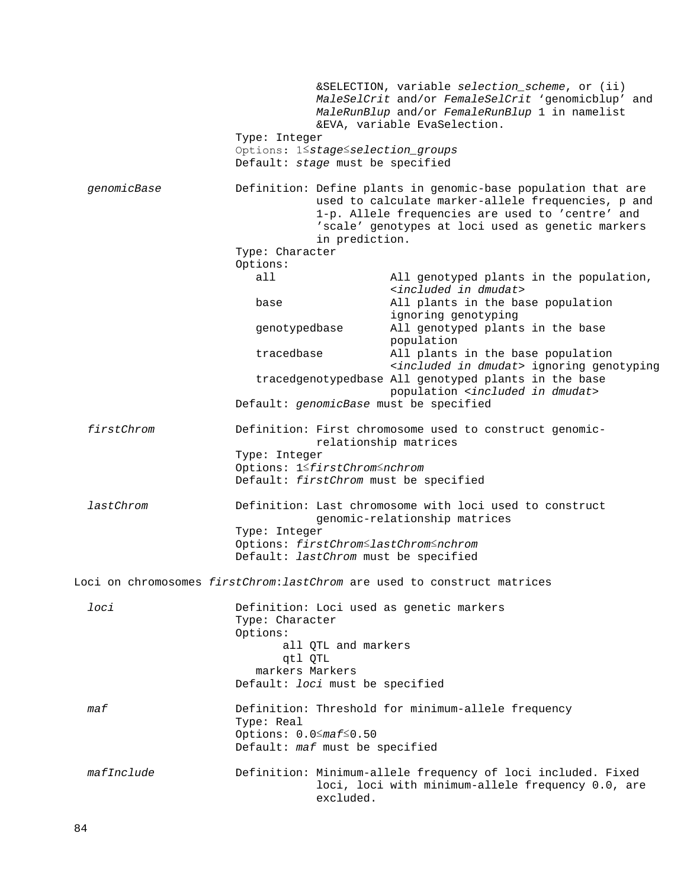|             | Type: Integer<br>Options: 1 Stage Selection groups<br>Default: stage must be specified | &SELECTION, variable selection_scheme, or (ii)<br>MaleSelCrit and/or FemaleSelCrit 'genomicblup' and<br>MaleRunBlup and/or FemaleRunBlup 1 in namelist<br>&EVA, variable EvaSelection.                                       |
|-------------|----------------------------------------------------------------------------------------|------------------------------------------------------------------------------------------------------------------------------------------------------------------------------------------------------------------------------|
| genomicBase |                                                                                        | Definition: Define plants in genomic-base population that are<br>used to calculate marker-allele frequencies, p and<br>1-p. Allele frequencies are used to 'centre' and<br>'scale' genotypes at loci used as genetic markers |
|             | in prediction.                                                                         |                                                                                                                                                                                                                              |
|             | Type: Character                                                                        |                                                                                                                                                                                                                              |
|             | Options:<br>all                                                                        |                                                                                                                                                                                                                              |
|             |                                                                                        | All genotyped plants in the population,<br><included dmudat="" in=""></included>                                                                                                                                             |
|             | base                                                                                   | All plants in the base population                                                                                                                                                                                            |
|             |                                                                                        | ignoring genotyping<br>All genotyped plants in the base                                                                                                                                                                      |
|             | genotypedbase                                                                          | population                                                                                                                                                                                                                   |
|             | tracedbase                                                                             | All plants in the base population                                                                                                                                                                                            |
|             |                                                                                        | <included dmudat="" in=""> ignoring genotyping</included>                                                                                                                                                                    |
|             |                                                                                        | tracedgenotypedbase All genotyped plants in the base<br>population <included dmudat="" in=""></included>                                                                                                                     |
|             | Default: genomicBase must be specified                                                 |                                                                                                                                                                                                                              |
| firstChrom  | Type: Integer<br>Options: 1≤firstChrom≤nchrom<br>Default: firstChrom must be specified | Definition: First chromosome used to construct genomic-<br>relationship matrices                                                                                                                                             |
| lastChrom   | Type: Integer                                                                          | Definition: Last chromosome with loci used to construct<br>genomic-relationship matrices                                                                                                                                     |
|             | Options: firstChrom SlastChrom Snchrom<br>Default: lastChrom must be specified         |                                                                                                                                                                                                                              |
|             |                                                                                        |                                                                                                                                                                                                                              |
|             |                                                                                        | Loci on chromosomes firstChrom: lastChrom are used to construct matrices                                                                                                                                                     |
| loci        |                                                                                        | Definition: Loci used as genetic markers                                                                                                                                                                                     |
|             | Type: Character                                                                        |                                                                                                                                                                                                                              |
|             | Options:                                                                               |                                                                                                                                                                                                                              |
|             | all QTL and markers                                                                    |                                                                                                                                                                                                                              |
|             | qtl QTL<br>markers Markers                                                             |                                                                                                                                                                                                                              |
|             | Default: loci must be specified                                                        |                                                                                                                                                                                                                              |
| maf         |                                                                                        | Definition: Threshold for minimum-allele frequency                                                                                                                                                                           |
|             | Type: Real                                                                             |                                                                                                                                                                                                                              |
|             | Options: $0.0 \leq maf \leq 0.50$                                                      |                                                                                                                                                                                                                              |
|             | Default: maf must be specified                                                         |                                                                                                                                                                                                                              |
| mafInclude  | excluded.                                                                              | Definition: Minimum-allele frequency of loci included. Fixed<br>loci, loci with minimum-allele frequency 0.0, are                                                                                                            |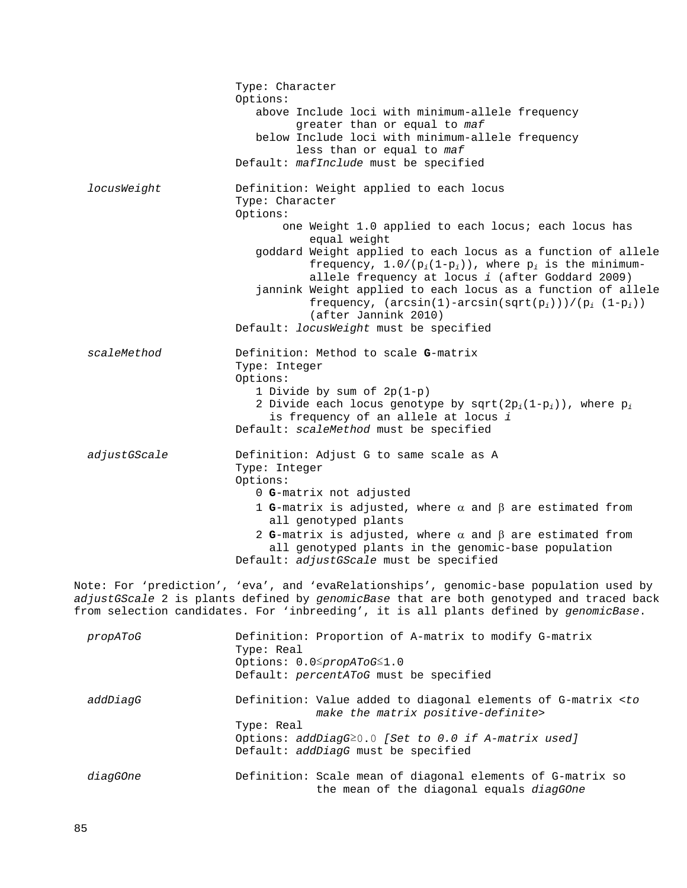|                                                                                                                                                                                                                                                                            | Type: Character<br>Options:<br>above Include loci with minimum-allele frequency<br>greater than or equal to maf<br>below Include loci with minimum-allele frequency<br>less than or equal to maf<br>Default: mafInclude must be specified                                                                                                                                                                                                                                                                                                          |  |
|----------------------------------------------------------------------------------------------------------------------------------------------------------------------------------------------------------------------------------------------------------------------------|----------------------------------------------------------------------------------------------------------------------------------------------------------------------------------------------------------------------------------------------------------------------------------------------------------------------------------------------------------------------------------------------------------------------------------------------------------------------------------------------------------------------------------------------------|--|
| locusWeight                                                                                                                                                                                                                                                                | Definition: Weight applied to each locus<br>Type: Character<br>Options:<br>one Weight 1.0 applied to each locus; each locus has<br>equal weight<br>goddard Weight applied to each locus as a function of allele<br>frequency, $1.0/(p_i(1-p_i))$ , where $p_i$ is the minimum-<br>allele frequency at locus i (after Goddard 2009)<br>jannink Weight applied to each locus as a function of allele<br>frequency, $(\arcsin(1) - \arcsin(\sqrt{sqrt}(p_i)))/(\sqrt{p_i} (1-p_i))$<br>(after Jannink 2010)<br>Default: locusWeight must be specified |  |
| scaleMethod                                                                                                                                                                                                                                                                | Definition: Method to scale G-matrix<br>Type: Integer<br>Options:<br>1 Divide by sum of $2p(1-p)$<br>2 Divide each locus genotype by sqrt(2p <sub>i</sub> (1-p <sub>i</sub> )), where $p_i$<br>is frequency of an allele at locus i<br>Default: scaleMethod must be specified                                                                                                                                                                                                                                                                      |  |
| adjustGScale                                                                                                                                                                                                                                                               | Definition: Adjust G to same scale as A<br>Type: Integer<br>Options:<br>0 G-matrix not adjusted<br>1 G-matrix is adjusted, where $\alpha$ and $\beta$ are estimated from<br>all genotyped plants<br>2 G-matrix is adjusted, where $\alpha$ and $\beta$ are estimated from<br>all genotyped plants in the genomic-base population<br>Default: adjustGScale must be specified                                                                                                                                                                        |  |
| Note: For 'prediction', 'eva', and 'evaRelationships', genomic-base population used by<br>adjustGScale 2 is plants defined by genomicBase that are both genotyped and traced back<br>from selection candidates. For 'inbreeding', it is all plants defined by genomicBase. |                                                                                                                                                                                                                                                                                                                                                                                                                                                                                                                                                    |  |

| propAToG | Definition: Proportion of A-matrix to modify G-matrix<br>Type: Real<br>Options: 0.0≤propAToG≤1.0<br>Default: percentAToG must be specified                                                                                   |
|----------|------------------------------------------------------------------------------------------------------------------------------------------------------------------------------------------------------------------------------|
| addDiaqG | Definition: Value added to diagonal elements of G-matrix <to<br>make the matrix positive-definite&gt;<br/>Type: Real<br/>Options: addDiagG20.0 [Set to 0.0 if A-matrix used]<br/>Default: addDiagG must be specified</to<br> |
| diagGOne | Definition: Scale mean of diagonal elements of G-matrix so<br>the mean of the diagonal equals diagGOne                                                                                                                       |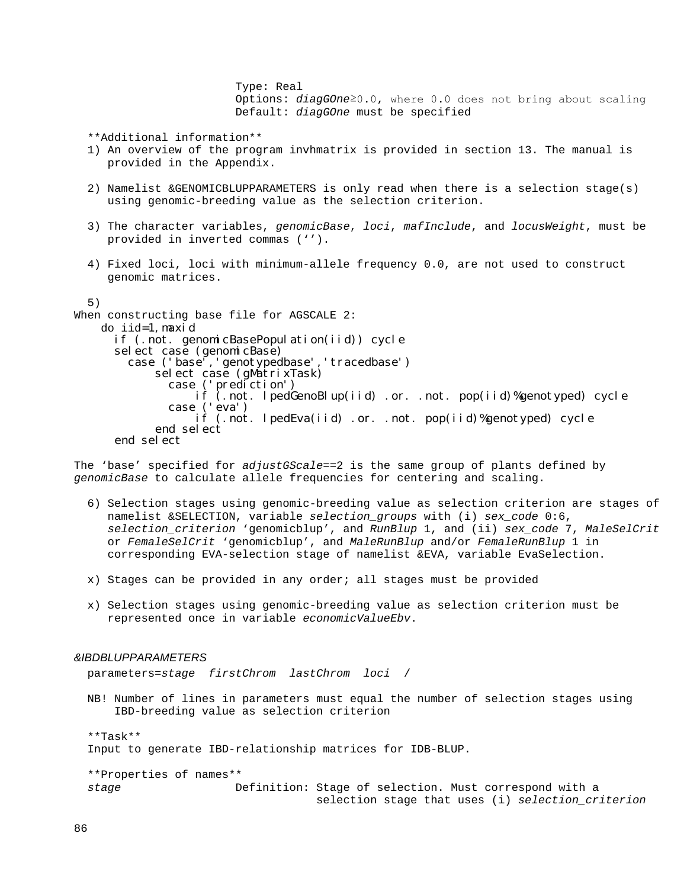Type: Real Options: *diagGOne*≥0.0, where 0.0 does not bring about scaling Default: *diagGOne* must be specified

\*\*Additional information\*\*

- 1) An overview of the program invhmatrix is provided in section 13. The manual is provided in the Appendix.
- 2) Namelist &GENOMICBLUPPARAMETERS is only read when there is a selection stage(s) using genomic-breeding value as the selection criterion.
- 3) The character variables, *genomicBase*, *loci*, *mafInclude*, and *locusWeight*, must be provided in inverted commas ('').
- 4) Fixed loci, loci with minimum-allele frequency 0.0, are not used to construct genomic matrices.
- 5)

```
When constructing base file for AGSCALE 2:
     do iid=1, maxid<br>if (.not. genomicBasePopulation(iid)) cycle
        select case (genomicBase)<br>case ('base','genotypedbase','tracedbase')
                select case (gMatrixTask)<br>case ('prediction')<br>if (.not. lpedGenoBlup(iid) .or. .not. pop(iid)%genotyped) cycle
                  case ('eva') if (.not. lpedEva(iid) .or. .not. pop(iid)%genotyped) cycle end select
         end select
```
The 'base' specified for *adjustGScale*==2 is the same group of plants defined by *genomicBase* to calculate allele frequencies for centering and scaling.

- 6) Selection stages using genomic-breeding value as selection criterion are stages of namelist &SELECTION, variable *selection\_groups* with (i) *sex\_code* 0:6, *selection\_criterion* 'genomicblup', and *RunBlup* 1, and (ii) *sex\_code* 7, *MaleSelCrit* or *FemaleSelCrit* 'genomicblup', and *MaleRunBlup* and/or *FemaleRunBlup* 1 in corresponding EVA-selection stage of namelist &EVA, variable EvaSelection.
- x) Stages can be provided in any order; all stages must be provided
- x) Selection stages using genomic-breeding value as selection criterion must be represented once in variable *economicValueEbv*.

### *&IBDBLUPPARAMETERS*

parameters=*stage firstChrom lastChrom loci* /

 NB! Number of lines in parameters must equal the number of selection stages using IBD-breeding value as selection criterion

 \*\*Task\*\* Input to generate IBD-relationship matrices for IDB-BLUP.

 \*\*Properties of names\*\* *stage* Definition: Stage of selection. Must correspond with a selection stage that uses (i) *selection\_criterion*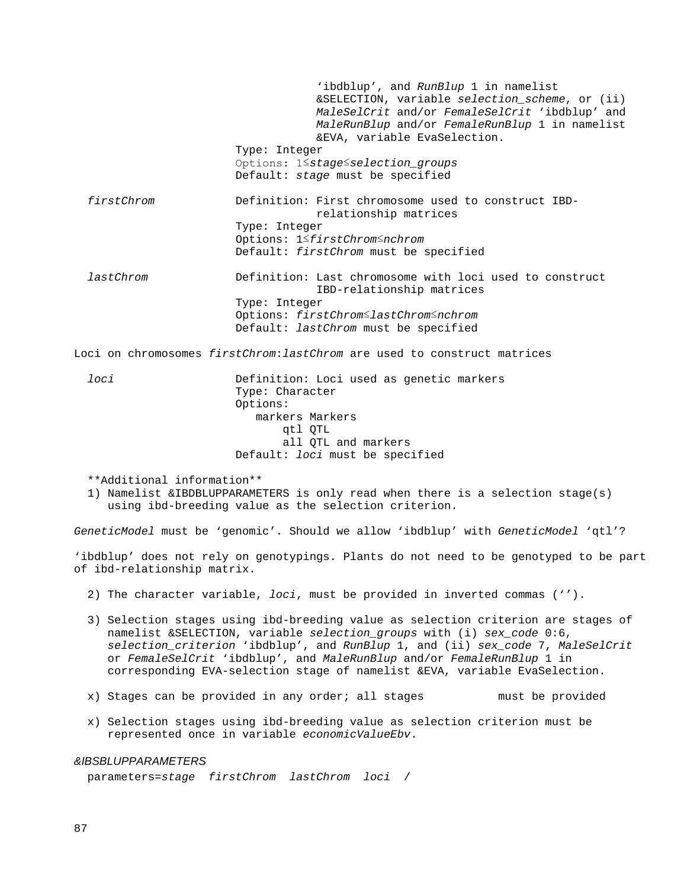'ibdblup', and *RunBlup* 1 in namelist &SELECTION, variable *selection\_scheme*, or (ii) *MaleSelCrit* and/or *FemaleSelCrit* 'ibdblup' and *MaleRunBlup* and/or *FemaleRunBlup* 1 in namelist &EVA, variable EvaSelection. Type: Integer Options: 1≤*stage*≤*selection\_groups* Default: *stage* must be specified *firstChrom* Definition: First chromosome used to construct IBD relationship matrices Type: Integer Options: 1≤*firstChrom*≤*nchrom* Default: *firstChrom* must be specified *lastChrom* Definition: Last chromosome with loci used to construct IBD-relationship matrices Type: Integer Options: *firstChrom*≤*lastChrom*≤*nchrom* Default: *lastChrom* must be specified

Loci on chromosomes *firstChrom*:*lastChrom* are used to construct matrices

 *loci* Definition: Loci used as genetic markers Type: Character Options: markers Markers qtl QTL all QTL and markers Default: *loci* must be specified

\*\*Additional information\*\*

 1) Namelist &IBDBLUPPARAMETERS is only read when there is a selection stage(s) using ibd-breeding value as the selection criterion.

*GeneticModel* must be 'genomic'. Should we allow 'ibdblup' with *GeneticModel* 'qtl'?

'ibdblup' does not rely on genotypings. Plants do not need to be genotyped to be part of ibd-relationship matrix.

- 2) The character variable, *loci*, must be provided in inverted commas ('').
- 3) Selection stages using ibd-breeding value as selection criterion are stages of namelist &SELECTION, variable *selection\_groups* with (i) *sex\_code* 0:6, *selection\_criterion* 'ibdblup', and *RunBlup* 1, and (ii) *sex\_code* 7, *MaleSelCrit* or *FemaleSelCrit* 'ibdblup', and *MaleRunBlup* and/or *FemaleRunBlup* 1 in corresponding EVA-selection stage of namelist &EVA, variable EvaSelection.
- x) Stages can be provided in any order; all stages must be provided
- x) Selection stages using ibd-breeding value as selection criterion must be represented once in variable *economicValueEbv*.

### *&IBSBLUPPARAMETERS*

parameters=*stage firstChrom lastChrom loci* /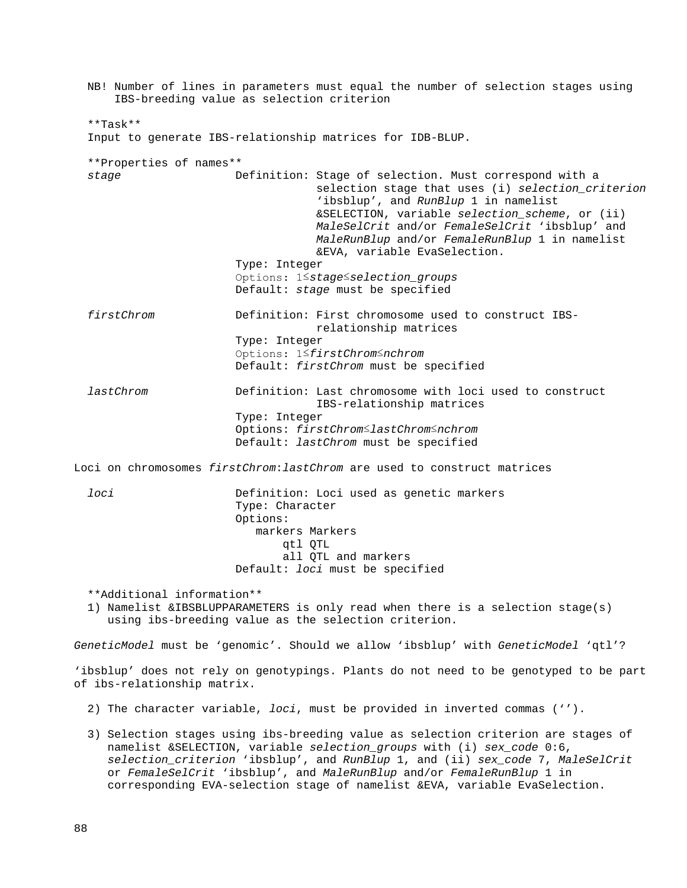NB! Number of lines in parameters must equal the number of selection stages using IBS-breeding value as selection criterion \*\*Task\*\* Input to generate IBS-relationship matrices for IDB-BLUP. \*\*Properties of names\*\* *stage* Definition: Stage of selection. Must correspond with a selection stage that uses (i) *selection\_criterion* 'ibsblup', and *RunBlup* 1 in namelist &SELECTION, variable *selection\_scheme*, or (ii) *MaleSelCrit* and/or *FemaleSelCrit* 'ibsblup' and *MaleRunBlup* and/or *FemaleRunBlup* 1 in namelist &EVA, variable EvaSelection. Type: Integer Options: 1≤*stage*≤*selection\_groups* Default: *stage* must be specified *firstChrom* Definition: First chromosome used to construct IBS relationship matrices Type: Integer Options: 1≤*firstChrom*≤*nchrom* Default: *firstChrom* must be specified *lastChrom* Definition: Last chromosome with loci used to construct IBS-relationship matrices Type: Integer Options: *firstChrom*≤*lastChrom*≤*nchrom* Default: *lastChrom* must be specified Loci on chromosomes *firstChrom*:*lastChrom* are used to construct matrices *loci* Definition: Loci used as genetic markers Type: Character Options: markers Markers qtl QTL all QTL and markers Default: *loci* must be specified \*\*Additional information\*\* 1) Namelist &IBSBLUPPARAMETERS is only read when there is a selection stage(s) using ibs-breeding value as the selection criterion. *GeneticModel* must be 'genomic'. Should we allow 'ibsblup' with *GeneticModel* 'qtl'? 'ibsblup' does not rely on genotypings. Plants do not need to be genotyped to be part of ibs-relationship matrix. 2) The character variable, *loci*, must be provided in inverted commas (''). 3) Selection stages using ibs-breeding value as selection criterion are stages of namelist &SELECTION, variable *selection\_groups* with (i) *sex\_code* 0:6, *selection\_criterion* 'ibsblup', and *RunBlup* 1, and (ii) *sex\_code* 7, *MaleSelCrit*

or *FemaleSelCrit* 'ibsblup', and *MaleRunBlup* and/or *FemaleRunBlup* 1 in corresponding EVA-selection stage of namelist &EVA, variable EvaSelection.

88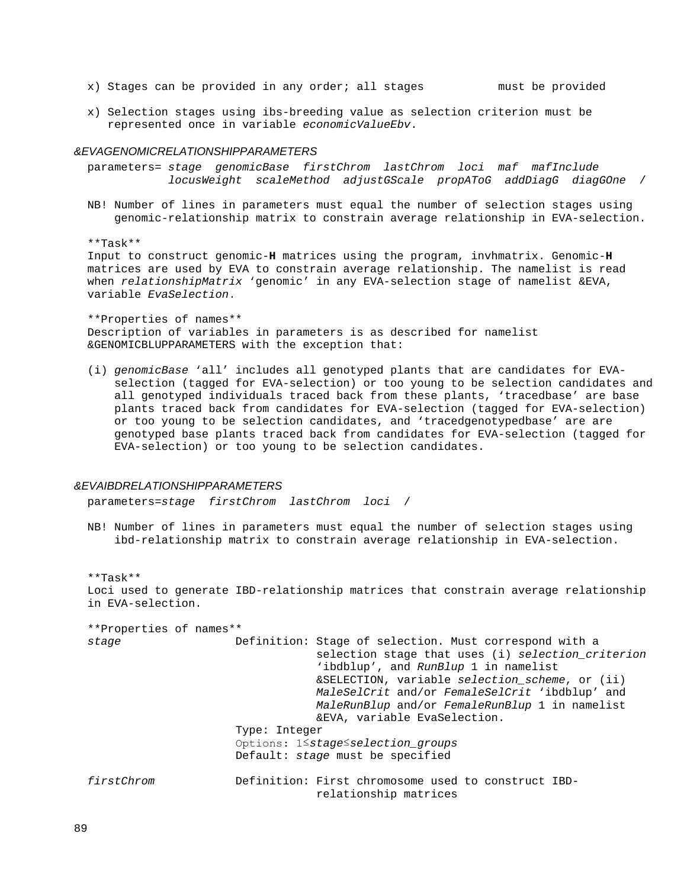x) Stages can be provided in any order; all stages must be provided

 x) Selection stages using ibs-breeding value as selection criterion must be represented once in variable *economicValueEbv*.

### *&EVAGENOMICRELATIONSHIPPARAMETERS*

 parameters= *stage genomicBase firstChrom lastChrom loci maf mafInclude locusWeight scaleMethod adjustGScale propAToG addDiagG diagGOne* /

 NB! Number of lines in parameters must equal the number of selection stages using genomic-relationship matrix to constrain average relationship in EVA-selection.

\*\*Task\*\*

 Input to construct genomic-**H** matrices using the program, invhmatrix. Genomic-**H** matrices are used by EVA to constrain average relationship. The namelist is read when *relationshipMatrix* 'genomic' in any EVA-selection stage of namelist &EVA, variable *EvaSelection*.

 \*\*Properties of names\*\* Description of variables in parameters is as described for namelist &GENOMICBLUPPARAMETERS with the exception that:

 (i) *genomicBase* 'all' includes all genotyped plants that are candidates for EVA selection (tagged for EVA-selection) or too young to be selection candidates and all genotyped individuals traced back from these plants, 'tracedbase' are base plants traced back from candidates for EVA-selection (tagged for EVA-selection) or too young to be selection candidates, and 'tracedgenotypedbase' are are genotyped base plants traced back from candidates for EVA-selection (tagged for EVA-selection) or too young to be selection candidates.

## *&EVAIBDRELATIONSHIPPARAMETERS*

parameters=*stage firstChrom lastChrom loci* /

 NB! Number of lines in parameters must equal the number of selection stages using ibd-relationship matrix to constrain average relationship in EVA-selection.

 \*\*Task\*\* Loci used to generate IBD-relationship matrices that constrain average relationship in EVA-selection.

 \*\*Properties of names\*\* Definition: Stage of selection. Must correspond with a selection stage that uses (i) *selection\_criterion* 'ibdblup', and *RunBlup* 1 in namelist &SELECTION, variable *selection\_scheme*, or (ii) *MaleSelCrit* and/or *FemaleSelCrit* 'ibdblup' and *MaleRunBlup* and/or *FemaleRunBlup* 1 in namelist &EVA, variable EvaSelection. Type: Integer Options: 1≤*stage*≤*selection\_groups* Default: *stage* must be specified *firstChrom* Definition: First chromosome used to construct IBD relationship matrices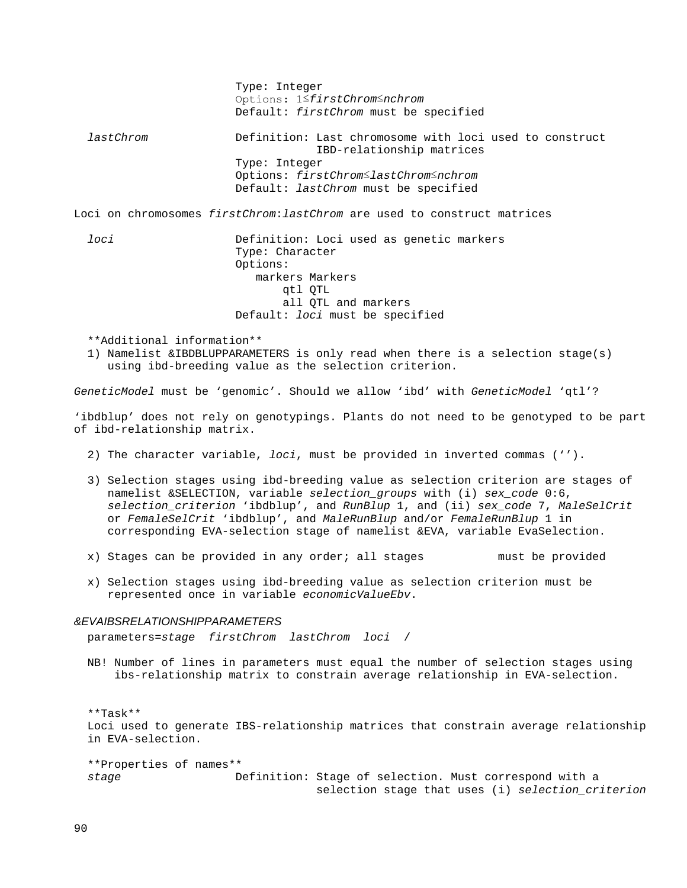Type: Integer Options: 1≤*firstChrom*≤*nchrom* Default: *firstChrom* must be specified *lastChrom* Definition: Last chromosome with loci used to construct IBD-relationship matrices Type: Integer Options: *firstChrom*≤*lastChrom*≤*nchrom* Default: *lastChrom* must be specified Loci on chromosomes *firstChrom*:*lastChrom* are used to construct matrices *loci* Definition: Loci used as genetic markers Type: Character Options: markers Markers qtl QTL all QTL and markers Default: *loci* must be specified

\*\*Additional information\*\*

 1) Namelist &IBDBLUPPARAMETERS is only read when there is a selection stage(s) using ibd-breeding value as the selection criterion.

*GeneticModel* must be 'genomic'. Should we allow 'ibd' with *GeneticModel* 'qtl'?

'ibdblup' does not rely on genotypings. Plants do not need to be genotyped to be part of ibd-relationship matrix.

- 2) The character variable, *loci*, must be provided in inverted commas ('').
- 3) Selection stages using ibd-breeding value as selection criterion are stages of namelist &SELECTION, variable *selection\_groups* with (i) *sex\_code* 0:6, *selection\_criterion* 'ibdblup', and *RunBlup* 1, and (ii) *sex\_code* 7, *MaleSelCrit* or *FemaleSelCrit* 'ibdblup', and *MaleRunBlup* and/or *FemaleRunBlup* 1 in corresponding EVA-selection stage of namelist &EVA, variable EvaSelection.
- x) Stages can be provided in any order; all stages must be provided
- x) Selection stages using ibd-breeding value as selection criterion must be represented once in variable *economicValueEbv*.

### *&EVAIBSRELATIONSHIPPARAMETERS*

parameters=*stage firstChrom lastChrom loci* /

 NB! Number of lines in parameters must equal the number of selection stages using ibs-relationship matrix to constrain average relationship in EVA-selection.

 \*\*Task\*\* Loci used to generate IBS-relationship matrices that constrain average relationship in EVA-selection.

 \*\*Properties of names\*\* *stage* Definition: Stage of selection. Must correspond with a selection stage that uses (i) *selection\_criterion*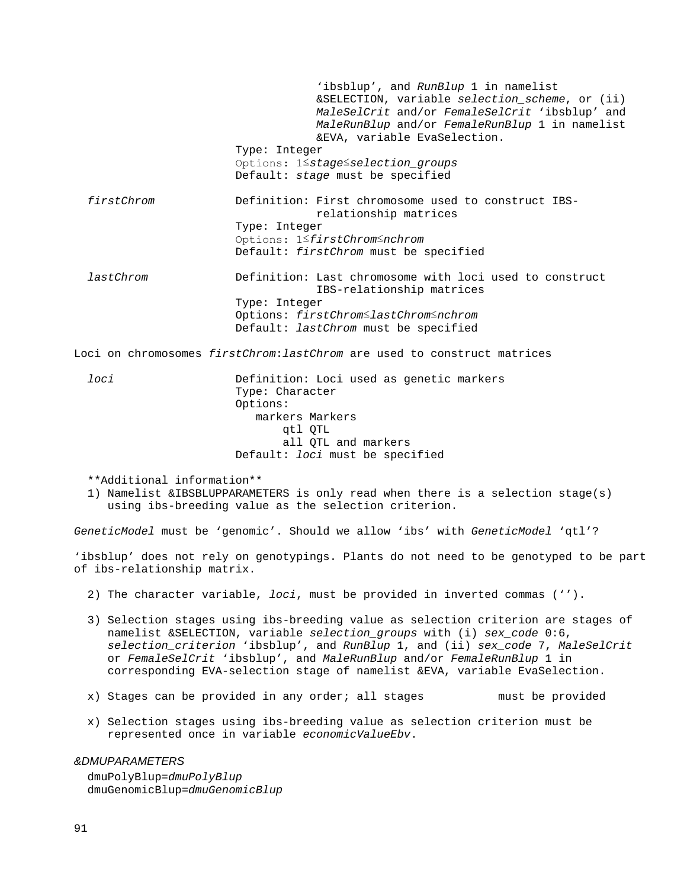'ibsblup', and *RunBlup* 1 in namelist &SELECTION, variable *selection\_scheme*, or (ii) *MaleSelCrit* and/or *FemaleSelCrit* 'ibsblup' and *MaleRunBlup* and/or *FemaleRunBlup* 1 in namelist &EVA, variable EvaSelection. Type: Integer Options: 1≤*stage*≤*selection\_groups* Default: *stage* must be specified *firstChrom* Definition: First chromosome used to construct IBS relationship matrices Type: Integer Options: 1≤*firstChrom*≤*nchrom* Default: *firstChrom* must be specified *lastChrom* Definition: Last chromosome with loci used to construct IBS-relationship matrices Type: Integer Options: *firstChrom*≤*lastChrom*≤*nchrom* Default: *lastChrom* must be specified

Loci on chromosomes *firstChrom*:*lastChrom* are used to construct matrices

 *loci* Definition: Loci used as genetic markers Type: Character Options: markers Markers qtl QTL all QTL and markers Default: *loci* must be specified

\*\*Additional information\*\*

 1) Namelist &IBSBLUPPARAMETERS is only read when there is a selection stage(s) using ibs-breeding value as the selection criterion.

*GeneticModel* must be 'genomic'. Should we allow 'ibs' with *GeneticModel* 'qtl'?

'ibsblup' does not rely on genotypings. Plants do not need to be genotyped to be part of ibs-relationship matrix.

- 2) The character variable, *loci*, must be provided in inverted commas ('').
- 3) Selection stages using ibs-breeding value as selection criterion are stages of namelist &SELECTION, variable *selection\_groups* with (i) *sex\_code* 0:6, *selection\_criterion* 'ibsblup', and *RunBlup* 1, and (ii) *sex\_code* 7, *MaleSelCrit* or *FemaleSelCrit* 'ibsblup', and *MaleRunBlup* and/or *FemaleRunBlup* 1 in corresponding EVA-selection stage of namelist &EVA, variable EvaSelection.
- x) Stages can be provided in any order; all stages must be provided
- x) Selection stages using ibs-breeding value as selection criterion must be represented once in variable *economicValueEbv*.

## *&DMUPARAMETERS*

 dmuPolyBlup=*dmuPolyBlup* dmuGenomicBlup=*dmuGenomicBlup*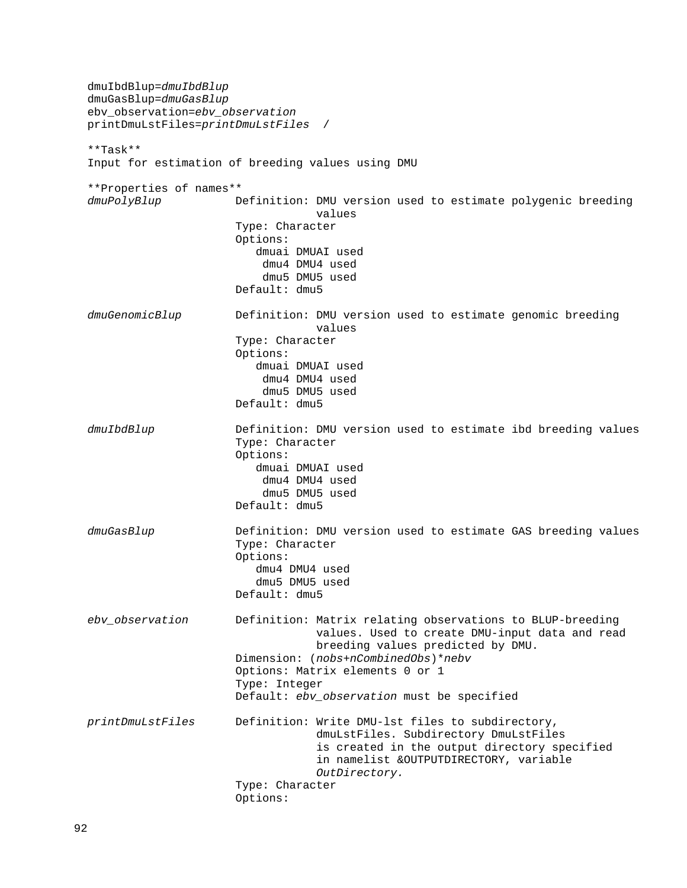dmuIbdBlup=*dmuIbdBlup* dmuGasBlup=*dmuGasBlup* ebv\_observation=*ebv\_observation* printDmuLstFiles=*printDmuLstFiles* / \*\*Task\*\* Input for estimation of breeding values using DMU \*\*Properties of names\*\* Definition: DMU version used to estimate polygenic breeding<br>values values Type: Character Options: dmuai DMUAI used dmu4 DMU4 used dmu5 DMU5 used Default: dmu5 dmuGenomicBlup Definition: DMU version used to estimate genomic breeding<br>values values Type: Character Options: dmuai DMUAI used dmu4 DMU4 used dmu5 DMU5 used Default: dmu5 *dmuIbdBlup* Definition: DMU version used to estimate ibd breeding values Type: Character Options: dmuai DMUAI used dmu4 DMU4 used dmu5 DMU5 used Default: dmu5 *dmuGasBlup* Definition: DMU version used to estimate GAS breeding values Type: Character Options: dmu4 DMU4 used dmu5 DMU5 used Default: dmu5 *ebv\_observation* Definition: Matrix relating observations to BLUP-breeding values. Used to create DMU-input data and read breeding values predicted by DMU. Dimension: (*nobs*+*nCombinedObs*)\**nebv* Options: Matrix elements 0 or 1 Type: Integer Default: *ebv\_observation* must be specified *printDmuLstFiles* Definition: Write DMU-lst files to subdirectory, dmuLstFiles. Subdirectory DmuLstFiles is created in the output directory specified in namelist &OUTPUTDIRECTORY, variable *OutDirectory.* Type: Character Options: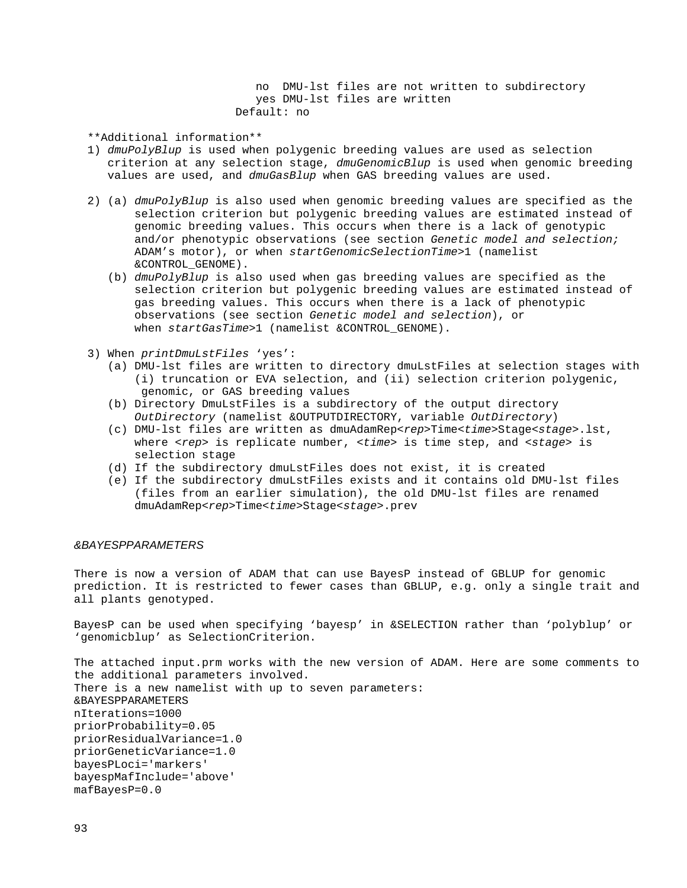no DMU-lst files are not written to subdirectory yes DMU-lst files are written Default: no

\*\*Additional information\*\*

- 1) *dmuPolyBlup* is used when polygenic breeding values are used as selection criterion at any selection stage, *dmuGenomicBlup* is used when genomic breeding values are used, and *dmuGasBlup* when GAS breeding values are used.
- 2) (a) *dmuPolyBlup* is also used when genomic breeding values are specified as the selection criterion but polygenic breeding values are estimated instead of genomic breeding values. This occurs when there is a lack of genotypic and/or phenotypic observations (see section *Genetic model and selection;*  ADAM's motor), or when *startGenomicSelectionTime*>1 (namelist &CONTROL\_GENOME).
	- (b) *dmuPolyBlup* is also used when gas breeding values are specified as the selection criterion but polygenic breeding values are estimated instead of gas breeding values. This occurs when there is a lack of phenotypic observations (see section *Genetic model and selection*), or when *startGasTime*>1 (namelist &CONTROL\_GENOME).
- 3) When *printDmuLstFiles* 'yes':
	- (a) DMU-lst files are written to directory dmuLstFiles at selection stages with (i) truncation or EVA selection, and (ii) selection criterion polygenic, genomic, or GAS breeding values
	- (b) Directory DmuLstFiles is a subdirectory of the output directory *OutDirectory* (namelist &OUTPUTDIRECTORY, variable *OutDirectory*)
	- (c) DMU-lst files are written as dmuAdamRep<*rep*>Time<*time*>Stage<*stage*>.lst, where <*rep*> is replicate number, <*time*> is time step, and <*stage*> is selection stage
	- (d) If the subdirectory dmuLstFiles does not exist, it is created
	- (e) If the subdirectory dmuLstFiles exists and it contains old DMU-lst files (files from an earlier simulation), the old DMU-lst files are renamed dmuAdamRep<*rep*>Time<*time*>Stage<*stage*>.prev

## *&BAYESPPARAMETERS*

There is now a version of ADAM that can use BayesP instead of GBLUP for genomic prediction. It is restricted to fewer cases than GBLUP, e.g. only a single trait and all plants genotyped.

BayesP can be used when specifying 'bayesp' in &SELECTION rather than 'polyblup' or 'genomicblup' as SelectionCriterion.

The attached input.prm works with the new version of ADAM. Here are some comments to the additional parameters involved. There is a new namelist with up to seven parameters: &BAYESPPARAMETERS nIterations=1000 priorProbability=0.05 priorResidualVariance=1.0 priorGeneticVariance=1.0 bayesPLoci='markers' bayespMafInclude='above' mafBayesP=0.0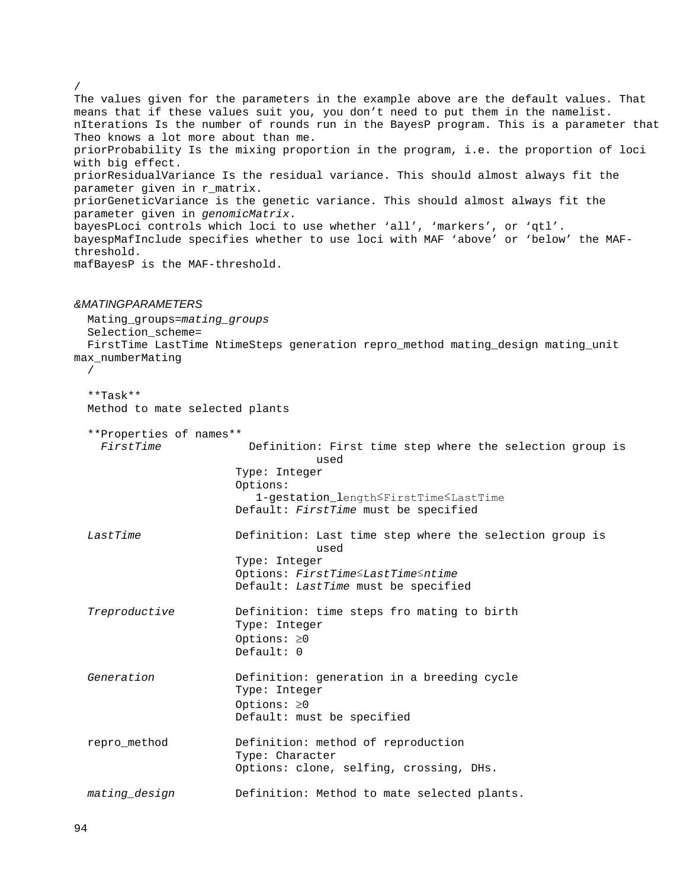The values given for the parameters in the example above are the default values. That means that if these values suit you, you don't need to put them in the namelist. nIterations Is the number of rounds run in the BayesP program. This is a parameter that Theo knows a lot more about than me. priorProbability Is the mixing proportion in the program, i.e. the proportion of loci with big effect. priorResidualVariance Is the residual variance. This should almost always fit the parameter given in r\_matrix. priorGeneticVariance is the genetic variance. This should almost always fit the parameter given in *genomicMatrix*. bayesPLoci controls which loci to use whether 'all', 'markers', or 'qtl'. bayespMafInclude specifies whether to use loci with MAF 'above' or 'below' the MAFthreshold. mafBayesP is the MAF-threshold.

## *&MATINGPARAMETERS*

Mating\_groups=*mating\_groups*

Selection\_scheme=

 FirstTime LastTime NtimeSteps generation repro\_method mating\_design mating\_unit max\_numberMating

```
/
```
/

 \*\*Task\*\* Method to mate selected plants

| **Properties of names** |                                                                  |
|-------------------------|------------------------------------------------------------------|
| FirstTime               | Definition: First time step where the selection group is<br>used |
|                         | Type: Integer                                                    |
|                         | Options:                                                         |
|                         | 1-gestation_length≤FirstTime≤LastTime                            |
|                         | Default: FirstTime must be specified                             |
| LastTime                | Definition: Last time step where the selection group is<br>used  |
|                         | Type: Integer                                                    |
|                         | Options: FirstTime LastTime Intime                               |
|                         | Default: LastTime must be specified                              |
| Treproductive           | Definition: time steps fro mating to birth                       |
|                         | Type: Integer                                                    |
|                         | Options: $\geq 0$                                                |
|                         | Default: 0                                                       |
| Generation              | Definition: generation in a breeding cycle                       |
|                         | Type: Integer                                                    |
|                         | Options: $\geq 0$                                                |
|                         | Default: must be specified                                       |
| repro_method            | Definition: method of reproduction                               |
|                         | Type: Character                                                  |
|                         | Options: clone, selfing, crossing, DHs.                          |
| mating_design           | Definition: Method to mate selected plants.                      |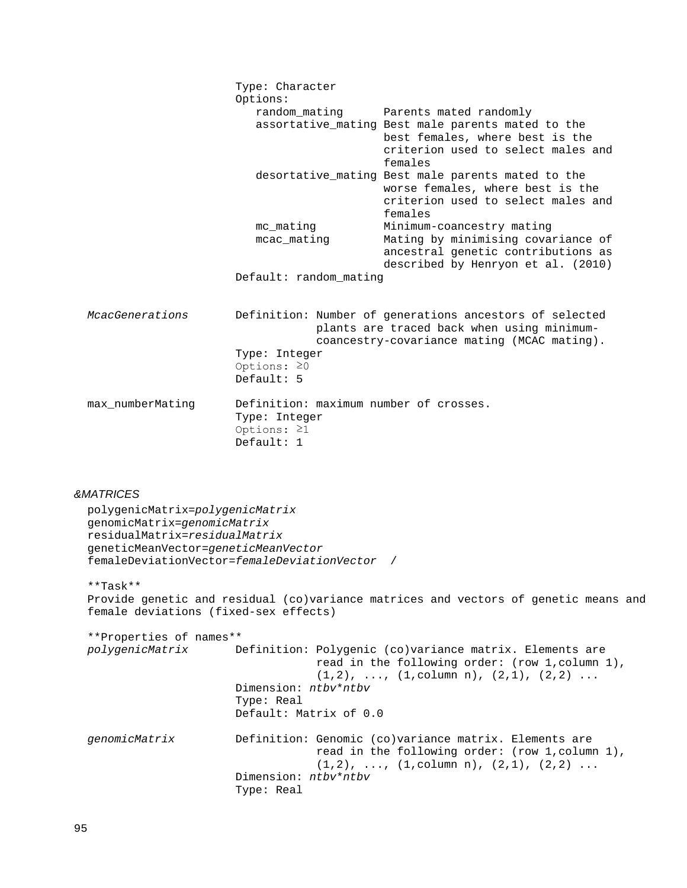|                                                                                                                                        | Type: Character<br>Options:                                                                |                                                                                                                                                      |
|----------------------------------------------------------------------------------------------------------------------------------------|--------------------------------------------------------------------------------------------|------------------------------------------------------------------------------------------------------------------------------------------------------|
|                                                                                                                                        | random mating                                                                              | Parents mated randomly                                                                                                                               |
|                                                                                                                                        |                                                                                            | assortative_mating Best male parents mated to the<br>best females, where best is the<br>criterion used to select males and<br>females                |
|                                                                                                                                        |                                                                                            | desortative_mating Best male parents mated to the<br>worse females, where best is the<br>criterion used to select males and<br>females               |
|                                                                                                                                        | mc mating<br>mcac_mating                                                                   | Minimum-coancestry mating<br>Mating by minimising covariance of<br>ancestral genetic contributions as<br>described by Henryon et al. (2010)          |
|                                                                                                                                        | Default: random_mating                                                                     |                                                                                                                                                      |
| McacGenerations                                                                                                                        |                                                                                            | Definition: Number of generations ancestors of selected<br>plants are traced back when using minimum-<br>coancestry-covariance mating (MCAC mating). |
|                                                                                                                                        | Type: Integer<br>Options: $\geq 0$<br>Default: $5$                                         |                                                                                                                                                      |
| max_numberMating                                                                                                                       | Definition: maximum number of crosses.<br>Type: Integer<br>Options: $\geq 1$<br>Default: 1 |                                                                                                                                                      |
| <b>&amp;MATRICES</b>                                                                                                                   |                                                                                            |                                                                                                                                                      |
| polygenicMatrix=polygenicMatrix<br>genomicMatrix=genomicMatrix<br>residualMatrix=residualMatrix<br>geneticMeanVector=geneticMeanVector | femaleDeviationVector=femaleDeviationVector /                                              |                                                                                                                                                      |
| $**Task**$<br>female deviations (fixed-sex effects)                                                                                    |                                                                                            | Provide genetic and residual (co)variance matrices and vectors of genetic means and                                                                  |

```
 **Properties of names**
                       Definition: Polygenic (co)variance matrix. Elements are
                                    read in the following order: (row 1,column 1), 
                                   (1,2), ..., (1, \text{column n}), (2,1), (2,2)...
                        Dimension: ntbv*ntbv
                        Type: Real
                       Default: Matrix of 0.0
 genomicMatrix Definition: Genomic (co)variance matrix. Elements are 
                                    read in the following order: (row 1,column 1), 
                                   (1,2), ..., (1, \text{column n}), (2,1), (2,2)...
                        Dimension: ntbv*ntbv
                        Type: Real
```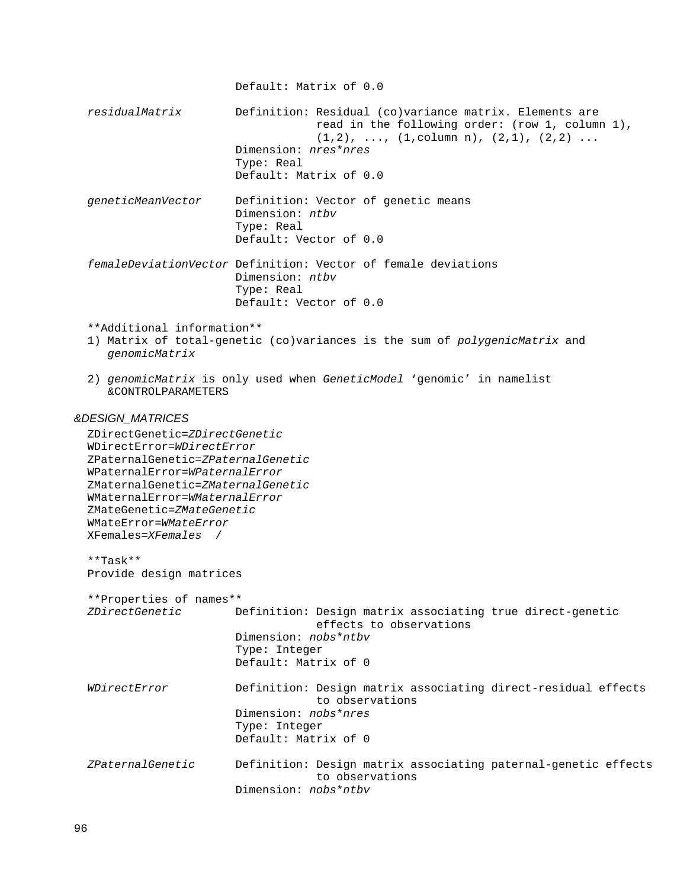```
 Default: Matrix of 0.0
   residualMatrix Definition: Residual (co)variance matrix. Elements are
                                      read in the following order: (row 1, column 1),
                                     (1,2), ..., (1, \text{column n}), (2,1), (2,2)...
                         Dimension: nres*nres
                          Type: Real
                        Default: Matrix of 0.0
   geneticMeanVector Definition: Vector of genetic means
                         Dimension: ntbv
                        Type: Real
                         Default: Vector of 0.0
   femaleDeviationVector Definition: Vector of female deviations
                          Dimension: ntbv
                         Type: Real
                        Default: Vector of 0.0
   **Additional information**
   1) Matrix of total-genetic (co)variances is the sum of polygenicMatrix and 
      genomicMatrix
   2) genomicMatrix is only used when GeneticModel 'genomic' in namelist 
      &CONTROLPARAMETERS
&DESIGN_MATRICES
   ZDirectGenetic=ZDirectGenetic
   WDirectError=WDirectError
   ZPaternalGenetic=ZPaternalGenetic
  WPaternalError=WPaternalError
   ZMaternalGenetic=ZMaternalGenetic
   WMaternalError=WMaternalError
   ZMateGenetic=ZMateGenetic
   WMateError=WMateError
  XFemales=XFemales /
   **Task**
  Provide design matrices
   **Properties of names**
                         ZDirectGenetic Definition: Design matrix associating true direct-genetic 
                                      effects to observations
                         Dimension: nobs*ntbv
                          Type: Integer
                          Default: Matrix of 0
   WDirectError Definition: Design matrix associating direct-residual effects 
                                      to observations
                         Dimension: nobs*nres
                          Type: Integer
                        Default: Matrix of 0
   ZPaternalGenetic Definition: Design matrix associating paternal-genetic effects 
                                      to observations
                         Dimension: nobs*ntbv
```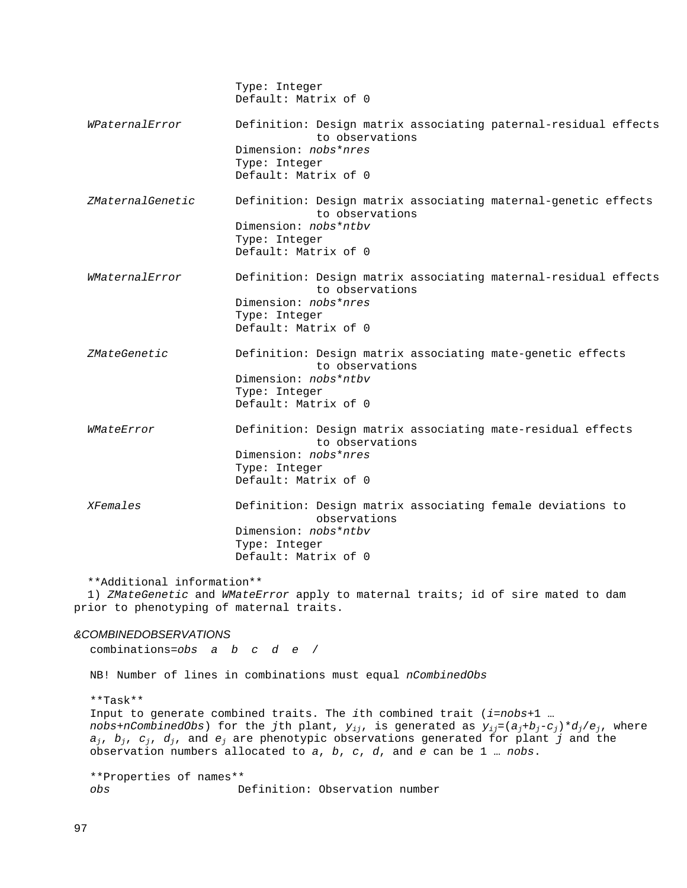|                                                                                                                                                            | Type: Integer<br>Default: Matrix of 0                                                                                                               |  |
|------------------------------------------------------------------------------------------------------------------------------------------------------------|-----------------------------------------------------------------------------------------------------------------------------------------------------|--|
| WPaternalError                                                                                                                                             | Definition: Design matrix associating paternal-residual effects<br>to observations<br>Dimension: nobs*nres<br>Type: Integer<br>Default: Matrix of 0 |  |
| ZMaternalGenetic                                                                                                                                           | Definition: Design matrix associating maternal-genetic effects<br>to observations<br>Dimension: nobs*ntby<br>Type: Integer<br>Default: Matrix of 0  |  |
| WMaternalError                                                                                                                                             | Definition: Design matrix associating maternal-residual effects<br>to observations<br>Dimension: nobs*nres<br>Type: Integer<br>Default: Matrix of 0 |  |
| ZMateGenetic                                                                                                                                               | Definition: Design matrix associating mate-genetic effects<br>to observations<br>Dimension: nobs*ntbv<br>Type: Integer<br>Default: Matrix of 0      |  |
| WMateError                                                                                                                                                 | Definition: Design matrix associating mate-residual effects<br>to observations<br>Dimension: nobs*nres<br>Type: Integer<br>Default: Matrix of 0     |  |
| <b>XFemales</b>                                                                                                                                            | Definition: Design matrix associating female deviations to<br>observations<br>Dimension: nobs*ntbv<br>Type: Integer<br>Default: Matrix of 0         |  |
| **Additional information**<br>1) ZMateGenetic and WMateError apply to maternal traits; id of sire mated to dam<br>prior to phenotyping of maternal traits. |                                                                                                                                                     |  |

## *&COMBINEDOBSERVATIONS*

combinations=*obs a b c d e* /

NB! Number of lines in combinations must equal *nCombinedObs*

### \*\*Task\*\*

Input to generate combined traits. The *i*th combined trait (*i*=*nobs*+1 … *nobs*+*nCombinedObs*) for the *j*th plant, *yij*, is generated as *yij=*(*aj*+*bj*-*cj*)\**dj*/*ej*, where *aj*, *bj*, *cj*, *dj*, and *ej* are phenotypic observations generated for plant *j* and the observation numbers allocated to *a*, *b*, *c*, *d*, and *e* can be 1 … *nobs*.

\*\*Properties of names\*\* Definition: Observation number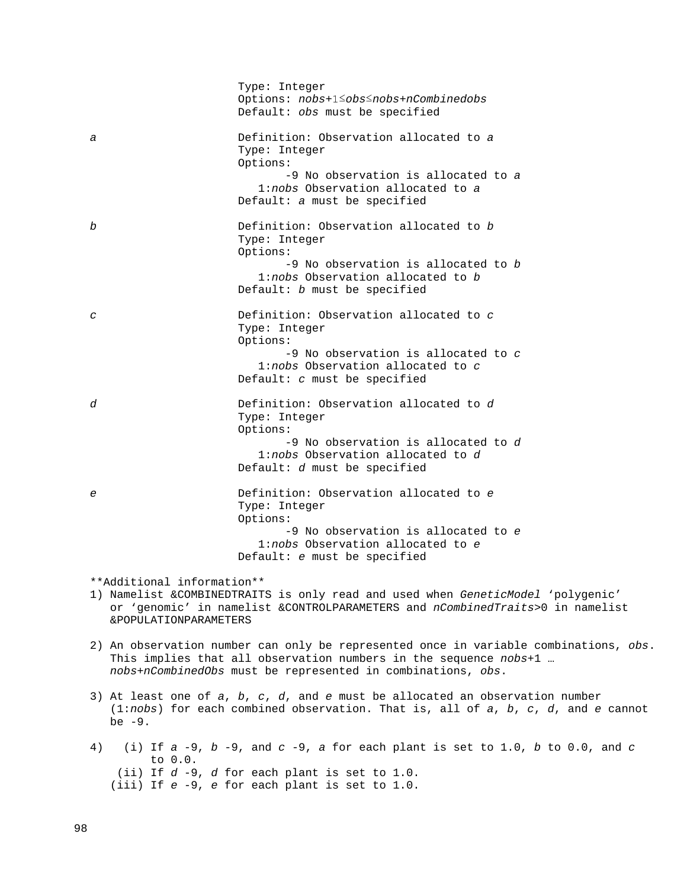|    |                                                     | Type: Integer<br>Options: nobs+1≤obs≤nobs+nCombinedobs<br>Default: obs must be specified                                                                                                                                |
|----|-----------------------------------------------------|-------------------------------------------------------------------------------------------------------------------------------------------------------------------------------------------------------------------------|
| а  |                                                     | Definition: Observation allocated to a<br>Type: Integer<br>Options:<br>-9 No observation is allocated to a<br>1:nobs Observation allocated to a<br>Default: a must be specified                                         |
| b  |                                                     | Definition: Observation allocated to b<br>Type: Integer<br>Options:<br>-9 No observation is allocated to b<br>1:nobs Observation allocated to b<br>Default: b must be specified                                         |
| C  |                                                     | Definition: Observation allocated to c<br>Type: Integer<br>Options:<br>$-9$ No observation is allocated to $c$<br>1:nobs Observation allocated to c<br>Default: $c$ must be specified                                   |
| d  |                                                     | Definition: Observation allocated to d<br>Type: Integer<br>Options:<br>-9 No observation is allocated to d<br>1:nobs Observation allocated to d<br>Default: d must be specified                                         |
| е  |                                                     | Definition: Observation allocated to e<br>Type: Integer<br>Options:<br>-9 No observation is allocated to e<br>1:nobs Observation allocated to e<br>Default: e must be specified                                         |
|    | **Additional information**<br>&POPULATIONPARAMETERS | 1) Namelist &COMBINEDTRAITS is only read and used when GeneticModel 'polygenic'<br>or 'qenomic' in namelist &CONTROLPARAMETERS and nCombinedTraits>0 in namelist                                                        |
|    |                                                     | 2) An observation number can only be represented once in variable combinations, obs.<br>This implies that all observation numbers in the sequence nobs+1<br>nobs+nCombinedObs must be represented in combinations, obs. |
|    | be $-9$ .                                           | 3) At least one of $a$ , $b$ , $c$ , $d$ , and $e$ must be allocated an observation number<br>$(1:nobs)$ for each combined observation. That is, all of a, b, c, d, and e cannot                                        |
| 4) | to 0.0.                                             | (i) If $a - 9$ , $b - 9$ , and $c - 9$ , a for each plant is set to 1.0, b to 0.0, and $c$<br>(ii) If $d - 9$ , $d$ for each plant is set to 1.0.<br>(iii) If e -9, e for each plant is set to 1.0.                     |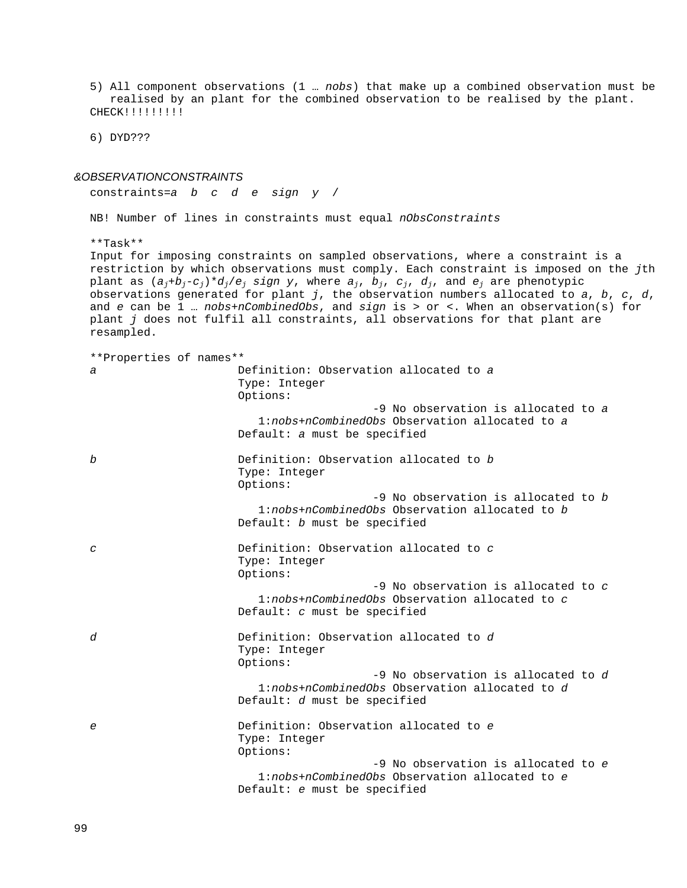5) All component observations (1 … *nobs*) that make up a combined observation must be realised by an plant for the combined observation to be realised by the plant. CHECK!!!!!!!!!

6) DYD???

#### *&OBSERVATIONCONSTRAINTS*

constraints=*a b c d e sign y* /

NB! Number of lines in constraints must equal *nObsConstraints*

\*\*Task\*\*

Input for imposing constraints on sampled observations, where a constraint is a restriction by which observations must comply. Each constraint is imposed on the *j*th plant as  $(a_j+b_j-c_j)*d_j/e_j$  *sign y*, where  $a_j$ ,  $b_j$ ,  $c_j$ ,  $d_j$ , and  $e_j$  are phenotypic observations generated for plant *j*, the observation numbers allocated to *a*, *b*, *c*, *d*, and *e* can be 1 … *nobs*+*nCombinedObs*, and *sign* is > or <. When an observation(s) for plant *j* does not fulfil all constraints, all observations for that plant are resampled.

\*\*Properties of names\*\* *a* Definition: Observation allocated to *a* Type: Integer Options: -9 No observation is allocated to *a* 1:*nobs*+*nCombinedObs* Observation allocated to *a* Default: *a* must be specified *b* Definition: Observation allocated to *b* Type: Integer Options: -9 No observation is allocated to *b* 1:*nobs*+*nCombinedObs* Observation allocated to *b* Default: *b* must be specified *c* Definition: Observation allocated to *c* Type: Integer Options: -9 No observation is allocated to *c* 1:*nobs*+*nCombinedObs* Observation allocated to *c* Default: *c* must be specified *d* Definition: Observation allocated to *d* Type: Integer Options: -9 No observation is allocated to *d* 1:*nobs*+*nCombinedObs* Observation allocated to *d* Default: *d* must be specified *e* Definition: Observation allocated to *e* Type: Integer Options: -9 No observation is allocated to *e* 1:*nobs*+*nCombinedObs* Observation allocated to *e* Default: *e* must be specified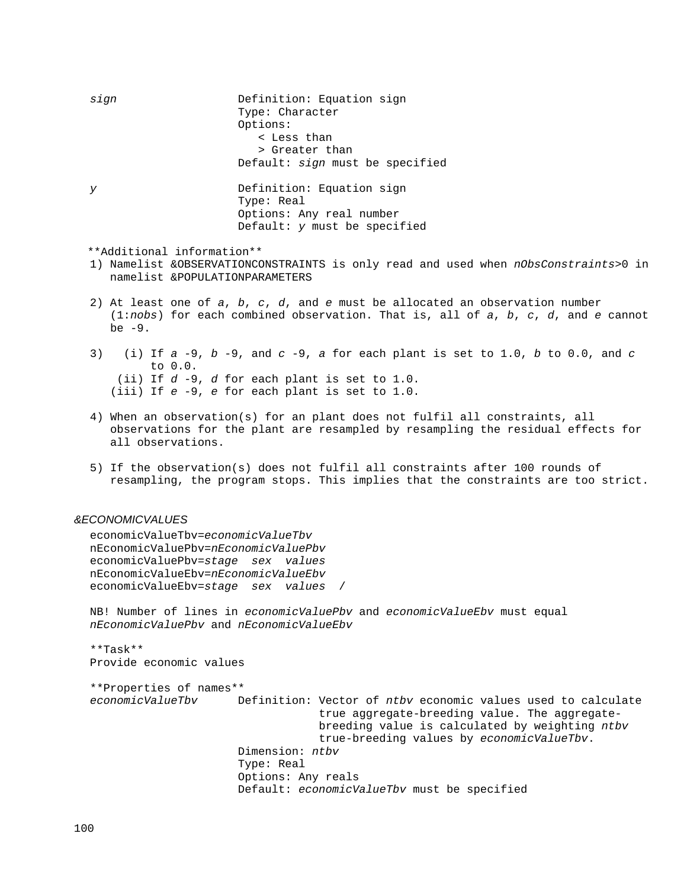*sign* Definition: Equation sign Type: Character Options: < Less than > Greater than Default: *sign* must be specified *y* Definition: Equation sign Type: Real Options: Any real number Default: *y* must be specified \*\*Additional information\*\* 1) Namelist &OBSERVATIONCONSTRAINTS is only read and used when *nObsConstraints*>0 in namelist &POPULATIONPARAMETERS

- 2) At least one of *a*, *b*, *c*, *d*, and *e* must be allocated an observation number (1:*nobs*) for each combined observation. That is, all of *a*, *b*, *c*, *d*, and *e* cannot be -9.
- 3) (i) If *a* -9, *b* -9, and *c* -9, *a* for each plant is set to 1.0, *b* to 0.0, and *c* to 0.0. (ii) If *d* -9, *d* for each plant is set to 1.0. (iii) If *e* -9, *e* for each plant is set to 1.0.
- 4) When an observation(s) for an plant does not fulfil all constraints, all observations for the plant are resampled by resampling the residual effects for all observations.
- 5) If the observation(s) does not fulfil all constraints after 100 rounds of resampling, the program stops. This implies that the constraints are too strict.

## *&ECONOMICVALUES*

economicValueTbv=*economicValueTbv* nEconomicValuePbv*=nEconomicValuePbv* economicValuePbv=*stage sex values* nEconomicValueEbv=*nEconomicValueEbv* economicValueEbv=*stage sex values* /

NB! Number of lines in *economicValuePbv* and *economicValueEbv* must equal *nEconomicValuePbv* and *nEconomicValueEbv*

\*\*Task\*\* Provide economic values

```
**Properties of names**
                      Definition: Vector of ntbv economic values used to calculate
                                   true aggregate-breeding value. The aggregate-
                                   breeding value is calculated by weighting ntbv
                                   true-breeding values by economicValueTbv.
                       Dimension: ntbv
                      Type: Real
                      Options: Any reals
                      Default: economicValueTbv must be specified
```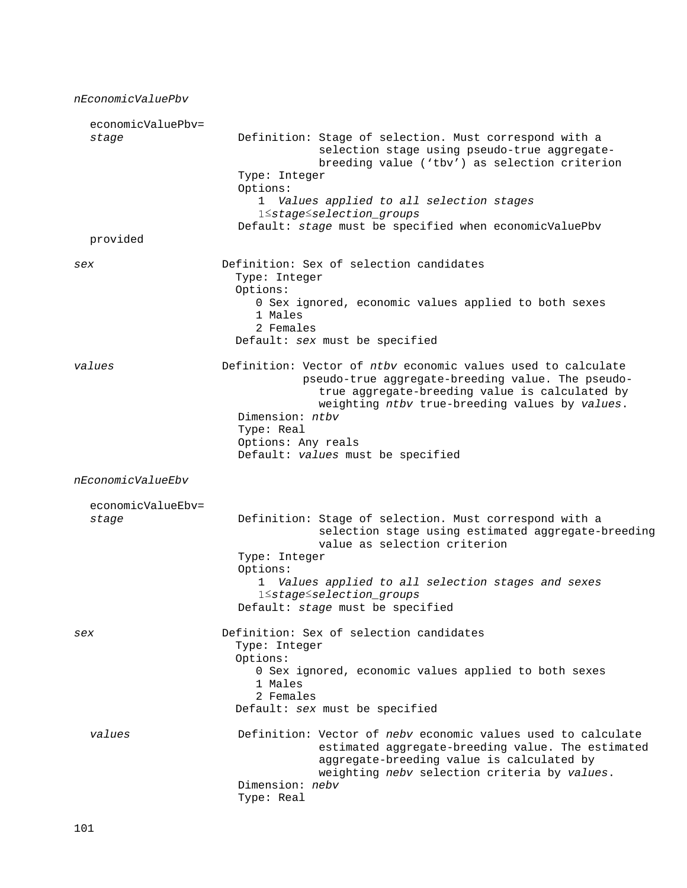| nEconomicValuePbv          |                                                                                                                                                                                                                                                                                                                         |
|----------------------------|-------------------------------------------------------------------------------------------------------------------------------------------------------------------------------------------------------------------------------------------------------------------------------------------------------------------------|
| economicValuePbv=<br>stage | Definition: Stage of selection. Must correspond with a<br>selection stage using pseudo-true aggregate-<br>breeding value ('tbv') as selection criterion<br>Type: Integer<br>Options:<br>1 Values applied to all selection stages<br>1 Stage Sselection groups<br>Default: stage must be specified when economicValuePbv |
| provided                   |                                                                                                                                                                                                                                                                                                                         |
| sex                        | Definition: Sex of selection candidates<br>Type: Integer<br>Options:<br>0 Sex ignored, economic values applied to both sexes<br>1 Males<br>2 Females<br>Default: sex must be specified                                                                                                                                  |
| values                     | Definition: Vector of ntby economic values used to calculate<br>pseudo-true aggregate-breeding value. The pseudo-<br>true aggregate-breeding value is calculated by<br>weighting ntbv true-breeding values by values.<br>Dimension: ntbv<br>Type: Real<br>Options: Any reals<br>Default: values must be specified       |
| nEconomicValueEbv          |                                                                                                                                                                                                                                                                                                                         |
| economicValueEbv=<br>stage | Definition: Stage of selection. Must correspond with a<br>selection stage using estimated aggregate-breeding<br>value as selection criterion<br>Type: Integer<br>Options:<br>1 Values applied to all selection stages and sexes<br>1 Stage Selection_groups<br>Default: stage must be specified                         |
| sex                        | Definition: Sex of selection candidates<br>Type: Integer<br>Options:<br>0 Sex ignored, economic values applied to both sexes<br>1 Males<br>2 Females<br>Default: sex must be specified                                                                                                                                  |
| values                     | Definition: Vector of neby economic values used to calculate<br>estimated aggregate-breeding value. The estimated<br>aggregate-breeding value is calculated by<br>weighting nebv selection criteria by values.<br>Dimension: nebv<br>Type: Real                                                                         |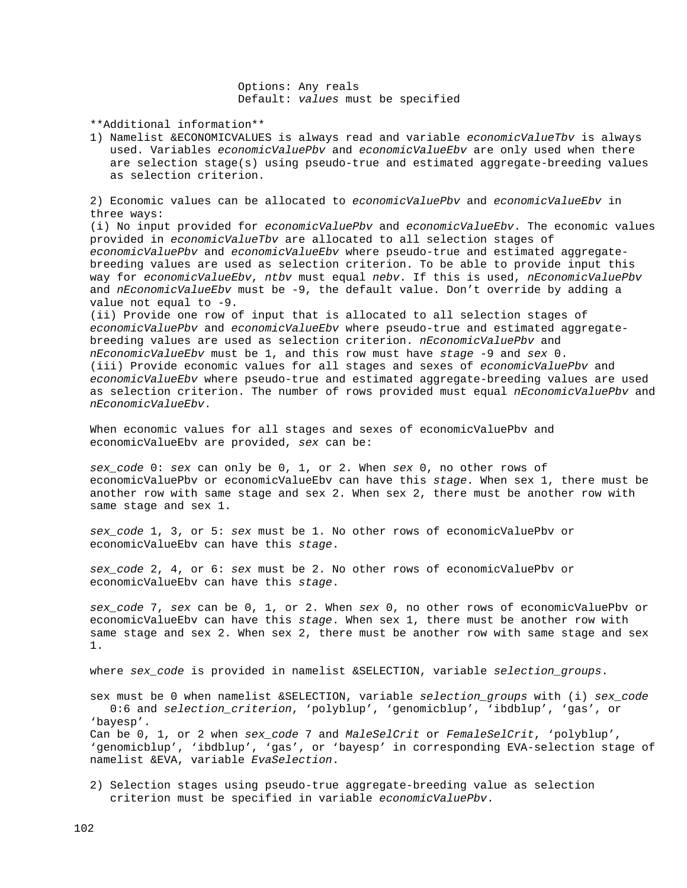Options: Any reals Default: *values* must be specified

\*\*Additional information\*\*

1) Namelist &ECONOMICVALUES is always read and variable *economicValueTbv* is always used. Variables *economicValuePbv* and *economicValueEbv* are only used when there are selection stage(s) using pseudo-true and estimated aggregate-breeding values as selection criterion.

2) Economic values can be allocated to *economicValuePbv* and *economicValueEbv* in three ways:

(i) No input provided for *economicValuePbv* and *economicValueEbv*. The economic values provided in *economicValueTbv* are allocated to all selection stages of *economicValuePbv* and *economicValueEbv* where pseudo-true and estimated aggregatebreeding values are used as selection criterion. To be able to provide input this way for *economicValueEbv*, *ntbv* must equal *nebv*. If this is used, *nEconomicValuePbv*  and *nEconomicValueEbv* must be -9, the default value. Don't override by adding a value not equal to -9.

(ii) Provide one row of input that is allocated to all selection stages of *economicValuePbv* and *economicValueEbv* where pseudo-true and estimated aggregatebreeding values are used as selection criterion. *nEconomicValuePbv* and *nEconomicValueEbv* must be 1, and this row must have *stage* -9 and *sex* 0. (iii) Provide economic values for all stages and sexes of *economicValuePbv* and *economicValueEbv* where pseudo-true and estimated aggregate-breeding values are used as selection criterion. The number of rows provided must equal *nEconomicValuePbv* and *nEconomicValueEbv*.

When economic values for all stages and sexes of economicValuePbv and economicValueEbv are provided, *sex* can be:

*sex\_code* 0: *sex* can only be 0, 1, or 2. When *sex* 0, no other rows of economicValuePbv or economicValueEbv can have this *stage*. When sex 1, there must be another row with same stage and sex 2. When sex 2, there must be another row with same stage and sex 1.

*sex\_code* 1, 3, or 5: *sex* must be 1. No other rows of economicValuePbv or economicValueEbv can have this *stage*.

*sex\_code* 2, 4, or 6: *sex* must be 2. No other rows of economicValuePbv or economicValueEbv can have this *stage*.

*sex\_code* 7, *sex* can be 0, 1, or 2. When *sex* 0, no other rows of economicValuePbv or economicValueEbv can have this *stage*. When sex 1, there must be another row with same stage and sex 2. When sex 2, there must be another row with same stage and sex 1.

where *sex\_code* is provided in namelist &SELECTION, variable *selection\_groups*.

sex must be 0 when namelist &SELECTION, variable *selection\_groups* with (i) *sex\_code* 0:6 and *selection\_criterion*, 'polyblup', 'genomicblup', 'ibdblup', 'gas', or 'bayesp'.

Can be 0, 1, or 2 when *sex\_code* 7 and *MaleSelCrit* or *FemaleSelCrit*, 'polyblup', 'genomicblup', 'ibdblup', 'gas', or 'bayesp' in corresponding EVA-selection stage of namelist &EVA, variable *EvaSelection*.

2) Selection stages using pseudo-true aggregate-breeding value as selection criterion must be specified in variable *economicValuePbv*.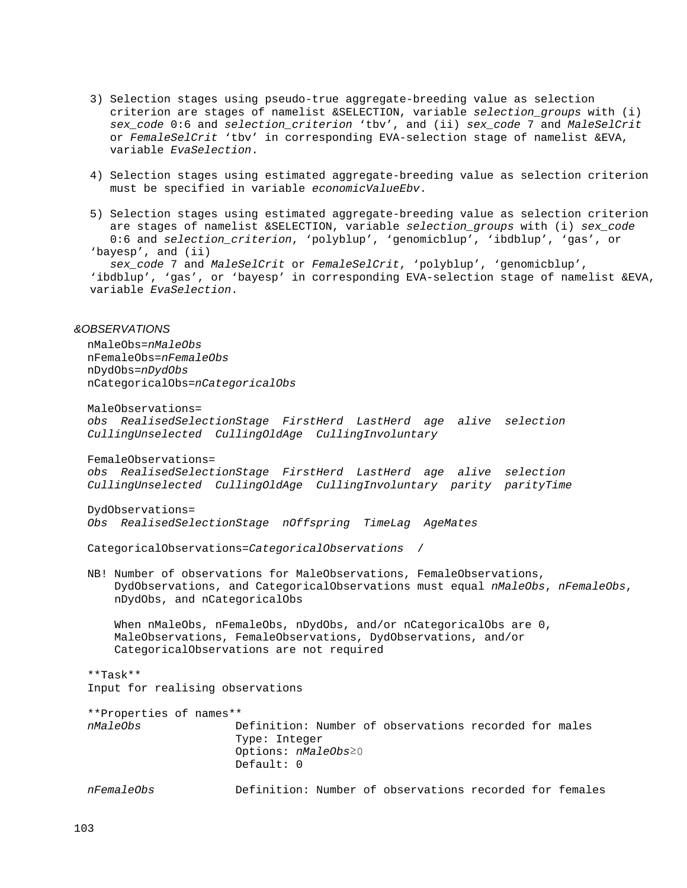- 3) Selection stages using pseudo-true aggregate-breeding value as selection criterion are stages of namelist &SELECTION, variable *selection\_groups* with (i) *sex\_code* 0:6 and *selection\_criterion* 'tbv', and (ii) *sex\_code* 7 and *MaleSelCrit* or *FemaleSelCrit* 'tbv' in corresponding EVA-selection stage of namelist &EVA, variable *EvaSelection*.
- 4) Selection stages using estimated aggregate-breeding value as selection criterion must be specified in variable *economicValueEbv*.
- 5) Selection stages using estimated aggregate-breeding value as selection criterion are stages of namelist &SELECTION, variable *selection\_groups* with (i) *sex\_code* 0:6 and *selection\_criterion*, 'polyblup', 'genomicblup', 'ibdblup', 'gas', or 'bayesp', and (ii)

 *sex\_code* 7 and *MaleSelCrit* or *FemaleSelCrit*, 'polyblup', 'genomicblup', 'ibdblup', 'gas', or 'bayesp' in corresponding EVA-selection stage of namelist &EVA, variable *EvaSelection*.

## *&OBSERVATIONS*

 nMaleObs=*nMaleObs* nFemaleObs=*nFemaleObs* nDydObs=*nDydObs* nCategoricalObs=*nCategoricalObs*

 MaleObservations= *obs RealisedSelectionStage FirstHerd LastHerd age alive selection CullingUnselected CullingOldAge CullingInvoluntary* FemaleObservations=

 *obs RealisedSelectionStage FirstHerd LastHerd age alive selection CullingUnselected CullingOldAge CullingInvoluntary parity parityTime*

DydObservations=

*Obs RealisedSelectionStage nOffspring TimeLag AgeMates*

CategoricalObservations=*CategoricalObservations* /

 NB! Number of observations for MaleObservations, FemaleObservations, DydObservations, and CategoricalObservations must equal *nMaleObs*, *nFemaleObs*, nDydObs, and nCategoricalObs

 When nMaleObs, nFemaleObs, nDydObs, and/or nCategoricalObs are 0, MaleObservations, FemaleObservations, DydObservations, and/or CategoricalObservations are not required

 \*\*Task\*\* Input for realising observations

 \*\*Properties of names\*\* Definition: Number of observations recorded for males Type: Integer Options: *nMaleObs*≥0 Default: 0 *nFemaleObs* Definition: Number of observations recorded for females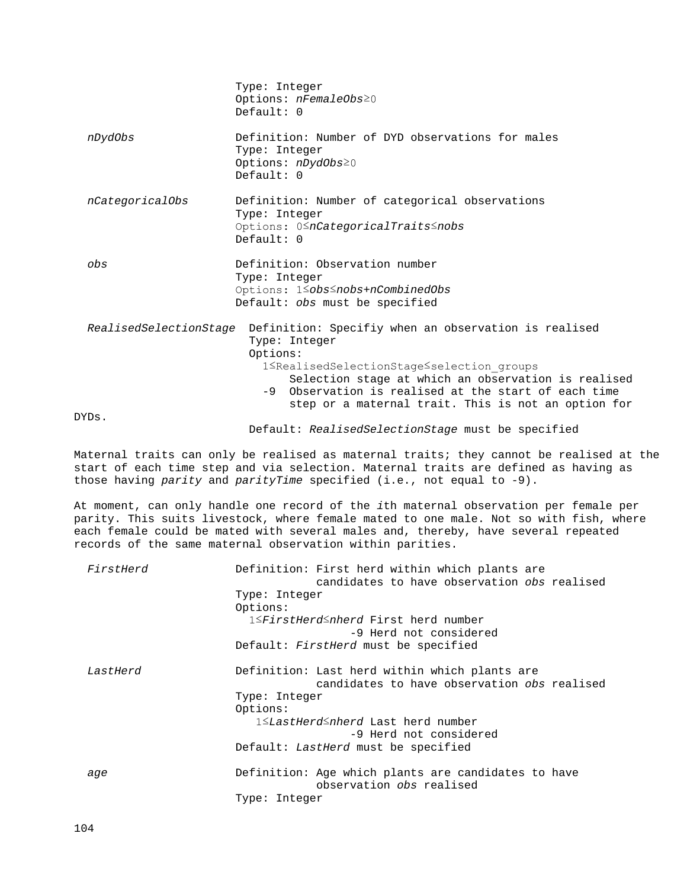|                 | Type: Integer<br>Options: $nFemaleObs \ge 0$<br>Default: 0                                                                                                                                                                                                                                                                                                           |
|-----------------|----------------------------------------------------------------------------------------------------------------------------------------------------------------------------------------------------------------------------------------------------------------------------------------------------------------------------------------------------------------------|
| nDydObs         | Definition: Number of DYD observations for males<br>Type: Integer<br>Options: nDydObs20<br>Default: 0                                                                                                                                                                                                                                                                |
| nCategoricalObs | Definition: Number of categorical observations<br>Type: Integer<br>Options: 0 <sup>S</sup> nCategoricalTraits Snobs<br>Default: 0                                                                                                                                                                                                                                    |
| obs             | Definition: Observation number<br>Type: Integer<br>Options: 1 Sobs Snobs +n Combined Obs<br>Default: obs must be specified                                                                                                                                                                                                                                           |
|                 | RealisedSelectionStage Definition: Specifiy when an observation is realised<br>Type: Integer<br>Options:<br>1 <realisedselectionstage<selection groups<br="">Selection stage at which an observation is realised<br/>-9 Observation is realised at the start of each time<br/>step or a maternal trait. This is not an option for</realisedselectionstage<selection> |
| DYDs.           |                                                                                                                                                                                                                                                                                                                                                                      |
|                 | Default: RealisedSelectionStage must be specified                                                                                                                                                                                                                                                                                                                    |

Maternal traits can only be realised as maternal traits; they cannot be realised at the start of each time step and via selection. Maternal traits are defined as having as those having *parity* and *parityTime* specified (i.e., not equal to -9).

At moment, can only handle one record of the *i*th maternal observation per female per parity. This suits livestock, where female mated to one male. Not so with fish, where each female could be mated with several males and, thereby, have several repeated records of the same maternal observation within parities.

| FirstHerd | Definition: First herd within which plants are<br>candidates to have observation obs realised |
|-----------|-----------------------------------------------------------------------------------------------|
|           | Type: Integer                                                                                 |
|           | Options:                                                                                      |
|           | 1≤FirstHerd≤nherd First herd number<br>-9 Herd not considered                                 |
|           | Default: FirstHerd must be specified                                                          |
| LastHerd  | Definition: Last herd within which plants are<br>candidates to have observation obs realised  |
|           | Type: Integer                                                                                 |
|           | Options:                                                                                      |
|           | 1≤LastHerd≤nherd Last herd number                                                             |
|           | -9 Herd not considered                                                                        |
|           | Default: LastHerd must be specified                                                           |
| age       | Definition: Age which plants are candidates to have<br>observation obs realised               |
|           | Type: Integer                                                                                 |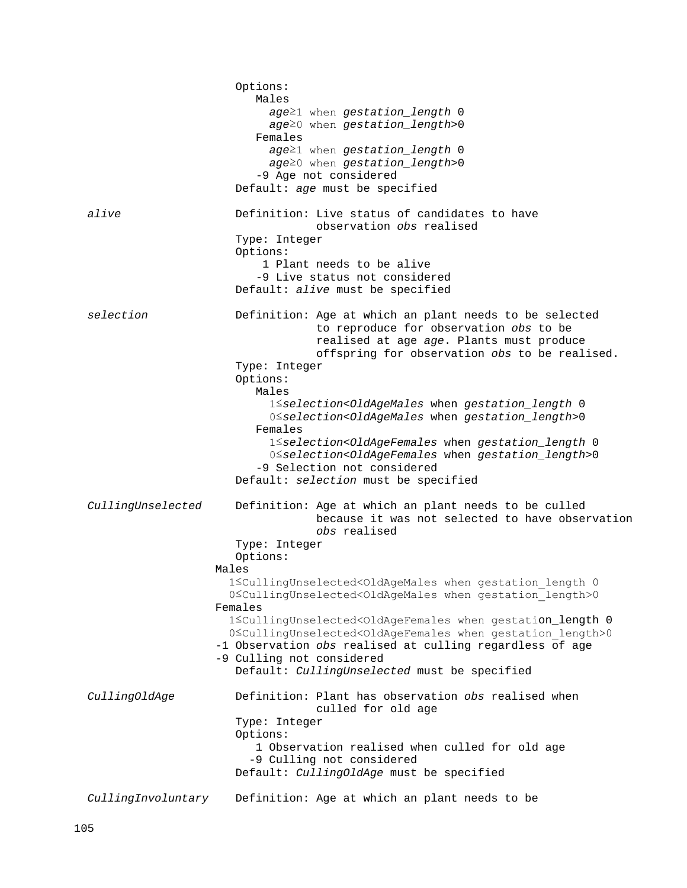|                    | Options:<br>Males<br>age <sup>21</sup> when gestation_length 0<br>age <sup>20</sup> when gestation_length>0<br>Females<br>age <sup>21</sup> when gestation_length 0<br>age <sup>20</sup> when gestation_length>0<br>-9 Age not considered<br>Default: age must be specified                                                                                                                                                                                                                                                                                                                                                                                                                                                                        |
|--------------------|----------------------------------------------------------------------------------------------------------------------------------------------------------------------------------------------------------------------------------------------------------------------------------------------------------------------------------------------------------------------------------------------------------------------------------------------------------------------------------------------------------------------------------------------------------------------------------------------------------------------------------------------------------------------------------------------------------------------------------------------------|
| alive              | Definition: Live status of candidates to have<br>observation obs realised<br>Type: Integer<br>Options:<br>1 Plant needs to be alive<br>-9 Live status not considered<br>Default: alive must be specified                                                                                                                                                                                                                                                                                                                                                                                                                                                                                                                                           |
| selection          | Definition: Age at which an plant needs to be selected<br>to reproduce for observation obs to be<br>realised at age age. Plants must produce<br>offspring for observation obs to be realised.<br>Type: Integer<br>Options:<br>Males<br>1 Sselection <oldagemales 0<br="" gestation_length="" when="">0<selection<oldagemales gestation_length="" when="">0<br/>Females<br/>1 Sselection<oldagefemales 0<br="" gestation_length="" when="">0<selection<0ldagefemales gestation_length="" when="">0<br/>-9 Selection not considered<br/>Default: selection must be specified</selection<0ldagefemales></oldagefemales></selection<oldagemales></oldagemales>                                                                                         |
| CullingUnselected  | Definition: Age at which an plant needs to be culled<br>because it was not selected to have observation<br>obs realised<br>Type: Integer<br>Options:<br>Males<br>1 <cullingunselected<oldagemales 0<br="" gestation="" length="" when="">0<cullingunselected<oldagemales gestation="" length="" when="">0<br/>Females<br/>1<cullingunselected<oldagefemales 0<br="" gestation_length="" when="">0<cullingunselected<oldagefemales gestation="" length="" when="">0<br/>-1 Observation obs realised at culling regardless of age<br/>-9 Culling not considered<br/>Default: CullingUnselected must be specified</cullingunselected<oldagefemales></cullingunselected<oldagefemales></cullingunselected<oldagemales></cullingunselected<oldagemales> |
| CullingOldAge      | Definition: Plant has observation obs realised when<br>culled for old age<br>Type: Integer<br>Options:<br>1 Observation realised when culled for old age<br>-9 Culling not considered<br>Default: CullingOldAge must be specified                                                                                                                                                                                                                                                                                                                                                                                                                                                                                                                  |
| CullingInvoluntary | Definition: Age at which an plant needs to be                                                                                                                                                                                                                                                                                                                                                                                                                                                                                                                                                                                                                                                                                                      |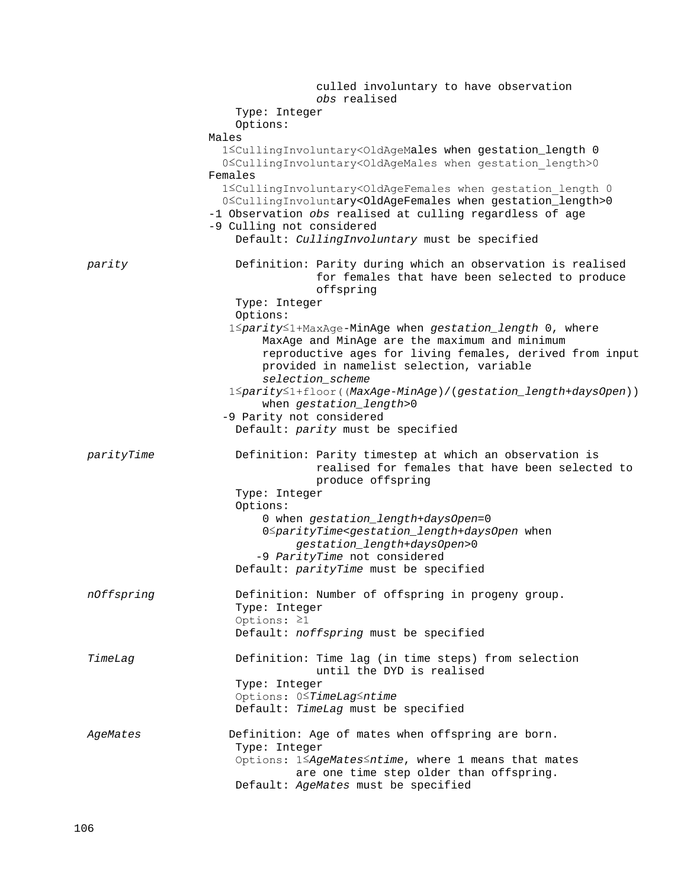|            | culled involuntary to have observation<br>obs realised                                                                                                                                                           |
|------------|------------------------------------------------------------------------------------------------------------------------------------------------------------------------------------------------------------------|
|            | Type: Integer                                                                                                                                                                                                    |
|            | Options:                                                                                                                                                                                                         |
|            | Males                                                                                                                                                                                                            |
|            | 1 <cullinginvoluntary<oldagemales 0<br="" gestation_length="" when="">0<cullinginvoluntary<oldagemales gestation="" length="" when="">0</cullinginvoluntary<oldagemales></cullinginvoluntary<oldagemales>        |
|            | Females<br>1 <cullinginvoluntary<oldagefemales 0<="" gestation="" length="" th="" when=""></cullinginvoluntary<oldagefemales>                                                                                    |
|            | 0 <cullinginvoluntary<oldagefemales gestation_length="" when="">0<br/>-1 Observation obs realised at culling regardless of age<br/>-9 Culling not considered</cullinginvoluntary<oldagefemales>                  |
|            | Default: CullingInvoluntary must be specified                                                                                                                                                                    |
| parity     | Definition: Parity during which an observation is realised<br>for females that have been selected to produce<br>offspring                                                                                        |
|            | Type: Integer<br>Options:                                                                                                                                                                                        |
|            | 1≤parity≤1+MaxAge-MinAge when gestation_length 0, where<br>MaxAge and MinAge are the maximum and minimum<br>reproductive ages for living females, derived from input<br>provided in namelist selection, variable |
|            | selection_scheme<br>1 <a>ity&lt;1+floor((MaxAge-MinAge)/(gestation_length+daysOpen))</a>                                                                                                                         |
|            | when gestation_length>0                                                                                                                                                                                          |
|            | -9 Parity not considered<br>Default: parity must be specified                                                                                                                                                    |
|            |                                                                                                                                                                                                                  |
| parityTime | Definition: Parity timestep at which an observation is<br>realised for females that have been selected to<br>produce offspring                                                                                   |
|            | Type: Integer<br>Options:                                                                                                                                                                                        |
|            | 0 when gestation_length+daysOpen=0<br>0SparityTime <gestation_length+daysopen when<br="">gestation_length+daysOpen&gt;0</gestation_length+daysopen>                                                              |
|            | -9 ParityTime not considered                                                                                                                                                                                     |
|            | Default: parityTime must be specified                                                                                                                                                                            |
| nOffspring | Definition: Number of offspring in progeny group.<br>Type: Integer                                                                                                                                               |
|            | Options: $\geq 1$<br>Default: noffspring must be specified                                                                                                                                                       |
|            |                                                                                                                                                                                                                  |
| TimeLag    | Definition: Time lag (in time steps) from selection<br>until the DYD is realised                                                                                                                                 |
|            | Type: Integer                                                                                                                                                                                                    |
|            | Options: 0STimeLagSntime                                                                                                                                                                                         |
|            | Default: TimeLag must be specified                                                                                                                                                                               |
| AgeMates   | Definition: Age of mates when offspring are born.                                                                                                                                                                |
|            | Type: Integer                                                                                                                                                                                                    |
|            | Options: 1 SAgeMates Sntime, where 1 means that mates<br>are one time step older than offspring.                                                                                                                 |
|            | Default: AgeMates must be specified                                                                                                                                                                              |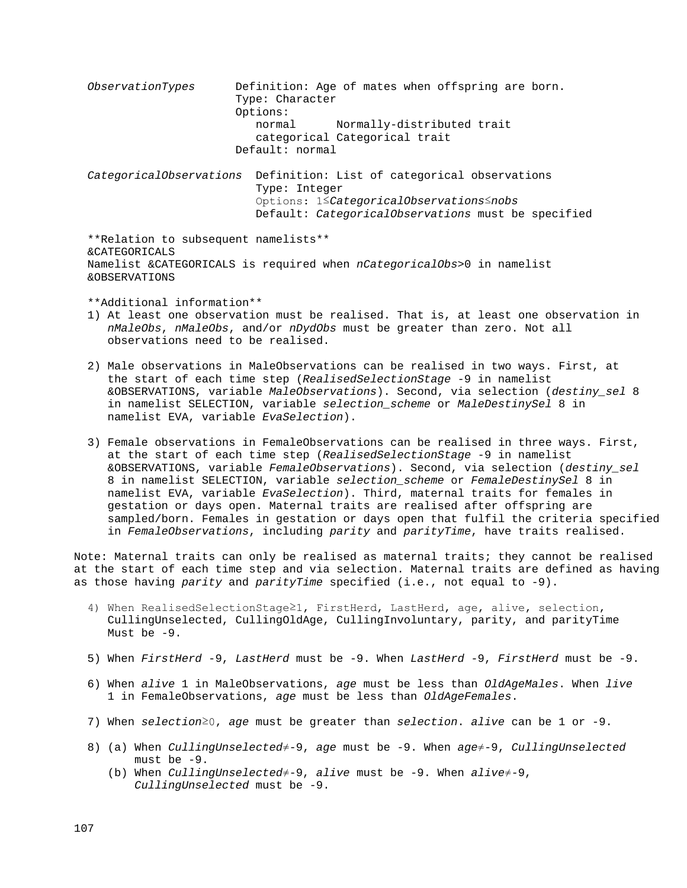*ObservationTypes* Definition: Age of mates when offspring are born. Type: Character Options: normal Normally-distributed trait categorical Categorical trait Default: normal *CategoricalObservations* Definition: List of categorical observations Type: Integer Options: 1≤*CategoricalObservations*≤*nobs* Default: *CategoricalObservations* must be specified \*\*Relation to subsequent namelists\*\* &CATEGORICALS Namelist &CATEGORICALS is required when *nCategoricalObs*>0 in namelist &OBSERVATIONS \*\*Additional information\*\* 1) At least one observation must be realised. That is, at least one observation in  *nMaleObs*, *nMaleObs*, and/or *nDydObs* must be greater than zero. Not all observations need to be realised. 2) Male observations in MaleObservations can be realised in two ways. First, at the start of each time step (*RealisedSelectionStage* -9 in namelist &OBSERVATIONS, variable *MaleObservations*). Second, via selection (*destiny\_sel* 8 in namelist SELECTION, variable *selection\_scheme* or *MaleDestinySel* 8 in namelist EVA, variable *EvaSelection*). 3) Female observations in FemaleObservations can be realised in three ways. First, at the start of each time step (*RealisedSelectionStage* -9 in namelist &OBSERVATIONS, variable *FemaleObservations*). Second, via selection (*destiny\_sel* 8 in namelist SELECTION, variable *selection\_scheme* or *FemaleDestinySel* 8 in namelist EVA, variable *EvaSelection*). Third, maternal traits for females in gestation or days open. Maternal traits are realised after offspring are sampled/born. Females in gestation or days open that fulfil the criteria specified in *FemaleObservations*, including *parity* and *parityTime*, have traits realised. Note: Maternal traits can only be realised as maternal traits; they cannot be realised at the start of each time step and via selection. Maternal traits are defined as having as those having *parity* and *parityTime* specified (i.e., not equal to -9). 4) When RealisedSelectionStage≥1, FirstHerd, LastHerd, age, alive, selection, CullingUnselected, CullingOldAge, CullingInvoluntary, parity, and parityTime Must be -9. 5) When *FirstHerd* -9, *LastHerd* must be -9. When *LastHerd* -9, *FirstHerd* must be -9. 6) When *alive* 1 in MaleObservations, *age* must be less than *OldAgeMales*. When *live*

- 1 in FemaleObservations, *age* must be less than *OldAgeFemales*.
- 7) When *selection*≥0, *age* must be greater than *selection*. *alive* can be 1 or -9.
- 8) (a) When *CullingUnselected*≠-9, *age* must be -9. When *age*≠-9, *CullingUnselected* must be -9.
	- (b) When *CullingUnselected*≠-9, *alive* must be -9. When *alive*≠-9, *CullingUnselected* must be -9.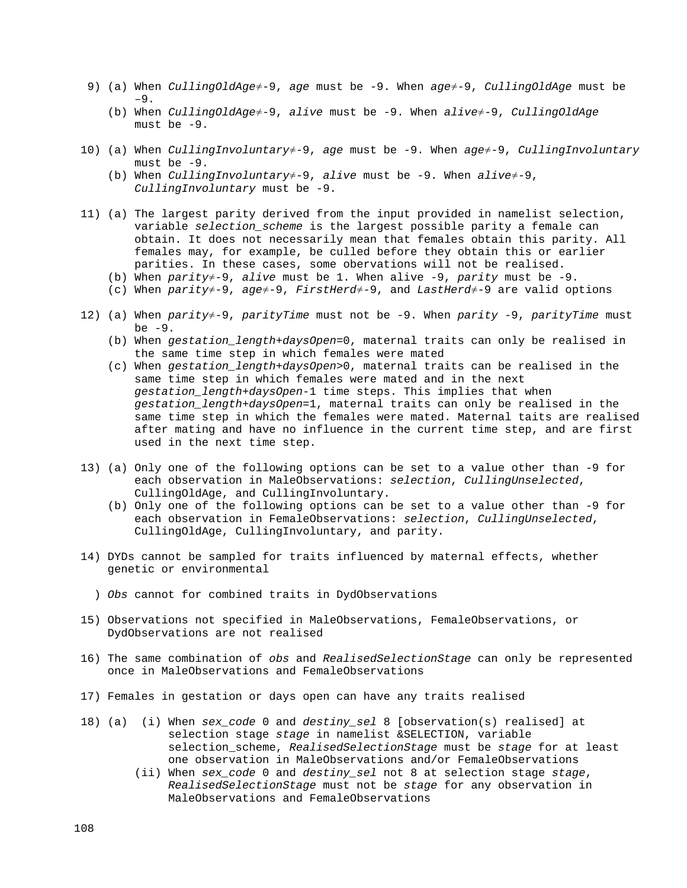- 9) (a) When *CullingOldAge*≠-9, *age* must be -9. When *age*≠-9, *CullingOldAge* must be –9.
	- (b) When *CullingOldAge*≠-9, *alive* must be -9. When *alive*≠-9, *CullingOldAge* must be -9.
- 10) (a) When *CullingInvoluntary*≠-9, *age* must be -9. When *age*≠-9, *CullingInvoluntary* must be -9.
	- (b) When *CullingInvoluntary*≠-9, *alive* must be -9. When *alive*≠-9, *CullingInvoluntary* must be -9.
- 11) (a) The largest parity derived from the input provided in namelist selection, variable *selection\_scheme* is the largest possible parity a female can obtain. It does not necessarily mean that females obtain this parity. All females may, for example, be culled before they obtain this or earlier parities. In these cases, some obervations will not be realised.
	- (b) When *parity*≠-9, *alive* must be 1. When alive -9, *parity* must be -9.
	- (c) When *parity*≠-9, *age*≠-9, *FirstHerd*≠-9, and *LastHerd*≠-9 are valid options
- 12) (a) When *parity*≠-9, *parityTime* must not be -9. When *parity* -9, *parityTime* must be -9.
	- (b) When *gestation\_length*+*daysOpen*=0, maternal traits can only be realised in the same time step in which females were mated
	- (c) When *gestation\_length*+*daysOpen*>0, maternal traits can be realised in the same time step in which females were mated and in the next *gestation\_length*+*daysOpen*-1 time steps. This implies that when *gestation\_length*+*daysOpen*=1, maternal traits can only be realised in the same time step in which the females were mated. Maternal taits are realised after mating and have no influence in the current time step, and are first used in the next time step.
- 13) (a) Only one of the following options can be set to a value other than -9 for each observation in MaleObservations: *selection*, *CullingUnselected*, CullingOldAge, and CullingInvoluntary.
	- (b) Only one of the following options can be set to a value other than -9 for each observation in FemaleObservations: *selection*, *CullingUnselected*, CullingOldAge, CullingInvoluntary, and parity.
- 14) DYDs cannot be sampled for traits influenced by maternal effects, whether genetic or environmental
	- ) *Obs* cannot for combined traits in DydObservations
- 15) Observations not specified in MaleObservations, FemaleObservations, or DydObservations are not realised
- 16) The same combination of *obs* and *RealisedSelectionStage* can only be represented once in MaleObservations and FemaleObservations
- 17) Females in gestation or days open can have any traits realised
- 18) (a) (i) When *sex\_code* 0 and *destiny\_sel* 8 [observation(s) realised] at selection stage *stage* in namelist &SELECTION, variable selection\_scheme, *RealisedSelectionStage* must be *stage* for at least one observation in MaleObservations and/or FemaleObservations
	- (ii) When *sex\_code* 0 and *destiny\_sel* not 8 at selection stage *stage*, *RealisedSelectionStage* must not be *stage* for any observation in MaleObservations and FemaleObservations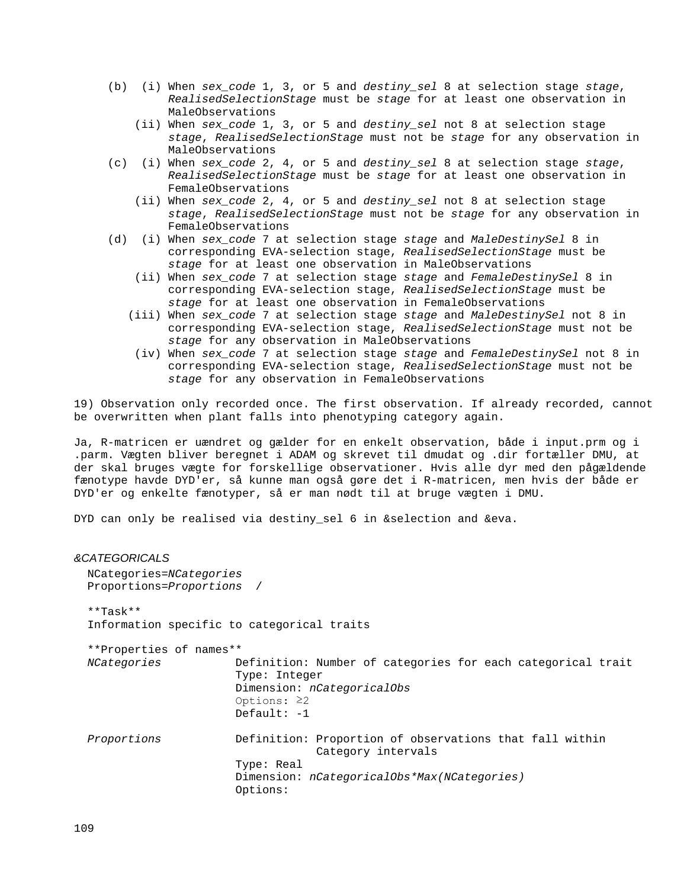- (b) (i) When *sex\_code* 1, 3, or 5 and *destiny\_sel* 8 at selection stage *stage*, *RealisedSelectionStage* must be *stage* for at least one observation in MaleObservations
	- (ii) When *sex\_code* 1, 3, or 5 and *destiny\_sel* not 8 at selection stage *stage*, *RealisedSelectionStage* must not be *stage* for any observation in MaleObservations
- (c) (i) When *sex\_code* 2, 4, or 5 and *destiny\_sel* 8 at selection stage *stage*, *RealisedSelectionStage* must be *stage* for at least one observation in FemaleObservations
	- (ii) When *sex\_code* 2, 4, or 5 and *destiny\_sel* not 8 at selection stage *stage*, *RealisedSelectionStage* must not be *stage* for any observation in FemaleObservations
- (d) (i) When *sex\_code* 7 at selection stage *stage* and *MaleDestinySel* 8 in corresponding EVA-selection stage, *RealisedSelectionStage* must be *stage* for at least one observation in MaleObservations
	- (ii) When *sex\_code* 7 at selection stage *stage* and *FemaleDestinySel* 8 in corresponding EVA-selection stage, *RealisedSelectionStage* must be *stage* for at least one observation in FemaleObservations
	- (iii) When *sex\_code* 7 at selection stage *stage* and *MaleDestinySel* not 8 in corresponding EVA-selection stage, *RealisedSelectionStage* must not be *stage* for any observation in MaleObservations
	- (iv) When *sex\_code* 7 at selection stage *stage* and *FemaleDestinySel* not 8 in corresponding EVA-selection stage, *RealisedSelectionStage* must not be *stage* for any observation in FemaleObservations

19) Observation only recorded once. The first observation. If already recorded, cannot be overwritten when plant falls into phenotyping category again.

Ja, R-matricen er uændret og gælder for en enkelt observation, både i input.prm og i .parm. Vægten bliver beregnet i ADAM og skrevet til dmudat og .dir fortæller DMU, at der skal bruges vægte for forskellige observationer. Hvis alle dyr med den pågældende fænotype havde DYD'er, så kunne man også gøre det i R-matricen, men hvis der både er DYD'er og enkelte fænotyper, så er man nødt til at bruge vægten i DMU.

DYD can only be realised via destiny\_sel 6 in &selection and &eva.

# *&CATEGORICALS* NCategories=*NCategories* Proportions=*Proportions* / \*\*Task\*\* Information specific to categorical traits \*\*Properties of names\*\* *NCategories* Definition: Number of categories for each categorical trait Type: Integer Dimension: *nCategoricalObs* Options: ≥2 Default: -1 *Proportions* Definition: Proportion of observations that fall within Category intervals Type: Real Dimension: *nCategoricalObs\*Max(NCategories)* Options: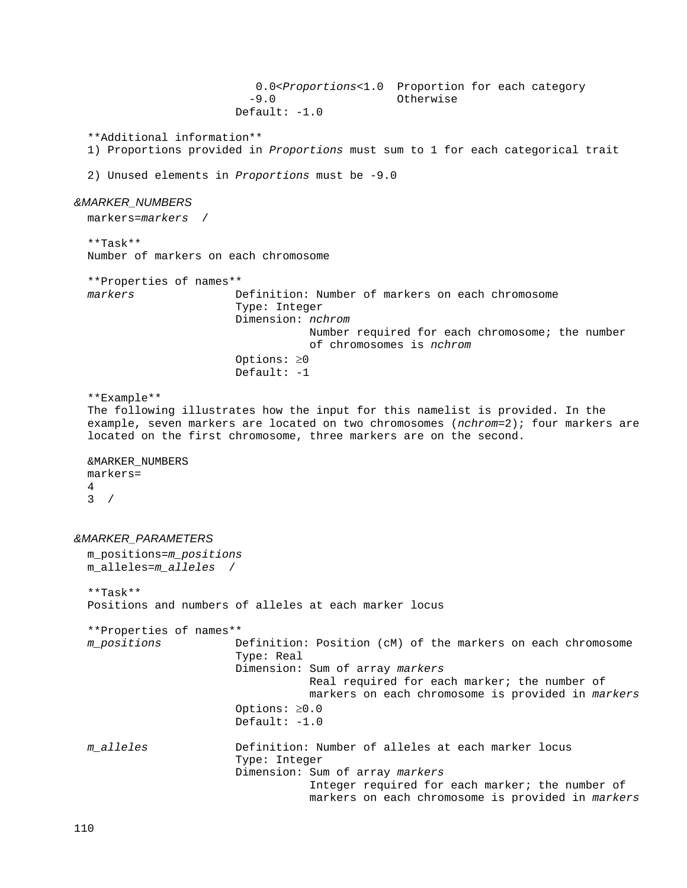0.0<*Proportions*<1.0 Proportion for each category<br>-9.0 0therwise -9.0 Otherwise Default: -1.0 \*\*Additional information\*\* 1) Proportions provided in *Proportions* must sum to 1 for each categorical trait 2) Unused elements in *Proportions* must be -9.0 *&MARKER\_NUMBERS* markers=*markers* / \*\*Task\*\* Number of markers on each chromosome \*\*Properties of names\*\* *markers* Definition: Number of markers on each chromosome Type: Integer Dimension: *nchrom* Number required for each chromosome; the number of chromosomes is *nchrom* Options: ≥0 Default:  $-1$  \*\*Example\*\* The following illustrates how the input for this namelist is provided. In the example, seven markers are located on two chromosomes (*nchrom*=2); four markers are located on the first chromosome, three markers are on the second. &MARKER\_NUMBERS markers= 4  $3 /$ *&MARKER\_PARAMETERS* m\_positions=*m\_positions* m\_alleles=*m\_alleles* / \*\*Task\*\* Positions and numbers of alleles at each marker locus \*\*Properties of names\*\* *m\_positions* Definition: Position (cM) of the markers on each chromosome Type: Real Dimension: Sum of array *markers* Real required for each marker; the number of markers on each chromosome is provided in *markers* Options: ≥0.0 Default: -1.0 *m\_alleles* Definition: Number of alleles at each marker locus Type: Integer Dimension: Sum of array *markers* Integer required for each marker; the number of markers on each chromosome is provided in *markers*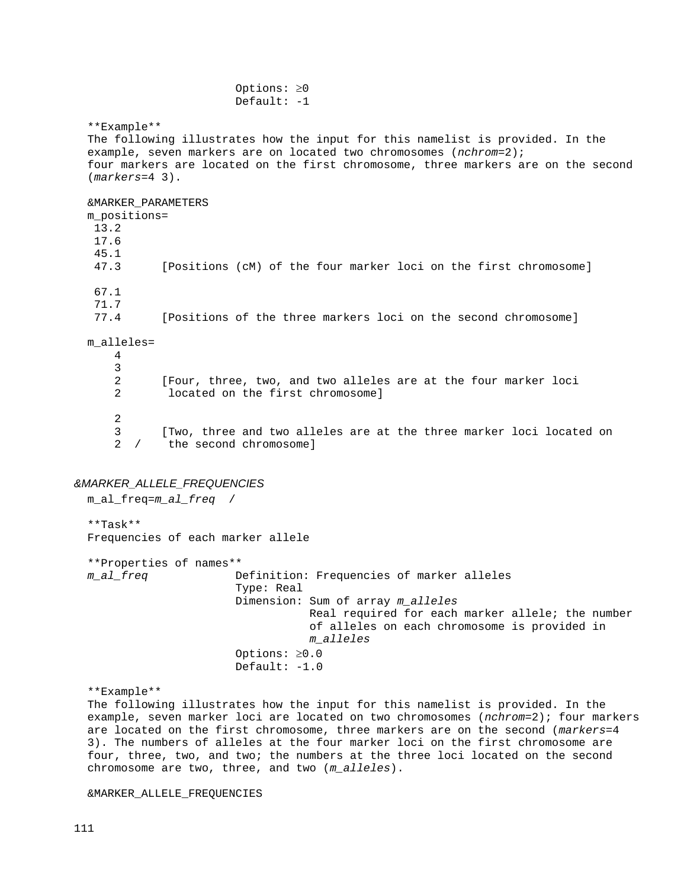Options: ≥0  $Default: -1$  \*\*Example\*\* The following illustrates how the input for this namelist is provided. In the example, seven markers are on located two chromosomes (*nchrom*=2); four markers are located on the first chromosome, three markers are on the second (*markers*=4 3). &MARKER\_PARAMETERS m\_positions= 13.2 17.6  $45.1$ <br> $47.3$ [Positions (cM) of the four marker loci on the first chromosome] 67.1 71.7 [Positions of the three markers loci on the second chromosome] m\_alleles= 4 3 2 [Four, three, two, and two alleles are at the four marker loci located on the first chromosome] 2

3 [Two, three and two alleles are at the three marker loci located on<br>2 / the second chromosome] the second chromosome]

### *&MARKER\_ALLELE\_FREQUENCIES*

 m\_al\_freq=*m\_al\_freq* / \*\*Task\*\* Frequencies of each marker allele \*\*Properties of names\*\* *m\_al\_freq* Definition: Frequencies of marker alleles Type: Real Dimension: Sum of array *m\_alleles* Real required for each marker allele; the number of alleles on each chromosome is provided in *m\_alleles* Options: ≥0.0 Default: -1.0

\*\*Example\*\*

 The following illustrates how the input for this namelist is provided. In the example, seven marker loci are located on two chromosomes (*nchrom*=2); four markers are located on the first chromosome, three markers are on the second (*markers*=4 3). The numbers of alleles at the four marker loci on the first chromosome are four, three, two, and two; the numbers at the three loci located on the second chromosome are two, three, and two (*m\_alleles*).

&MARKER\_ALLELE\_FREQUENCIES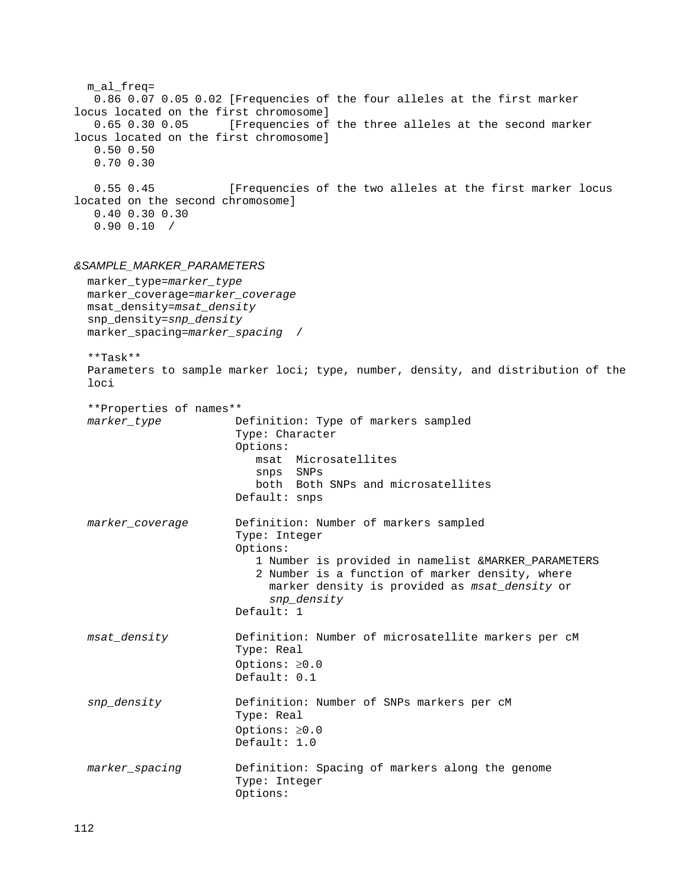```
 m_al_freq=
    0.86 0.07 0.05 0.02 [Frequencies of the four alleles at the first marker
locus located on the first chromosome]<br>0.65 0.30 0.05 [Frequencies of
                       [Frequencies of the three alleles at the second marker
locus located on the first chromosome]
    0.50 0.50
    0.70 0.30
    0.55 0.45 [Frequencies of the two alleles at the first marker locus
located on the second chromosome]
    0.40 0.30 0.30
    0.90 0.10 /
&SAMPLE_MARKER_PARAMETERS
   marker_type=marker_type
  marker_coverage=marker_coverage
   msat_density=msat_density
   snp_density=snp_density
  marker_spacing=marker_spacing /
   **Task**
   Parameters to sample marker loci; type, number, density, and distribution of the 
   loci
  **Properties of names**
                        Definition: Type of markers sampled
                         Type: Character
                        Options:
                            msat Microsatellites
                           snps SNPs
                           both Both SNPs and microsatellites
                         Default: snps
   marker_coverage Definition: Number of markers sampled
                         Type: Integer
                         Options:
                            1 Number is provided in namelist &MARKER_PARAMETERS
                            2 Number is a function of marker density, where 
                              marker density is provided as msat_density or 
                              snp_density
                         Default: 1
  msat_density Definition: Number of microsatellite markers per cM
                         Type: Real
                        Options: ≥0.0
                         Default: 0.1
   snp_density Definition: Number of SNPs markers per cM
                         Type: Real
                        Options: ≥0.0
                         Default: 1.0
   marker_spacing Definition: Spacing of markers along the genome
                         Type: Integer
                         Options:
```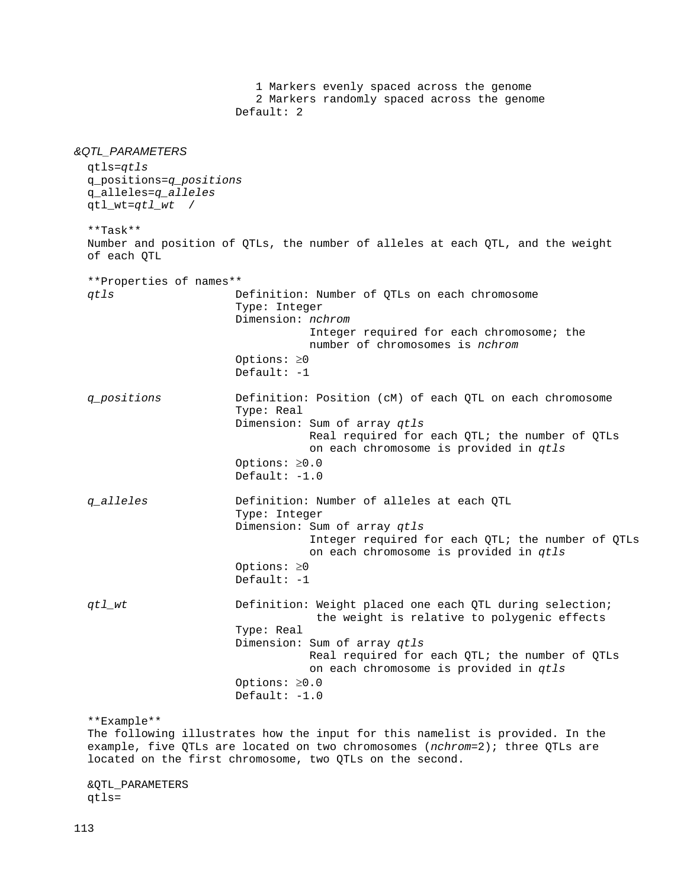1 Markers evenly spaced across the genome 2 Markers randomly spaced across the genome Default: 2 *&QTL\_PARAMETERS* qtls=*qtls* q\_positions=*q\_positions* q\_alleles=*q\_alleles* qtl\_wt=*qtl\_wt* / \*\*Task\*\* Number and position of QTLs, the number of alleles at each QTL, and the weight of each QTL \*\*Properties of names\*\* Definition: Number of QTLs on each chromosome Type: Integer Dimension: *nchrom* Integer required for each chromosome; the number of chromosomes is *nchrom* Options: ≥0 Default: -1 *q\_positions* Definition: Position (cM) of each QTL on each chromosome Type: Real Dimension: Sum of array *qtls* Real required for each QTL; the number of QTLs on each chromosome is provided in *qtls* Options: ≥0.0 Default: -1.0 *q\_alleles* Definition: Number of alleles at each QTL Type: Integer Dimension: Sum of array *qtls* Integer required for each QTL; the number of QTLs on each chromosome is provided in *qtls* Options: ≥0 Default: -1 *qtl\_wt* **Definition:** Weight placed one each QTL during selection; the weight is relative to polygenic effects Type: Real Dimension: Sum of array *qtls* Real required for each QTL; the number of QTLs on each chromosome is provided in *qtls* Options: ≥0.0 Default: -1.0 \*\*Example\*\* The following illustrates how the input for this namelist is provided. In the example, five QTLs are located on two chromosomes (*nchrom*=2); three QTLs are located on the first chromosome, two QTLs on the second.

 &QTL\_PARAMETERS qtls=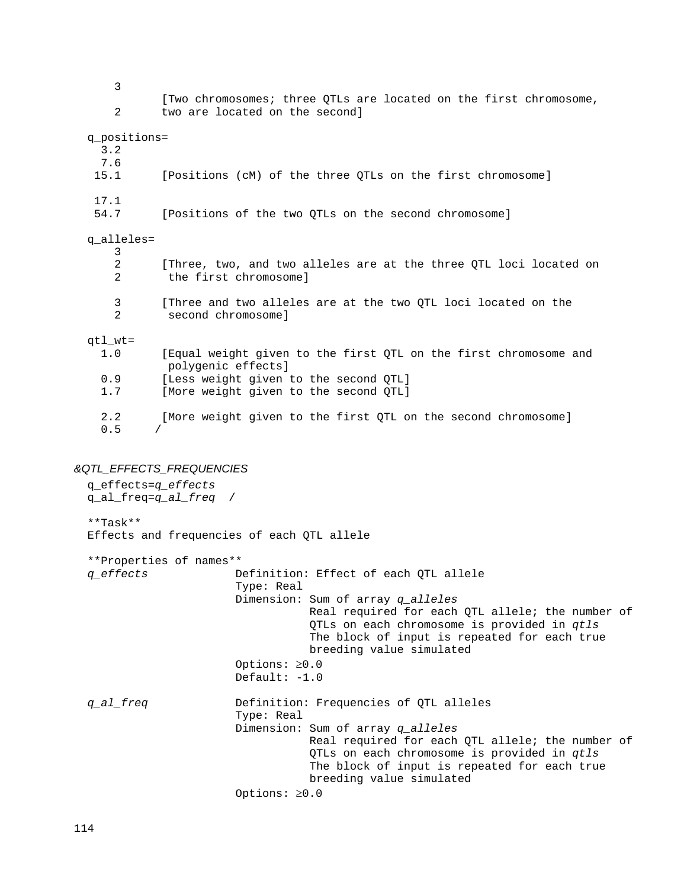3 [Two chromosomes; three QTLs are located on the first chromosome,<br>2 two are located on the second] two are located on the second] q\_positions= 3.2  $7.6$ <br>15.1 [Positions (cM) of the three QTLs on the first chromosome]  $17.1$ <br>54.7 [Positions of the two OTLs on the second chromosome] q\_alleles=  $\frac{3}{2}$  2 [Three, two, and two alleles are at the three QTL loci located on the first chromosome] 3 [Three and two alleles are at the two QTL loci located on the<br>2 second chromosomel second chromosome] qtl\_wt=<br> $1.0$ [Equal weight given to the first QTL on the first chromosome and polygenic effects] 0.9 [Less weight given to the second QTL]<br>1.7 [More weight given to the second QTL] [More weight given to the second QTL] 2.2 [More weight given to the first QTL on the second chromosome]  $0.5$ 

# *&QTL\_EFFECTS\_FREQUENCIES*

 q\_effects=*q\_effects* q\_al\_freq=*q\_al\_freq* / \*\*Task\*\* Effects and frequencies of each QTL allele \*\*Properties of names\*\* *q\_effects* Definition: Effect of each QTL allele Type: Real Dimension: Sum of array *q\_alleles* Real required for each QTL allele; the number of QTLs on each chromosome is provided in *qtls* The block of input is repeated for each true breeding value simulated Options: ≥0.0 Default: -1.0 *q\_al\_freq* Definition: Frequencies of QTL alleles Type: Real Dimension: Sum of array *q\_alleles* Real required for each QTL allele; the number of QTLs on each chromosome is provided in *qtls* The block of input is repeated for each true breeding value simulated Options: ≥0.0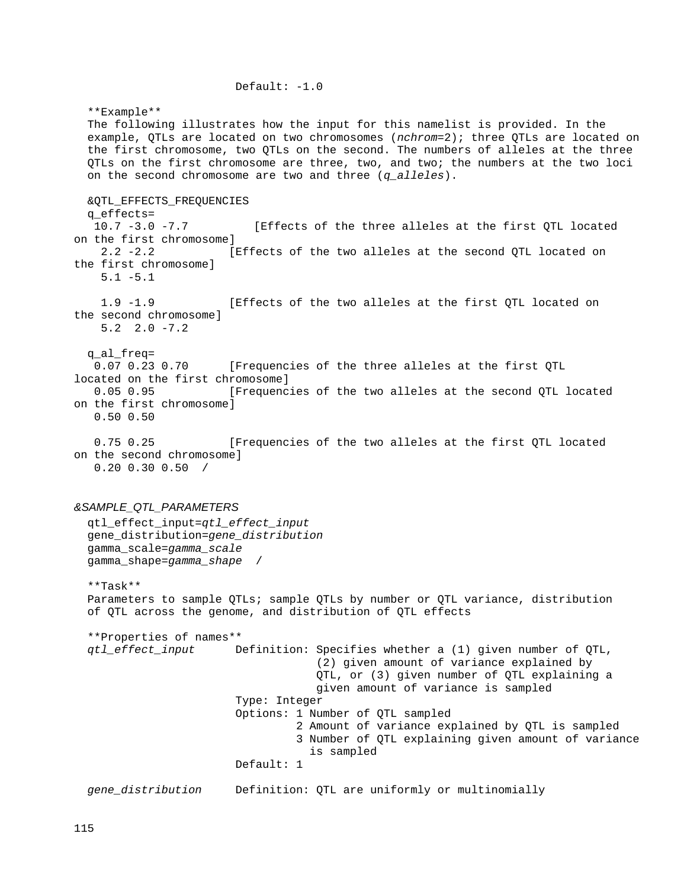\*\*Example\*\* The following illustrates how the input for this namelist is provided. In the example, QTLs are located on two chromosomes (*nchrom*=2); three QTLs are located on the first chromosome, two QTLs on the second. The numbers of alleles at the three QTLs on the first chromosome are three, two, and two; the numbers at the two loci on the second chromosome are two and three (*q\_alleles*). &QTL\_EFFECTS\_FREQUENCIES q\_effects=<br> $10.7 -3.0 -7.7$ [Effects of the three alleles at the first QTL located on the first chromosome]<br>2.2 -2.2 [Effects of the two alleles at the second QTL located on the first chromosome] 5.1 -5.1 1.9 -1.9 [Effects of the two alleles at the first QTL located on the second chromosome] 5.2 2.0 -7.2 q\_al\_freq= 0.07 0.23 0.70 [Frequencies of the three alleles at the first QTL located on the first chromosome]<br>0.05 0.95 [Frequenc [Frequencies of the two alleles at the second QTL located on the first chromosome] 0.50 0.50 0.75 0.25 [Frequencies of the two alleles at the first QTL located on the second chromosome] 0.20 0.30 0.50 /

Default: -1.0

# *&SAMPLE\_QTL\_PARAMETERS*

 qtl\_effect\_input=*qtl\_effect\_input* gene\_distribution=*gene\_distribution* gamma\_scale=*gamma\_scale* gamma\_shape=*gamma\_shape* /

 \*\*Task\*\* Parameters to sample QTLs; sample QTLs by number or QTL variance, distribution of QTL across the genome, and distribution of QTL effects

 \*\*Properties of names\*\* Definition: Specifies whether a (1) given number of QTL, (2) given amount of variance explained by QTL, or (3) given number of QTL explaining a given amount of variance is sampled Type: Integer Options: 1 Number of QTL sampled 2 Amount of variance explained by QTL is sampled 3 Number of QTL explaining given amount of variance is sampled Default: 1 *gene\_distribution* Definition: QTL are uniformly or multinomially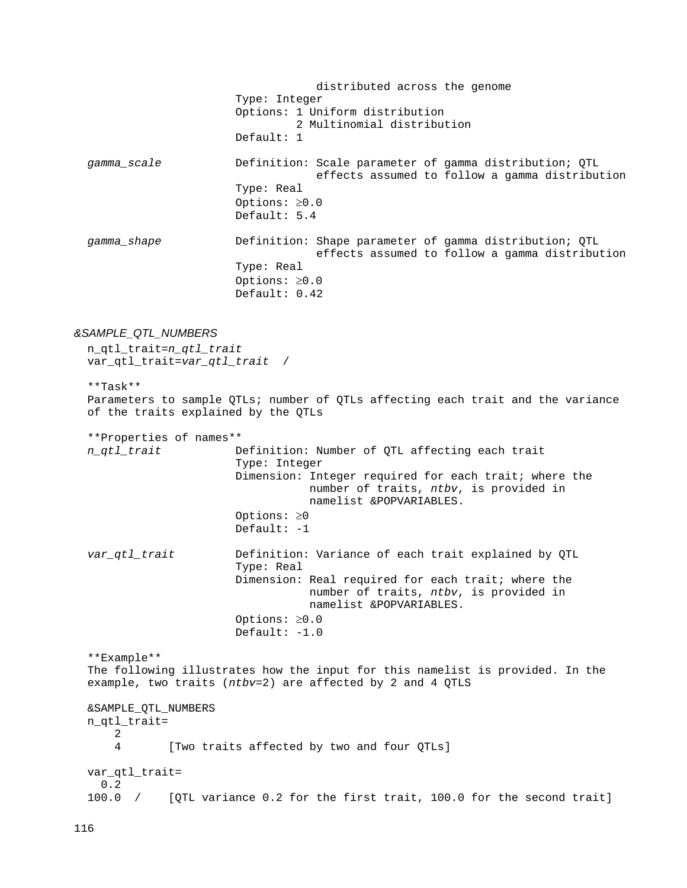distributed across the genome Type: Integer Options: 1 Uniform distribution 2 Multinomial distribution Default: 1 *gamma\_scale* Definition: Scale parameter of gamma distribution; QTL effects assumed to follow a gamma distribution Type: Real Options: ≥0.0 Default: 5.4 *gamma\_shape* Definition: Shape parameter of gamma distribution; QTL effects assumed to follow a gamma distribution Type: Real Options: ≥0.0 Default: 0.42 *&SAMPLE\_QTL\_NUMBERS* n\_qtl\_trait=*n\_qtl\_trait* var\_qtl\_trait=*var\_qtl\_trait* / \*\*Task\*\* Parameters to sample QTLs; number of QTLs affecting each trait and the variance of the traits explained by the QTLs \*\*Properties of names\*\* *n\_qtl\_trait* Definition: Number of QTL affecting each trait Type: Integer Dimension: Integer required for each trait; where the number of traits, *ntbv*, is provided in namelist &POPVARIABLES. Options: ≥0 Default: -1 *var\_qtl\_trait* Definition: Variance of each trait explained by QTL Type: Real Dimension: Real required for each trait; where the number of traits, *ntbv*, is provided in namelist &POPVARIABLES. Options: ≥0.0 Default: -1.0

 \*\*Example\*\* The following illustrates how the input for this namelist is provided. In the example, two traits (*ntbv*=2) are affected by 2 and 4 QTLS &SAMPLE\_QTL\_NUMBERS n\_qtl\_trait=  $\frac{2}{4}$ [Two traits affected by two and four QTLs] var\_qtl\_trait= 0.2 100.0 / [QTL variance 0.2 for the first trait, 100.0 for the second trait]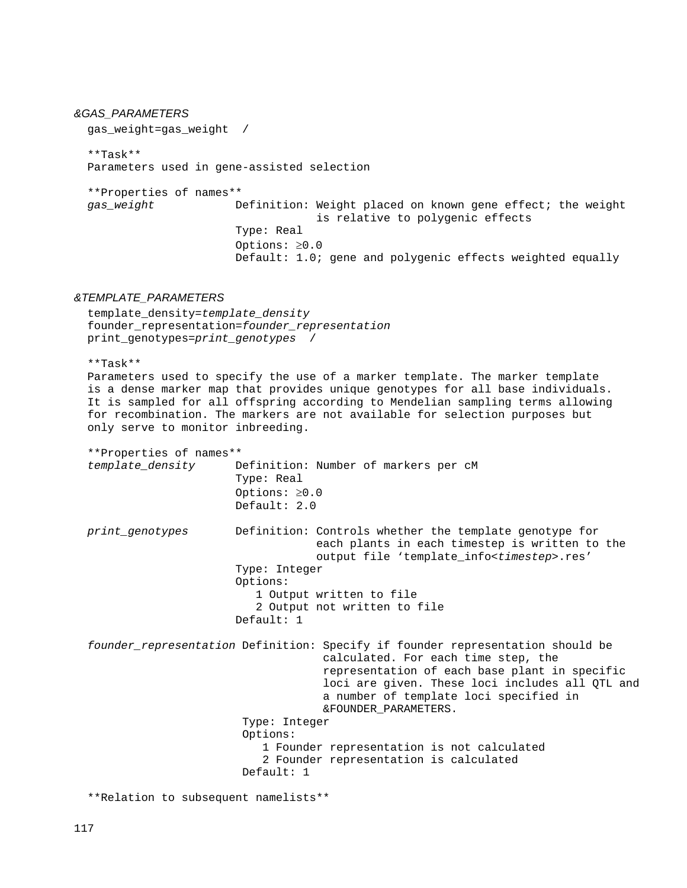### *&GAS\_PARAMETERS*

gas\_weight=gas\_weight /

 \*\*Task\*\* Parameters used in gene-assisted selection

 \*\*Properties of names\*\* Definition: Weight placed on known gene effect; the weight is relative to polygenic effects Type: Real Options: ≥0.0 Default: 1.0; gene and polygenic effects weighted equally

#### *&TEMPLATE\_PARAMETERS*

 template\_density=*template\_density* founder\_representation=*founder\_representation* print\_genotypes=*print\_genotypes* /

\*\*Task\*\*

 Parameters used to specify the use of a marker template. The marker template is a dense marker map that provides unique genotypes for all base individuals. It is sampled for all offspring according to Mendelian sampling terms allowing for recombination. The markers are not available for selection purposes but only serve to monitor inbreeding.

```
 **Properties of names**
                       Definition: Number of markers per cM
                        Type: Real
                        Options: ≥0.0
                        Default: 2.0
 print_genotypes Definition: Controls whether the template genotype for 
                                    each plants in each timestep is written to the
                                    output file 'template_info<timestep>.res'
                        Type: Integer
                       Options: 
                           1 Output written to file
                          2 Output not written to file
                        Default: 1
 founder_representation Definition: Specify if founder representation should be 
                                     calculated. For each time step, the 
                                     representation of each base plant in specific 
                                     loci are given. These loci includes all QTL and 
                                     a number of template loci specified in 
                                    &FOUNDER_PARAMETERS.
                         Type: Integer
                         Options: 
                            1 Founder representation is not calculated
                            2 Founder representation is calculated
                         Default: 1
```
\*\*Relation to subsequent namelists\*\*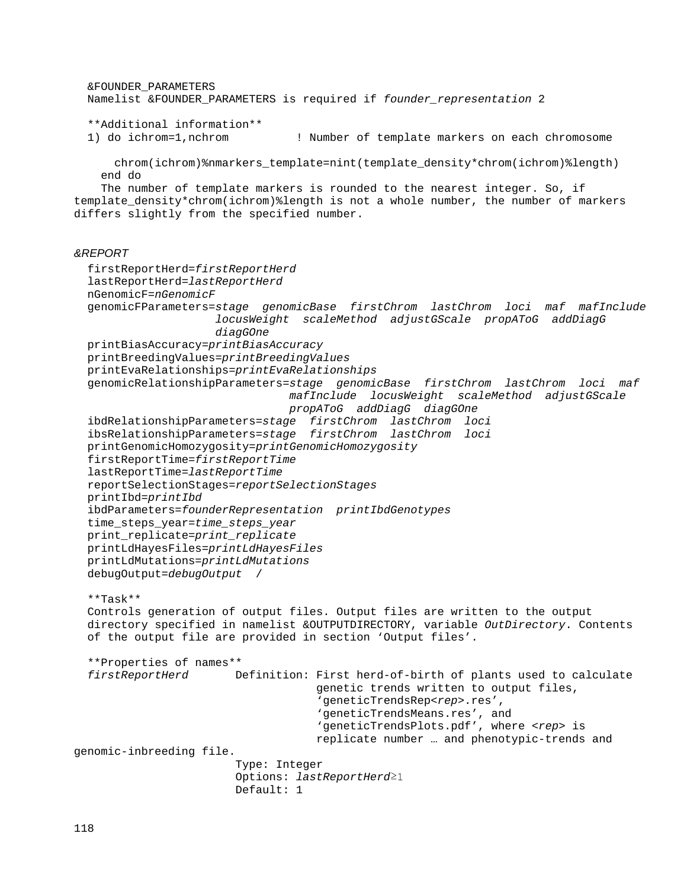&FOUNDER\_PARAMETERS Namelist &FOUNDER\_PARAMETERS is required if *founder\_representation* 2 \*\*Additional information\*\* ! Number of template markers on each chromosome chrom(ichrom)%nmarkers\_template=nint(template\_density\*chrom(ichrom)%length) end do The number of template markers is rounded to the nearest integer. So, if template density\*chrom(ichrom)%length is not a whole number, the number of markers differs slightly from the specified number. *&REPORT* firstReportHerd=*firstReportHerd* lastReportHerd=*lastReportHerd* nGenomicF=*nGenomicF* genomicFParameters=*stage genomicBase firstChrom lastChrom loci maf mafInclude locusWeight scaleMethod adjustGScale propAToG addDiagG diagGOne* printBiasAccuracy=*printBiasAccuracy* printBreedingValues=*printBreedingValues* printEvaRelationships=*printEvaRelationships* genomicRelationshipParameters=*stage genomicBase firstChrom lastChrom loci maf mafInclude locusWeight scaleMethod adjustGScale propAToG addDiagG diagGOne* ibdRelationshipParameters*=stage firstChrom lastChrom loci* ibsRelationshipParameters*=stage firstChrom lastChrom loci* printGenomicHomozygosity=*printGenomicHomozygosity* firstReportTime=*firstReportTime* lastReportTime=*lastReportTime* reportSelectionStages=*reportSelectionStages* printIbd=*printIbd* ibdParameters=*founderRepresentation printIbdGenotypes* time\_steps\_year=*time\_steps\_year* print\_replicate=*print\_replicate* printLdHayesFiles=*printLdHayesFiles* printLdMutations=*printLdMutations* debugOutput=*debugOutput* / \*\*Task\*\* Controls generation of output files. Output files are written to the output directory specified in namelist &OUTPUTDIRECTORY, variable *OutDirectory*. Contents of the output file are provided in section 'Output files'. \*\*Properties of names\*\* Definition: First herd-of-birth of plants used to calculate genetic trends written to output files, 'geneticTrendsRep<*rep*>.res', 'geneticTrendsMeans.res', and 'geneticTrendsPlots.pdf', where <*rep*> is replicate number … and phenotypic-trends and genomic-inbreeding file. Type: Integer Options: *lastReportHerd*≥1 Default: 1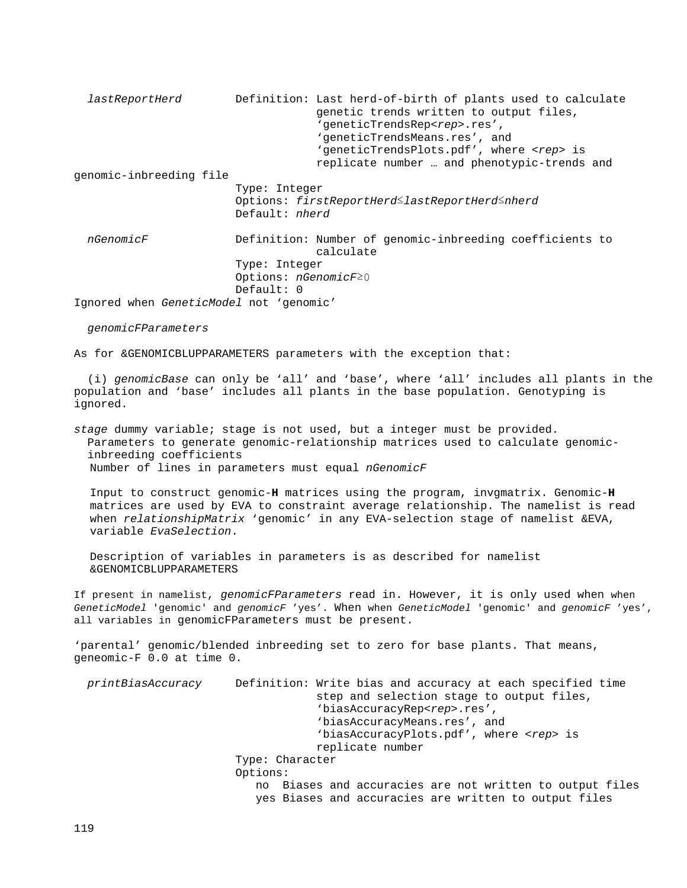*lastReportHerd* Definition: Last herd-of-birth of plants used to calculate genetic trends written to output files, 'geneticTrendsRep<*rep*>.res', 'geneticTrendsMeans.res', and 'geneticTrendsPlots.pdf', where <*rep*> is replicate number … and phenotypic-trends and genomic-inbreeding file Type: Integer Options: *firstReportHerd*≤*lastReportHerd*≤*nherd* Default: *nherd nGenomicF* Definition: Number of genomic-inbreeding coefficients to calculate Type: Integer Options: *nGenomicF*≥0 Default: 0 Ignored when *GeneticModel* not 'genomic'

 *genomicFParameters*

As for &GENOMICBLUPPARAMETERS parameters with the exception that:

 (i) *genomicBase* can only be 'all' and 'base', where 'all' includes all plants in the population and 'base' includes all plants in the base population. Genotyping is ignored.

*stage* dummy variable; stage is not used, but a integer must be provided. Parameters to generate genomic-relationship matrices used to calculate genomic inbreeding coefficients Number of lines in parameters must equal *nGenomicF*

Input to construct genomic-**H** matrices using the program, invgmatrix. Genomic-**H** matrices are used by EVA to constraint average relationship. The namelist is read when *relationshipMatrix* 'genomic' in any EVA-selection stage of namelist &EVA, variable *EvaSelection*.

Description of variables in parameters is as described for namelist &GENOMICBLUPPARAMETERS

If present in namelist, *genomicFParameters* read in. However, it is only used when when *GeneticModel* 'genomic' and *genomicF* 'yes'. When when *GeneticModel* 'genomic' and *genomicF* 'yes', all variables in genomicFParameters must be present.

'parental' genomic/blended inbreeding set to zero for base plants. That means, geneomic-F 0.0 at time 0.

| printBiasAccuracy | Definition: Write bias and accuracy at each specified time<br>step and selection stage to output files, |
|-------------------|---------------------------------------------------------------------------------------------------------|
|                   | 'biasAccuracyRep <rep>.res',</rep>                                                                      |
|                   | 'biasAccuracyMeans.res', and                                                                            |
|                   | 'biasAccuracyPlots.pdf', where <rep> is</rep>                                                           |
|                   | replicate number                                                                                        |
|                   | Type: Character                                                                                         |
|                   | Options:                                                                                                |
|                   | no Biases and accuracies are not written to output files                                                |
|                   | yes Biases and accuracies are written to output files                                                   |
|                   |                                                                                                         |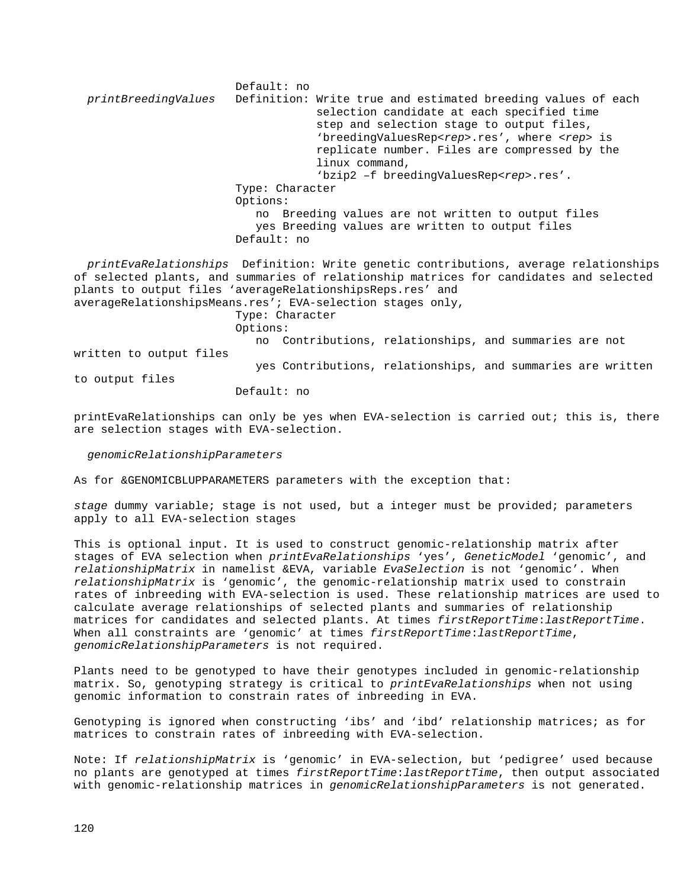Default: no<br>:printBreedingValues Definition Definition: Write true and estimated breeding values of each selection candidate at each specified time step and selection stage to output files, 'breedingValuesRep<*rep*>.res', where <*rep*> is replicate number. Files are compressed by the linux command, 'bzip2 –f breedingValuesRep*<rep>*.res'. Type: Character Options: no Breeding values are not written to output files yes Breeding values are written to output files Default: no *printEvaRelationships* Definition: Write genetic contributions, average relationships of selected plants, and summaries of relationship matrices for candidates and selected plants to output files 'averageRelationshipsReps.res' and averageRelationshipsMeans.res'; EVA-selection stages only, Type: Character Options: no Contributions, relationships, and summaries are not written to output files yes Contributions, relationships, and summaries are written

to output files

Default: no

printEvaRelationships can only be yes when EVA-selection is carried out; this is, there are selection stages with EVA-selection.

 *genomicRelationshipParameters*

As for &GENOMICBLUPPARAMETERS parameters with the exception that:

*stage* dummy variable; stage is not used, but a integer must be provided; parameters apply to all EVA-selection stages

This is optional input. It is used to construct genomic-relationship matrix after stages of EVA selection when *printEvaRelationships* 'yes', *GeneticModel* 'genomic', and *relationshipMatrix* in namelist &EVA, variable *EvaSelection* is not 'genomic'. When *relationshipMatrix* is 'genomic', the genomic-relationship matrix used to constrain rates of inbreeding with EVA-selection is used. These relationship matrices are used to calculate average relationships of selected plants and summaries of relationship matrices for candidates and selected plants. At times *firstReportTime*:*lastReportTime*. When all constraints are 'genomic' at times *firstReportTime*:*lastReportTime*, *genomicRelationshipParameters* is not required.

Plants need to be genotyped to have their genotypes included in genomic-relationship matrix. So, genotyping strategy is critical to *printEvaRelationships* when not using genomic information to constrain rates of inbreeding in EVA.

Genotyping is ignored when constructing 'ibs' and 'ibd' relationship matrices; as for matrices to constrain rates of inbreeding with EVA-selection.

Note: If *relationshipMatrix* is 'genomic' in EVA-selection, but 'pedigree' used because no plants are genotyped at times *firstReportTime*:*lastReportTime*, then output associated with genomic-relationship matrices in *genomicRelationshipParameters* is not generated.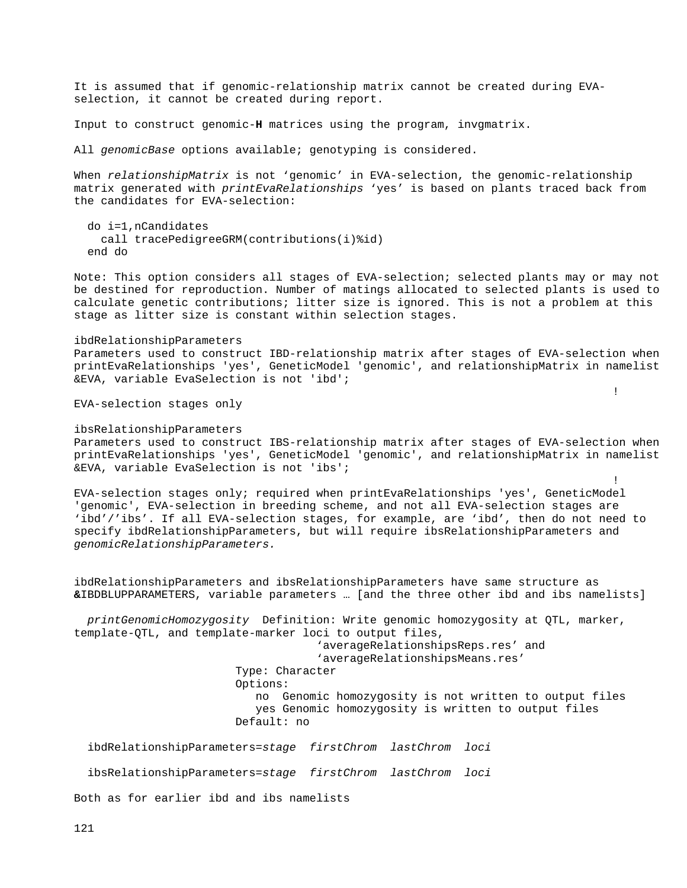It is assumed that if genomic-relationship matrix cannot be created during EVAselection, it cannot be created during report.

Input to construct genomic-**H** matrices using the program, invgmatrix.

All *genomicBase* options available; genotyping is considered.

When *relationshipMatrix* is not 'genomic' in EVA-selection, the genomic-relationship matrix generated with *printEvaRelationships* 'yes' is based on plants traced back from the candidates for EVA-selection:

```
 do i=1,nCandidates
   call tracePedigreeGRM(contributions(i)%id) 
 end do
```
Note: This option considers all stages of EVA-selection; selected plants may or may not be destined for reproduction. Number of matings allocated to selected plants is used to calculate genetic contributions; litter size is ignored. This is not a problem at this stage as litter size is constant within selection stages.

ibdRelationshipParameters Parameters used to construct IBD-relationship matrix after stages of EVA-selection when printEvaRelationships 'yes', GeneticModel 'genomic', and relationshipMatrix in namelist &EVA, variable EvaSelection is not 'ibd';

in the contract of the contract of the contract of the contract of the contract of the contract of the contract of the contract of the contract of the contract of the contract of the contract of the contract of the contrac

EVA-selection stages only

ibsRelationshipParameters Parameters used to construct IBS-relationship matrix after stages of EVA-selection when printEvaRelationships 'yes', GeneticModel 'genomic', and relationshipMatrix in namelist &EVA, variable EvaSelection is not 'ibs';

EVA-selection stages only; required when printEvaRelationships 'yes', GeneticModel 'genomic', EVA-selection in breeding scheme, and not all EVA-selection stages are 'ibd'/'ibs'. If all EVA-selection stages, for example, are 'ibd', then do not need to specify ibdRelationshipParameters, but will require ibsRelationshipParameters and *genomicRelationshipParameters.*

the contract of the contract of the contract of the contract of the contract of the contract of the contract o

ibdRelationshipParameters and ibsRelationshipParameters have same structure as **&**IBDBLUPPARAMETERS, variable parameters … [and the three other ibd and ibs namelists]

 *printGenomicHomozygosity* Definition: Write genomic homozygosity at QTL, marker, template-QTL, and template-marker loci to output files, 'averageRelationshipsReps.res' and

> 'averageRelationshipsMeans.res' Type: Character Options: no Genomic homozygosity is not written to output files yes Genomic homozygosity is written to output files Default: no

```
 ibdRelationshipParameters=stage firstChrom lastChrom loci
```

```
 ibsRelationshipParameters=stage firstChrom lastChrom loci
```
Both as for earlier ibd and ibs namelists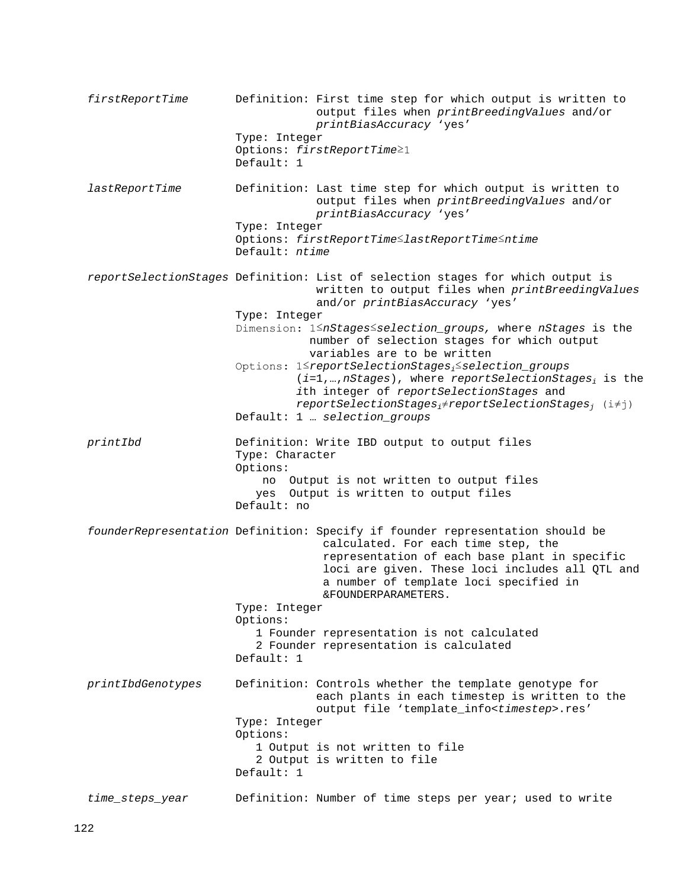*firstReportTime* Definition: First time step for which output is written to output files when *printBreedingValues* and/or *printBiasAccuracy* 'yes' Type: Integer Options: *firstReportTime*≥1 Default: 1 *lastReportTime* Definition: Last time step for which output is written to output files when *printBreedingValues* and/or *printBiasAccuracy* 'yes' Type: Integer Options: *firstReportTime*≤*lastReportTime*≤*ntime* Default: *ntime reportSelectionStages* Definition: List of selection stages for which output is written to output files when *printBreedingValues* and/or *printBiasAccuracy* 'yes' Type: Integer Dimension: 1≤*nStages*≤*selection\_groups,* where *nStages* is the number of selection stages for which output variables are to be written Options: 1≤*reportSelectionStagesi*≤*selection\_groups* (*i*=1,…,*nStages*), where *reportSelectionStagesi* is the *i*th integer of *reportSelectionStages* and *reportSelectionStagesi*≠*reportSelectionStagesj* (i≠j) Default: 1 … *selection\_groups printIbd* Definition: Write IBD output to output files Type: Character Options: no Output is not written to output files yes Output is written to output files Default: no *founderRepresentation* Definition: Specify if founder representation should be calculated. For each time step, the representation of each base plant in specific loci are given. These loci includes all QTL and a number of template loci specified in &FOUNDERPARAMETERS. Type: Integer Options: 1 Founder representation is not calculated 2 Founder representation is calculated Default: 1 *printIbdGenotypes* Definition: Controls whether the template genotype for each plants in each timestep is written to the output file 'template\_info<*timestep*>.res' Type: Integer Options: 1 Output is not written to file 2 Output is written to file Default: 1 *time\_steps\_year* Definition: Number of time steps per year; used to write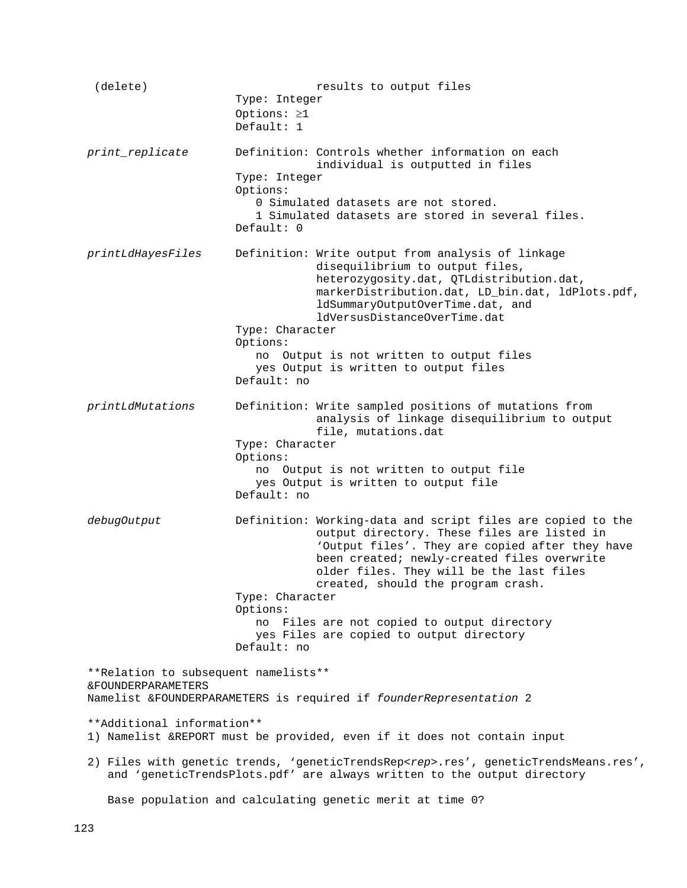(delete) results to output files Type: Integer Options: ≥1 Default: 1 *print\_replicate* Definition: Controls whether information on each individual is outputted in files Type: Integer Options: 0 Simulated datasets are not stored. 1 Simulated datasets are stored in several files. Default: 0 *printLdHayesFiles* Definition: Write output from analysis of linkage disequilibrium to output files, heterozygosity.dat, QTLdistribution.dat, markerDistribution.dat, LD\_bin.dat, ldPlots.pdf, ldSummaryOutputOverTime.dat, and ldVersusDistanceOverTime.dat Type: Character Options: no Output is not written to output files yes Output is written to output files Default: no *printLdMutations* Definition: Write sampled positions of mutations from analysis of linkage disequilibrium to output file, mutations.dat Type: Character Options: no Output is not written to output file yes Output is written to output file Default: no  *debugOutput* Definition: Working-data and script files are copied to the output directory. These files are listed in 'Output files'. They are copied after they have been created; newly-created files overwrite older files. They will be the last files created, should the program crash. Type: Character Options: no Files are not copied to output directory yes Files are copied to output directory Default: no \*\*Relation to subsequent namelists\*\* &FOUNDERPARAMETERS Namelist &FOUNDERPARAMETERS is required if *founderRepresentation* 2 \*\*Additional information\*\* 1) Namelist &REPORT must be provided, even if it does not contain input 2) Files with genetic trends, 'geneticTrendsRep<*rep*>.res', geneticTrendsMeans.res', and 'geneticTrendsPlots.pdf' are always written to the output directory Base population and calculating genetic merit at time 0?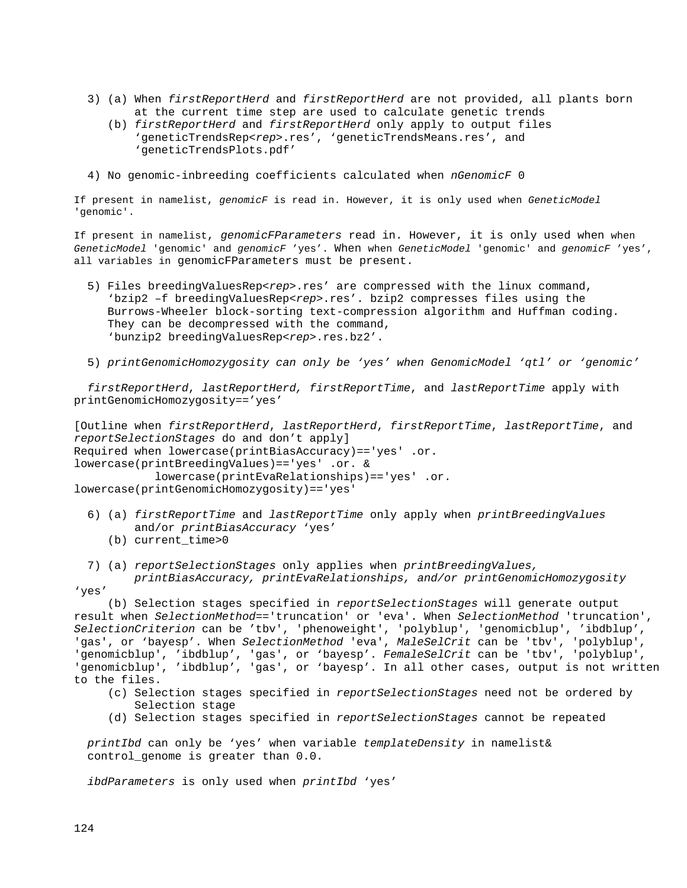- 3) (a) When *firstReportHerd* and *firstReportHerd* are not provided, all plants born at the current time step are used to calculate genetic trends
	- (b) *firstReportHerd* and *firstReportHerd* only apply to output files 'geneticTrendsRep<*rep*>.res', 'geneticTrendsMeans.res', and 'geneticTrendsPlots.pdf'
- 4) No genomic-inbreeding coefficients calculated when *nGenomicF* 0

If present in namelist, *genomicF* is read in. However, it is only used when *GeneticModel* 'genomic'.

If present in namelist, *genomicFParameters* read in. However, it is only used when when *GeneticModel* 'genomic' and *genomicF* 'yes'. When when *GeneticModel* 'genomic' and *genomicF* 'yes', all variables in genomicFParameters must be present.

- 5) Files breedingValuesRep<rep>.res' are compressed with the linux command, 'bzip2 –f breedingValuesRep*<rep>*.res'. bzip2 compresses files using the Burrows-Wheeler block-sorting text-compression algorithm and Huffman coding. They can be decompressed with the command, 'bunzip2 breedingValuesRep*<rep>*.res.bz2'.
- 5) *printGenomicHomozygosity can only be 'yes' when GenomicModel 'qtl' or 'genomic'*

 *firstReportHerd*, *lastReportHerd, firstReportTime*, and *lastReportTime* apply with printGenomicHomozygosity=='yes'

[Outline when *firstReportHerd*, *lastReportHerd*, *firstReportTime*, *lastReportTime*, and *reportSelectionStages* do and don't apply] Required when lowercase(printBiasAccuracy)=='yes' .or. lowercase(printBreedingValues)=='yes' .or. & lowercase(printEvaRelationships)=='yes' .or. lowercase(printGenomicHomozygosity)=='yes'

- 6) (a) *firstReportTime* and *lastReportTime* only apply when *printBreedingValues* and/or *printBiasAccuracy* 'yes'
	- (b) current\_time>0
- 7) (a) *reportSelectionStages* only applies when *printBreedingValues,*

 *printBiasAccuracy, printEvaRelationships, and/or printGenomicHomozygosity*  'yes'

 (b) Selection stages specified in *reportSelectionStages* will generate output result when *SelectionMethod*=='truncation' or 'eva'. When *SelectionMethod* 'truncation', *SelectionCriterion* can be 'tbv', 'phenoweight', 'polyblup', 'genomicblup', 'ibdblup', 'gas', or 'bayesp'. When *SelectionMethod* 'eva', *MaleSelCrit* can be 'tbv', 'polyblup', 'genomicblup', 'ibdblup', 'gas', or 'bayesp'. *FemaleSelCrit* can be 'tbv', 'polyblup', 'genomicblup', 'ibdblup', 'gas', or 'bayesp'. In all other cases, output is not written to the files.

- (c) Selection stages specified in *reportSelectionStages* need not be ordered by Selection stage
- (d) Selection stages specified in *reportSelectionStages* cannot be repeated

 *printIbd* can only be 'yes' when variable *templateDensity* in namelist& control\_genome is greater than 0.0.

*ibdParameters* is only used when *printIbd* 'yes'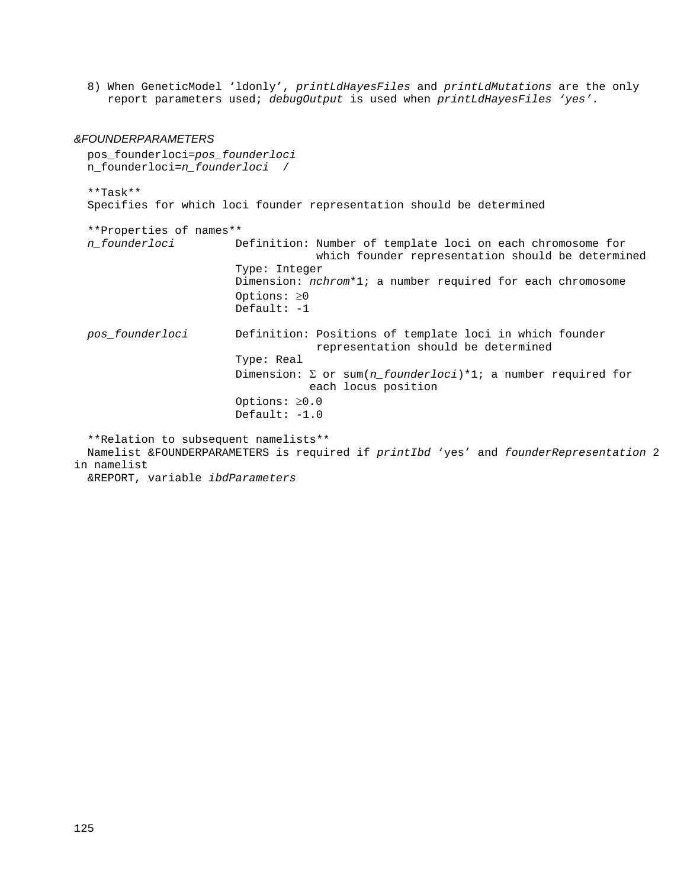8) When GeneticModel 'ldonly', *printLdHayesFiles* and *printLdMutations* are the only report parameters used; *debugOutput* is used when *printLdHayesFiles 'yes'.*

#### *&FOUNDERPARAMETERS*

 pos\_founderloci=*pos\_founderloci* n\_founderloci=*n\_founderloci* / \*\*Task\*\* Specifies for which loci founder representation should be determined \*\*Properties of names\*\*  *n\_founderloci* Definition: Number of template loci on each chromosome for which founder representation should be determined Type: Integer Dimension: *nchrom*\*1; a number required for each chromosome Options: ≥0 Default: -1 *pos\_founderloci* Definition: Positions of template loci in which founder representation should be determined Type: Real Dimension: Σ or sum(*n\_founderloci*)\*1; a number required for each locus position Options: ≥0.0 Default: -1.0 \*\*Relation to subsequent namelists\*\* Namelist &FOUNDERPARAMETERS is required if *printIbd* 'yes' and *founderRepresentation* 2 in namelist &REPORT, variable *ibdParameters*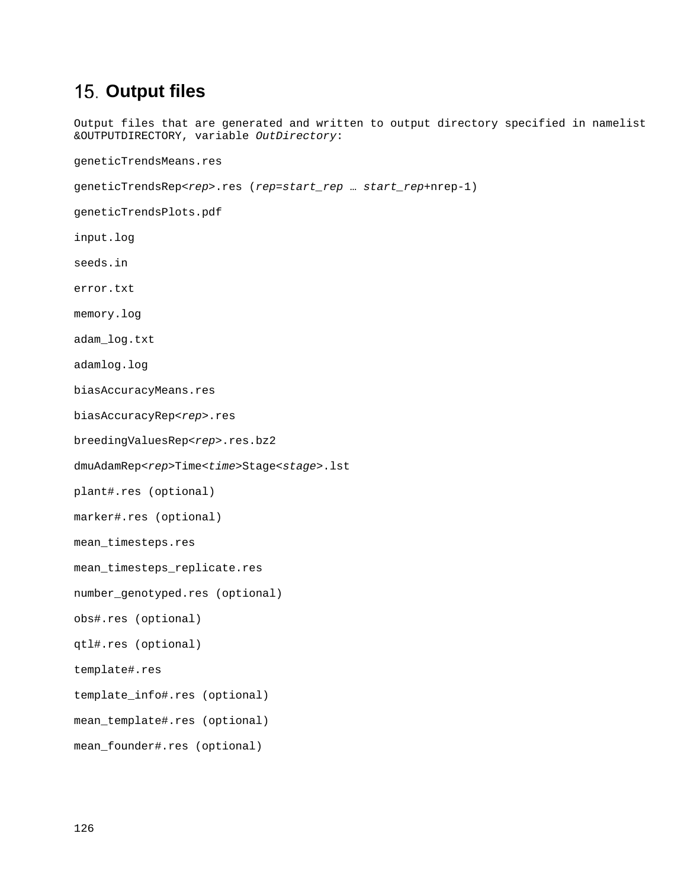# **15. Output files**

Output files that are generated and written to output directory specified in namelist &OUTPUTDIRECTORY, variable *OutDirectory*:

geneticTrendsMeans.res

```
geneticTrendsRep<rep>.res (rep=start_rep … start_rep+nrep-1)
```
geneticTrendsPlots.pdf

- input.log
- seeds.in
- error.txt

memory.log

adam\_log.txt

adamlog.log

biasAccuracyMeans.res

biasAccuracyRep<*rep*>.res

breedingValuesRep<*rep*>.res.bz2

dmuAdamRep<*rep*>Time<*time*>Stage<*stage*>.lst

plant#.res (optional)

```
marker#.res (optional)
```
mean\_timesteps.res

mean\_timesteps\_replicate.res

```
number_genotyped.res (optional)
```

```
obs#.res (optional)
```
qtl#.res (optional)

template#.res

template\_info#.res (optional)

mean\_template#.res (optional)

```
mean_founder#.res (optional)
```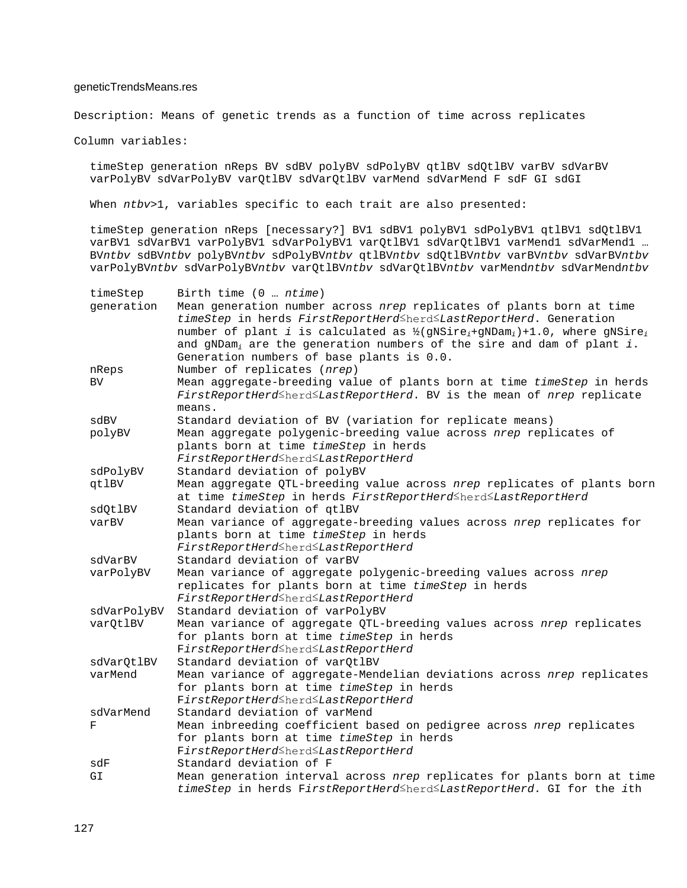### geneticTrendsMeans.res

Description: Means of genetic trends as a function of time across replicates

Column variables:

timeStep generation nReps BV sdBV polyBV sdPolyBV qtlBV sdQtlBV varBV sdVarBV varPolyBV sdVarPolyBV varQtlBV sdVarQtlBV varMend sdVarMend F sdF GI sdGI

When *ntbv*>1, variables specific to each trait are also presented:

timeStep generation nReps [necessary?] BV1 sdBV1 polyBV1 sdPolyBV1 qtlBV1 sdQtlBV1 varBV1 sdVarBV1 varPolyBV1 sdVarPolyBV1 varQtlBV1 sdVarQtlBV1 varMend1 sdVarMend1 … BV*ntbv* sdBV*ntbv* polyBV*ntbv* sdPolyBV*ntbv* qtlBV*ntbv* sdQtlBV*ntbv* varBV*ntbv* sdVarBV*ntbv* varPolyBV*ntbv* sdVarPolyBV*ntbv* varQtlBV*ntbv* sdVarQtlBV*ntbv* varMend*ntbv* sdVarMend*ntbv*

| timeStep    | Birth time (0  ntime)                                                                                                                                                      |
|-------------|----------------------------------------------------------------------------------------------------------------------------------------------------------------------------|
| generation  | Mean generation number across nrep replicates of plants born at time                                                                                                       |
|             | timeStep in herds FirstReportHerd <herd<lastreportherd. generation<="" td=""></herd<lastreportherd.>                                                                       |
|             | number of plant i is calculated as $\frac{1}{2}$ (gNSire <sub>i</sub> +gNDam <sub>i</sub> )+1.0, where gNSire <sub>i</sub>                                                 |
|             | and $gNDam_i$ are the generation numbers of the sire and dam of plant i.                                                                                                   |
|             | Generation numbers of base plants is 0.0.                                                                                                                                  |
| nReps       | Number of replicates (nrep)                                                                                                                                                |
| BV          | Mean aggregate-breeding value of plants born at time timeStep in herds                                                                                                     |
|             | FirstReportHerd <herd<lastreportherd. bv="" is="" mean="" nrep="" of="" replicate<="" td="" the=""></herd<lastreportherd.>                                                 |
|             | means.                                                                                                                                                                     |
| sdBV        | Standard deviation of BV (variation for replicate means)                                                                                                                   |
| polyBV      | Mean aggregate polygenic-breeding value across nrep replicates of                                                                                                          |
|             | plants born at time timeStep in herds                                                                                                                                      |
|             | FirstReportHerd≤herd≤LastReportHerd                                                                                                                                        |
| sdPolyBV    | Standard deviation of polyBV                                                                                                                                               |
| qtlBV       | Mean aggregate QTL-breeding value across nrep replicates of plants born                                                                                                    |
|             | at time timeStep in herds FirstReportHerd <herd<lastreportherd< td=""></herd<lastreportherd<>                                                                              |
| sdQtlBV     | Standard deviation of qtlBV                                                                                                                                                |
| varBV       | Mean variance of aggregate-breeding values across nrep replicates for                                                                                                      |
|             | plants born at time timeStep in herds                                                                                                                                      |
|             | FirstReportHerd <herd<lastreportherd< td=""></herd<lastreportherd<>                                                                                                        |
| sdVarBV     | Standard deviation of varBV                                                                                                                                                |
| varPolyBV   | Mean variance of aggregate polygenic-breeding values across nrep                                                                                                           |
|             | replicates for plants born at time timeStep in herds                                                                                                                       |
|             | FirstReportHerd <herd<lastreportherd< td=""></herd<lastreportherd<>                                                                                                        |
| sdVarPolyBV | Standard deviation of varPolyBV                                                                                                                                            |
| varQtlBV    | Mean variance of aggregate QTL-breeding values across nrep replicates                                                                                                      |
|             | for plants born at time timeStep in herds                                                                                                                                  |
|             | FirstReportHerd≤herd≤LastReportHerd                                                                                                                                        |
| sdVarQtlBV  | Standard deviation of varQtlBV                                                                                                                                             |
| varMend     | Mean variance of aggregate-Mendelian deviations across nrep replicates                                                                                                     |
|             | for plants born at time timeStep in herds                                                                                                                                  |
|             | FirstReportHerd≤herd≤LastReportHerd                                                                                                                                        |
| sdVarMend   | Standard deviation of varMend                                                                                                                                              |
| F           | Mean inbreeding coefficient based on pedigree across nrep replicates                                                                                                       |
|             | for plants born at time timeStep in herds                                                                                                                                  |
|             | FirstReportHerd <herd<lastreportherd< td=""></herd<lastreportherd<>                                                                                                        |
| sdF         | Standard deviation of F                                                                                                                                                    |
| GI          | Mean generation interval across nrep replicates for plants born at time<br>timeStep in herds FirstReportHerd <sup>≤</sup> herd <sup>≤</sup> LastReportHerd. GI for the ith |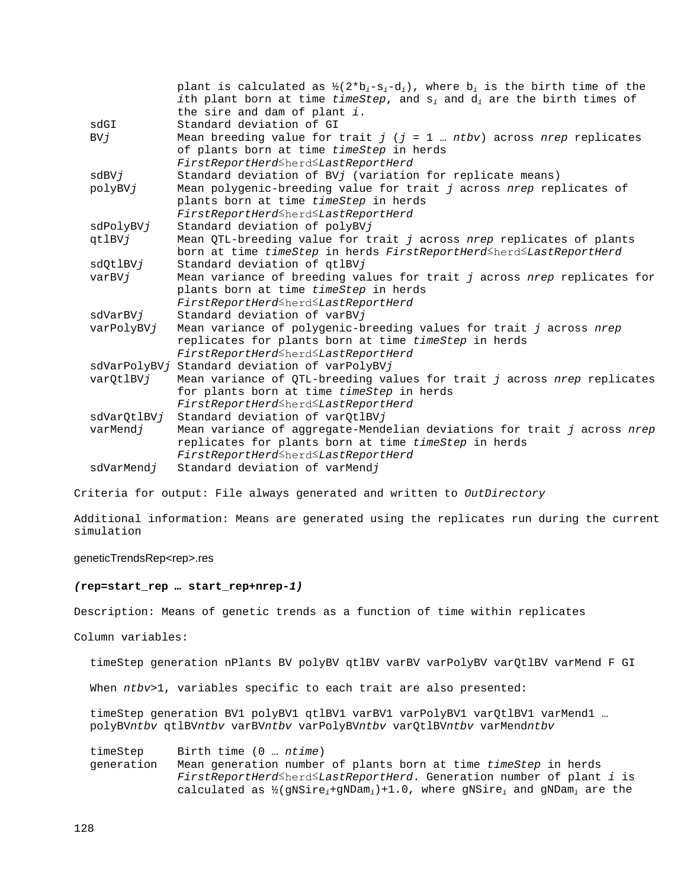|                                                                                | plant is calculated as $\frac{1}{2}$ (2*b <sub>i</sub> -s <sub>i</sub> -d <sub>i</sub> ), where b <sub>i</sub> is the birth time of the |
|--------------------------------------------------------------------------------|-----------------------------------------------------------------------------------------------------------------------------------------|
|                                                                                | ith plant born at time timeStep, and $s_i$ and $d_i$ are the birth times of                                                             |
|                                                                                | the sire and dam of plant $i$ .                                                                                                         |
| sdGI                                                                           | Standard deviation of GI                                                                                                                |
| BVi                                                                            | Mean breeding value for trait $j$ ( $j = 1$ ntbv) across nrep replicates                                                                |
|                                                                                | of plants born at time timeStep in herds                                                                                                |
|                                                                                | FirstReportHerd≤herd≤LastReportHerd                                                                                                     |
| sdBVj                                                                          | Standard deviation of BVj (variation for replicate means)                                                                               |
| Mean polygenic-breeding value for trait j across nrep replicates of<br>polyBVj |                                                                                                                                         |
|                                                                                | plants born at time timeStep in herds                                                                                                   |
|                                                                                | FirstReportHerd≤herd≤LastReportHerd                                                                                                     |
| sdPolyBVj                                                                      | Standard deviation of polyBVj                                                                                                           |
| qtlBVj                                                                         | Mean QTL-breeding value for trait j across nrep replicates of plants                                                                    |
|                                                                                | born at time timeStep in herds FirstReportHerdSherdSLastReportHerd                                                                      |
| sdOtlBVj                                                                       | Standard deviation of qtlBVj                                                                                                            |
| varBVj                                                                         | Mean variance of breeding values for trait j across nrep replicates for                                                                 |
|                                                                                | plants born at time timeStep in herds                                                                                                   |
|                                                                                | FirstReportHerd≤herd≤LastReportHerd                                                                                                     |
| sdVarBVj                                                                       | Standard deviation of varBVj                                                                                                            |
| varPolyBVj                                                                     | Mean variance of polygenic-breeding values for trait j across nrep                                                                      |
|                                                                                | replicates for plants born at time timeStep in herds                                                                                    |
|                                                                                | FirstReportHerd≤herd≤LastReportHerd                                                                                                     |
|                                                                                | sdVarPolyBVj Standard deviation of varPolyBVj                                                                                           |
| varQtlBVj                                                                      | Mean variance of QTL-breeding values for trait j across nrep replicates                                                                 |
|                                                                                | for plants born at time timeStep in herds                                                                                               |
|                                                                                | FirstReportHerd≤herd≤LastReportHerd                                                                                                     |
| sdVarQtlBVj                                                                    | Standard deviation of varQtlBVj                                                                                                         |
| varMendj                                                                       | Mean variance of aggregate-Mendelian deviations for trait j across nrep                                                                 |
|                                                                                | replicates for plants born at time timeStep in herds                                                                                    |
|                                                                                | FirstReportHerd≤herd≤LastReportHerd                                                                                                     |
| sdVarMendj                                                                     | Standard deviation of varMendj                                                                                                          |

Criteria for output: File always generated and written to *OutDirectory*

Additional information: Means are generated using the replicates run during the current simulation

#### geneticTrendsRep<rep>.res

#### *(***rep***=***start\_rep** *…* **start\_rep***+***nrep***-1)*

Description: Means of genetic trends as a function of time within replicates

Column variables:

timeStep generation nPlants BV polyBV qtlBV varBV varPolyBV varQtlBV varMend F GI

When *ntbv*>1, variables specific to each trait are also presented:

timeStep generation BV1 polyBV1 qtlBV1 varBV1 varPolyBV1 varQtlBV1 varMend1 ... polyBV*ntbv* qtlBV*ntbv* varBV*ntbv* varPolyBV*ntbv* varQtlBV*ntbv* varMend*ntbv*

timeStep Birth time (0 … *ntime*) Mean generation number of plants born at time *timeStep* in herds *FirstReportHerd*≤herd≤*LastReportHerd*. Generation number of plant *i* is calculated as ½(gNSire*i*+gNDam*i*)+1.0, where gNSire*<sup>i</sup>* and gNDam*<sup>i</sup>* are the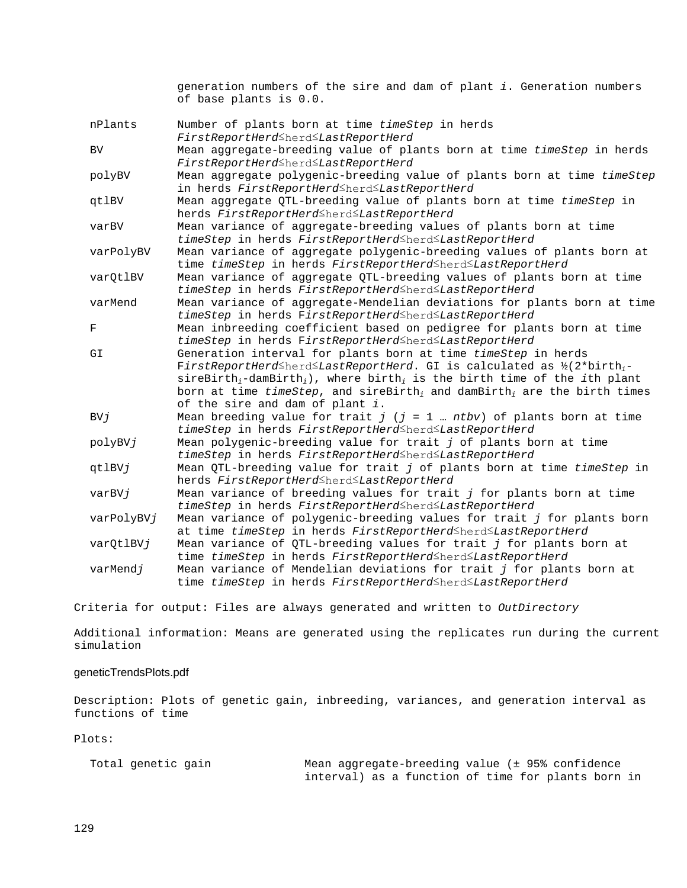generation numbers of the sire and dam of plant *i*. Generation numbers of base plants is 0.0.

| nPlants    | Number of plants born at time timeStep in herds                                                                                    |
|------------|------------------------------------------------------------------------------------------------------------------------------------|
|            | FirstReportHerd <herd<lastreportherd< td=""></herd<lastreportherd<>                                                                |
| BV.        | Mean aggregate-breeding value of plants born at time timeStep in herds                                                             |
|            | FirstReportHerd≤herd≤LastReportHerd                                                                                                |
| polyBV     | Mean aggregate polygenic-breeding value of plants born at time timeStep                                                            |
|            | in herds FirstReportHerd <sup>≤</sup> herd <sup>≤</sup> LastReportHerd                                                             |
| qtlBV      | Mean aggregate QTL-breeding value of plants born at time timeStep in                                                               |
|            | herds FirstReportHerdSherdSLastReportHerd                                                                                          |
| varBV      | Mean variance of aggregate-breeding values of plants born at time                                                                  |
|            | timeStep in herds FirstReportHerd <herd<lastreportherd< td=""></herd<lastreportherd<>                                              |
| varPolyBV  | Mean variance of aggregate polygenic-breeding values of plants born at                                                             |
|            | time timeStep in herds FirstReportHerd <herd<lastreportherd< td=""></herd<lastreportherd<>                                         |
| varQtlBV   | Mean variance of aggregate QTL-breeding values of plants born at time                                                              |
|            | timeStep in herds FirstReportHerd <herd<lastreportherd< td=""></herd<lastreportherd<>                                              |
| varMend    | Mean variance of aggregate-Mendelian deviations for plants born at time                                                            |
|            | timeStep in herds FirstReportHerd <herd<lastreportherd< td=""></herd<lastreportherd<>                                              |
| F          | Mean inbreeding coefficient based on pedigree for plants born at time                                                              |
|            | timeStep in herds FirstReportHerd <sup>≤</sup> herd <sup>≤</sup> LastReportHerd                                                    |
| GI         | Generation interval for plants born at time timeStep in herds                                                                      |
|            | FirstReportHerd <sup><math>\leq</math></sup> herd $\leq$ LastReportHerd. GI is calculated as $\frac{1}{2}$ (2*birth <sub>i</sub> - |
|            | $sireBirth_i-damBirth_i$ , where birth <sub>i</sub> is the birth time of the <i>i</i> th plant                                     |
|            | born at time timeStep, and sireBirth <sub>i</sub> and damBirth <sub>i</sub> are the birth times                                    |
|            | of the sire and dam of plant i.                                                                                                    |
| BVj        | Mean breeding value for trait $j$ ( $j = 1$ ntbv) of plants born at time                                                           |
|            | timeStep in herds FirstReportHerd <sup>≤</sup> herd <sup>≤</sup> LastReportHerd                                                    |
| polyBVj    | Mean polygenic-breeding value for trait j of plants born at time                                                                   |
|            | timeStep in herds FirstReportHerd <sup>≤</sup> herd <sup>≤</sup> LastReportHerd                                                    |
| qtlBVj     | Mean QTL-breeding value for trait j of plants born at time timeStep in                                                             |
|            | herds FirstReportHerd <herd<lastreportherd< td=""></herd<lastreportherd<>                                                          |
| varBVj     | Mean variance of breeding values for trait j for plants born at time                                                               |
|            | timeStep in herds FirstReportHerd <sup>≤</sup> herd <sup>≤</sup> LastReportHerd                                                    |
| varPolyBVj | Mean variance of polygenic-breeding values for trait j for plants born                                                             |
|            | at time timeStep in herds FirstReportHerd <sup>≤</sup> herd <sup>≤</sup> LastReportHerd                                            |
| varQtlBVj  | Mean variance of QTL-breeding values for trait j for plants born at                                                                |
|            | time timeStep in herds FirstReportHerd <sup>≤</sup> herd <sup>≤</sup> LastReportHerd                                               |
| varMendj   | Mean variance of Mendelian deviations for trait j for plants born at                                                               |
|            | time timeStep in herds FirstReportHerd <herd<lastreportherd< td=""></herd<lastreportherd<>                                         |

Criteria for output: Files are always generated and written to *OutDirectory*

Additional information: Means are generated using the replicates run during the current simulation

### geneticTrendsPlots.pdf

Description: Plots of genetic gain, inbreeding, variances, and generation interval as functions of time

Plots:

| Total genetic gain |  |
|--------------------|--|
|                    |  |

Mean aggregate-breeding value (± 95% confidence interval) as a function of time for plants born in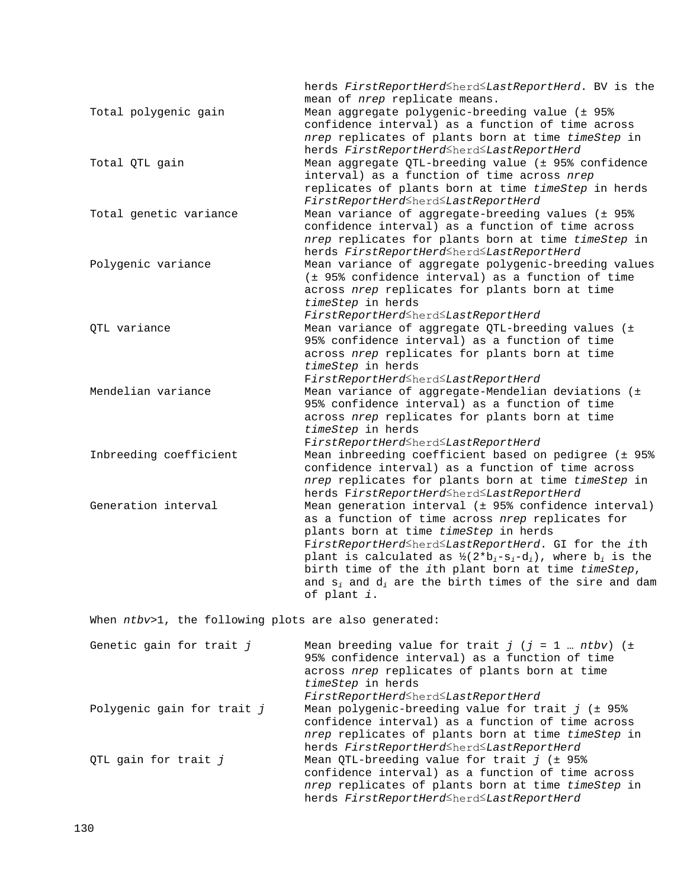|                        | herds FirstReportHerd <sup>≤</sup> herd <sup>≤</sup> LastReportHerd. BV is the<br>mean of <i>nrep</i> replicate means.                                                                                                                                                                                                                                                                                                                                                                                                                 |
|------------------------|----------------------------------------------------------------------------------------------------------------------------------------------------------------------------------------------------------------------------------------------------------------------------------------------------------------------------------------------------------------------------------------------------------------------------------------------------------------------------------------------------------------------------------------|
| Total polygenic gain   | Mean aggregate polygenic-breeding value (± 95%<br>confidence interval) as a function of time across                                                                                                                                                                                                                                                                                                                                                                                                                                    |
|                        | nrep replicates of plants born at time timeStep in<br>herds FirstReportHerd <herd<lastreportherd< td=""></herd<lastreportherd<>                                                                                                                                                                                                                                                                                                                                                                                                        |
| Total QTL gain         | Mean aggregate QTL-breeding value (± 95% confidence<br>interval) as a function of time across nrep                                                                                                                                                                                                                                                                                                                                                                                                                                     |
|                        | replicates of plants born at time timeStep in herds<br>FirstReportHerd <herd<lastreportherd< td=""></herd<lastreportherd<>                                                                                                                                                                                                                                                                                                                                                                                                             |
| Total genetic variance | Mean variance of aggregate-breeding values (± 95%<br>confidence interval) as a function of time across<br>nrep replicates for plants born at time timeStep in                                                                                                                                                                                                                                                                                                                                                                          |
| Polygenic variance     | herds FirstReportHerd <herd<lastreportherd<br>Mean variance of aggregate polygenic-breeding values<br/>(± 95% confidence interval) as a function of time<br/>across nrep replicates for plants born at time<br/>timeStep in herds</herd<lastreportherd<br>                                                                                                                                                                                                                                                                             |
| OTL variance           | FirstReportHerd≤herd≤LastReportHerd<br>Mean variance of aggregate QTL-breeding values (±<br>95% confidence interval) as a function of time<br>across nrep replicates for plants born at time<br>timeStep in herds                                                                                                                                                                                                                                                                                                                      |
| Mendelian variance     | FirstReportHerdSherdSLastReportHerd<br>Mean variance of aggregate-Mendelian deviations (±<br>95% confidence interval) as a function of time<br>across nrep replicates for plants born at time<br>timeStep in herds                                                                                                                                                                                                                                                                                                                     |
| Inbreeding coefficient | FirstReportHerd≤herd≤LastReportHerd<br>Mean inbreeding coefficient based on pedigree (± 95%<br>confidence interval) as a function of time across<br>nrep replicates for plants born at time timeStep in<br>herds FirstReportHerd <herd<lastreportherd< td=""></herd<lastreportherd<>                                                                                                                                                                                                                                                   |
| Generation interval    | Mean generation interval (± 95% confidence interval)<br>as a function of time across nrep replicates for<br>plants born at time timeStep in herds<br>FirstReportHerd <herd<lastreportherd. for="" gi="" ith<br="" the="">plant is calculated as <math>\frac{1}{2}</math> (2*b<sub>i</sub>-s<sub>i</sub>-d<sub>i</sub>), where b<sub>i</sub> is the<br/>birth time of the ith plant born at time timeStep,<br/>and <math>s_i</math> and <math>d_i</math> are the birth times of the sire and dam<br/>of plant i.</herd<lastreportherd.> |

When  $ntbv>1$ , the following plots are also generated:

| Genetic gain for trait j   | Mean breeding value for trait $j$ ( $j = 1$ ntbv) ( $\pm$<br>95% confidence interval) as a function of time<br>across nrep replicates of plants born at time<br>timeStep in herds<br>FirstReportHerd <herd<lastreportherd< th=""></herd<lastreportherd<> |
|----------------------------|----------------------------------------------------------------------------------------------------------------------------------------------------------------------------------------------------------------------------------------------------------|
| Polygenic gain for trait j | Mean polygenic-breeding value for trait $j$ ( $\pm$ 95%<br>confidence interval) as a function of time across<br>nrep replicates of plants born at time timeStep in<br>herds FirstReportHerd <herd<lastreportherd< td=""></herd<lastreportherd<>          |
| QTL gain for trait j       | Mean QTL-breeding value for trait $j$ ( $\pm$ 95%<br>confidence interval) as a function of time across<br>nrep replicates of plants born at time timeStep in<br>herds FirstReportHerd <sup>≤</sup> herd <sup>≤</sup> LastReportHerd                      |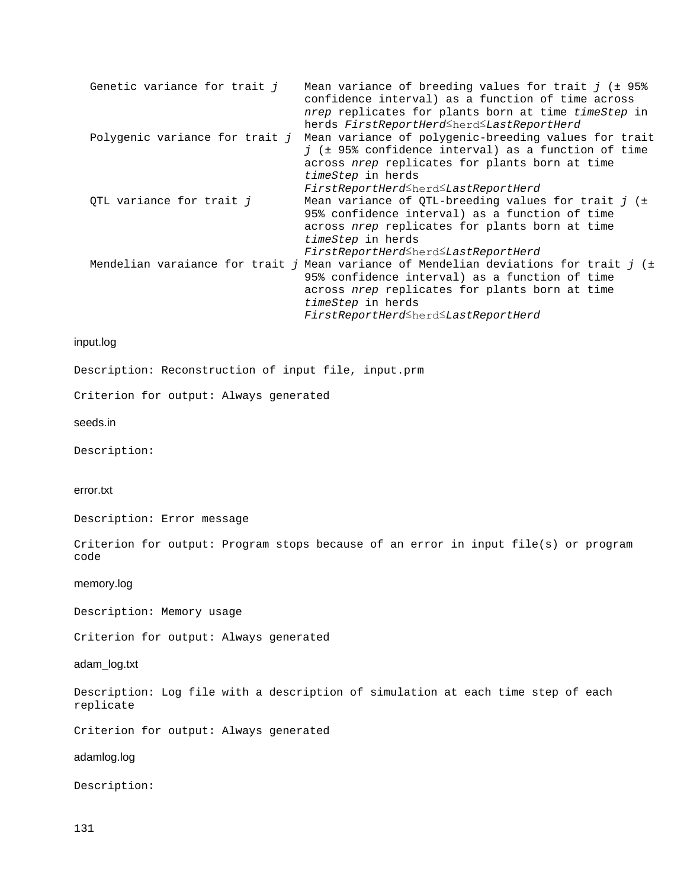| Genetic variance for trait j   | Mean variance of breeding values for trait $j$ ( $\pm$ 95%<br>confidence interval) as a function of time across<br>nrep replicates for plants born at time timeStep in<br>herds FirstReportHerd <sup>≤</sup> herd <sup>≤</sup> LastReportHerd                                  |
|--------------------------------|--------------------------------------------------------------------------------------------------------------------------------------------------------------------------------------------------------------------------------------------------------------------------------|
| Polygenic variance for trait j | Mean variance of polygenic-breeding values for trait<br>$\overline{1}$ ( $\pm$ 95% confidence interval) as a function of time<br>across nrep replicates for plants born at time<br>timeStep in herds<br>FirstReportHerd <sup>_</sup> herd_LastReportHerd                       |
| QTL variance for trait j       | Mean variance of QTL-breeding values for trait $j$ ( $\pm$<br>95% confidence interval) as a function of time<br>across nrep replicates for plants born at time<br>timeStep in herds<br>FirstReportHerd <sup>_</sup> herd_LastReportHerd                                        |
|                                | Mendelian varaiance for trait j Mean variance of Mendelian deviations for trait j (±<br>95% confidence interval) as a function of time<br>across nrep replicates for plants born at time<br>timeStep in herds<br>FirstReportHerd <sup>≤</sup> herd <sup>≤</sup> LastReportHerd |

# input.log

Description: Reconstruction of input file, input.prm

Criterion for output: Always generated

seeds.in

Description:

#### error.txt

Description: Error message

Criterion for output: Program stops because of an error in input file(s) or program code

# memory.log

Description: Memory usage

Criterion for output: Always generated

# adam\_log.txt

Description: Log file with a description of simulation at each time step of each replicate

Criterion for output: Always generated

# adamlog.log

Description: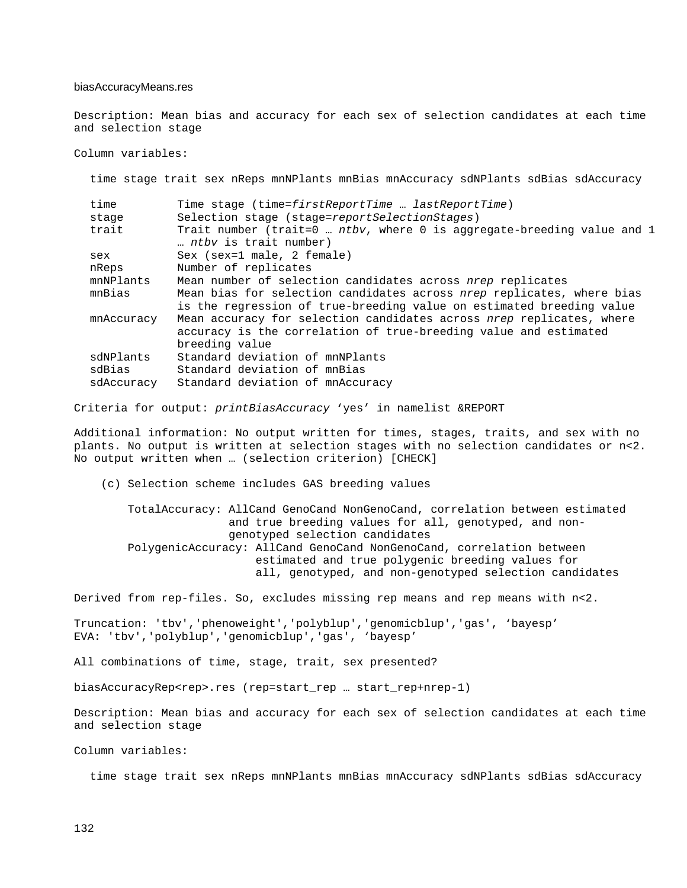#### biasAccuracyMeans.res

Description: Mean bias and accuracy for each sex of selection candidates at each time and selection stage

Column variables:

time stage trait sex nReps mnNPlants mnBias mnAccuracy sdNPlants sdBias sdAccuracy

| time       | Time stage (time=firstReportTime  lastReportTime)                      |
|------------|------------------------------------------------------------------------|
| stage      | Selection stage (stage=reportSelectionStages)                          |
| trait      | Trait number (trait=0  ntbv, where 0 is aggregate-breeding value and 1 |
|            | ntby is trait number)                                                  |
| sex        | Sex (sex=1 male, 2 female)                                             |
| nReps      | Number of replicates                                                   |
| mnNPlants  | Mean number of selection candidates across nrep replicates             |
| mnBias     | Mean bias for selection candidates across nrep replicates, where bias  |
|            | is the regression of true-breeding value on estimated breeding value   |
| mnAccuracy | Mean accuracy for selection candidates across nrep replicates, where   |
|            | accuracy is the correlation of true-breeding value and estimated       |
|            | breeding value                                                         |
| sdNPlants  | Standard deviation of mnNPlants                                        |
| sdBias     | Standard deviation of mnBias                                           |
| sdAccuracy | Standard deviation of mnAccuracy                                       |
|            |                                                                        |

Criteria for output: *printBiasAccuracy* 'yes' in namelist &REPORT

Additional information: No output written for times, stages, traits, and sex with no plants. No output is written at selection stages with no selection candidates or n<2. No output written when … (selection criterion) [CHECK]

(c) Selection scheme includes GAS breeding values

 TotalAccuracy: AllCand GenoCand NonGenoCand, correlation between estimated and true breeding values for all, genotyped, and non genotyped selection candidates PolygenicAccuracy: AllCand GenoCand NonGenoCand, correlation between estimated and true polygenic breeding values for all, genotyped, and non-genotyped selection candidates

Derived from rep-files. So, excludes missing rep means and rep means with n<2.

Truncation: 'tbv','phenoweight','polyblup','genomicblup','gas', 'bayesp' EVA: 'tbv','polyblup','genomicblup','gas', 'bayesp'

All combinations of time, stage, trait, sex presented?

biasAccuracyRep<rep>.res (rep=start\_rep … start\_rep+nrep-1)

Description: Mean bias and accuracy for each sex of selection candidates at each time and selection stage

Column variables:

time stage trait sex nReps mnNPlants mnBias mnAccuracy sdNPlants sdBias sdAccuracy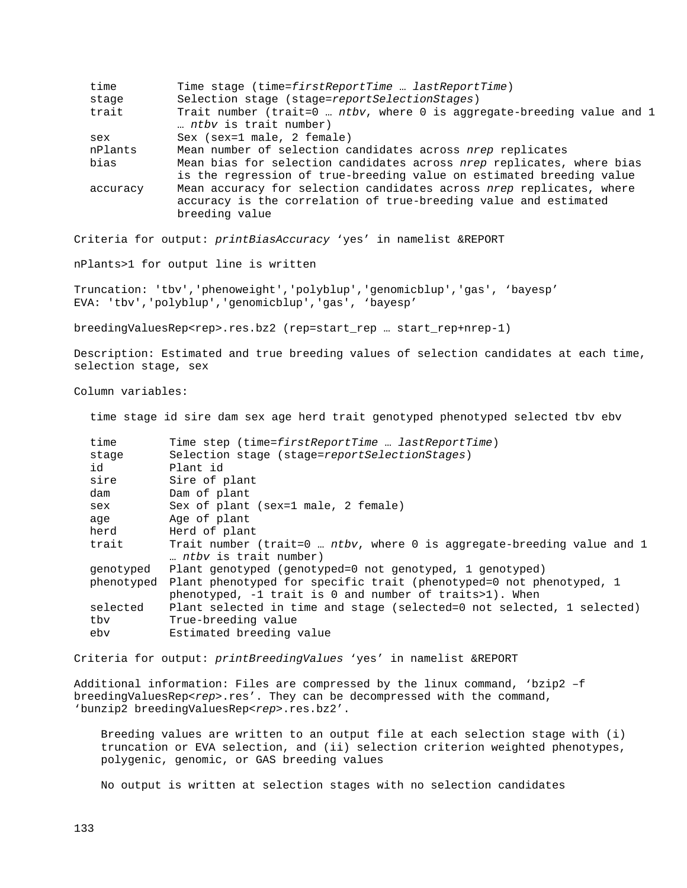| time     | Time stage (time=firstReportTime  lastReportTime)                                                                                                          |
|----------|------------------------------------------------------------------------------------------------------------------------------------------------------------|
| stage    | Selection stage (stage=reportSelectionStages)                                                                                                              |
| trait    | Trait number (trait=0  ntbv, where 0 is aggregate-breeding value and 1<br>ntby is trait number)                                                            |
| sex      | Sex (sex=1 male, 2 female)                                                                                                                                 |
| nPlants  | Mean number of selection candidates across nrep replicates                                                                                                 |
| bias     | Mean bias for selection candidates across nrep replicates, where bias<br>is the regression of true-breeding value on estimated breeding value              |
| accuracy | Mean accuracy for selection candidates across nrep replicates, where<br>accuracy is the correlation of true-breeding value and estimated<br>breeding value |
|          |                                                                                                                                                            |

Criteria for output: *printBiasAccuracy* 'yes' in namelist &REPORT

nPlants>1 for output line is written

Truncation: 'tbv','phenoweight','polyblup','genomicblup','gas', 'bayesp' EVA: 'tbv','polyblup','genomicblup','gas', 'bayesp'

breedingValuesRep<rep>.res.bz2 (rep=start\_rep … start\_rep+nrep-1)

Description: Estimated and true breeding values of selection candidates at each time, selection stage, sex

Column variables:

time stage id sire dam sex age herd trait genotyped phenotyped selected tbv ebv

| time      | Time step (time=firstReportTime  lastReportTime)                                                                                            |  |
|-----------|---------------------------------------------------------------------------------------------------------------------------------------------|--|
| stage     | Selection stage (stage=reportSelectionStages)                                                                                               |  |
| id        | Plant id                                                                                                                                    |  |
| sire      | Sire of plant                                                                                                                               |  |
| dam       | Dam of plant                                                                                                                                |  |
| sex       | Sex of plant (sex=1 male, 2 female)                                                                                                         |  |
| aqe       | Age of plant                                                                                                                                |  |
| herd      | Herd of plant                                                                                                                               |  |
| trait     | Trait number (trait=0  ntbv, where 0 is aggregate-breeding value and 1<br>ntby is trait number)                                             |  |
| qenotyped | Plant genotyped (genotyped=0 not genotyped, 1 genotyped)                                                                                    |  |
|           | phenotyped Plant phenotyped for specific trait (phenotyped=0 not phenotyped, 1<br>phenotyped, $-1$ trait is 0 and number of traits>1). When |  |
| selected  | Plant selected in time and stage (selected=0 not selected, 1 selected)                                                                      |  |
| tbv       | True-breeding value                                                                                                                         |  |
| ebv       | Estimated breeding value                                                                                                                    |  |

Criteria for output: *printBreedingValues* 'yes' in namelist &REPORT

Additional information: Files are compressed by the linux command, 'bzip2 –f breedingValuesRep<rep>.res'. They can be decompressed with the command, 'bunzip2 breedingValuesRep*<rep>*.res.bz2'.

 Breeding values are written to an output file at each selection stage with (i) truncation or EVA selection, and (ii) selection criterion weighted phenotypes, polygenic, genomic, or GAS breeding values

No output is written at selection stages with no selection candidates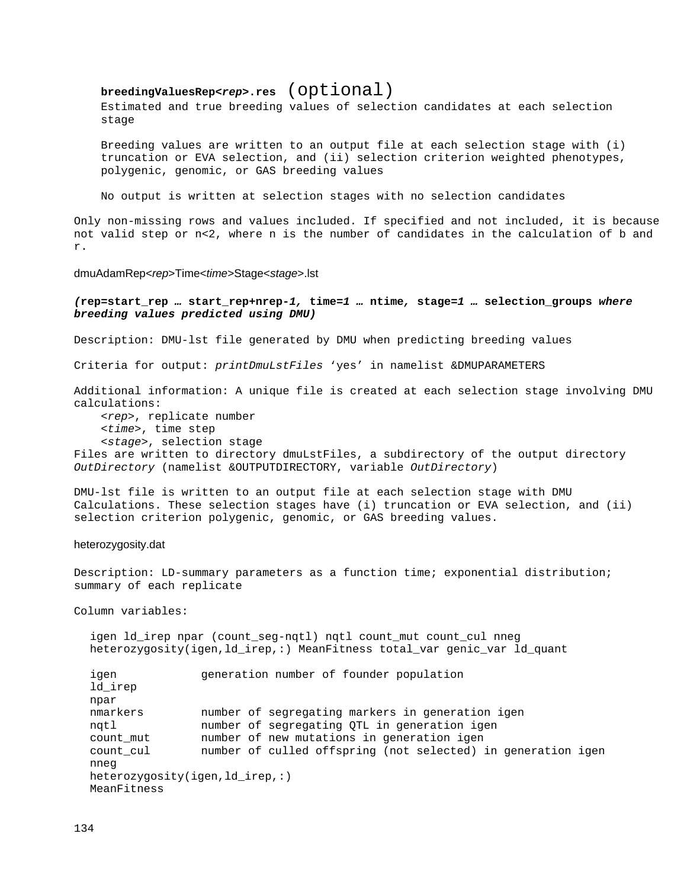**breedingValuesRep<***rep***>.res** (Optional)<br>Estimated and true breeding values of selection candidates at each selection stage

 Breeding values are written to an output file at each selection stage with (i) truncation or EVA selection, and (ii) selection criterion weighted phenotypes, polygenic, genomic, or GAS breeding values

No output is written at selection stages with no selection candidates

Only non-missing rows and values included. If specified and not included, it is because not valid step or n<2, where n is the number of candidates in the calculation of b and r.

#### dmuAdamRep<*rep*>Time<*time*>Stage<*stage*>.lst

#### *(***rep***=***start\_rep** *…* **start\_rep***+***nrep***-1,* **time***=1 …* **ntime***,* **stage***=1 …* **selection\_groups** *where breeding values predicted using DMU)*

Description: DMU-lst file generated by DMU when predicting breeding values

Criteria for output: *printDmuLstFiles* 'yes' in namelist &DMUPARAMETERS

Additional information: A unique file is created at each selection stage involving DMU calculations:

 <*rep*>, replicate number <*time*>, time step <*stage*>, selection stage

Files are written to directory dmuLstFiles, a subdirectory of the output directory *OutDirectory* (namelist &OUTPUTDIRECTORY, variable *OutDirectory*)

DMU-lst file is written to an output file at each selection stage with DMU Calculations. These selection stages have (i) truncation or EVA selection, and (ii) selection criterion polygenic, genomic, or GAS breeding values.

#### heterozygosity.dat

Description: LD-summary parameters as a function time; exponential distribution; summary of each replicate

Column variables:

igen ld irep npar (count seg-ngtl) ngtl count mut count cul nneg heterozygosity(igen,ld\_irep,:) MeanFitness total\_var genic\_var ld\_quant

```
igen generation number of founder population
ld_irep
npar<br>nmarkers
nmarkers mumber of segregating markers in generation igen<br>ngtl mumber of segregating QTL in generation igen
nqtl 11 mumber of segregating QTL in generation igen<br>count_mut 11 mumber of new mutations in generation igen
count_mut mumber of new mutations in generation igen<br>count cul mumber of culled offspring (not selected) i
                      number of culled offspring (not selected) in generation igen
nneg
heterozygosity(igen,ld_irep,:)
MeanFitness
```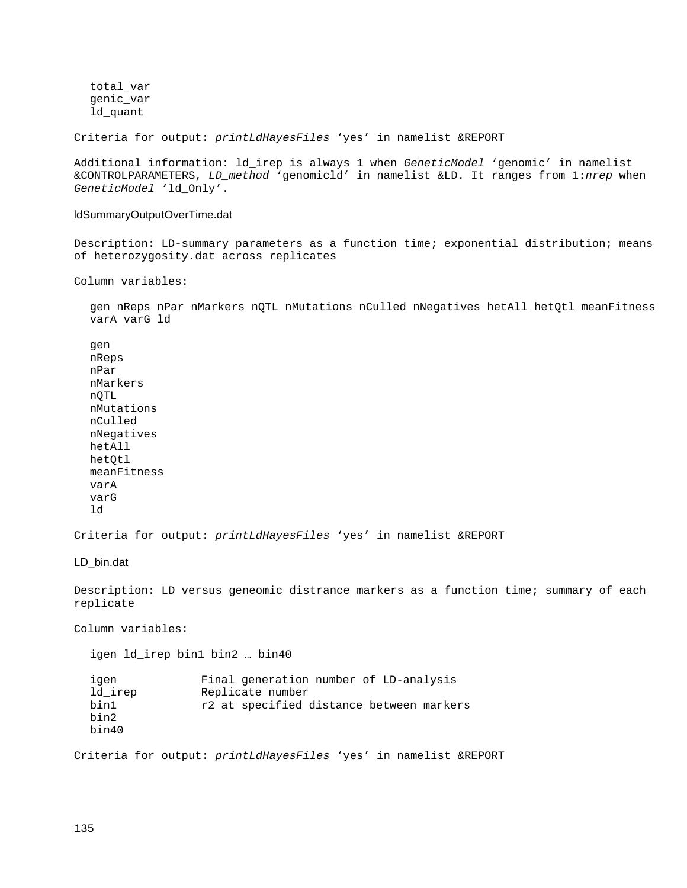total\_var genic\_var ld\_quant

Criteria for output: *printLdHayesFiles* 'yes' in namelist &REPORT

Additional information: ld\_irep is always 1 when *GeneticModel* 'genomic' in namelist &CONTROLPARAMETERS, *LD\_method* 'genomicld' in namelist &LD. It ranges from 1:*nrep* when *GeneticModel* 'ld\_Only'.

#### ldSummaryOutputOverTime.dat

Description: LD-summary parameters as a function time; exponential distribution; means of heterozygosity.dat across replicates

Column variables:

gen nReps nPar nMarkers nQTL nMutations nCulled nNegatives hetAll hetQtl meanFitness varA varG ld

gen nReps nPar nMarkers nQTL nMutations nCulled nNegatives hetAll hetOtl meanFitness varA varG ld

Criteria for output: *printLdHayesFiles* 'yes' in namelist &REPORT

LD bin.dat

Description: LD versus geneomic distrance markers as a function time; summary of each replicate

Column variables:

igen ld\_irep bin1 bin2 … bin40

| igen    | Final generation number of LD-analysis   |
|---------|------------------------------------------|
| ld irep | Replicate number                         |
| bin1    | r2 at specified distance between markers |
| bin2    |                                          |
| bin40   |                                          |

Criteria for output: *printLdHayesFiles* 'yes' in namelist &REPORT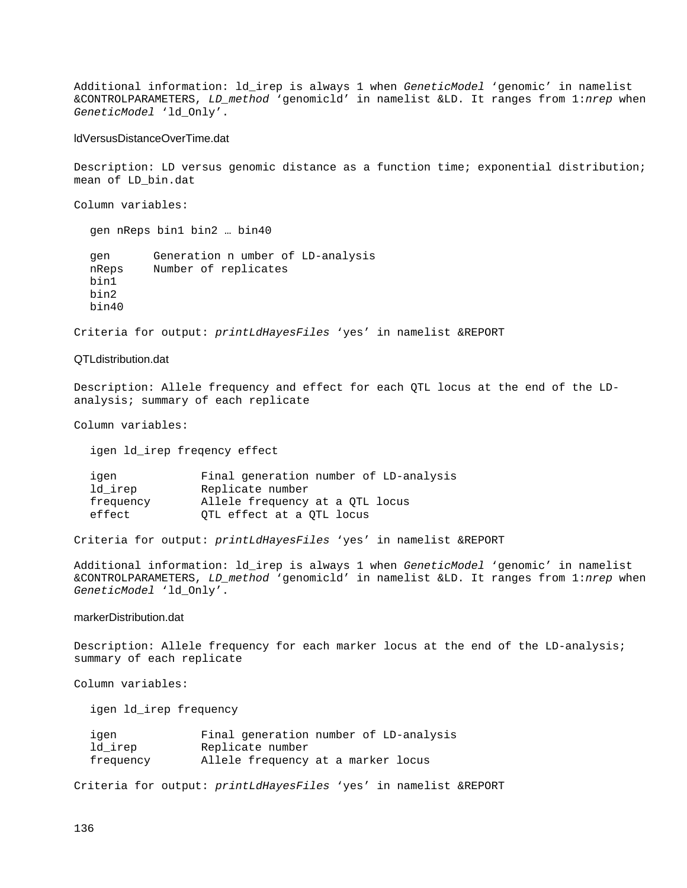Additional information: ld\_irep is always 1 when *GeneticModel* 'genomic' in namelist &CONTROLPARAMETERS, *LD\_method* 'genomicld' in namelist &LD. It ranges from 1:*nrep* when *GeneticModel* 'ld\_Only'.

#### ldVersusDistanceOverTime.dat

Description: LD versus genomic distance as a function time; exponential distribution; mean of LD\_bin.dat

Column variables:

gen nReps bin1 bin2 … bin40 gen Generation n umber of LD-analysis<br>
nReps Mumber of replicates Number of replicates bin1 bin2 bin40

Criteria for output: *printLdHayesFiles* 'yes' in namelist &REPORT

#### QTLdistribution.dat

Description: Allele frequency and effect for each QTL locus at the end of the LDanalysis; summary of each replicate

Column variables:

igen ld\_irep freqency effect

| igen      | Final generation number of LD-analysis |
|-----------|----------------------------------------|
| ld irep   | Replicate number                       |
| frequency | Allele frequency at a QTL locus        |
| effect    | OTL effect at a OTL locus              |
|           |                                        |

Criteria for output: *printLdHayesFiles* 'yes' in namelist &REPORT

Additional information: ld\_irep is always 1 when *GeneticModel* 'genomic' in namelist &CONTROLPARAMETERS, *LD\_method* 'genomicld' in namelist &LD. It ranges from 1:*nrep* when *GeneticModel* 'ld\_Only'.

### markerDistribution.dat

Description: Allele frequency for each marker locus at the end of the LD-analysis; summary of each replicate

Column variables:

igen ld\_irep frequency

| igen      | Final generation number of LD-analysis |
|-----------|----------------------------------------|
| ld irep   | Replicate number                       |
| frequency | Allele frequency at a marker locus     |

Criteria for output: *printLdHayesFiles* 'yes' in namelist &REPORT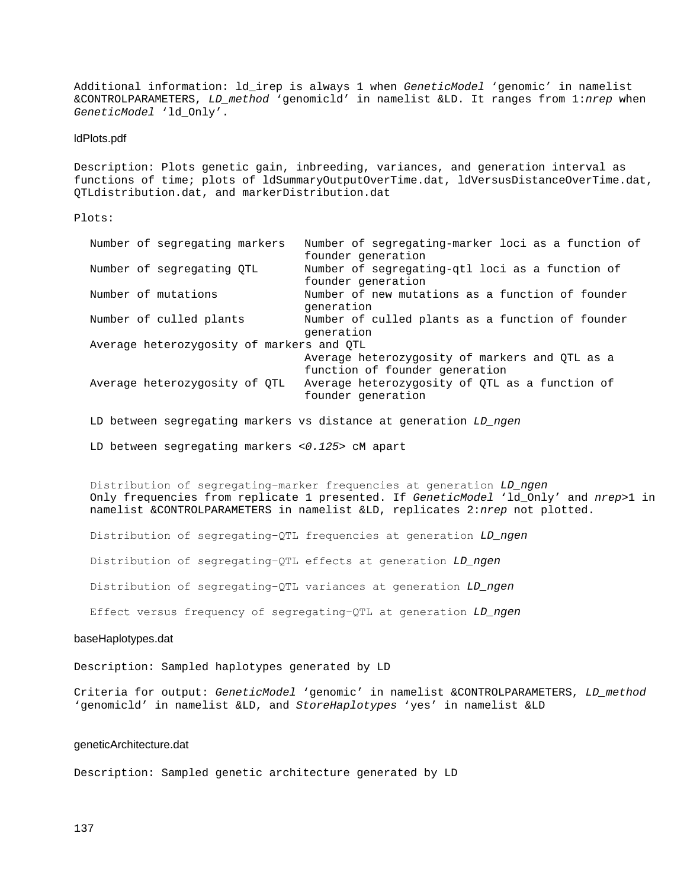Additional information: ld\_irep is always 1 when *GeneticModel* 'genomic' in namelist &CONTROLPARAMETERS, *LD\_method* 'genomicld' in namelist &LD. It ranges from 1:*nrep* when *GeneticModel* 'ld\_Only'.

#### ldPlots.pdf

Description: Plots genetic gain, inbreeding, variances, and generation interval as functions of time; plots of ldSummaryOutputOverTime.dat, ldVersusDistanceOverTime.dat, QTLdistribution.dat, and markerDistribution.dat

#### Plots:

| Number of segregating markers             | Number of segregating-marker loci as a function of |
|-------------------------------------------|----------------------------------------------------|
|                                           | founder generation                                 |
| Number of segregating OTL                 | Number of segregating-qtl loci as a function of    |
|                                           | founder generation                                 |
| Number of mutations                       | Number of new mutations as a function of founder   |
|                                           | qeneration                                         |
| Number of culled plants                   | Number of culled plants as a function of founder   |
|                                           | qeneration                                         |
| Average heterozygosity of markers and QTL |                                                    |
|                                           | Average heterozygosity of markers and QTL as a     |
|                                           | function of founder generation                     |
| Average heterozygosity of QTL             | Average heterozygosity of QTL as a function of     |
|                                           | founder generation                                 |

LD between segregating markers vs distance at generation *LD\_ngen*

LD between segregating markers *<0.125>* cM apart

Distribution of segregating−marker frequencies at generation *LD\_ngen* Only frequencies from replicate 1 presented. If *GeneticModel* 'ld\_Only' and *nrep*>1 in namelist &CONTROLPARAMETERS in namelist &LD, replicates 2:*nrep* not plotted.

Distribution of segregating−QTL frequencies at generation *LD\_ngen*

Distribution of segregating−QTL effects at generation *LD\_ngen*

Distribution of segregating−QTL variances at generation *LD\_ngen*

Effect versus frequency of segregating−QTL at generation *LD\_ngen*

#### baseHaplotypes.dat

Description: Sampled haplotypes generated by LD

Criteria for output: *GeneticModel* 'genomic' in namelist &CONTROLPARAMETERS, *LD\_method* 'genomicld' in namelist &LD, and *StoreHaplotypes* 'yes' in namelist &LD

#### geneticArchitecture.dat

Description: Sampled genetic architecture generated by LD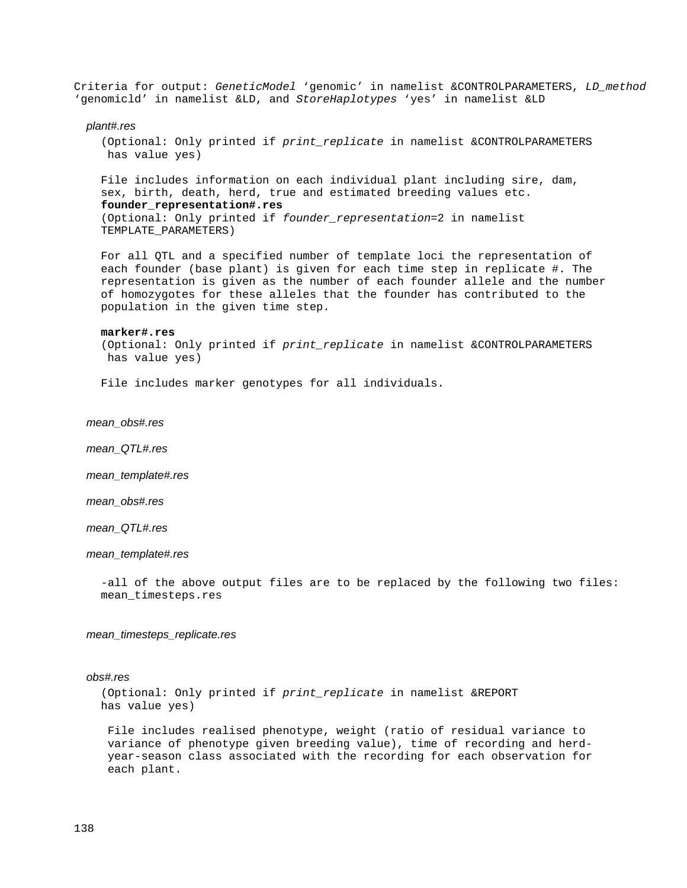Criteria for output: *GeneticModel* 'genomic' in namelist &CONTROLPARAMETERS, *LD\_method* 'genomicld' in namelist &LD, and *StoreHaplotypes* 'yes' in namelist &LD

#### *plant#.res*

 (Optional: Only printed if *print\_replicate* in namelist &CONTROLPARAMETERS has value yes)

 File includes information on each individual plant including sire, dam, sex, birth, death, herd, true and estimated breeding values etc.  **founder\_representation#.res**

 (Optional: Only printed if *founder\_representation*=2 in namelist TEMPLATE\_PARAMETERS)

 For all QTL and a specified number of template loci the representation of each founder (base plant) is given for each time step in replicate #. The representation is given as the number of each founder allele and the number of homozygotes for these alleles that the founder has contributed to the population in the given time step.

#### **marker#.res**

 (Optional: Only printed if *print\_replicate* in namelist &CONTROLPARAMETERS has value yes)

File includes marker genotypes for all individuals.

#### *mean\_obs#.res*

 *mean\_QTL#.res*

 *mean\_template#.res*

 *mean\_obs#.res*

 *mean\_QTL#.res*

#### *mean\_template#.res*

 -all of the above output files are to be replaced by the following two files: mean\_timesteps.res

#### *mean\_timesteps\_replicate.res*

#### *obs#.res*

 (Optional: Only printed if *print\_replicate* in namelist &REPORT has value yes)

 File includes realised phenotype, weight (ratio of residual variance to variance of phenotype given breeding value), time of recording and herd year-season class associated with the recording for each observation for each plant.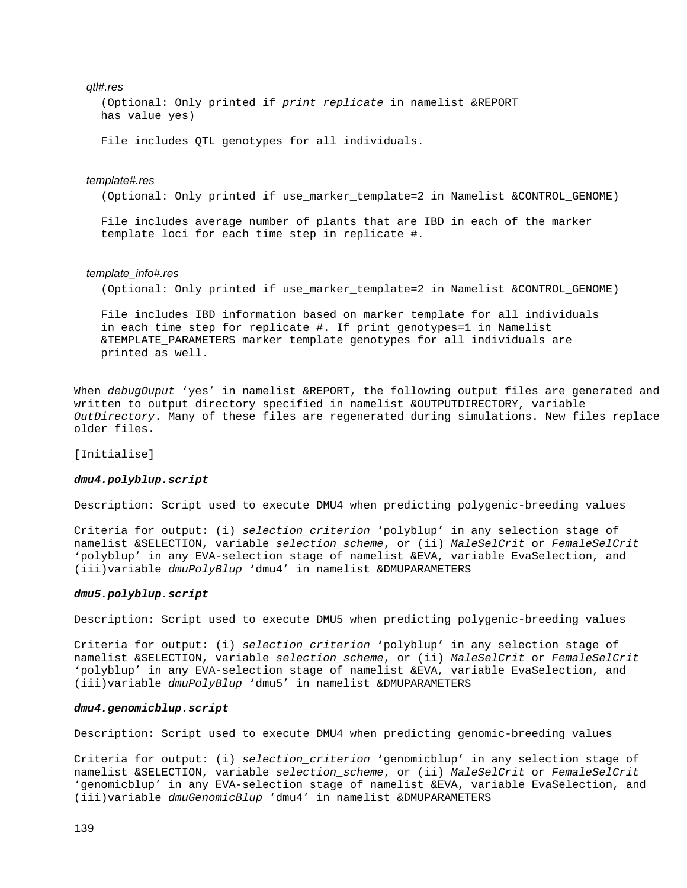#### *qtl#.res*

 (Optional: Only printed if *print\_replicate* in namelist &REPORT has value yes)

File includes QTL genotypes for all individuals.

#### *template#.res*

(Optional: Only printed if use\_marker\_template=2 in Namelist &CONTROL\_GENOME)

 File includes average number of plants that are IBD in each of the marker template loci for each time step in replicate #.

#### *template\_info#.res*

(Optional: Only printed if use\_marker\_template=2 in Namelist &CONTROL\_GENOME)

 File includes IBD information based on marker template for all individuals in each time step for replicate #. If print\_genotypes=1 in Namelist &TEMPLATE\_PARAMETERS marker template genotypes for all individuals are printed as well.

When *debugOuput* 'yes' in namelist &REPORT, the following output files are generated and written to output directory specified in namelist &OUTPUTDIRECTORY, variable *OutDirectory*. Many of these files are regenerated during simulations. New files replace older files.

[Initialise]

#### *dmu4.polyblup.script*

Description: Script used to execute DMU4 when predicting polygenic-breeding values

Criteria for output: (i) *selection\_criterion* 'polyblup' in any selection stage of namelist &SELECTION, variable *selection\_scheme*, or (ii) *MaleSelCrit* or *FemaleSelCrit* 'polyblup' in any EVA-selection stage of namelist &EVA, variable EvaSelection, and (iii)variable *dmuPolyBlup* 'dmu4' in namelist &DMUPARAMETERS

#### *dmu5.polyblup.script*

Description: Script used to execute DMU5 when predicting polygenic-breeding values

Criteria for output: (i) *selection\_criterion* 'polyblup' in any selection stage of namelist &SELECTION, variable *selection\_scheme*, or (ii) *MaleSelCrit* or *FemaleSelCrit* 'polyblup' in any EVA-selection stage of namelist &EVA, variable EvaSelection, and (iii)variable *dmuPolyBlup* 'dmu5' in namelist &DMUPARAMETERS

#### *dmu4.genomicblup.script*

Description: Script used to execute DMU4 when predicting genomic-breeding values

Criteria for output: (i) *selection\_criterion* 'genomicblup' in any selection stage of namelist &SELECTION, variable *selection\_scheme*, or (ii) *MaleSelCrit* or *FemaleSelCrit* 'genomicblup' in any EVA-selection stage of namelist &EVA, variable EvaSelection, and (iii)variable *dmuGenomicBlup* 'dmu4' in namelist &DMUPARAMETERS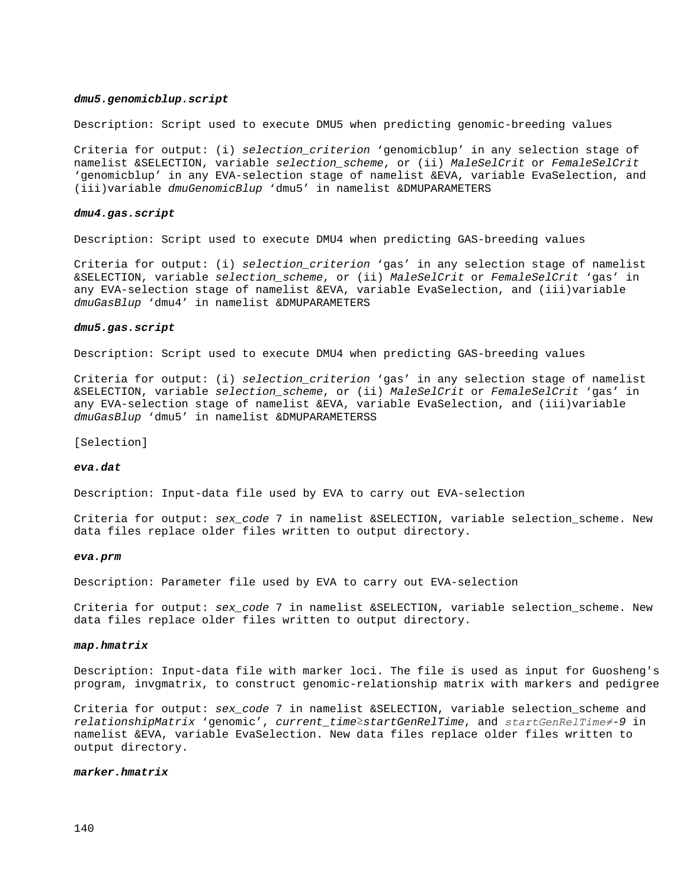#### *dmu5.genomicblup.script*

Description: Script used to execute DMU5 when predicting genomic-breeding values

Criteria for output: (i) *selection\_criterion* 'genomicblup' in any selection stage of namelist &SELECTION, variable *selection\_scheme*, or (ii) *MaleSelCrit* or *FemaleSelCrit* 'genomicblup' in any EVA-selection stage of namelist &EVA, variable EvaSelection, and (iii)variable *dmuGenomicBlup* 'dmu5' in namelist &DMUPARAMETERS

#### *dmu4.gas.script*

Description: Script used to execute DMU4 when predicting GAS-breeding values

Criteria for output: (i) *selection\_criterion* 'gas' in any selection stage of namelist &SELECTION, variable *selection\_scheme*, or (ii) *MaleSelCrit* or *FemaleSelCrit* 'gas' in any EVA-selection stage of namelist &EVA, variable EvaSelection, and (iii)variable *dmuGasBlup* 'dmu4' in namelist &DMUPARAMETERS

#### *dmu5.gas.script*

Description: Script used to execute DMU4 when predicting GAS-breeding values

Criteria for output: (i) *selection\_criterion* 'gas' in any selection stage of namelist &SELECTION, variable *selection\_scheme*, or (ii) *MaleSelCrit* or *FemaleSelCrit* 'gas' in any EVA-selection stage of namelist &EVA, variable EvaSelection, and (iii)variable *dmuGasBlup* 'dmu5' in namelist &DMUPARAMETERSS

[Selection]

#### *eva.dat*

Description: Input-data file used by EVA to carry out EVA-selection

Criteria for output: *sex\_code* 7 in namelist &SELECTION, variable selection\_scheme. New data files replace older files written to output directory.

#### *eva.prm*

Description: Parameter file used by EVA to carry out EVA-selection

Criteria for output: *sex\_code* 7 in namelist &SELECTION, variable selection\_scheme. New data files replace older files written to output directory.

#### *map.hmatrix*

Description: Input-data file with marker loci. The file is used as input for Guosheng's program, invgmatrix, to construct genomic-relationship matrix with markers and pedigree

Criteria for output: *sex\_code* 7 in namelist &SELECTION, variable selection\_scheme and *relationshipMatrix* 'genomic', *current\_time*≥*startGenRelTime*, and *startGenRelTime≠-9* in namelist &EVA, variable EvaSelection. New data files replace older files written to output directory.

#### *marker.hmatrix*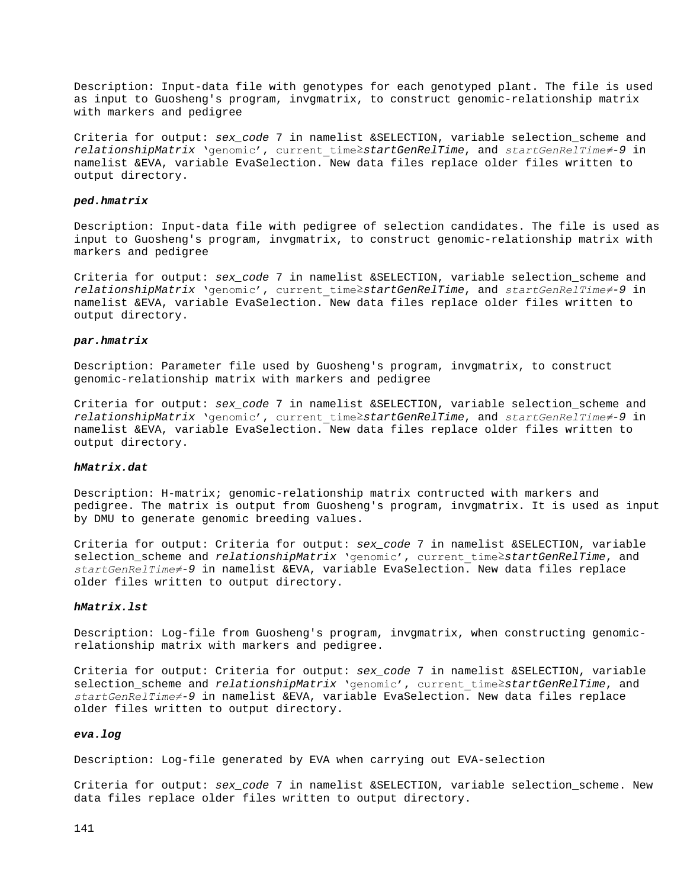Description: Input-data file with genotypes for each genotyped plant. The file is used as input to Guosheng's program, invgmatrix, to construct genomic-relationship matrix with markers and pedigree

Criteria for output: *sex\_code* 7 in namelist &SELECTION, variable selection\_scheme and *relationshipMatrix* 'genomic', current\_time≥*startGenRelTime*, and *startGenRelTime≠-9* in namelist &EVA, variable EvaSelection. New data files replace older files written to output directory.

#### *ped.hmatrix*

Description: Input-data file with pedigree of selection candidates. The file is used as input to Guosheng's program, invgmatrix, to construct genomic-relationship matrix with markers and pedigree

Criteria for output: *sex\_code* 7 in namelist &SELECTION, variable selection\_scheme and *relationshipMatrix* 'genomic', current\_time≥*startGenRelTime*, and *startGenRelTime≠-9* in namelist &EVA, variable EvaSelection. New data files replace older files written to output directory.

#### *par.hmatrix*

Description: Parameter file used by Guosheng's program, invgmatrix, to construct genomic-relationship matrix with markers and pedigree

Criteria for output: *sex\_code* 7 in namelist &SELECTION, variable selection\_scheme and *relationshipMatrix* 'genomic', current\_time≥*startGenRelTime*, and *startGenRelTime≠-9* in namelist &EVA, variable EvaSelection. New data files replace older files written to output directory.

#### *hMatrix.dat*

Description: H-matrix; genomic-relationship matrix contructed with markers and pedigree. The matrix is output from Guosheng's program, invgmatrix. It is used as input by DMU to generate genomic breeding values.

Criteria for output: Criteria for output: *sex\_code* 7 in namelist &SELECTION, variable selection\_scheme and *relationshipMatrix* 'genomic', current\_time≥*startGenRelTime*, and *startGenRelTime≠-9* in namelist &EVA, variable EvaSelection. New data files replace older files written to output directory.

#### *hMatrix.lst*

Description: Log-file from Guosheng's program, invgmatrix, when constructing genomicrelationship matrix with markers and pedigree.

Criteria for output: Criteria for output: *sex\_code* 7 in namelist &SELECTION, variable selection\_scheme and *relationshipMatrix* 'genomic', current\_time≥*startGenRelTime*, and *startGenRelTime≠-9* in namelist &EVA, variable EvaSelection. New data files replace older files written to output directory.

#### *eva.log*

Description: Log-file generated by EVA when carrying out EVA-selection

Criteria for output: *sex\_code* 7 in namelist &SELECTION, variable selection\_scheme. New data files replace older files written to output directory.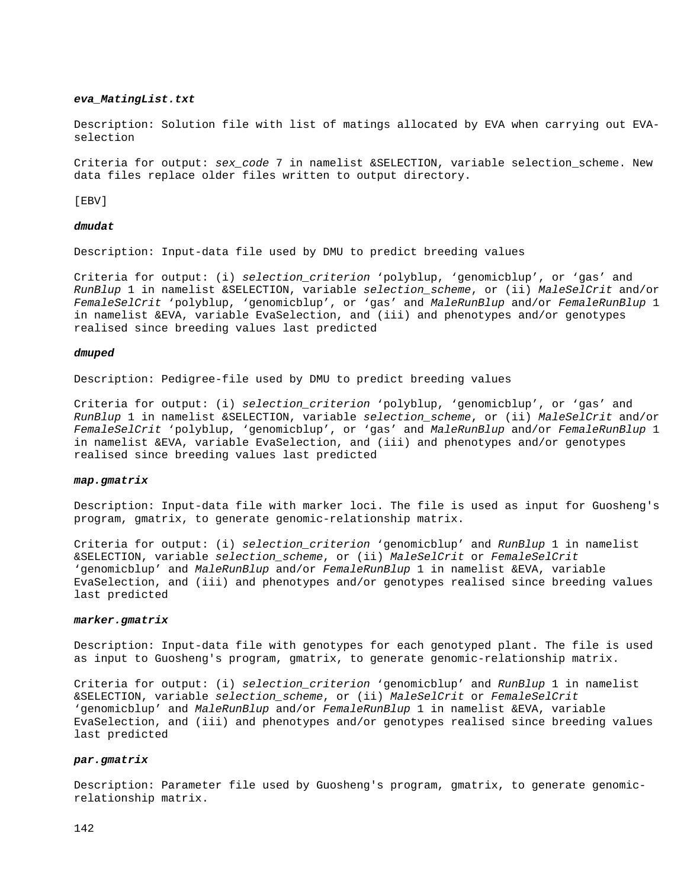#### *eva\_MatingList.txt*

Description: Solution file with list of matings allocated by EVA when carrying out EVAselection

Criteria for output: *sex code* 7 in namelist &SELECTION, variable selection scheme. New data files replace older files written to output directory.

[EBV]

#### *dmudat*

Description: Input-data file used by DMU to predict breeding values

Criteria for output: (i) *selection\_criterion* 'polyblup, 'genomicblup', or 'gas' and *RunBlup* 1 in namelist &SELECTION, variable *selection\_scheme*, or (ii) *MaleSelCrit* and/or *FemaleSelCrit* 'polyblup, 'genomicblup', or 'gas' and *MaleRunBlup* and/or *FemaleRunBlup* 1 in namelist &EVA, variable EvaSelection, and (iii) and phenotypes and/or genotypes realised since breeding values last predicted

#### *dmuped*

Description: Pedigree-file used by DMU to predict breeding values

Criteria for output: (i) *selection\_criterion* 'polyblup, 'genomicblup', or 'gas' and *RunBlup* 1 in namelist &SELECTION, variable *selection\_scheme*, or (ii) *MaleSelCrit* and/or *FemaleSelCrit* 'polyblup, 'genomicblup', or 'gas' and *MaleRunBlup* and/or *FemaleRunBlup* 1 in namelist &EVA, variable EvaSelection, and (iii) and phenotypes and/or genotypes realised since breeding values last predicted

#### *map.gmatrix*

Description: Input-data file with marker loci. The file is used as input for Guosheng's program, gmatrix, to generate genomic-relationship matrix.

Criteria for output: (i) *selection\_criterion* 'genomicblup' and *RunBlup* 1 in namelist &SELECTION, variable *selection\_scheme*, or (ii) *MaleSelCrit* or *FemaleSelCrit* 'genomicblup' and *MaleRunBlup* and/or *FemaleRunBlup* 1 in namelist &EVA, variable EvaSelection, and (iii) and phenotypes and/or genotypes realised since breeding values last predicted

#### *marker.gmatrix*

Description: Input-data file with genotypes for each genotyped plant. The file is used as input to Guosheng's program, gmatrix, to generate genomic-relationship matrix.

Criteria for output: (i) *selection\_criterion* 'genomicblup' and *RunBlup* 1 in namelist &SELECTION, variable *selection\_scheme*, or (ii) *MaleSelCrit* or *FemaleSelCrit* 'genomicblup' and *MaleRunBlup* and/or *FemaleRunBlup* 1 in namelist &EVA, variable EvaSelection, and (iii) and phenotypes and/or genotypes realised since breeding values last predicted

#### *par.gmatrix*

Description: Parameter file used by Guosheng's program, gmatrix, to generate genomicrelationship matrix.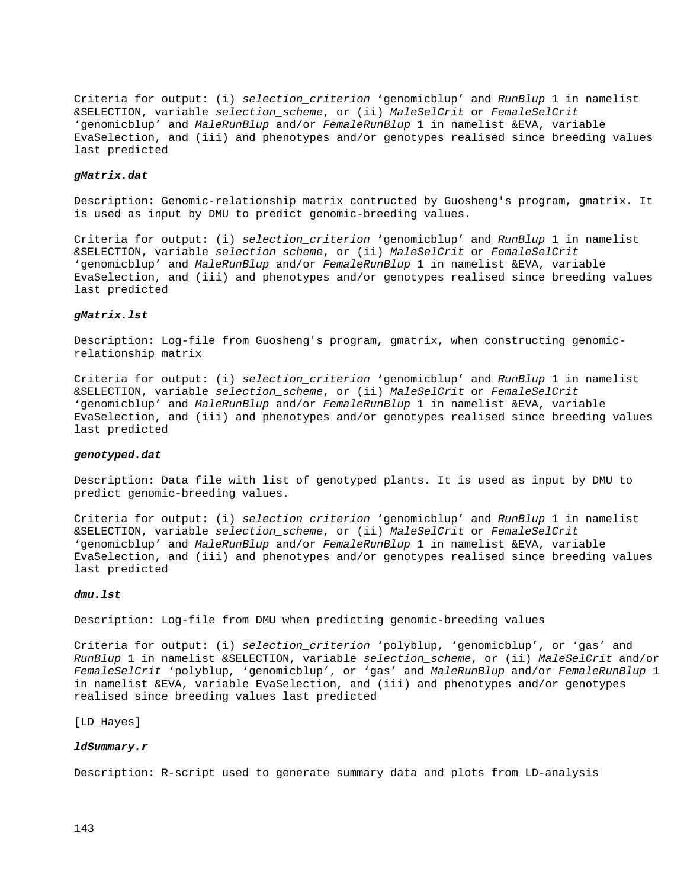Criteria for output: (i) *selection\_criterion* 'genomicblup' and *RunBlup* 1 in namelist &SELECTION, variable *selection\_scheme*, or (ii) *MaleSelCrit* or *FemaleSelCrit* 'genomicblup' and *MaleRunBlup* and/or *FemaleRunBlup* 1 in namelist &EVA, variable EvaSelection, and (iii) and phenotypes and/or genotypes realised since breeding values last predicted

#### *gMatrix.dat*

Description: Genomic-relationship matrix contructed by Guosheng's program, gmatrix. It is used as input by DMU to predict genomic-breeding values.

Criteria for output: (i) *selection\_criterion* 'genomicblup' and *RunBlup* 1 in namelist &SELECTION, variable *selection\_scheme*, or (ii) *MaleSelCrit* or *FemaleSelCrit* 'genomicblup' and *MaleRunBlup* and/or *FemaleRunBlup* 1 in namelist &EVA, variable EvaSelection, and (iii) and phenotypes and/or genotypes realised since breeding values last predicted

#### *gMatrix.lst*

Description: Log-file from Guosheng's program, gmatrix, when constructing genomicrelationship matrix

Criteria for output: (i) *selection\_criterion* 'genomicblup' and *RunBlup* 1 in namelist &SELECTION, variable *selection\_scheme*, or (ii) *MaleSelCrit* or *FemaleSelCrit* 'genomicblup' and *MaleRunBlup* and/or *FemaleRunBlup* 1 in namelist &EVA, variable EvaSelection, and (iii) and phenotypes and/or genotypes realised since breeding values last predicted

#### *genotyped.dat*

Description: Data file with list of genotyped plants. It is used as input by DMU to predict genomic-breeding values.

Criteria for output: (i) *selection\_criterion* 'genomicblup' and *RunBlup* 1 in namelist &SELECTION, variable *selection\_scheme*, or (ii) *MaleSelCrit* or *FemaleSelCrit* 'genomicblup' and *MaleRunBlup* and/or *FemaleRunBlup* 1 in namelist &EVA, variable EvaSelection, and (iii) and phenotypes and/or genotypes realised since breeding values last predicted

#### *dmu.lst*

Description: Log-file from DMU when predicting genomic-breeding values

Criteria for output: (i) *selection\_criterion* 'polyblup, 'genomicblup', or 'gas' and *RunBlup* 1 in namelist &SELECTION, variable *selection\_scheme*, or (ii) *MaleSelCrit* and/or *FemaleSelCrit* 'polyblup, 'genomicblup', or 'gas' and *MaleRunBlup* and/or *FemaleRunBlup* 1 in namelist &EVA, variable EvaSelection, and (iii) and phenotypes and/or genotypes realised since breeding values last predicted

[LD\_Hayes]

#### *ldSummary.r*

Description: R-script used to generate summary data and plots from LD-analysis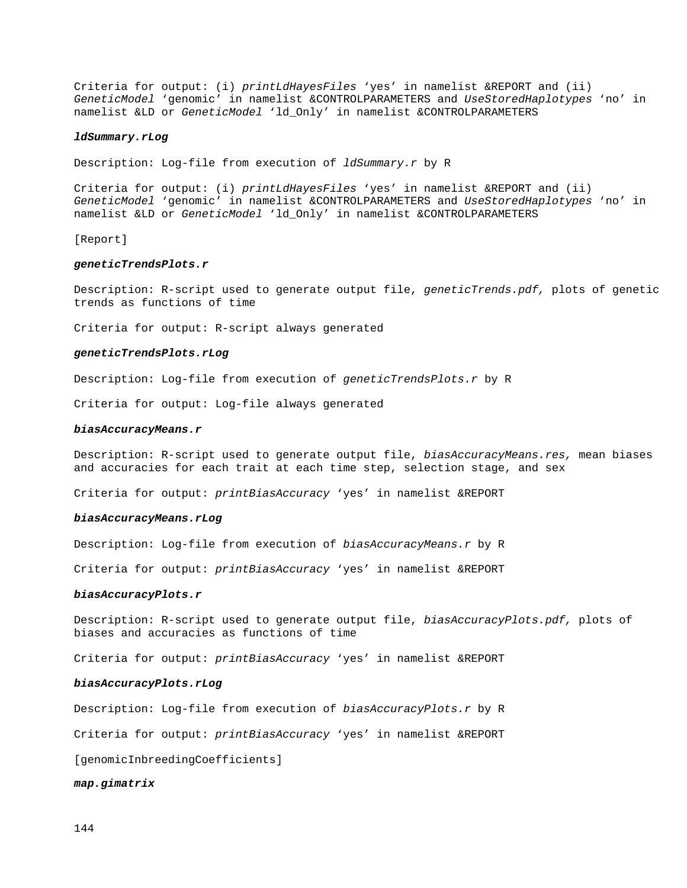Criteria for output: (i) *printLdHayesFiles* 'yes' in namelist &REPORT and (ii) *GeneticModel* 'genomic' in namelist &CONTROLPARAMETERS and *UseStoredHaplotypes* 'no' in namelist &LD or *GeneticModel* 'ld\_Only' in namelist &CONTROLPARAMETERS

#### *ldSummary.rLog*

Description: Log-file from execution of *ldSummary.r* by R

Criteria for output: (i) *printLdHayesFiles* 'yes' in namelist &REPORT and (ii) *GeneticModel* 'genomic' in namelist &CONTROLPARAMETERS and *UseStoredHaplotypes* 'no' in namelist &LD or *GeneticModel* 'ld\_Only' in namelist &CONTROLPARAMETERS

[Report]

#### *geneticTrendsPlots.r*

Description: R-script used to generate output file, *geneticTrends.pdf,* plots of genetic trends as functions of time

Criteria for output: R-script always generated

#### *geneticTrendsPlots.rLog*

Description: Log-file from execution of *geneticTrendsPlots.r* by R

Criteria for output: Log-file always generated

#### *biasAccuracyMeans.r*

Description: R-script used to generate output file, *biasAccuracyMeans.res,* mean biases and accuracies for each trait at each time step, selection stage, and sex

Criteria for output: *printBiasAccuracy* 'yes' in namelist &REPORT

#### *biasAccuracyMeans.rLog*

Description: Log-file from execution of *biasAccuracyMeans.r* by R

Criteria for output: *printBiasAccuracy* 'yes' in namelist &REPORT

#### *biasAccuracyPlots.r*

Description: R-script used to generate output file, *biasAccuracyPlots.pdf,* plots of biases and accuracies as functions of time

Criteria for output: *printBiasAccuracy* 'yes' in namelist &REPORT

#### *biasAccuracyPlots.rLog*

Description: Log-file from execution of *biasAccuracyPlots.r* by R

Criteria for output: *printBiasAccuracy* 'yes' in namelist &REPORT

[genomicInbreedingCoefficients]

*map.gimatrix*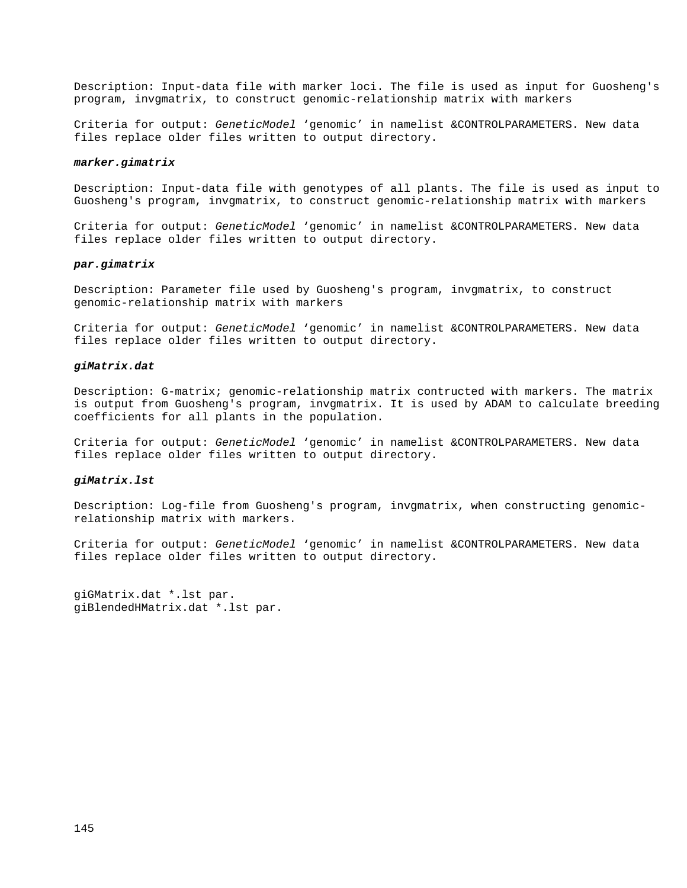Description: Input-data file with marker loci. The file is used as input for Guosheng's program, invgmatrix, to construct genomic-relationship matrix with markers

Criteria for output: *GeneticModel* 'genomic' in namelist &CONTROLPARAMETERS. New data files replace older files written to output directory.

#### *marker.gimatrix*

Description: Input-data file with genotypes of all plants. The file is used as input to Guosheng's program, invgmatrix, to construct genomic-relationship matrix with markers

Criteria for output: *GeneticModel* 'genomic' in namelist &CONTROLPARAMETERS. New data files replace older files written to output directory.

#### *par.gimatrix*

Description: Parameter file used by Guosheng's program, invgmatrix, to construct genomic-relationship matrix with markers

Criteria for output: *GeneticModel* 'genomic' in namelist &CONTROLPARAMETERS. New data files replace older files written to output directory.

## *giMatrix.dat*

Description: G-matrix; genomic-relationship matrix contructed with markers. The matrix is output from Guosheng's program, invgmatrix. It is used by ADAM to calculate breeding coefficients for all plants in the population.

Criteria for output: *GeneticModel* 'genomic' in namelist &CONTROLPARAMETERS. New data files replace older files written to output directory.

## *giMatrix.lst*

Description: Log-file from Guosheng's program, invgmatrix, when constructing genomicrelationship matrix with markers.

Criteria for output: *GeneticModel* 'genomic' in namelist &CONTROLPARAMETERS. New data files replace older files written to output directory.

giGMatrix.dat \*.lst par. giBlendedHMatrix.dat \*.lst par.